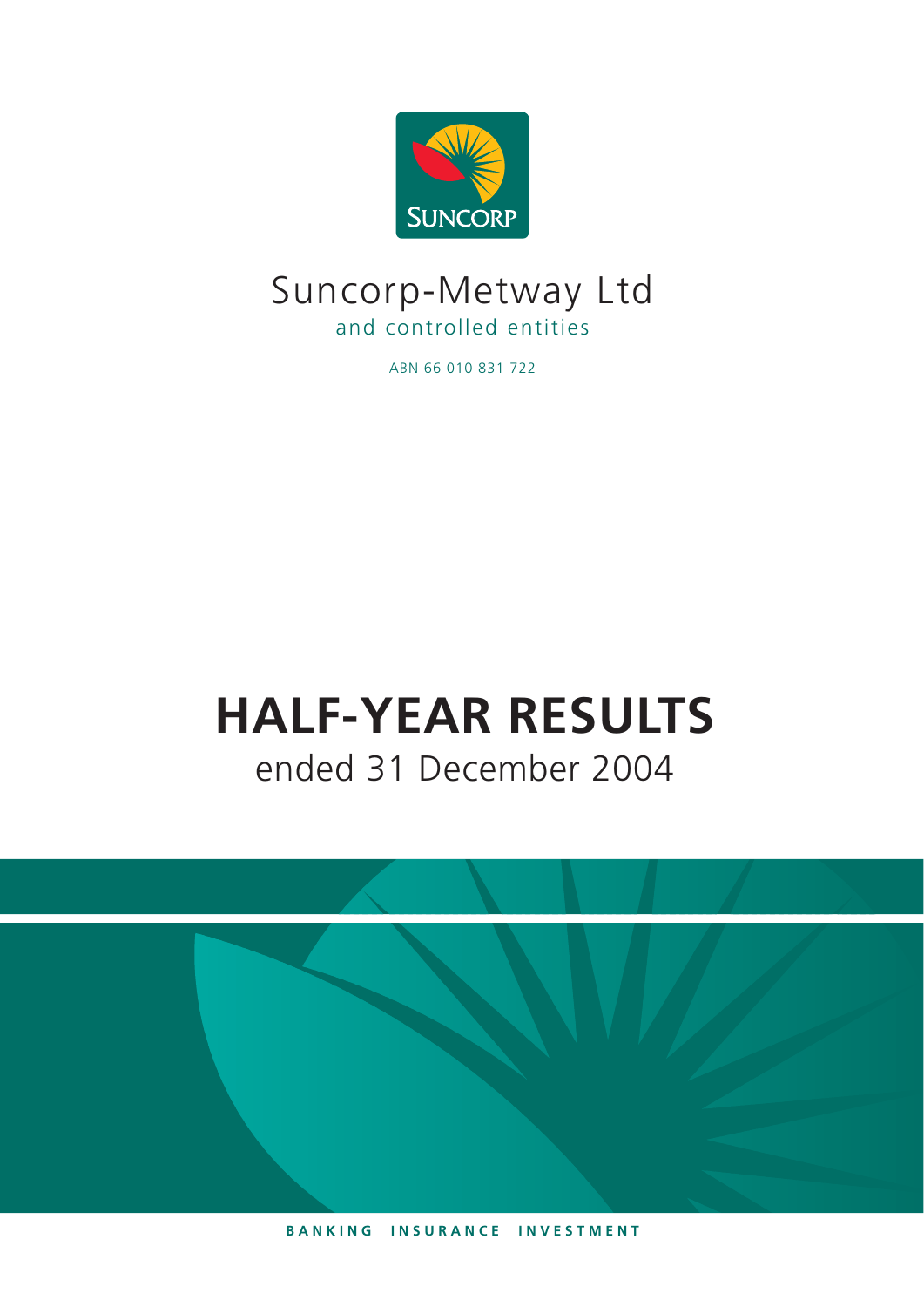

# Suncorp-Metway Ltd and controlled entities

ABN 66 010 831 722

# **HALF-YEAR RESULTS** ended 31 December 2004

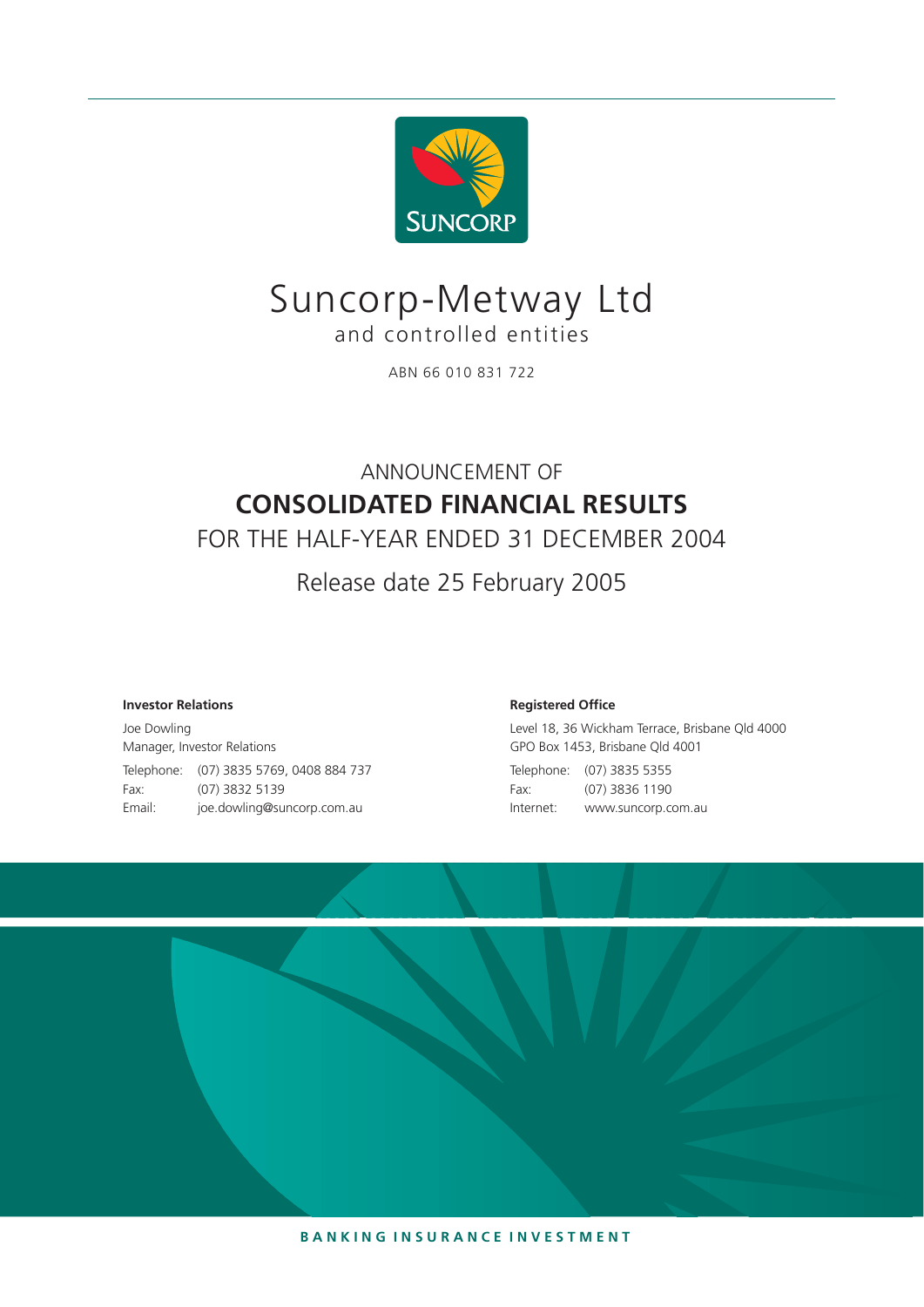

# Suncorp-Metway Ltd and controlled entities

ABN 66 010 831 722

# ANNOUNCEMENT OF **CONSOLIDATED FINANCIAL RESULTS**

FOR THE HALF-YEAR ENDED 31 DECEMBER 2004

Release date 25 February 2005

#### **Investor Relations**

Joe Dowling Manager, Investor Relations Telephone: (07) 3835 5769, 0408 884 737 Fax: (07) 3832 5139 Email: joe.dowling@suncorp.com.au

#### **Registered Office**

Level 18, 36 Wickham Terrace, Brisbane Qld 4000 GPO Box 1453, Brisbane Qld 4001 Telephone: (07) 3835 5355 Fax: (07) 3836 1190 Internet: www.suncorp.com.au



**B A N K I N G I N S U R A N C E I N V E S T M E N T**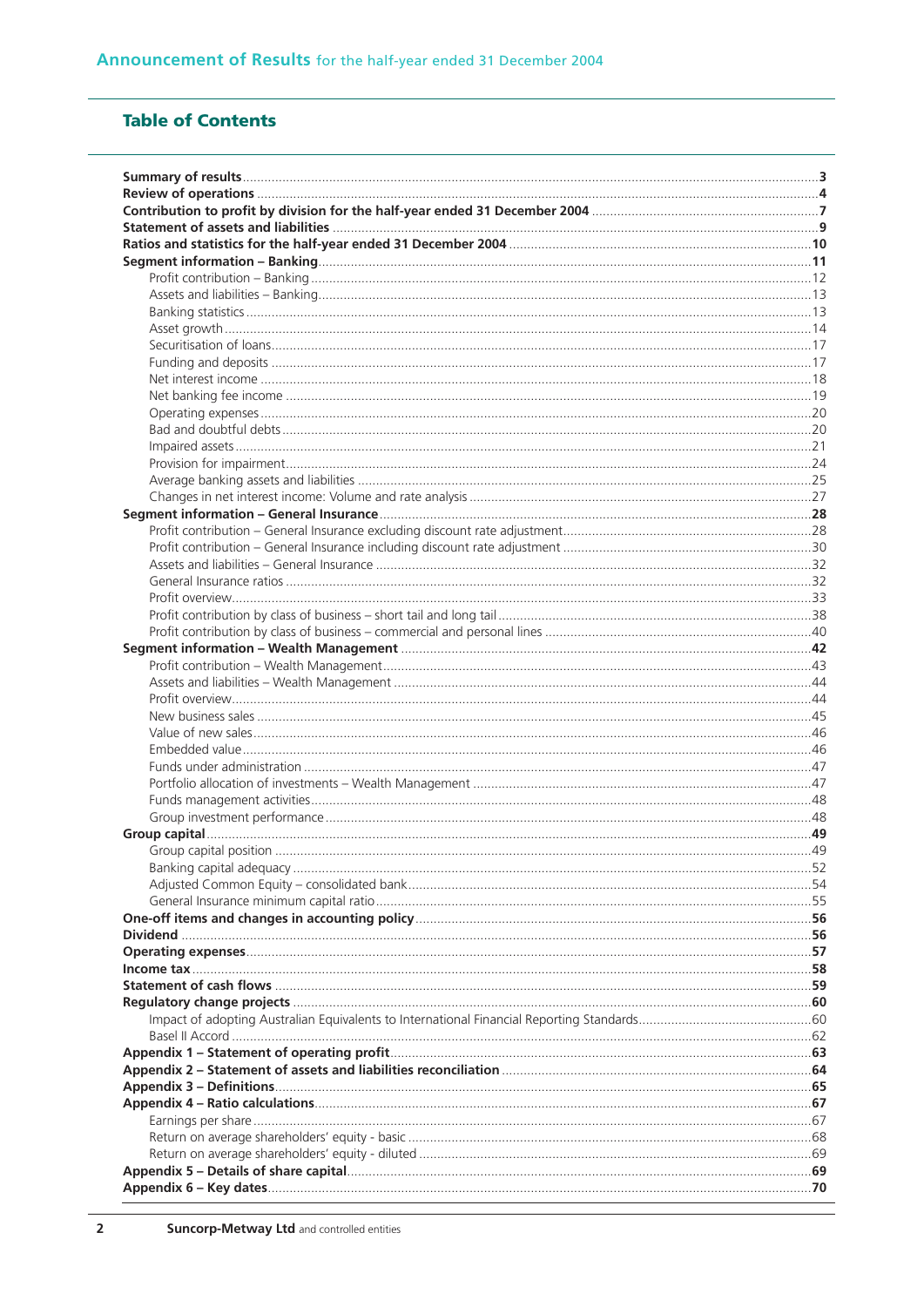## **Table of Contents**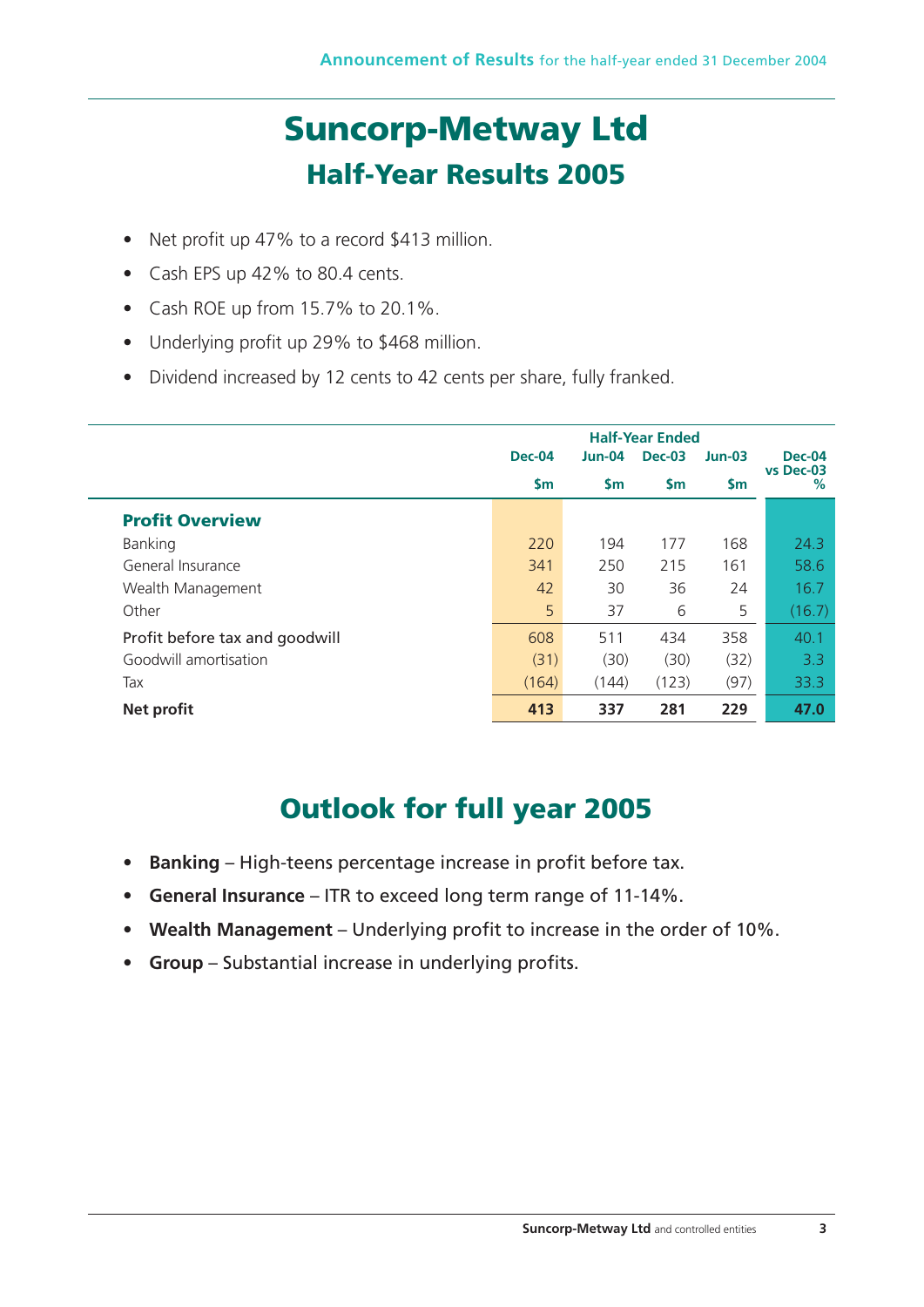# **Suncorp-Metway Ltd Half-Year Results 2005**

- Net profit up 47% to a record \$413 million.
- Cash EPS up 42% to 80.4 cents.
- Cash ROE up from 15.7% to 20.1%.
- Underlying profit up 29% to \$468 million.
- Dividend increased by 12 cents to 42 cents per share, fully franked.

|                                | <b>Dec-04</b> | <b>Jun-04</b> | <b>Dec-03</b> | $Jun-03$      | <b>Dec-04</b>  |
|--------------------------------|---------------|---------------|---------------|---------------|----------------|
|                                | $\mathsf{Sm}$ | $\mathsf{Sm}$ | $\mathsf{Sm}$ | $\mathsf{Sm}$ | vs Dec-03<br>% |
| <b>Profit Overview</b>         |               |               |               |               |                |
| Banking                        | 220           | 194           | 177           | 168           | 24.3           |
| General Insurance              | 341           | 250           | 215           | 161           | 58.6           |
| Wealth Management              | 42            | 30            | 36            | 24            | 16.7           |
| Other                          | 5             | 37            | 6             | 5             | (16.7)         |
| Profit before tax and goodwill | 608           | 511           | 434           | 358           | 40.1           |
| Goodwill amortisation          | (31)          | (30)          | (30)          | (32)          | 3.3            |
| Tax                            | (164)         | (144)         | (123)         | (97)          | 33.3           |
| <b>Net profit</b>              | 413           | 337           | 281           | 229           | 47.0           |

# **Outlook for full year 2005**

- **Banking**  High-teens percentage increase in profit before tax.
- **General Insurance**  ITR to exceed long term range of 11-14%.
- **Wealth Management**  Underlying profit to increase in the order of 10%.
- **Group**  Substantial increase in underlying profits.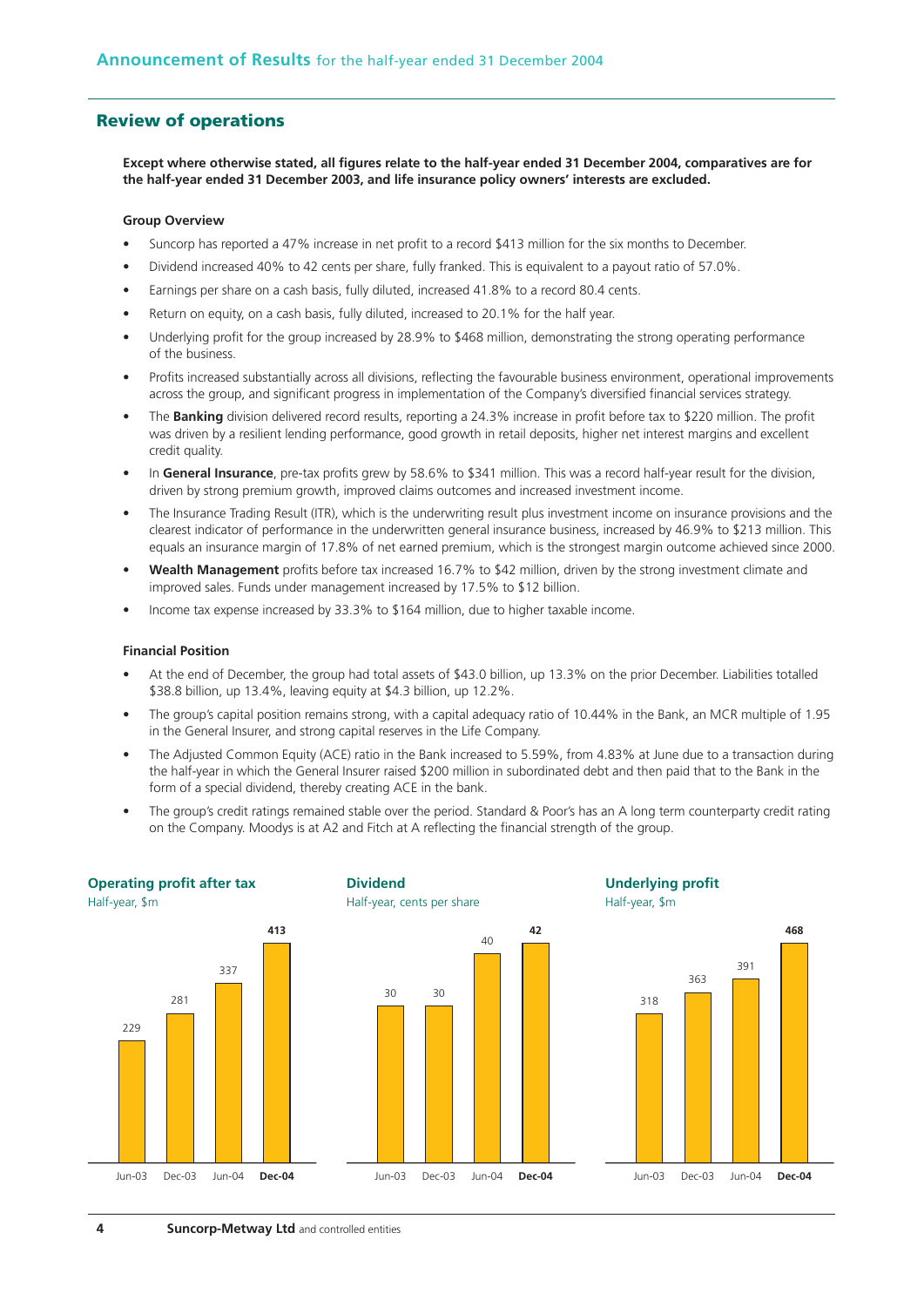## **Review of operations**

**Except where otherwise stated, all figures relate to the half-year ended 31 December 2004, comparatives are for the half-year ended 31 December 2003, and life insurance policy owners' interests are excluded.**

#### **Group Overview**

- Suncorp has reported a 47% increase in net profit to a record \$413 million for the six months to December.
- Dividend increased 40% to 42 cents per share, fully franked. This is equivalent to a payout ratio of 57.0%.
- Earnings per share on a cash basis, fully diluted, increased 41.8% to a record 80.4 cents.
- Return on equity, on a cash basis, fully diluted, increased to 20.1% for the half year.
- Underlying profit for the group increased by 28.9% to \$468 million, demonstrating the strong operating performance of the business.
- Profits increased substantially across all divisions, reflecting the favourable business environment, operational improvements across the group, and significant progress in implementation of the Company's diversified financial services strategy.
- The **Banking** division delivered record results, reporting a 24.3% increase in profit before tax to \$220 million. The profit was driven by a resilient lending performance, good growth in retail deposits, higher net interest margins and excellent credit quality.
- In **General Insurance**, pre-tax profits grew by 58.6% to \$341 million. This was a record half-year result for the division, driven by strong premium growth, improved claims outcomes and increased investment income.
- The Insurance Trading Result (ITR), which is the underwriting result plus investment income on insurance provisions and the clearest indicator of performance in the underwritten general insurance business, increased by 46.9% to \$213 million. This equals an insurance margin of 17.8% of net earned premium, which is the strongest margin outcome achieved since 2000.
- **Wealth Management** profits before tax increased 16.7% to \$42 million, driven by the strong investment climate and improved sales. Funds under management increased by 17.5% to \$12 billion.
- Income tax expense increased by 33.3% to \$164 million, due to higher taxable income.

#### **Financial Position**

- At the end of December, the group had total assets of \$43.0 billion, up 13.3% on the prior December. Liabilities totalled \$38.8 billion, up 13.4%, leaving equity at \$4.3 billion, up 12.2%.
- The group's capital position remains strong, with a capital adequacy ratio of 10.44% in the Bank, an MCR multiple of 1.95 in the General Insurer, and strong capital reserves in the Life Company.
- The Adjusted Common Equity (ACE) ratio in the Bank increased to 5.59%, from 4.83% at June due to a transaction during the half-year in which the General Insurer raised \$200 million in subordinated debt and then paid that to the Bank in the form of a special dividend, thereby creating ACE in the bank.
- The group's credit ratings remained stable over the period. Standard & Poor's has an A long term counterparty credit rating on the Company. Moodys is at A2 and Fitch at A reflecting the financial strength of the group.

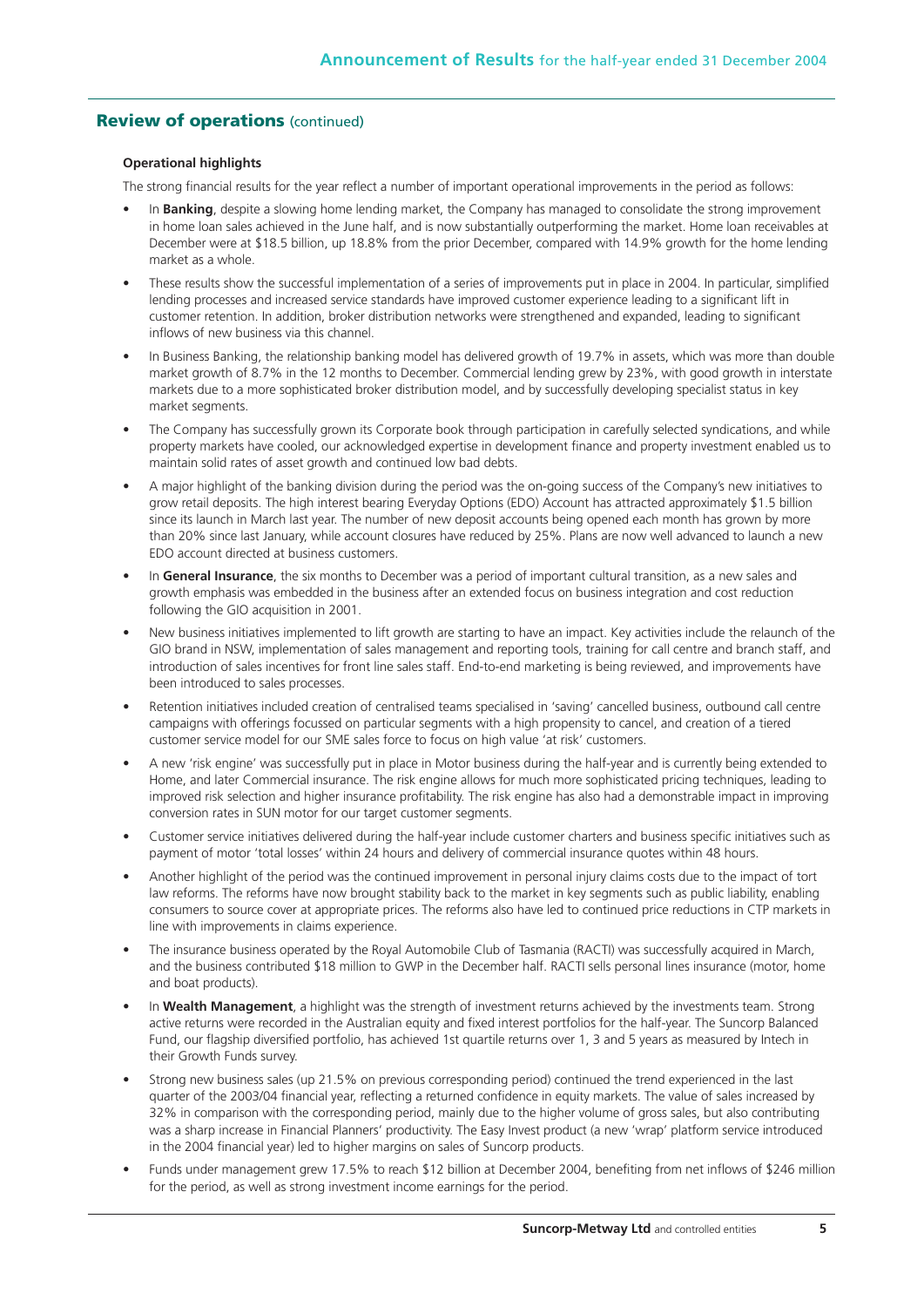## **Review of operations** (continued)

## **Operational highlights**

The strong financial results for the year reflect a number of important operational improvements in the period as follows:

- In **Banking**, despite a slowing home lending market, the Company has managed to consolidate the strong improvement in home loan sales achieved in the June half, and is now substantially outperforming the market. Home loan receivables at December were at \$18.5 billion, up 18.8% from the prior December, compared with 14.9% growth for the home lending market as a whole.
- These results show the successful implementation of a series of improvements put in place in 2004. In particular, simplified lending processes and increased service standards have improved customer experience leading to a significant lift in customer retention. In addition, broker distribution networks were strengthened and expanded, leading to significant inflows of new business via this channel.
- In Business Banking, the relationship banking model has delivered growth of 19.7% in assets, which was more than double market growth of 8.7% in the 12 months to December. Commercial lending grew by 23%, with good growth in interstate markets due to a more sophisticated broker distribution model, and by successfully developing specialist status in key market segments.
- The Company has successfully grown its Corporate book through participation in carefully selected syndications, and while property markets have cooled, our acknowledged expertise in development finance and property investment enabled us to maintain solid rates of asset growth and continued low bad debts.
- A major highlight of the banking division during the period was the on-going success of the Company's new initiatives to grow retail deposits. The high interest bearing Everyday Options (EDO) Account has attracted approximately \$1.5 billion since its launch in March last year. The number of new deposit accounts being opened each month has grown by more than 20% since last January, while account closures have reduced by 25%. Plans are now well advanced to launch a new EDO account directed at business customers.
- In **General Insurance**, the six months to December was a period of important cultural transition, as a new sales and growth emphasis was embedded in the business after an extended focus on business integration and cost reduction following the GIO acquisition in 2001.
- New business initiatives implemented to lift growth are starting to have an impact. Key activities include the relaunch of the GIO brand in NSW, implementation of sales management and reporting tools, training for call centre and branch staff, and introduction of sales incentives for front line sales staff. End-to-end marketing is being reviewed, and improvements have been introduced to sales processes.
- Retention initiatives included creation of centralised teams specialised in 'saving' cancelled business, outbound call centre campaigns with offerings focussed on particular segments with a high propensity to cancel, and creation of a tiered customer service model for our SME sales force to focus on high value 'at risk' customers.
- A new 'risk engine' was successfully put in place in Motor business during the half-year and is currently being extended to Home, and later Commercial insurance. The risk engine allows for much more sophisticated pricing techniques, leading to improved risk selection and higher insurance profitability. The risk engine has also had a demonstrable impact in improving conversion rates in SUN motor for our target customer segments.
- Customer service initiatives delivered during the half-year include customer charters and business specific initiatives such as payment of motor 'total losses' within 24 hours and delivery of commercial insurance quotes within 48 hours.
- Another highlight of the period was the continued improvement in personal injury claims costs due to the impact of tort law reforms. The reforms have now brought stability back to the market in key segments such as public liability, enabling consumers to source cover at appropriate prices. The reforms also have led to continued price reductions in CTP markets in line with improvements in claims experience.
- The insurance business operated by the Royal Automobile Club of Tasmania (RACTI) was successfully acquired in March, and the business contributed \$18 million to GWP in the December half. RACTI sells personal lines insurance (motor, home and boat products).
- In **Wealth Management**, a highlight was the strength of investment returns achieved by the investments team. Strong active returns were recorded in the Australian equity and fixed interest portfolios for the half-year. The Suncorp Balanced Fund, our flagship diversified portfolio, has achieved 1st quartile returns over 1, 3 and 5 years as measured by Intech in their Growth Funds survey.
- Strong new business sales (up 21.5% on previous corresponding period) continued the trend experienced in the last quarter of the 2003/04 financial year, reflecting a returned confidence in equity markets. The value of sales increased by 32% in comparison with the corresponding period, mainly due to the higher volume of gross sales, but also contributing was a sharp increase in Financial Planners' productivity. The Easy Invest product (a new 'wrap' platform service introduced in the 2004 financial year) led to higher margins on sales of Suncorp products.
- Funds under management grew 17.5% to reach \$12 billion at December 2004, benefiting from net inflows of \$246 million for the period, as well as strong investment income earnings for the period.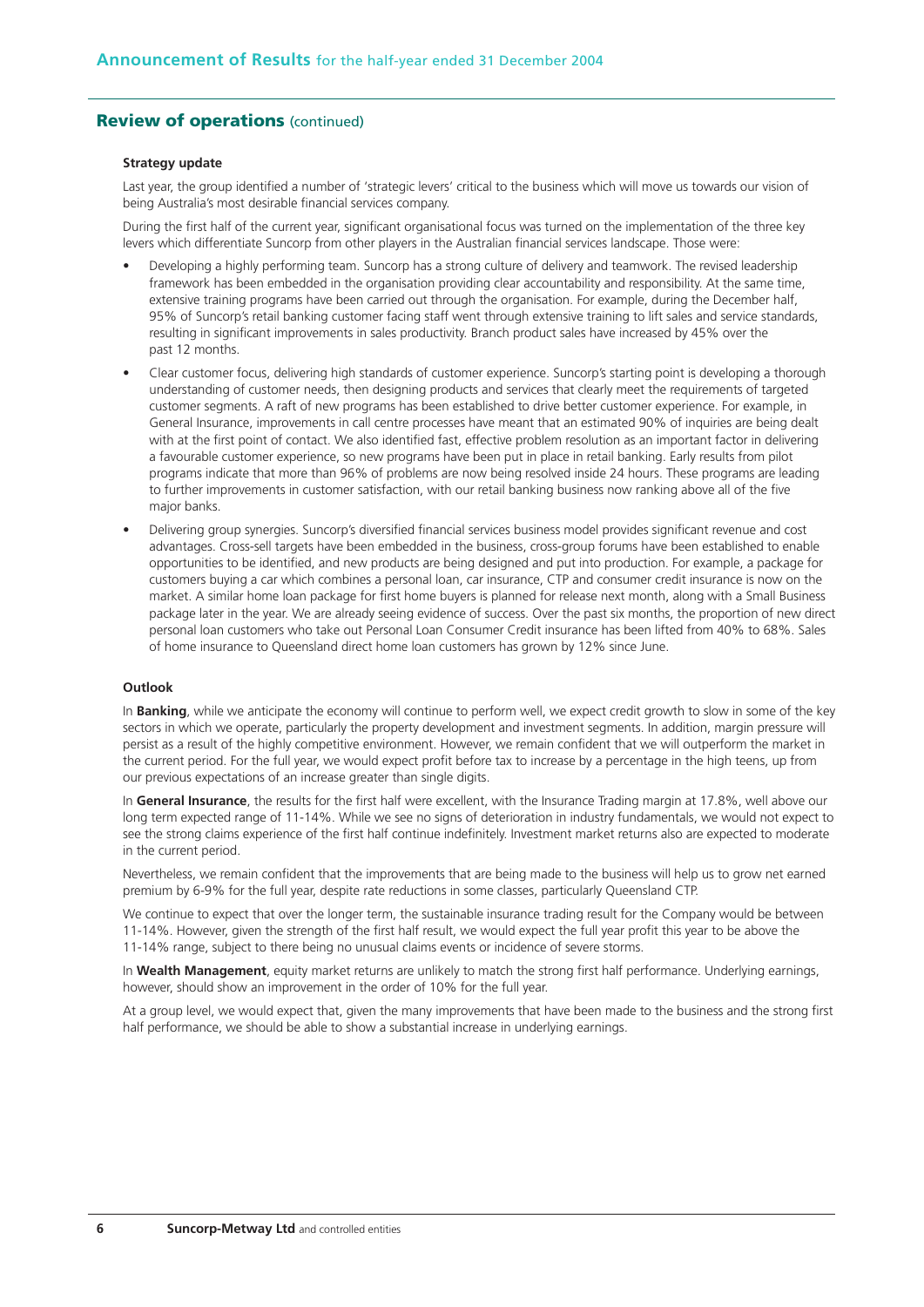#### **Review of operations** (continued)

#### **Strategy update**

Last year, the group identified a number of 'strategic levers' critical to the business which will move us towards our vision of being Australia's most desirable financial services company.

During the first half of the current year, significant organisational focus was turned on the implementation of the three key levers which differentiate Suncorp from other players in the Australian financial services landscape. Those were:

- Developing a highly performing team. Suncorp has a strong culture of delivery and teamwork. The revised leadership framework has been embedded in the organisation providing clear accountability and responsibility. At the same time, extensive training programs have been carried out through the organisation. For example, during the December half, 95% of Suncorp's retail banking customer facing staff went through extensive training to lift sales and service standards, resulting in significant improvements in sales productivity. Branch product sales have increased by 45% over the past 12 months.
- Clear customer focus, delivering high standards of customer experience. Suncorp's starting point is developing a thorough understanding of customer needs, then designing products and services that clearly meet the requirements of targeted customer segments. A raft of new programs has been established to drive better customer experience. For example, in General Insurance, improvements in call centre processes have meant that an estimated 90% of inquiries are being dealt with at the first point of contact. We also identified fast, effective problem resolution as an important factor in delivering a favourable customer experience, so new programs have been put in place in retail banking. Early results from pilot programs indicate that more than 96% of problems are now being resolved inside 24 hours. These programs are leading to further improvements in customer satisfaction, with our retail banking business now ranking above all of the five major banks.
- Delivering group synergies. Suncorp's diversified financial services business model provides significant revenue and cost advantages. Cross-sell targets have been embedded in the business, cross-group forums have been established to enable opportunities to be identified, and new products are being designed and put into production. For example, a package for customers buying a car which combines a personal loan, car insurance, CTP and consumer credit insurance is now on the market. A similar home loan package for first home buyers is planned for release next month, along with a Small Business package later in the year. We are already seeing evidence of success. Over the past six months, the proportion of new direct personal loan customers who take out Personal Loan Consumer Credit insurance has been lifted from 40% to 68%. Sales of home insurance to Queensland direct home loan customers has grown by 12% since June.

#### **Outlook**

In **Banking**, while we anticipate the economy will continue to perform well, we expect credit growth to slow in some of the key sectors in which we operate, particularly the property development and investment segments. In addition, margin pressure will persist as a result of the highly competitive environment. However, we remain confident that we will outperform the market in the current period. For the full year, we would expect profit before tax to increase by a percentage in the high teens, up from our previous expectations of an increase greater than single digits.

In **General Insurance**, the results for the first half were excellent, with the Insurance Trading margin at 17.8%, well above our long term expected range of 11-14%. While we see no signs of deterioration in industry fundamentals, we would not expect to see the strong claims experience of the first half continue indefinitely. Investment market returns also are expected to moderate in the current period.

Nevertheless, we remain confident that the improvements that are being made to the business will help us to grow net earned premium by 6-9% for the full year, despite rate reductions in some classes, particularly Queensland CTP.

We continue to expect that over the longer term, the sustainable insurance trading result for the Company would be between 11-14%. However, given the strength of the first half result, we would expect the full year profit this year to be above the 11-14% range, subject to there being no unusual claims events or incidence of severe storms.

In **Wealth Management**, equity market returns are unlikely to match the strong first half performance. Underlying earnings, however, should show an improvement in the order of 10% for the full year.

At a group level, we would expect that, given the many improvements that have been made to the business and the strong first half performance, we should be able to show a substantial increase in underlying earnings.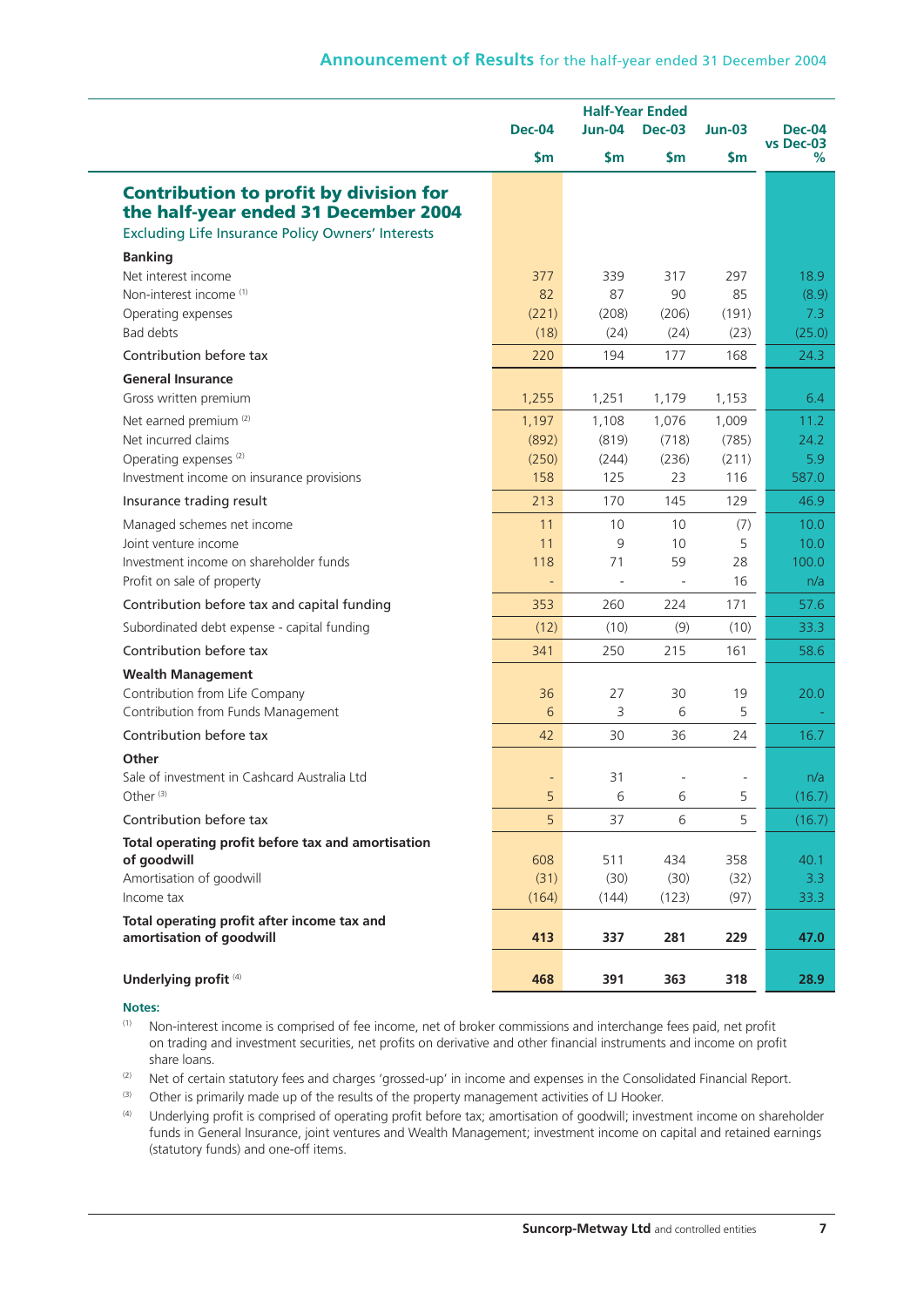|                                                                                                                                                   | <b>Half-Year Ended</b>   |                |                          |              |                            |
|---------------------------------------------------------------------------------------------------------------------------------------------------|--------------------------|----------------|--------------------------|--------------|----------------------------|
|                                                                                                                                                   | <b>Dec-04</b>            | <b>Jun-04</b>  | <b>Dec-03</b>            | $Jun-03$     | <b>Dec-04</b><br>vs Dec-03 |
|                                                                                                                                                   | $\mathsf{Sm}$            | $\mathsf{Sm}$  | $\mathsf{Sm}$            | <b>Sm</b>    | %                          |
| <b>Contribution to profit by division for</b><br>the half-year ended 31 December 2004<br><b>Excluding Life Insurance Policy Owners' Interests</b> |                          |                |                          |              |                            |
| <b>Banking</b>                                                                                                                                    |                          |                |                          |              |                            |
| Net interest income                                                                                                                               | 377                      | 339            | 317                      | 297          | 18.9                       |
| Non-interest income <sup>(1)</sup>                                                                                                                | 82                       | 87             | 90                       | 85           | (8.9)                      |
| Operating expenses                                                                                                                                | (221)                    | (208)          | (206)                    | (191)        | 7.3                        |
| Bad debts                                                                                                                                         | (18)                     | (24)           | (24)                     | (23)         | (25.0)                     |
| Contribution before tax                                                                                                                           | 220                      | 194            | 177                      | 168          | 24.3                       |
| <b>General Insurance</b>                                                                                                                          |                          |                |                          |              |                            |
| Gross written premium                                                                                                                             | 1,255                    | 1,251          | 1,179                    | 1,153        | 6.4                        |
| Net earned premium <sup>(2)</sup>                                                                                                                 | 1,197                    | 1,108          | 1,076                    | 1,009        | 11.2                       |
| Net incurred claims                                                                                                                               | (892)                    | (819)          | (718)                    | (785)        | 24.2                       |
| Operating expenses <sup>(2)</sup>                                                                                                                 | (250)                    | (244)          | (236)                    | (211)        | 5.9                        |
| Investment income on insurance provisions                                                                                                         | 158                      | 125            | 23                       | 116          | 587.0                      |
| Insurance trading result                                                                                                                          | 213                      | 170            | 145                      | 129          | 46.9                       |
| Managed schemes net income                                                                                                                        | 11                       | 10             | 10                       | (7)          | 10.0                       |
| Joint venture income                                                                                                                              | 11                       | 9              | 10                       | 5            | 10.0                       |
| Investment income on shareholder funds                                                                                                            | 118                      | 71             | 59                       | 28           | 100.0                      |
| Profit on sale of property                                                                                                                        | $\overline{\phantom{a}}$ | $\blacksquare$ | $\overline{\phantom{a}}$ | 16           | n/a                        |
| Contribution before tax and capital funding                                                                                                       | 353                      | 260            | 224                      | 171          | 57.6                       |
| Subordinated debt expense - capital funding                                                                                                       | (12)                     | (10)           | (9)                      | (10)         | 33.3                       |
| Contribution before tax                                                                                                                           | 341                      | 250            | 215                      | 161          | 58.6                       |
| <b>Wealth Management</b>                                                                                                                          |                          |                |                          |              |                            |
| Contribution from Life Company                                                                                                                    | 36                       | 27             | 30                       | 19           | 20.0                       |
| Contribution from Funds Management                                                                                                                | 6                        | 3              | 6                        | 5            |                            |
| Contribution before tax                                                                                                                           | 42                       | 30             | 36                       | 24           | 16.7                       |
| Other                                                                                                                                             |                          |                |                          |              |                            |
| Sale of investment in Cashcard Australia Ltd                                                                                                      |                          | 31             |                          |              | n/a                        |
| Other $(3)$                                                                                                                                       | 5                        | 6              | 6                        | 5            | (16.7)                     |
| Contribution before tax                                                                                                                           | 5                        | 37             | 6                        | 5            | (16.7)                     |
| Total operating profit before tax and amortisation                                                                                                |                          |                |                          |              |                            |
| of goodwill                                                                                                                                       | 608                      | 511            | 434                      | 358          | 40.1                       |
| Amortisation of goodwill<br>Income tax                                                                                                            | (31)<br>(164)            | (30)<br>(144)  | (30)<br>(123)            | (32)<br>(97) | 3.3 <sub>2</sub><br>33.3   |
|                                                                                                                                                   |                          |                |                          |              |                            |
| Total operating profit after income tax and<br>amortisation of goodwill                                                                           | 413                      | 337            | 281                      | 229          | 47.0                       |
| Underlying profit <sup>(4)</sup>                                                                                                                  | 468                      | 391            | 363                      | 318          | 28.9                       |

#### **Notes:**

(1) Non-interest income is comprised of fee income, net of broker commissions and interchange fees paid, net profit on trading and investment securities, net profits on derivative and other financial instruments and income on profit share loans.

- (2) Net of certain statutory fees and charges 'grossed-up' in income and expenses in the Consolidated Financial Report.
- (3) Other is primarily made up of the results of the property management activities of LJ Hooker.
- (4) Underlying profit is comprised of operating profit before tax; amortisation of goodwill; investment income on shareholder funds in General Insurance, joint ventures and Wealth Management; investment income on capital and retained earnings (statutory funds) and one-off items.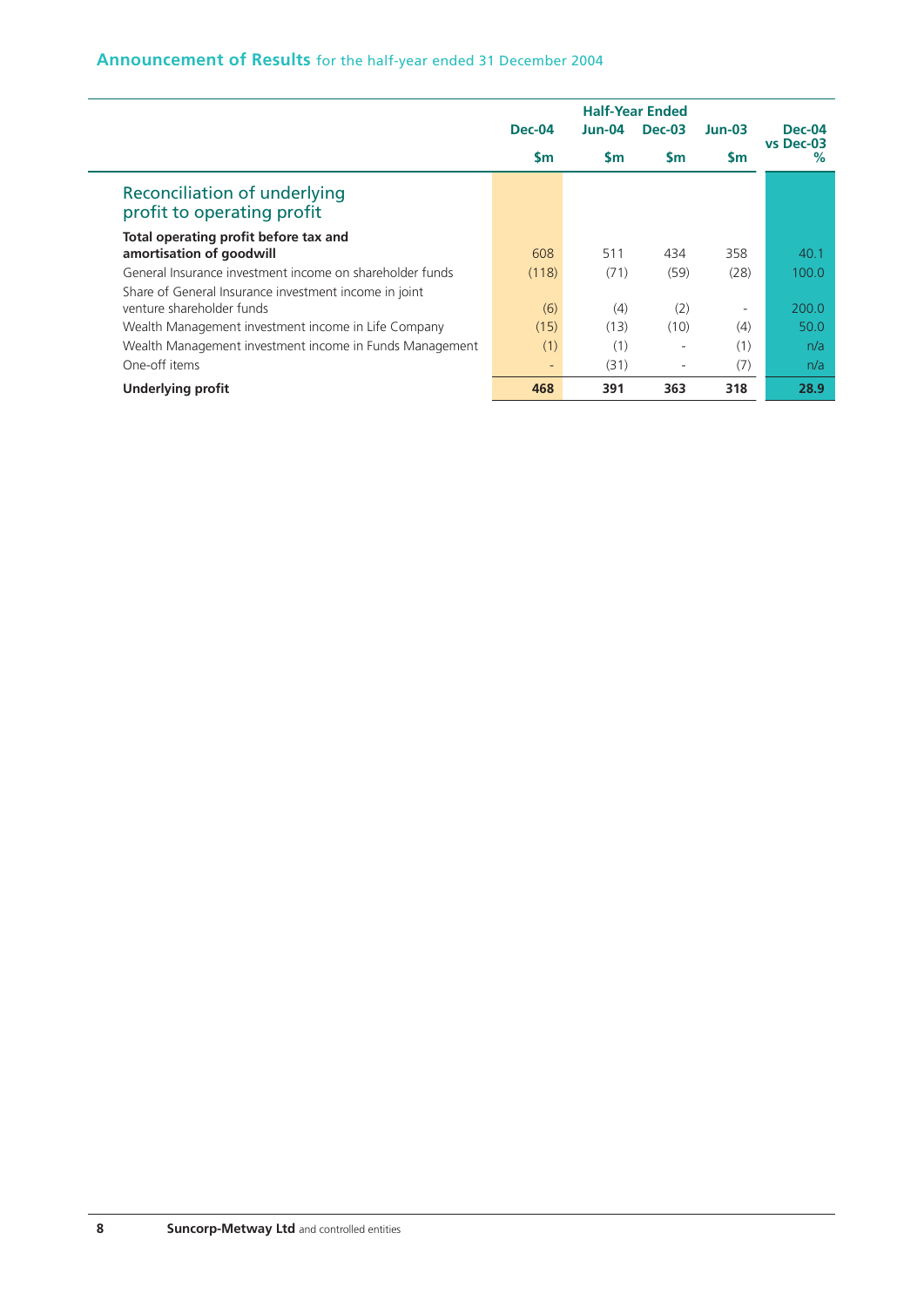## **Announcement of Results** for the half-year ended 31 December 2004

|                                                            |                   |           | <b>Half-Year Ended</b> |                          |                   |
|------------------------------------------------------------|-------------------|-----------|------------------------|--------------------------|-------------------|
|                                                            | <b>Dec-04</b>     | $Jun-04$  | $Dec-03$               | $Jun-03$                 | <b>Dec-04</b>     |
|                                                            | $\mathsf{sm}$     | <b>Sm</b> | $\mathsf{Sm}$          | <b>Sm</b>                | vs Dec-03<br>$\%$ |
| Reconciliation of underlying<br>profit to operating profit |                   |           |                        |                          |                   |
| Total operating profit before tax and                      |                   |           |                        |                          |                   |
| amortisation of goodwill                                   | 608               | 511       | 434                    | 358                      | 40.1              |
| General Insurance investment income on shareholder funds   | (118)             | (71)      | (59)                   | (28)                     | 100.0             |
| Share of General Insurance investment income in joint      |                   |           |                        |                          |                   |
| venture shareholder funds                                  | (6)               | (4)       | (2)                    | $\overline{\phantom{0}}$ | 200.0             |
| Wealth Management investment income in Life Company        | (15)              | (13)      | (10)                   | (4)                      | 50.0              |
| Wealth Management investment income in Funds Management    | (1)               | (1)       | ٠                      | (1)                      | n/a               |
| One-off items                                              | $\qquad \qquad -$ | (31)      | ٠                      | (7)                      | n/a               |
| <b>Underlying profit</b>                                   | 468               | 391       | 363                    | 318                      | 28.9              |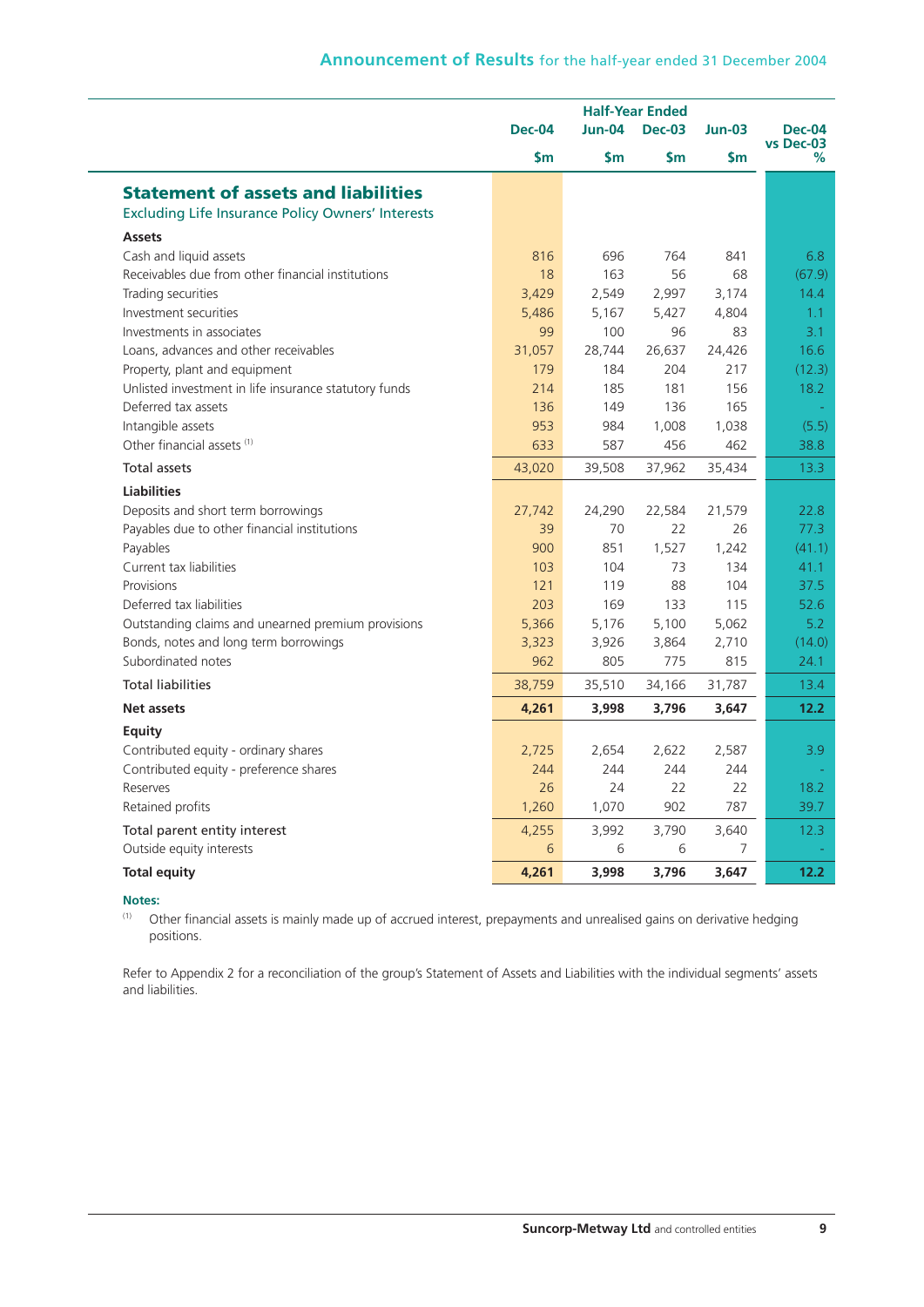|                                                          | <b>Half-Year Ended</b> |               |               |               |                            |
|----------------------------------------------------------|------------------------|---------------|---------------|---------------|----------------------------|
|                                                          | Dec-04                 | $Jun-04$      | <b>Dec-03</b> | $Jun-03$      | <b>Dec-04</b><br>vs Dec-03 |
|                                                          | \$m                    | $\mathsf{Sm}$ | $\mathsf{Sm}$ | $\mathsf{Sm}$ | %                          |
| <b>Statement of assets and liabilities</b>               |                        |               |               |               |                            |
| <b>Excluding Life Insurance Policy Owners' Interests</b> |                        |               |               |               |                            |
| <b>Assets</b>                                            |                        |               |               |               |                            |
| Cash and liquid assets                                   | 816                    | 696           | 764           | 841           | 6.8                        |
| Receivables due from other financial institutions        | 18                     | 163           | 56            | 68            | (67.9)                     |
| Trading securities                                       | 3,429                  | 2,549         | 2,997         | 3,174         | 14.4                       |
| Investment securities                                    | 5,486                  | 5,167         | 5,427         | 4,804         | 1.1                        |
| Investments in associates                                | 99                     | 100           | 96            | 83            | 3.1                        |
| Loans, advances and other receivables                    | 31,057                 | 28,744        | 26,637        | 24,426        | 16.6                       |
| Property, plant and equipment                            | 179                    | 184           | 204           | 217           | (12.3)                     |
| Unlisted investment in life insurance statutory funds    | 214                    | 185           | 181           | 156           | 18.2                       |
| Deferred tax assets                                      | 136                    | 149           | 136           | 165           |                            |
| Intangible assets                                        | 953                    | 984           | 1,008         | 1,038         | (5.5)                      |
| Other financial assets (1)                               | 633                    | 587           | 456           | 462           | 38.8                       |
| <b>Total assets</b>                                      | 43,020                 | 39,508        | 37,962        | 35,434        | 13.3                       |
| <b>Liabilities</b>                                       |                        |               |               |               |                            |
| Deposits and short term borrowings                       | 27,742                 | 24,290        | 22,584        | 21,579        | 22.8                       |
| Payables due to other financial institutions             | 39                     | 70            | 22            | 26            | 77.3                       |
| Payables                                                 | 900                    | 851           | 1,527         | 1,242         | (41.1)                     |
| Current tax liabilities                                  | 103                    | 104           | 73            | 134           | 41.1                       |
| Provisions                                               | 121                    | 119           | 88            | 104           | 37.5                       |
| Deferred tax liabilities                                 | 203                    | 169           | 133           | 115           | 52.6                       |
| Outstanding claims and unearned premium provisions       | 5,366                  | 5,176         | 5,100         | 5,062         | 5.2                        |
| Bonds, notes and long term borrowings                    | 3,323                  | 3,926         | 3,864         | 2,710         | (14.0)                     |
| Subordinated notes                                       | 962                    | 805           | 775           | 815           | 24.1                       |
| <b>Total liabilities</b>                                 | 38,759                 | 35,510        | 34,166        | 31,787        | 13.4                       |
| <b>Net assets</b>                                        | 4,261                  | 3,998         | 3,796         | 3,647         | 12.2                       |
| Equity                                                   |                        |               |               |               |                            |
| Contributed equity - ordinary shares                     | 2,725                  | 2,654         | 2,622         | 2,587         | 3.9                        |
| Contributed equity - preference shares                   | 244                    | 244           | 244           | 244           |                            |
| Reserves                                                 | 26                     | 24            | 22            | 22            | 18.2                       |
| Retained profits                                         | 1,260                  | 1,070         | 902           | 787           | 39.7                       |
| Total parent entity interest                             | 4,255                  | 3,992         | 3,790         | 3,640         | 12.3                       |
| Outside equity interests                                 | 6                      | 6             | 6             | 7             |                            |
| <b>Total equity</b>                                      | 4,261                  | 3,998         | 3,796         | 3,647         | 12.2                       |

#### **Notes:**

(1) Other financial assets is mainly made up of accrued interest, prepayments and unrealised gains on derivative hedging positions.

Refer to Appendix 2 for a reconciliation of the group's Statement of Assets and Liabilities with the individual segments' assets and liabilities.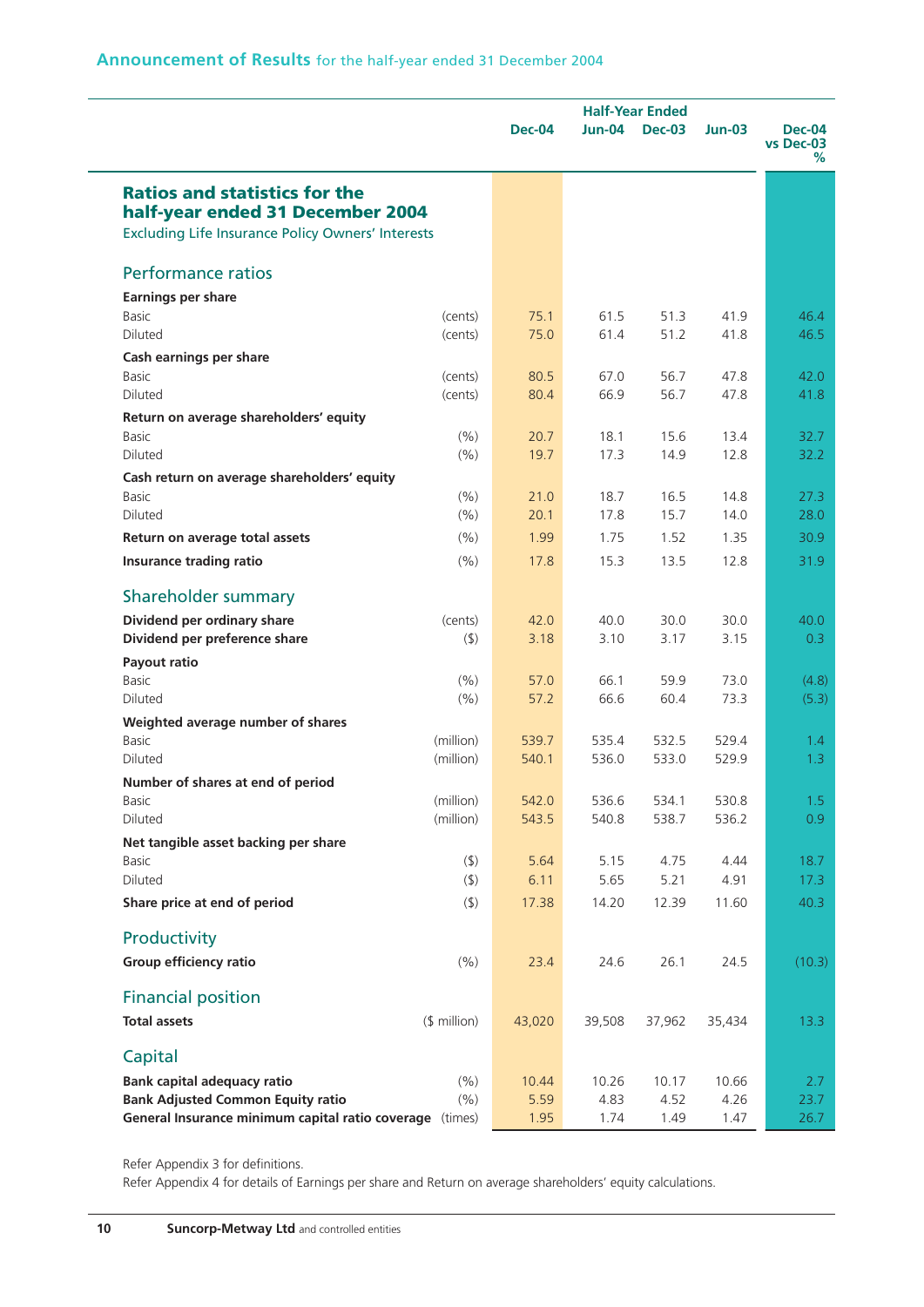|                                                          | <b>Dec-04</b> | <b>Half-Year Ended</b><br><b>Jun-04</b><br><b>Dec-03</b> |        | $Jun-03$ | <b>Dec-04</b><br>vs Dec-03<br>% |
|----------------------------------------------------------|---------------|----------------------------------------------------------|--------|----------|---------------------------------|
| <b>Ratios and statistics for the</b>                     |               |                                                          |        |          |                                 |
| half-year ended 31 December 2004                         |               |                                                          |        |          |                                 |
| <b>Excluding Life Insurance Policy Owners' Interests</b> |               |                                                          |        |          |                                 |
| <b>Performance ratios</b>                                |               |                                                          |        |          |                                 |
| <b>Earnings per share</b>                                |               |                                                          |        |          |                                 |
| <b>Basic</b><br>(cents)                                  | 75.1          | 61.5                                                     | 51.3   | 41.9     | 46.4                            |
| <b>Diluted</b><br>(cents)                                | 75.0          | 61.4                                                     | 51.2   | 41.8     | 46.5                            |
| Cash earnings per share                                  |               |                                                          |        |          |                                 |
| <b>Basic</b><br>(cents)                                  | 80.5          | 67.0                                                     | 56.7   | 47.8     | 42.0                            |
| Diluted<br>(cents)                                       | 80.4          | 66.9                                                     | 56.7   | 47.8     | 41.8                            |
| Return on average shareholders' equity                   |               |                                                          |        |          |                                 |
| <b>Basic</b><br>(9/6)                                    | 20.7          | 18.1                                                     | 15.6   | 13.4     | 32.7                            |
| <b>Diluted</b><br>(9/6)                                  | 19.7          | 17.3                                                     | 14.9   | 12.8     | 32.2                            |
| Cash return on average shareholders' equity              |               |                                                          |        |          |                                 |
| (% )<br><b>Basic</b>                                     | 21.0          | 18.7                                                     | 16.5   | 14.8     | 27.3                            |
| (9/6)<br><b>Diluted</b>                                  | 20.1          | 17.8                                                     | 15.7   | 14.0     | 28.0                            |
| (% )<br>Return on average total assets                   | 1.99          | 1.75                                                     | 1.52   | 1.35     | 30.9                            |
| (9/6)<br><b>Insurance trading ratio</b>                  | 17.8          | 15.3                                                     | 13.5   | 12.8     | 31.9                            |
| Shareholder summary                                      |               |                                                          |        |          |                                 |
| Dividend per ordinary share<br>(cents)                   | 42.0          | 40.0                                                     | 30.0   | 30.0     | 40.0                            |
| Dividend per preference share<br>$($ \$)                 | 3.18          | 3.10                                                     | 3.17   | 3.15     | 0.3                             |
| Payout ratio                                             |               |                                                          |        |          |                                 |
| <b>Basic</b><br>(% )                                     | 57.0          | 66.1                                                     | 59.9   | 73.0     | (4.8)                           |
| (9/6)<br><b>Diluted</b>                                  | 57.2          | 66.6                                                     | 60.4   | 73.3     | (5.3)                           |
| Weighted average number of shares                        |               |                                                          |        |          |                                 |
| (million)<br>Basic                                       | 539.7         | 535.4                                                    | 532.5  | 529.4    | 1.4                             |
| <b>Diluted</b><br>(million)                              | 540.1         | 536.0                                                    | 533.0  | 529.9    | 1.3                             |
| Number of shares at end of period                        |               |                                                          |        |          |                                 |
| (million)<br>Basic                                       | 542.0         | 536.6                                                    | 534.1  | 530.8    | 1.5                             |
| Diluted<br>(million)                                     | 543.5         | 540.8                                                    | 538.7  | 536.2    | 0.9                             |
| Net tangible asset backing per share                     |               |                                                          |        |          |                                 |
| $($ \$)<br>Basic                                         | 5.64          | 5.15                                                     | 4.75   | 4.44     | 18.7                            |
| Diluted<br>$($ \$)                                       | 6.11          | 5.65                                                     | 5.21   | 4.91     | 17.3                            |
| Share price at end of period<br>$($ \$)                  | 17.38         | 14.20                                                    | 12.39  | 11.60    | 40.3                            |
| Productivity                                             |               |                                                          |        |          |                                 |
| Group efficiency ratio<br>(% )                           | 23.4          | 24.6                                                     | 26.1   | 24.5     | (10.3)                          |
| <b>Financial position</b>                                |               |                                                          |        |          |                                 |
| <b>Total assets</b><br>(\$ million)                      | 43,020        | 39,508                                                   | 37,962 | 35,434   | 13.3                            |
| Capital                                                  |               |                                                          |        |          |                                 |
| <b>Bank capital adequacy ratio</b><br>(% )               | 10.44         | 10.26                                                    | 10.17  | 10.66    | 2.7                             |
| <b>Bank Adjusted Common Equity ratio</b><br>(% )         | 5.59          | 4.83                                                     | 4.52   | 4.26     | 23.7                            |
| General Insurance minimum capital ratio coverage (times) | 1.95          | 1.74                                                     | 1.49   | 1.47     | 26.7                            |

Refer Appendix 3 for definitions.

Refer Appendix 4 for details of Earnings per share and Return on average shareholders' equity calculations.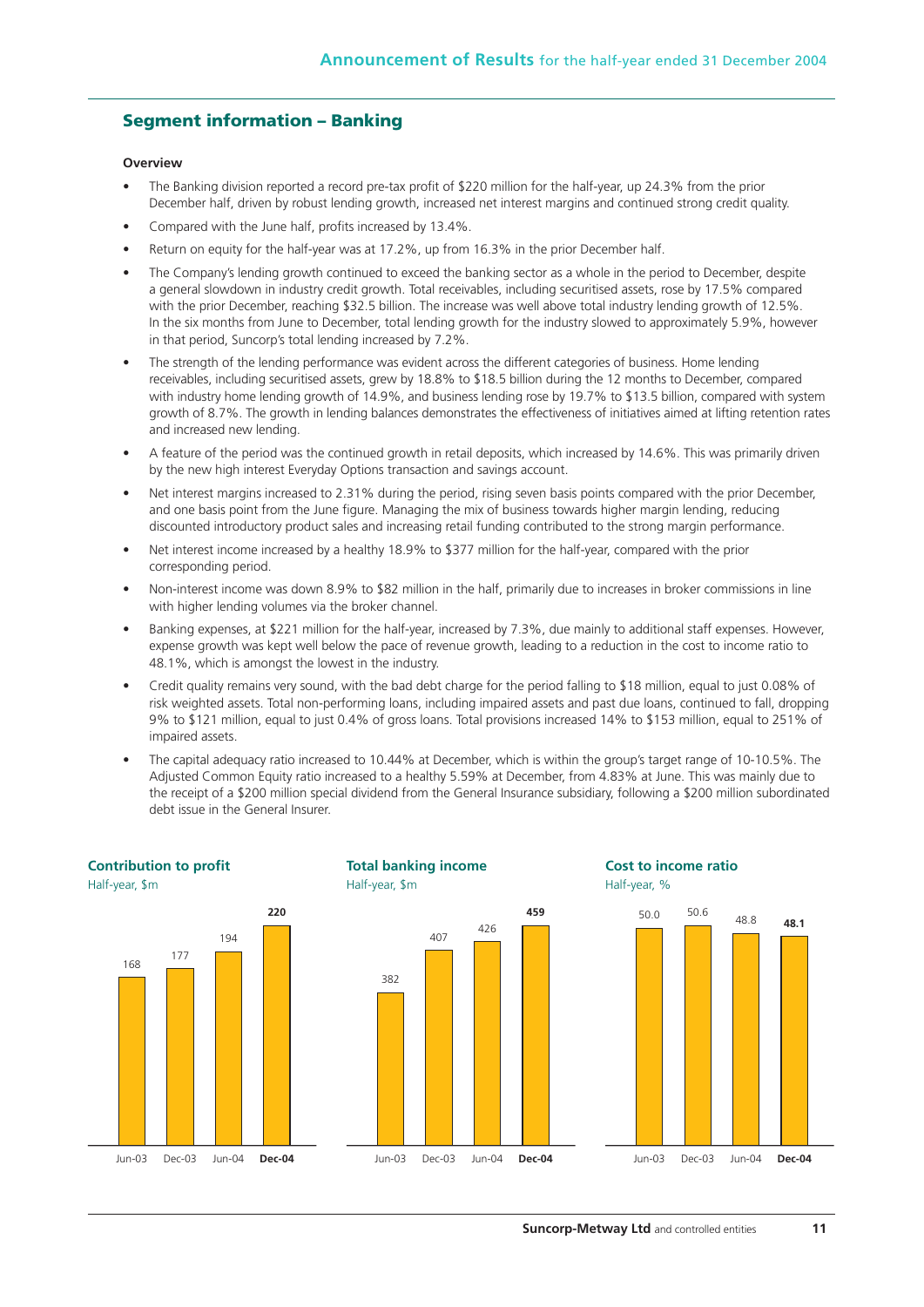## **Segment information – Banking**

#### **Overview**

- The Banking division reported a record pre-tax profit of \$220 million for the half-year, up 24.3% from the prior December half, driven by robust lending growth, increased net interest margins and continued strong credit quality.
- Compared with the June half, profits increased by 13.4%.
- Return on equity for the half-year was at 17.2%, up from 16.3% in the prior December half.
- The Company's lending growth continued to exceed the banking sector as a whole in the period to December, despite a general slowdown in industry credit growth. Total receivables, including securitised assets, rose by 17.5% compared with the prior December, reaching \$32.5 billion. The increase was well above total industry lending growth of 12.5%. In the six months from June to December, total lending growth for the industry slowed to approximately 5.9%, however in that period, Suncorp's total lending increased by 7.2%.
- The strength of the lending performance was evident across the different categories of business. Home lending receivables, including securitised assets, grew by 18.8% to \$18.5 billion during the 12 months to December, compared with industry home lending growth of 14.9%, and business lending rose by 19.7% to \$13.5 billion, compared with system growth of 8.7%. The growth in lending balances demonstrates the effectiveness of initiatives aimed at lifting retention rates and increased new lending.
- A feature of the period was the continued growth in retail deposits, which increased by 14.6%. This was primarily driven by the new high interest Everyday Options transaction and savings account.
- Net interest margins increased to 2.31% during the period, rising seven basis points compared with the prior December, and one basis point from the June figure. Managing the mix of business towards higher margin lending, reducing discounted introductory product sales and increasing retail funding contributed to the strong margin performance.
- Net interest income increased by a healthy 18.9% to \$377 million for the half-year, compared with the prior corresponding period.
- Non-interest income was down 8.9% to \$82 million in the half, primarily due to increases in broker commissions in line with higher lending volumes via the broker channel.
- Banking expenses, at \$221 million for the half-year, increased by 7.3%, due mainly to additional staff expenses. However, expense growth was kept well below the pace of revenue growth, leading to a reduction in the cost to income ratio to 48.1%, which is amongst the lowest in the industry.
- Credit quality remains very sound, with the bad debt charge for the period falling to \$18 million, equal to just 0.08% of risk weighted assets. Total non-performing loans, including impaired assets and past due loans, continued to fall, dropping 9% to \$121 million, equal to just 0.4% of gross loans. Total provisions increased 14% to \$153 million, equal to 251% of impaired assets.
- The capital adequacy ratio increased to 10.44% at December, which is within the group's target range of 10-10.5%. The Adjusted Common Equity ratio increased to a healthy 5.59% at December, from 4.83% at June. This was mainly due to the receipt of a \$200 million special dividend from the General Insurance subsidiary, following a \$200 million subordinated debt issue in the General Insurer.

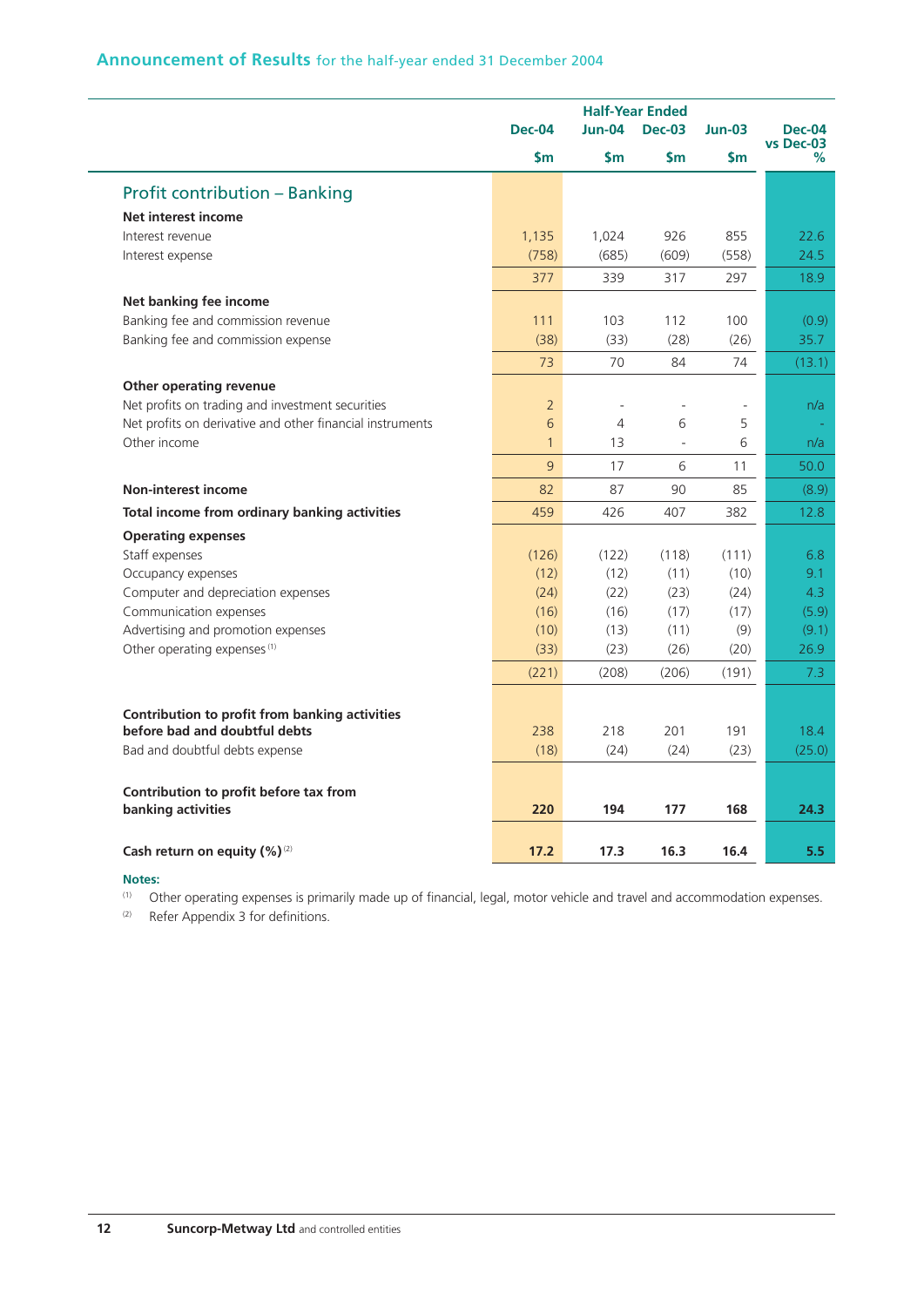## **Announcement of Results** for the half-year ended 31 December 2004

|                                                           |                | <b>Half-Year Ended</b>   |                              |           |                            |
|-----------------------------------------------------------|----------------|--------------------------|------------------------------|-----------|----------------------------|
|                                                           | <b>Dec-04</b>  | $Jun-04$                 | <b>Dec-03</b>                | $Jun-03$  | <b>Dec-04</b><br>vs Dec-03 |
|                                                           | \$m\$          | \$m                      | \$m                          | <b>Sm</b> | %                          |
| <b>Profit contribution - Banking</b>                      |                |                          |                              |           |                            |
| Net interest income                                       |                |                          |                              |           |                            |
| Interest revenue                                          | 1,135          | 1,024                    | 926                          | 855       | 22.6                       |
| Interest expense                                          | (758)          | (685)                    | (609)                        | (558)     | 24.5                       |
|                                                           | 377            | 339                      | 317                          | 297       | 18.9                       |
| Net banking fee income                                    |                |                          |                              |           |                            |
| Banking fee and commission revenue                        | 111            | 103                      | 112                          | 100       | (0.9)                      |
| Banking fee and commission expense                        | (38)           | (33)                     | (28)                         | (26)      | 35.7                       |
|                                                           | 73             | 70                       | 84                           | 74        | (13.1)                     |
| Other operating revenue                                   |                |                          |                              |           |                            |
| Net profits on trading and investment securities          | $\overline{2}$ | $\overline{\phantom{a}}$ | $\qquad \qquad \blacksquare$ |           | n/a                        |
| Net profits on derivative and other financial instruments | 6              | $\overline{4}$           | 6                            | 5         |                            |
| Other income                                              | $\mathbf{1}$   | 13                       | $\overline{a}$               | 6         | n/a                        |
|                                                           | 9              | 17                       | 6                            | 11        | 50.0                       |
| <b>Non-interest income</b>                                | 82             | 87                       | 90                           | 85        | (8.9)                      |
| Total income from ordinary banking activities             | 459            | 426                      | 407                          | 382       | 12.8                       |
| <b>Operating expenses</b>                                 |                |                          |                              |           |                            |
| Staff expenses                                            | (126)          | (122)                    | (118)                        | (111)     | 6.8                        |
| Occupancy expenses                                        | (12)           | (12)                     | (11)                         | (10)      | 9.1                        |
| Computer and depreciation expenses                        | (24)           | (22)                     | (23)                         | (24)      | 4.3                        |
| Communication expenses                                    | (16)           | (16)                     | (17)                         | (17)      | (5.9)                      |
| Advertising and promotion expenses                        | (10)           | (13)                     | (11)                         | (9)       | (9.1)                      |
| Other operating expenses <sup>(1)</sup>                   | (33)           | (23)                     | (26)                         | (20)      | 26.9                       |
|                                                           | (221)          | (208)                    | (206)                        | (191)     | 7.3                        |
|                                                           |                |                          |                              |           |                            |
| Contribution to profit from banking activities            |                |                          |                              |           |                            |
| before bad and doubtful debts                             | 238            | 218                      | 201                          | 191       | 18.4                       |
| Bad and doubtful debts expense                            | (18)           | (24)                     | (24)                         | (23)      | (25.0)                     |
| Contribution to profit before tax from                    |                |                          |                              |           |                            |
| banking activities                                        | 220            | 194                      | 177                          | 168       | 24.3                       |
|                                                           |                |                          |                              |           |                            |
| Cash return on equity $(\%)^{(2)}$                        | 17.2           | 17.3                     | 16.3                         | 16.4      | 5.5                        |

#### **Notes:**

L,

 $\sim$ 

(1) Other operating expenses is primarily made up of financial, legal, motor vehicle and travel and accommodation expenses.

(2) Refer Appendix 3 for definitions.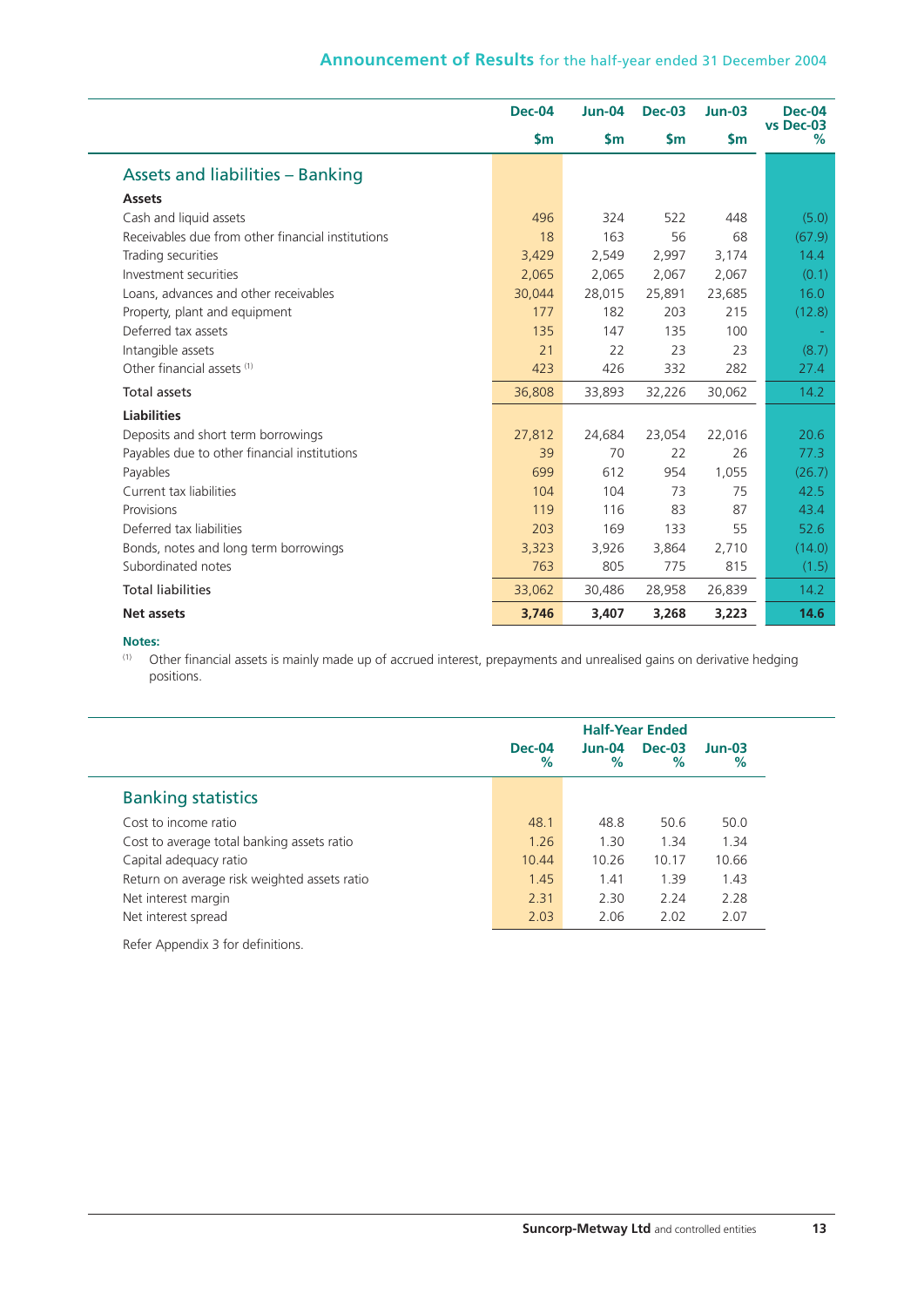|                                                   | <b>Dec-04</b> | $Jun-04$ | <b>Dec-03</b> | $Jun-03$ | <b>Dec-04</b><br>vs Dec-03 |
|---------------------------------------------------|---------------|----------|---------------|----------|----------------------------|
|                                                   | $\mathsf{sm}$ | \$m      | \$m           | \$m      | %                          |
| <b>Assets and liabilities - Banking</b>           |               |          |               |          |                            |
| <b>Assets</b>                                     |               |          |               |          |                            |
| Cash and liquid assets                            | 496           | 324      | 522           | 448      | (5.0)                      |
| Receivables due from other financial institutions | 18            | 163      | 56            | 68       | (67.9)                     |
| Trading securities                                | 3,429         | 2,549    | 2,997         | 3,174    | 14.4                       |
| Investment securities                             | 2,065         | 2,065    | 2,067         | 2,067    | (0.1)                      |
| Loans, advances and other receivables             | 30,044        | 28,015   | 25,891        | 23,685   | 16.0                       |
| Property, plant and equipment                     | 177           | 182      | 203           | 215      | (12.8)                     |
| Deferred tax assets                               | 135           | 147      | 135           | 100      |                            |
| Intangible assets                                 | 21            | 22       | 23            | 23       | (8.7)                      |
| Other financial assets (1)                        | 423           | 426      | 332           | 282      | 27.4                       |
| <b>Total assets</b>                               | 36,808        | 33,893   | 32,226        | 30,062   | 14.2                       |
| <b>Liabilities</b>                                |               |          |               |          |                            |
| Deposits and short term borrowings                | 27,812        | 24,684   | 23,054        | 22,016   | 20.6                       |
| Payables due to other financial institutions      | 39            | 70       | 22            | 26       | 77.3                       |
| Payables                                          | 699           | 612      | 954           | 1,055    | (26.7)                     |
| Current tax liabilities                           | 104           | 104      | 73            | 75       | 42.5                       |
| Provisions                                        | 119           | 116      | 83            | 87       | 43.4                       |
| Deferred tax liabilities                          | 203           | 169      | 133           | 55       | 52.6                       |
| Bonds, notes and long term borrowings             | 3,323         | 3.926    | 3,864         | 2,710    | (14.0)                     |
| Subordinated notes                                | 763           | 805      | 775           | 815      | (1.5)                      |
| <b>Total liabilities</b>                          | 33,062        | 30,486   | 28,958        | 26,839   | 14.2                       |
| <b>Net assets</b>                                 | 3,746         | 3,407    | 3,268         | 3,223    | 14.6                       |

#### **Notes:**

(1) Other financial assets is mainly made up of accrued interest, prepayments and unrealised gains on derivative hedging positions.

|                                              |                  | <b>Half-Year Ended</b> |                       |               |  |  |
|----------------------------------------------|------------------|------------------------|-----------------------|---------------|--|--|
|                                              | $Dec-04$<br>$\%$ | $Jun-04$<br>%          | <b>Dec-03</b><br>$\%$ | $Jun-03$<br>% |  |  |
| <b>Banking statistics</b>                    |                  |                        |                       |               |  |  |
| Cost to income ratio                         | 48.1             | 48.8                   | 50.6                  | 50.0          |  |  |
| Cost to average total banking assets ratio   | 1.26             | 1.30                   | 1.34                  | 1.34          |  |  |
| Capital adequacy ratio                       | 10.44            | 10.26                  | 10.17                 | 10.66         |  |  |
| Return on average risk weighted assets ratio | 1.45             | 1.41                   | 1.39                  | 1.43          |  |  |
| Net interest margin                          | 2.31             | 2.30                   | 2.24                  | 2.28          |  |  |
| Net interest spread                          | 2.03             | 2.06                   | 2.02                  | 2.07          |  |  |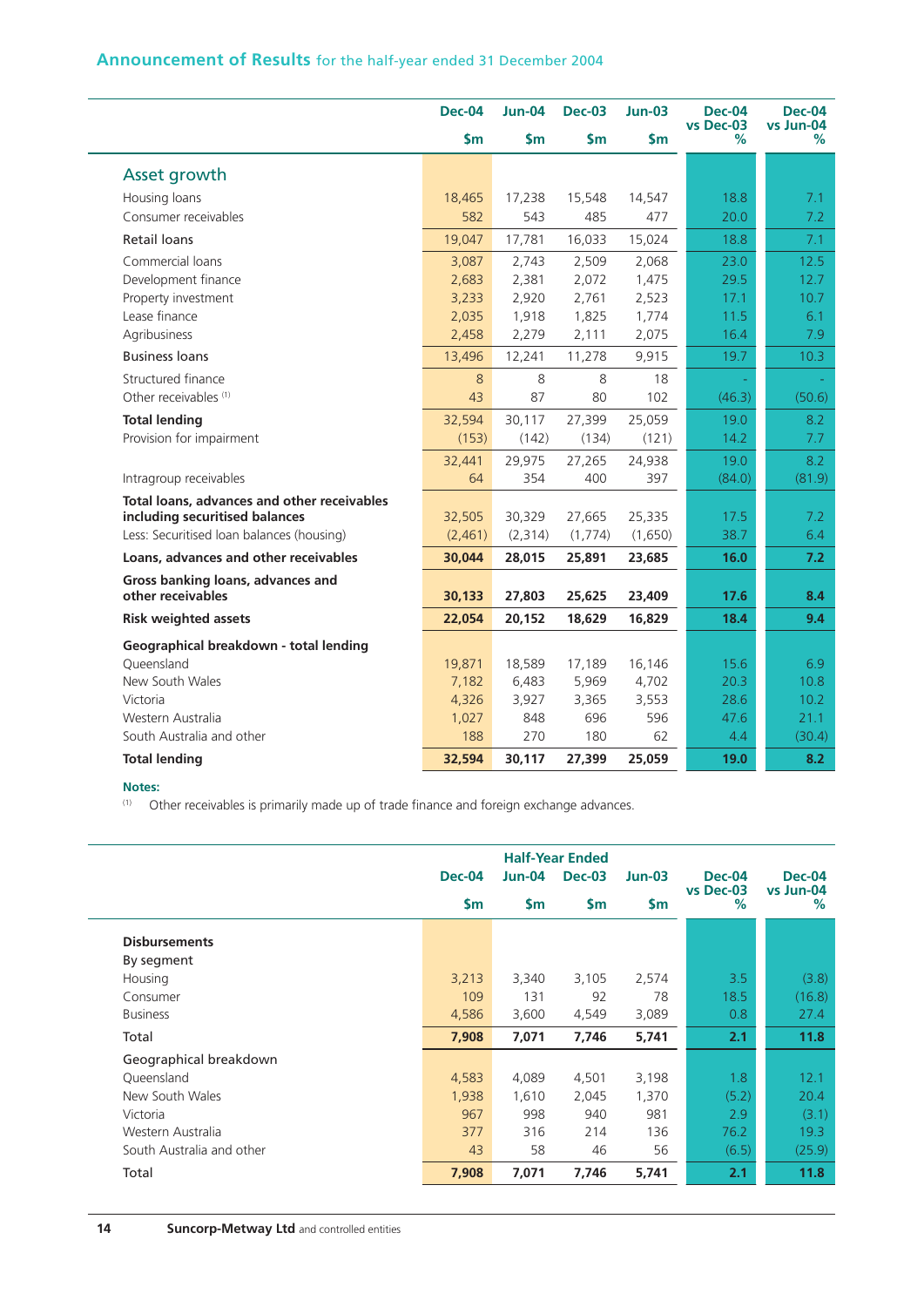## **Announcement of Results** for the half-year ended 31 December 2004

|                                             | <b>Dec-04</b> | <b>Jun-04</b> | <b>Dec-03</b> | $Jun-03$      | <b>Dec-04</b>  | <b>Dec-04</b>    |
|---------------------------------------------|---------------|---------------|---------------|---------------|----------------|------------------|
|                                             | $\mathsf{Sm}$ | $\mathsf{sm}$ | $\mathsf{Sm}$ | $\mathsf{Sm}$ | vs Dec-03<br>% | vs Jun-04<br>%   |
| Asset growth                                |               |               |               |               |                |                  |
| Housing loans                               | 18,465        | 17,238        | 15,548        | 14,547        | 18.8           | 7.1              |
| Consumer receivables                        | 582           | 543           | 485           | 477           | 20.0           | 7.2              |
| Retail loans                                | 19,047        | 17,781        | 16,033        | 15,024        | 18.8           | 7.1              |
| Commercial loans                            | 3,087         | 2,743         | 2,509         | 2,068         | 23.0           | 12.5             |
| Development finance                         | 2,683         | 2,381         | 2,072         | 1,475         | 29.5           | 12.7             |
| Property investment                         | 3,233         | 2,920         | 2,761         | 2,523         | 17.1           | 10.7             |
| Lease finance                               | 2,035         | 1,918         | 1,825         | 1,774         | 11.5           | 6.1              |
| Agribusiness                                | 2,458         | 2,279         | 2,111         | 2,075         | 16.4           | 7.9              |
| <b>Business loans</b>                       | 13,496        | 12,241        | 11,278        | 9,915         | 19.7           | 10.3             |
| Structured finance                          | 8             | 8             | 8             | 18            |                |                  |
| Other receivables <sup>(1)</sup>            | 43            | 87            | 80            | 102           | (46.3)         | (50.6)           |
| <b>Total lending</b>                        | 32,594        | 30,117        | 27,399        | 25,059        | 19.0           | 8.2              |
| Provision for impairment                    | (153)         | (142)         | (134)         | (121)         | 14.2           | 7.7              |
|                                             | 32,441        | 29,975        | 27,265        | 24,938        | 19.0           | 8.2              |
| Intragroup receivables                      | 64            | 354           | 400           | 397           | (84.0)         | (81.9)           |
| Total loans, advances and other receivables |               |               |               |               |                |                  |
| including securitised balances              | 32,505        | 30,329        | 27,665        | 25,335        | 17.5           | 7.2              |
| Less: Securitised Ioan balances (housing)   | (2,461)       | (2, 314)      | (1,774)       | (1,650)       | 38.7           | 6.4              |
| Loans, advances and other receivables       | 30,044        | 28,015        | 25,891        | 23,685        | 16.0           | 7.2              |
| Gross banking loans, advances and           |               |               |               |               |                |                  |
| other receivables                           | 30,133        | 27,803        | 25,625        | 23,409        | 17.6           | 8.4              |
| <b>Risk weighted assets</b>                 | 22,054        | 20,152        | 18,629        | 16,829        | 18.4           | 9.4              |
| Geographical breakdown - total lending      |               |               |               |               |                |                  |
| Queensland                                  | 19,871        | 18,589        | 17,189        | 16,146        | 15.6           | 6.9              |
| New South Wales                             | 7,182         | 6,483         | 5,969         | 4,702         | 20.3           | 10.8             |
| Victoria                                    | 4,326         | 3,927         | 3,365         | 3,553         | 28.6           | 10.2             |
| Western Australia                           | 1,027         | 848           | 696           | 596           | 47.6           | 21.1             |
| South Australia and other                   | 188           | 270           | 180           | 62            | 4.4            | (30.4)           |
| <b>Total lending</b>                        | 32,594        | 30,117        | 27,399        | 25,059        | 19.0           | 8.2 <sub>2</sub> |

## **Notes:**

J.

(1) Other receivables is primarily made up of trade finance and foreign exchange advances.

|                           | <b>Dec-04</b> | $Jun-04$      | <b>Half-Year Ended</b><br><b>Dec-03</b> | $Jun-03$      | <b>Dec-04</b>     | <b>Dec-04</b>  |
|---------------------------|---------------|---------------|-----------------------------------------|---------------|-------------------|----------------|
|                           | \$m           | $\mathsf{Sm}$ | $\mathsf{Sm}$                           | $\mathsf{Sm}$ | vs Dec-03<br>$\%$ | vs Jun-04<br>% |
| <b>Disbursements</b>      |               |               |                                         |               |                   |                |
| By segment                |               |               |                                         |               |                   |                |
| Housing                   | 3,213         | 3,340         | 3,105                                   | 2,574         | 3.5               | (3.8)          |
| Consumer                  | 109           | 131           | 92                                      | 78            | 18.5              | (16.8)         |
| <b>Business</b>           | 4,586         | 3,600         | 4,549                                   | 3,089         | 0.8               | 27.4           |
| Total                     | 7,908         | 7,071         | 7,746                                   | 5,741         | 2.1               | 11.8           |
| Geographical breakdown    |               |               |                                         |               |                   |                |
| Queensland                | 4,583         | 4,089         | 4,501                                   | 3,198         | 1.8               | 12.1           |
| New South Wales           | 1,938         | 1,610         | 2,045                                   | 1,370         | (5.2)             | 20.4           |
| Victoria                  | 967           | 998           | 940                                     | 981           | 2.9               | (3.1)          |
| Western Australia         | 377           | 316           | 214                                     | 136           | 76.2              | 19.3           |
| South Australia and other | 43            | 58            | 46                                      | 56            | (6.5)             | (25.9)         |
| Total                     | 7,908         | 7,071         | 7,746                                   | 5,741         | 2.1               | 11.8           |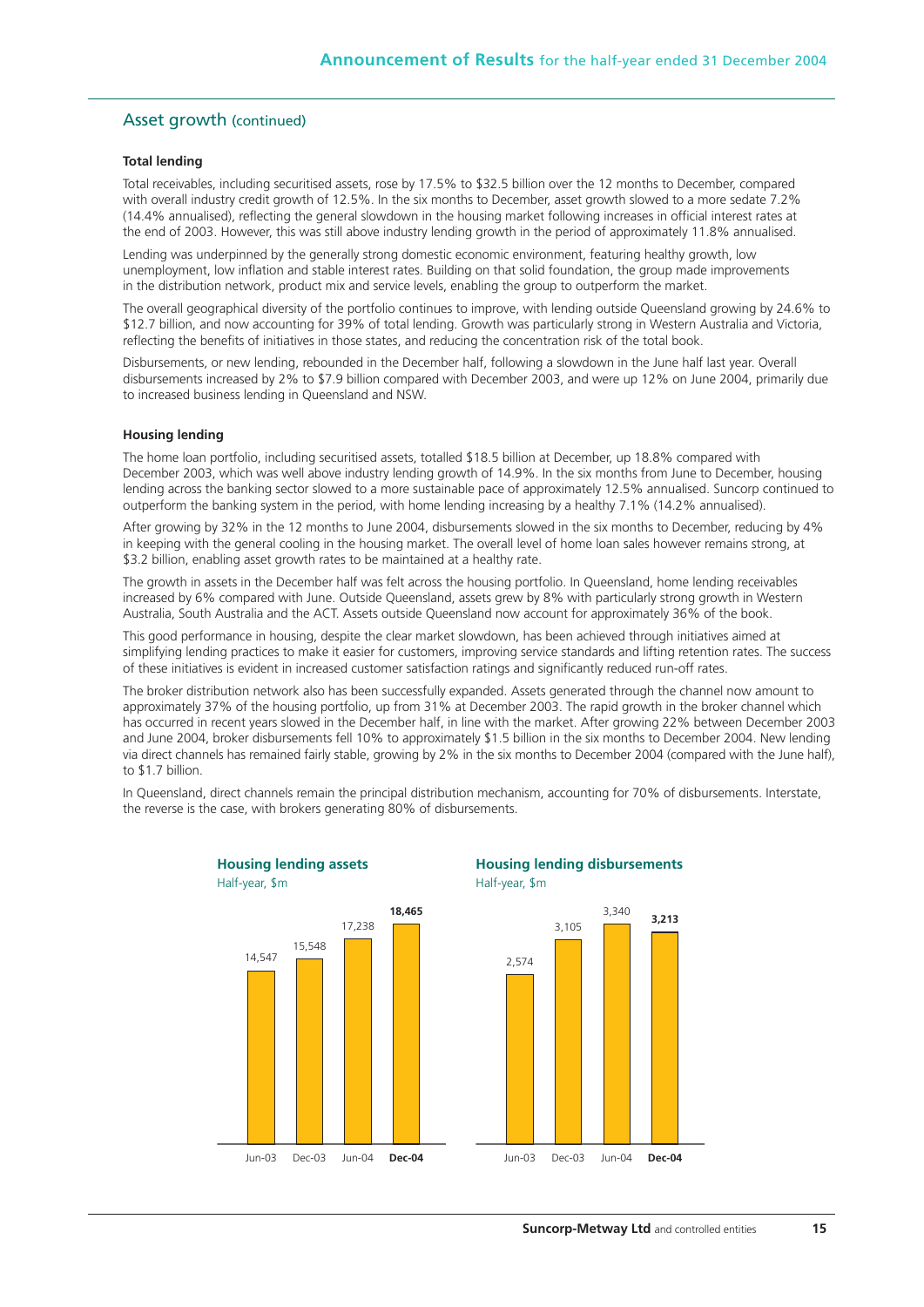## Asset growth (continued)

#### **Total lending**

Total receivables, including securitised assets, rose by 17.5% to \$32.5 billion over the 12 months to December, compared with overall industry credit growth of 12.5%. In the six months to December, asset growth slowed to a more sedate 7.2% (14.4% annualised), reflecting the general slowdown in the housing market following increases in official interest rates at the end of 2003. However, this was still above industry lending growth in the period of approximately 11.8% annualised.

Lending was underpinned by the generally strong domestic economic environment, featuring healthy growth, low unemployment, low inflation and stable interest rates. Building on that solid foundation, the group made improvements in the distribution network, product mix and service levels, enabling the group to outperform the market.

The overall geographical diversity of the portfolio continues to improve, with lending outside Queensland growing by 24.6% to \$12.7 billion, and now accounting for 39% of total lending. Growth was particularly strong in Western Australia and Victoria, reflecting the benefits of initiatives in those states, and reducing the concentration risk of the total book.

Disbursements, or new lending, rebounded in the December half, following a slowdown in the June half last year. Overall disbursements increased by 2% to \$7.9 billion compared with December 2003, and were up 12% on June 2004, primarily due to increased business lending in Queensland and NSW.

#### **Housing lending**

The home loan portfolio, including securitised assets, totalled \$18.5 billion at December, up 18.8% compared with December 2003, which was well above industry lending growth of 14.9%. In the six months from June to December, housing lending across the banking sector slowed to a more sustainable pace of approximately 12.5% annualised. Suncorp continued to outperform the banking system in the period, with home lending increasing by a healthy 7.1% (14.2% annualised).

After growing by 32% in the 12 months to June 2004, disbursements slowed in the six months to December, reducing by 4% in keeping with the general cooling in the housing market. The overall level of home loan sales however remains strong, at \$3.2 billion, enabling asset growth rates to be maintained at a healthy rate.

The growth in assets in the December half was felt across the housing portfolio. In Queensland, home lending receivables increased by 6% compared with June. Outside Queensland, assets grew by 8% with particularly strong growth in Western Australia, South Australia and the ACT. Assets outside Queensland now account for approximately 36% of the book.

This good performance in housing, despite the clear market slowdown, has been achieved through initiatives aimed at simplifying lending practices to make it easier for customers, improving service standards and lifting retention rates. The success of these initiatives is evident in increased customer satisfaction ratings and significantly reduced run-off rates.

The broker distribution network also has been successfully expanded. Assets generated through the channel now amount to approximately 37% of the housing portfolio, up from 31% at December 2003. The rapid growth in the broker channel which has occurred in recent years slowed in the December half, in line with the market. After growing 22% between December 2003 and June 2004, broker disbursements fell 10% to approximately \$1.5 billion in the six months to December 2004. New lending via direct channels has remained fairly stable, growing by 2% in the six months to December 2004 (compared with the June half), to \$1.7 billion.

In Queensland, direct channels remain the principal distribution mechanism, accounting for 70% of disbursements. Interstate, the reverse is the case, with brokers generating 80% of disbursements.

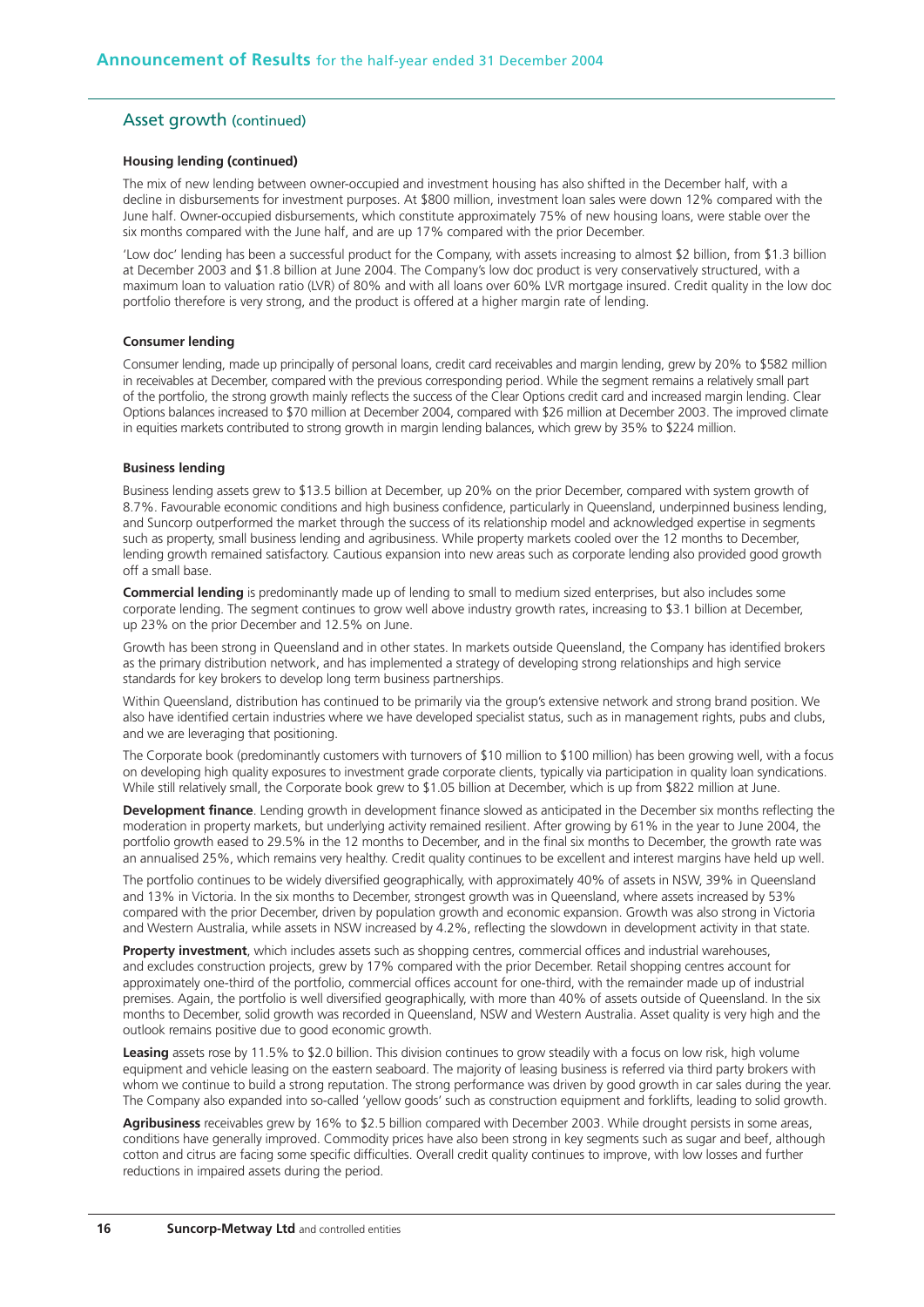#### Asset growth (continued)

#### **Housing lending (continued)**

The mix of new lending between owner-occupied and investment housing has also shifted in the December half, with a decline in disbursements for investment purposes. At \$800 million, investment loan sales were down 12% compared with the June half. Owner-occupied disbursements, which constitute approximately 75% of new housing loans, were stable over the six months compared with the June half, and are up 17% compared with the prior December.

'Low doc' lending has been a successful product for the Company, with assets increasing to almost \$2 billion, from \$1.3 billion at December 2003 and \$1.8 billion at June 2004. The Company's low doc product is very conservatively structured, with a maximum loan to valuation ratio (LVR) of 80% and with all loans over 60% LVR mortgage insured. Credit quality in the low doc portfolio therefore is very strong, and the product is offered at a higher margin rate of lending.

#### **Consumer lending**

Consumer lending, made up principally of personal loans, credit card receivables and margin lending, grew by 20% to \$582 million in receivables at December, compared with the previous corresponding period. While the segment remains a relatively small part of the portfolio, the strong growth mainly reflects the success of the Clear Options credit card and increased margin lending. Clear Options balances increased to \$70 million at December 2004, compared with \$26 million at December 2003. The improved climate in equities markets contributed to strong growth in margin lending balances, which grew by 35% to \$224 million.

#### **Business lending**

Business lending assets grew to \$13.5 billion at December, up 20% on the prior December, compared with system growth of 8.7%. Favourable economic conditions and high business confidence, particularly in Queensland, underpinned business lending, and Suncorp outperformed the market through the success of its relationship model and acknowledged expertise in segments such as property, small business lending and agribusiness. While property markets cooled over the 12 months to December, lending growth remained satisfactory. Cautious expansion into new areas such as corporate lending also provided good growth off a small base.

**Commercial lending** is predominantly made up of lending to small to medium sized enterprises, but also includes some corporate lending. The segment continues to grow well above industry growth rates, increasing to \$3.1 billion at December, up 23% on the prior December and 12.5% on June.

Growth has been strong in Queensland and in other states. In markets outside Queensland, the Company has identified brokers as the primary distribution network, and has implemented a strategy of developing strong relationships and high service standards for key brokers to develop long term business partnerships.

Within Queensland, distribution has continued to be primarily via the group's extensive network and strong brand position. We also have identified certain industries where we have developed specialist status, such as in management rights, pubs and clubs, and we are leveraging that positioning.

The Corporate book (predominantly customers with turnovers of \$10 million to \$100 million) has been growing well, with a focus on developing high quality exposures to investment grade corporate clients, typically via participation in quality loan syndications. While still relatively small, the Corporate book grew to \$1.05 billion at December, which is up from \$822 million at June.

**Development finance**. Lending growth in development finance slowed as anticipated in the December six months reflecting the moderation in property markets, but underlying activity remained resilient. After growing by 61% in the year to June 2004, the portfolio growth eased to 29.5% in the 12 months to December, and in the final six months to December, the growth rate was an annualised 25%, which remains very healthy. Credit quality continues to be excellent and interest margins have held up well.

The portfolio continues to be widely diversified geographically, with approximately 40% of assets in NSW, 39% in Queensland and 13% in Victoria. In the six months to December, strongest growth was in Queensland, where assets increased by 53% compared with the prior December, driven by population growth and economic expansion. Growth was also strong in Victoria and Western Australia, while assets in NSW increased by 4.2%, reflecting the slowdown in development activity in that state.

**Property investment**, which includes assets such as shopping centres, commercial offices and industrial warehouses, and excludes construction projects, grew by 17% compared with the prior December. Retail shopping centres account for approximately one-third of the portfolio, commercial offices account for one-third, with the remainder made up of industrial premises. Again, the portfolio is well diversified geographically, with more than 40% of assets outside of Queensland. In the six months to December, solid growth was recorded in Queensland, NSW and Western Australia. Asset quality is very high and the outlook remains positive due to good economic growth.

**Leasing** assets rose by 11.5% to \$2.0 billion. This division continues to grow steadily with a focus on low risk, high volume equipment and vehicle leasing on the eastern seaboard. The majority of leasing business is referred via third party brokers with whom we continue to build a strong reputation. The strong performance was driven by good growth in car sales during the year. The Company also expanded into so-called 'yellow goods' such as construction equipment and forklifts, leading to solid growth.

**Agribusiness** receivables grew by 16% to \$2.5 billion compared with December 2003. While drought persists in some areas, conditions have generally improved. Commodity prices have also been strong in key segments such as sugar and beef, although cotton and citrus are facing some specific difficulties. Overall credit quality continues to improve, with low losses and further reductions in impaired assets during the period.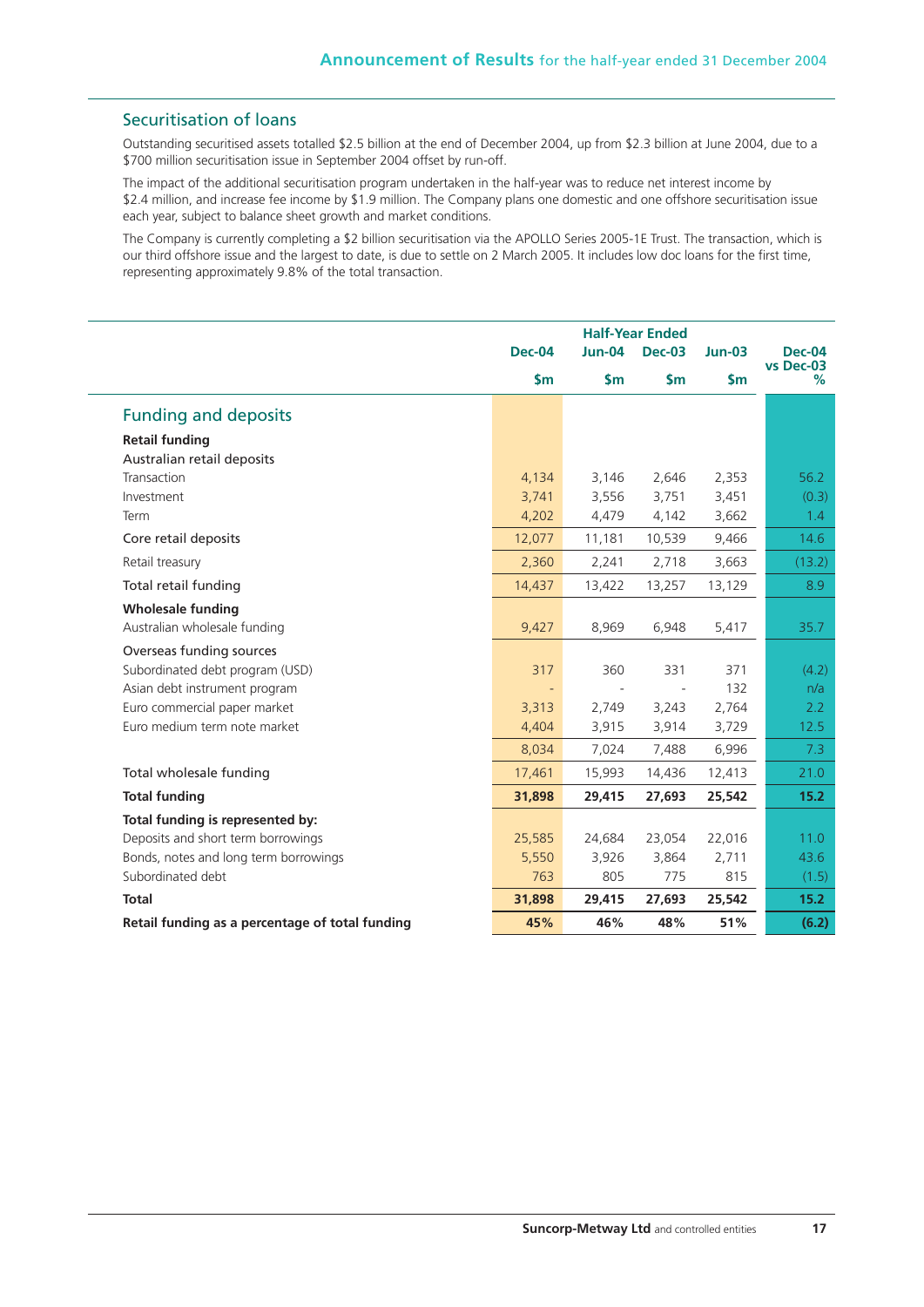## Securitisation of loans

Outstanding securitised assets totalled \$2.5 billion at the end of December 2004, up from \$2.3 billion at June 2004, due to a \$700 million securitisation issue in September 2004 offset by run-off.

The impact of the additional securitisation program undertaken in the half-year was to reduce net interest income by \$2.4 million, and increase fee income by \$1.9 million. The Company plans one domestic and one offshore securitisation issue each year, subject to balance sheet growth and market conditions.

The Company is currently completing a \$2 billion securitisation via the APOLLO Series 2005-1E Trust. The transaction, which is our third offshore issue and the largest to date, is due to settle on 2 March 2005. It includes low doc loans for the first time, representing approximately 9.8% of the total transaction.

|                                                 | <b>Half-Year Ended</b><br><b>Jun-04</b><br><b>Dec-04</b><br><b>Dec-03</b> |               |               | $Jun-03$      | <b>Dec-04</b>  |
|-------------------------------------------------|---------------------------------------------------------------------------|---------------|---------------|---------------|----------------|
|                                                 | $\mathsf{Sm}$                                                             | $\mathsf{Sm}$ | $\mathsf{Sm}$ | $\mathsf{Sm}$ | vs Dec-03<br>% |
| <b>Funding and deposits</b>                     |                                                                           |               |               |               |                |
| <b>Retail funding</b>                           |                                                                           |               |               |               |                |
| Australian retail deposits                      |                                                                           |               |               |               |                |
| Transaction                                     | 4,134                                                                     | 3,146         | 2,646         | 2,353         | 56.2           |
| Investment                                      | 3,741                                                                     | 3,556         | 3,751         | 3,451         | (0.3)          |
| Term                                            | 4,202                                                                     | 4,479         | 4,142         | 3,662         | 1.4            |
| Core retail deposits                            | 12,077                                                                    | 11,181        | 10,539        | 9.466         | 14.6           |
| Retail treasury                                 | 2,360                                                                     | 2,241         | 2,718         | 3,663         | (13.2)         |
| Total retail funding                            | 14,437                                                                    | 13,422        | 13,257        | 13,129        | 8.9            |
| <b>Wholesale funding</b>                        |                                                                           |               |               |               |                |
| Australian wholesale funding                    | 9,427                                                                     | 8,969         | 6,948         | 5,417         | 35.7           |
| Overseas funding sources                        |                                                                           |               |               |               |                |
| Subordinated debt program (USD)                 | 317                                                                       | 360           | 331           | 371           | (4.2)          |
| Asian debt instrument program                   |                                                                           |               | $\sim$        | 132           | n/a            |
| Euro commercial paper market                    | 3,313                                                                     | 2,749         | 3,243         | 2,764         | 2.2            |
| Euro medium term note market                    | 4,404                                                                     | 3,915         | 3,914         | 3,729         | 12.5           |
|                                                 | 8,034                                                                     | 7,024         | 7,488         | 6,996         | 7.3            |
| Total wholesale funding                         | 17,461                                                                    | 15,993        | 14,436        | 12,413        | 21.0           |
| <b>Total funding</b>                            | 31,898                                                                    | 29,415        | 27,693        | 25,542        | 15.2           |
| Total funding is represented by:                |                                                                           |               |               |               |                |
| Deposits and short term borrowings              | 25,585                                                                    | 24,684        | 23,054        | 22,016        | 11.0           |
| Bonds, notes and long term borrowings           | 5,550                                                                     | 3,926         | 3,864         | 2,711         | 43.6           |
| Subordinated debt                               | 763                                                                       | 805           | 775           | 815           | (1.5)          |
| <b>Total</b>                                    | 31,898                                                                    | 29,415        | 27,693        | 25,542        | 15.2           |
| Retail funding as a percentage of total funding | 45%                                                                       | 46%           | 48%           | 51%           | (6.2)          |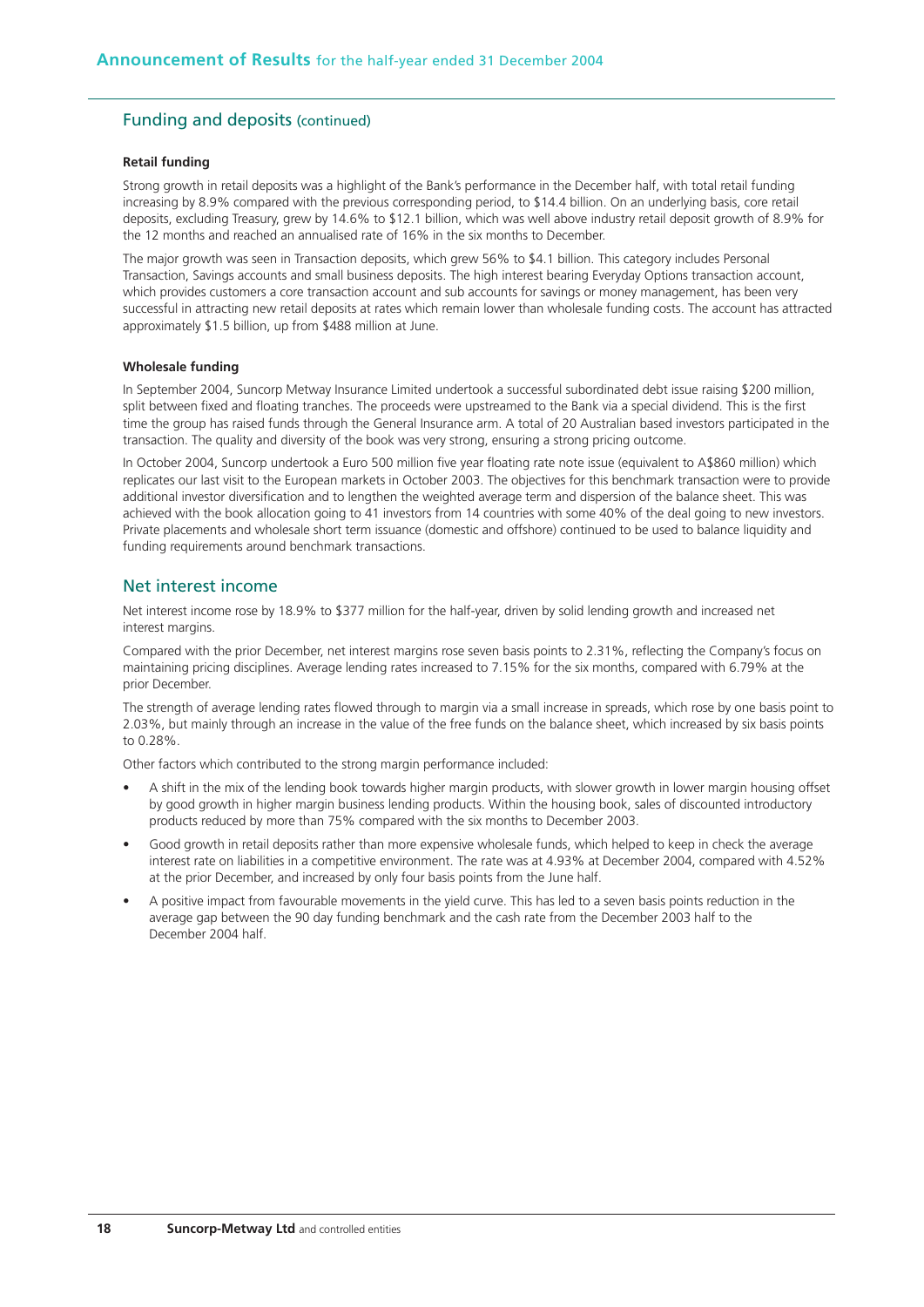## Funding and deposits (continued)

#### **Retail funding**

Strong growth in retail deposits was a highlight of the Bank's performance in the December half, with total retail funding increasing by 8.9% compared with the previous corresponding period, to \$14.4 billion. On an underlying basis, core retail deposits, excluding Treasury, grew by 14.6% to \$12.1 billion, which was well above industry retail deposit growth of 8.9% for the 12 months and reached an annualised rate of 16% in the six months to December.

The major growth was seen in Transaction deposits, which grew 56% to \$4.1 billion. This category includes Personal Transaction, Savings accounts and small business deposits. The high interest bearing Everyday Options transaction account, which provides customers a core transaction account and sub accounts for savings or money management, has been very successful in attracting new retail deposits at rates which remain lower than wholesale funding costs. The account has attracted approximately \$1.5 billion, up from \$488 million at June.

#### **Wholesale funding**

In September 2004, Suncorp Metway Insurance Limited undertook a successful subordinated debt issue raising \$200 million, split between fixed and floating tranches. The proceeds were upstreamed to the Bank via a special dividend. This is the first time the group has raised funds through the General Insurance arm. A total of 20 Australian based investors participated in the transaction. The quality and diversity of the book was very strong, ensuring a strong pricing outcome.

In October 2004, Suncorp undertook a Euro 500 million five year floating rate note issue (equivalent to A\$860 million) which replicates our last visit to the European markets in October 2003. The objectives for this benchmark transaction were to provide additional investor diversification and to lengthen the weighted average term and dispersion of the balance sheet. This was achieved with the book allocation going to 41 investors from 14 countries with some 40% of the deal going to new investors. Private placements and wholesale short term issuance (domestic and offshore) continued to be used to balance liquidity and funding requirements around benchmark transactions.

## Net interest income

Net interest income rose by 18.9% to \$377 million for the half-year, driven by solid lending growth and increased net interest margins.

Compared with the prior December, net interest margins rose seven basis points to 2.31%, reflecting the Company's focus on maintaining pricing disciplines. Average lending rates increased to 7.15% for the six months, compared with 6.79% at the prior December.

The strength of average lending rates flowed through to margin via a small increase in spreads, which rose by one basis point to 2.03%, but mainly through an increase in the value of the free funds on the balance sheet, which increased by six basis points to 0.28%.

Other factors which contributed to the strong margin performance included:

- A shift in the mix of the lending book towards higher margin products, with slower growth in lower margin housing offset by good growth in higher margin business lending products. Within the housing book, sales of discounted introductory products reduced by more than 75% compared with the six months to December 2003.
- Good growth in retail deposits rather than more expensive wholesale funds, which helped to keep in check the average interest rate on liabilities in a competitive environment. The rate was at 4.93% at December 2004, compared with 4.52% at the prior December, and increased by only four basis points from the June half.
- A positive impact from favourable movements in the yield curve. This has led to a seven basis points reduction in the average gap between the 90 day funding benchmark and the cash rate from the December 2003 half to the December 2004 half.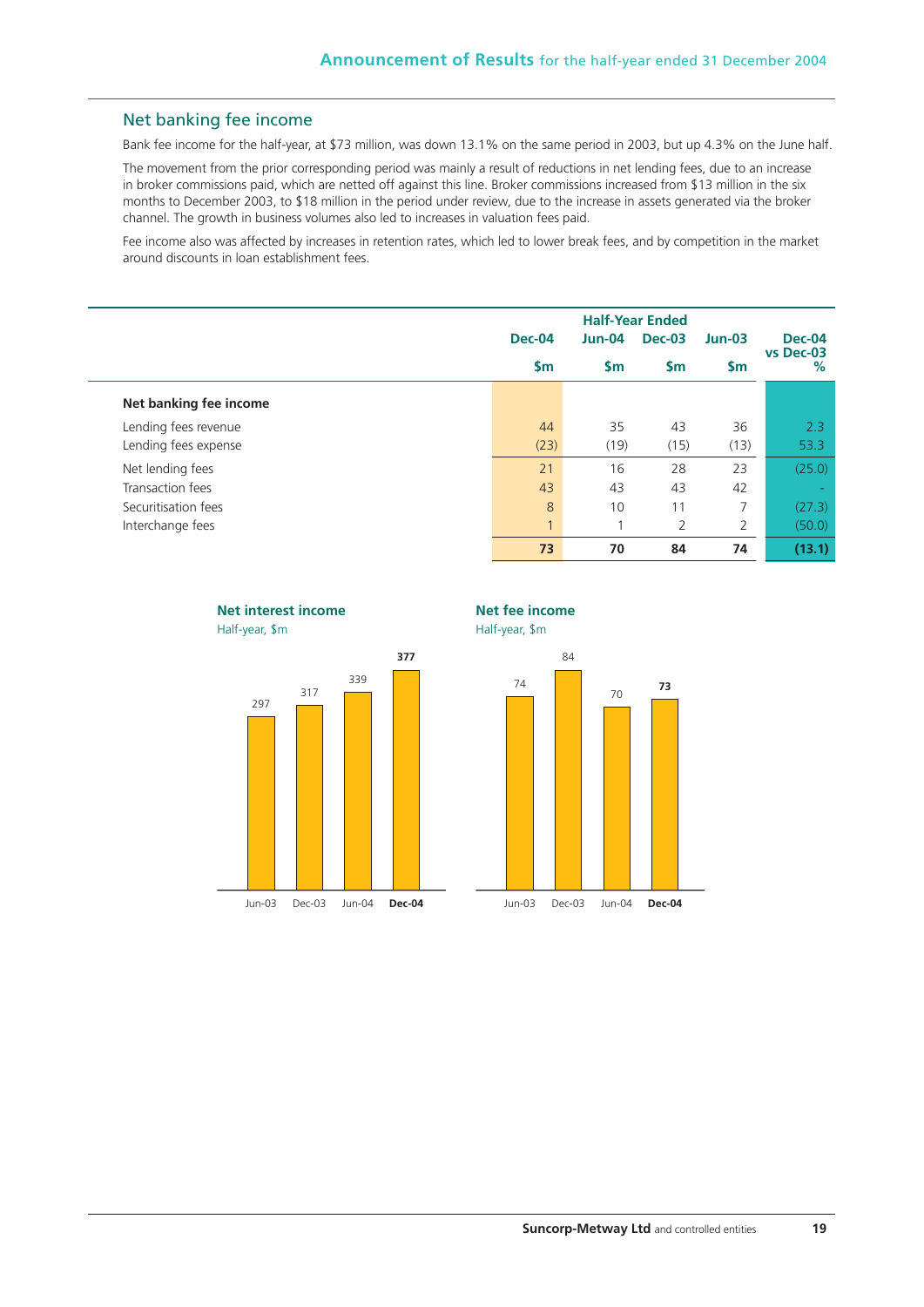## Net banking fee income

Bank fee income for the half-year, at \$73 million, was down 13.1% on the same period in 2003, but up 4.3% on the June half.

The movement from the prior corresponding period was mainly a result of reductions in net lending fees, due to an increase in broker commissions paid, which are netted off against this line. Broker commissions increased from \$13 million in the six months to December 2003, to \$18 million in the period under review, due to the increase in assets generated via the broker channel. The growth in business volumes also led to increases in valuation fees paid.

Fee income also was affected by increases in retention rates, which led to lower break fees, and by competition in the market around discounts in loan establishment fees.

|                        | Dec-04       | $Jun-04$      | <b>Dec-03</b> | $Jun-03$      | <b>Dec-04</b>     |
|------------------------|--------------|---------------|---------------|---------------|-------------------|
|                        | <b>Sm</b>    | $\mathsf{sm}$ | \$m           | $\mathsf{Sm}$ | vs Dec-03<br>$\%$ |
| Net banking fee income |              |               |               |               |                   |
| Lending fees revenue   | 44           | 35            | 43            | 36            | 2.3               |
| Lending fees expense   | (23)         | (19)          | (15)          | (13)          | 53.3              |
| Net lending fees       | 21           | 16            | 28            | 23            | (25.0)            |
| Transaction fees       | 43           | 43            | 43            | 42            | $\sim$            |
| Securitisation fees    | 8            | 10            | 11            | 7             | (27.3)            |
| Interchange fees       | $\mathbf{1}$ | 4             | 2             | 2             | (50.0)            |
|                        | 73           | 70            | 84            | 74            | (13.1)            |



Jun-03 Dec-03 Jun-04 **Dec-04**



Half-year, \$m



**Suncorp-Metway Ltd** and controlled entities **19**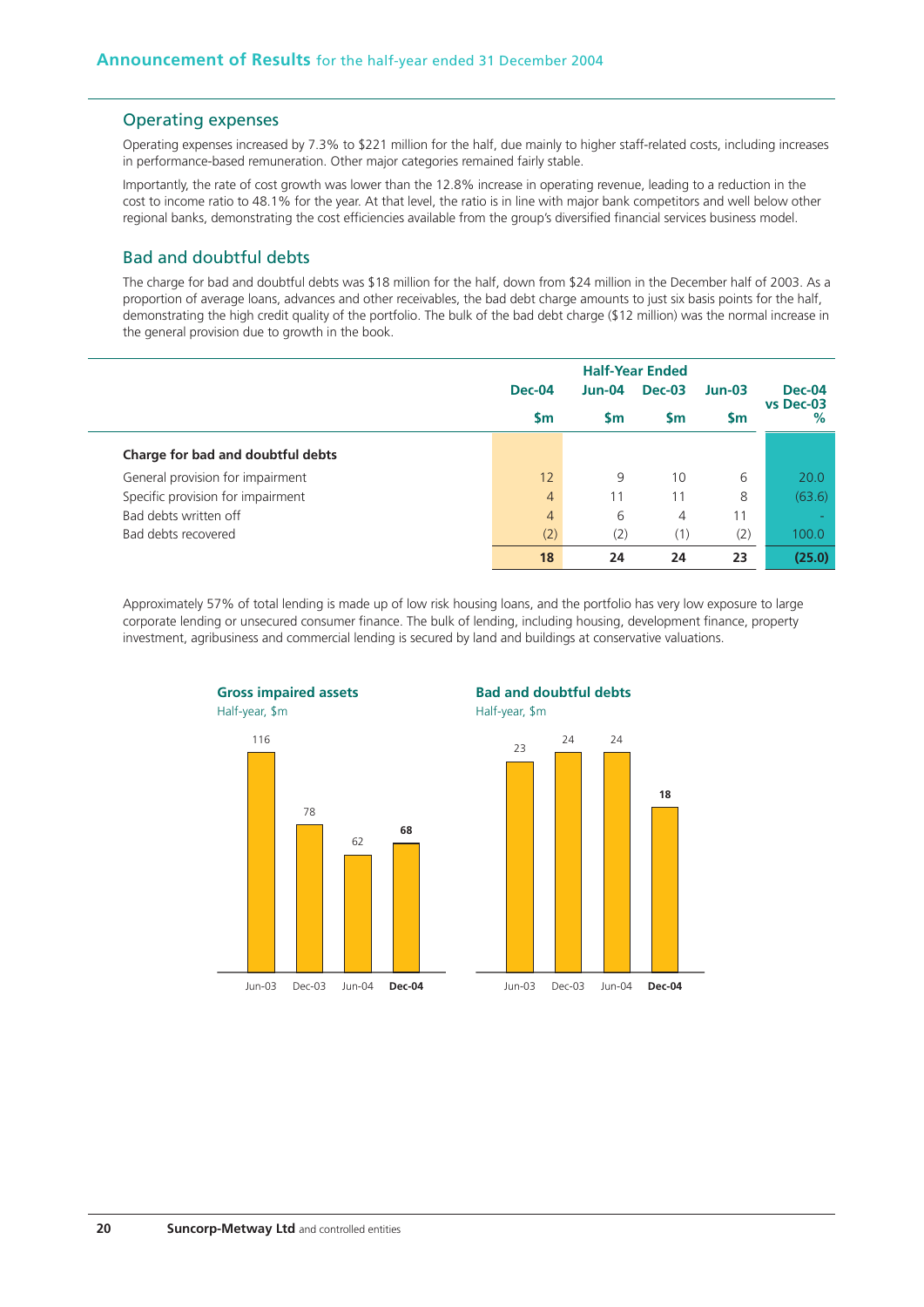### Operating expenses

Operating expenses increased by 7.3% to \$221 million for the half, due mainly to higher staff-related costs, including increases in performance-based remuneration. Other major categories remained fairly stable.

Importantly, the rate of cost growth was lower than the 12.8% increase in operating revenue, leading to a reduction in the cost to income ratio to 48.1% for the year. At that level, the ratio is in line with major bank competitors and well below other regional banks, demonstrating the cost efficiencies available from the group's diversified financial services business model.

## Bad and doubtful debts

The charge for bad and doubtful debts was \$18 million for the half, down from \$24 million in the December half of 2003. As a proportion of average loans, advances and other receivables, the bad debt charge amounts to just six basis points for the half, demonstrating the high credit quality of the portfolio. The bulk of the bad debt charge (\$12 million) was the normal increase in the general provision due to growth in the book.

|                                   | <b>Dec-04</b>  |           | $Jun-04$  |           | <b>Dec-03</b>  |  |  | $Jun-03$ | <b>Dec-04</b> |
|-----------------------------------|----------------|-----------|-----------|-----------|----------------|--|--|----------|---------------|
|                                   | <b>Sm</b>      | <b>Sm</b> | <b>Sm</b> | <b>Sm</b> | vs Dec-03<br>% |  |  |          |               |
| Charge for bad and doubtful debts |                |           |           |           |                |  |  |          |               |
| General provision for impairment  | 12             | 9         | 10        | 6         | 20.0           |  |  |          |               |
| Specific provision for impairment | $\overline{4}$ |           | 11        | 8         | (63.6)         |  |  |          |               |
| Bad debts written off             | $\overline{4}$ | 6         | 4         | 11        |                |  |  |          |               |
| Bad debts recovered               | (2)            | (2)       | (1)       | (2)       | 100.0          |  |  |          |               |
|                                   | 18             | 24        | 24        | 23        | (25.0)         |  |  |          |               |

Approximately 57% of total lending is made up of low risk housing loans, and the portfolio has very low exposure to large corporate lending or unsecured consumer finance. The bulk of lending, including housing, development finance, property investment, agribusiness and commercial lending is secured by land and buildings at conservative valuations.

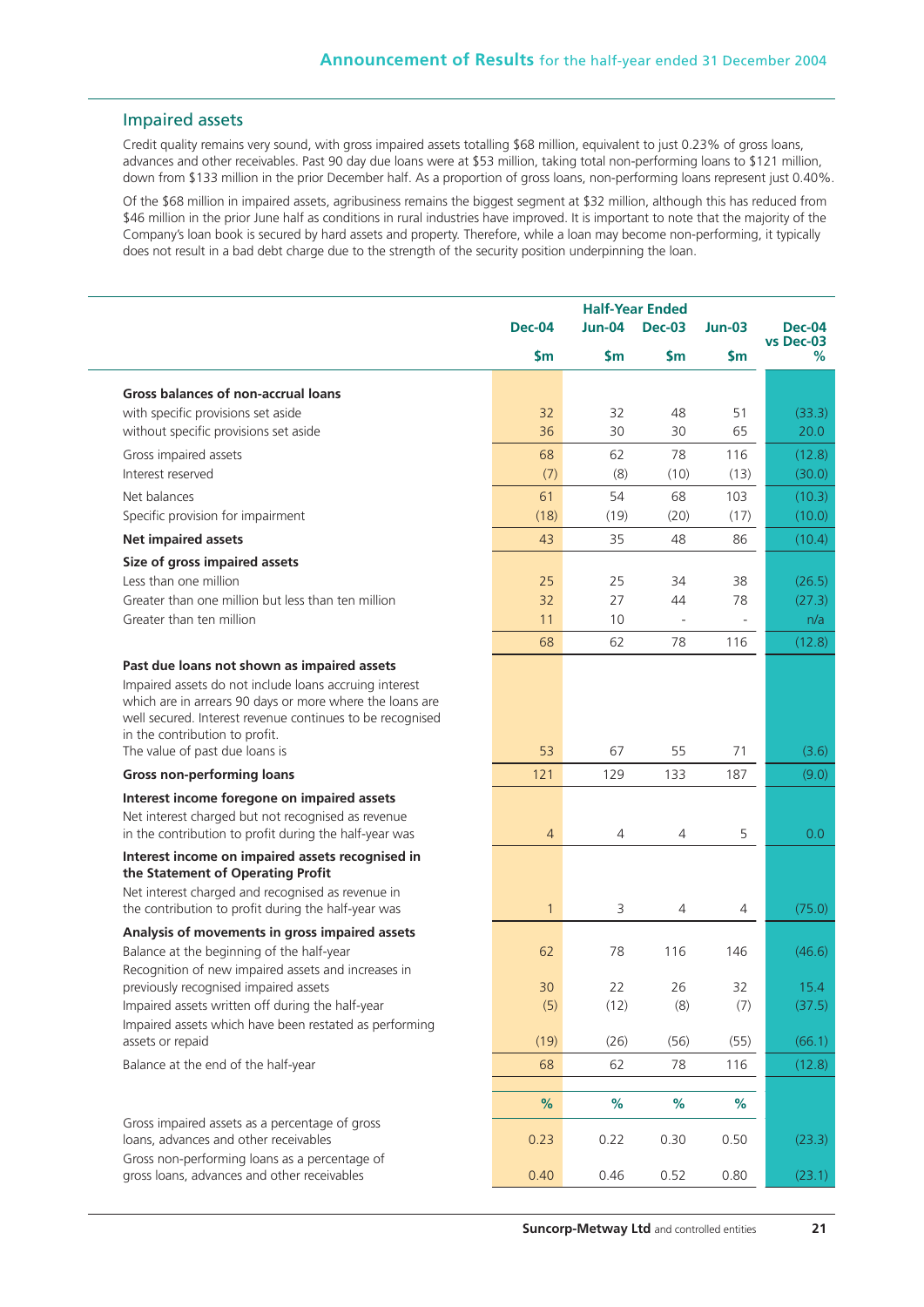## Impaired assets

Credit quality remains very sound, with gross impaired assets totalling \$68 million, equivalent to just 0.23% of gross loans, advances and other receivables. Past 90 day due loans were at \$53 million, taking total non-performing loans to \$121 million, down from \$133 million in the prior December half. As a proportion of gross loans, non-performing loans represent just 0.40%.

Of the \$68 million in impaired assets, agribusiness remains the biggest segment at \$32 million, although this has reduced from \$46 million in the prior June half as conditions in rural industries have improved. It is important to note that the majority of the Company's loan book is secured by hard assets and property. Therefore, while a loan may become non-performing, it typically does not result in a bad debt charge due to the strength of the security position underpinning the loan.

|                                                                                                                                                                                                                   | <b>Half-Year Ended</b> |                           |                          |               |                            |
|-------------------------------------------------------------------------------------------------------------------------------------------------------------------------------------------------------------------|------------------------|---------------------------|--------------------------|---------------|----------------------------|
|                                                                                                                                                                                                                   | <b>Dec-04</b>          | $Jun-04$<br><b>Dec-03</b> |                          | $Jun-03$      | <b>Dec-04</b><br>vs Dec-03 |
|                                                                                                                                                                                                                   | $\mathsf{sm}$          | $\mathsf{Sm}$             | \$m                      | $\mathsf{Sm}$ | %                          |
| Gross balances of non-accrual loans                                                                                                                                                                               |                        |                           |                          |               |                            |
| with specific provisions set aside                                                                                                                                                                                | 32                     | 32                        | 48                       | 51            | (33.3)                     |
| without specific provisions set aside                                                                                                                                                                             | 36                     | 30                        | 30                       | 65            | 20.0                       |
| Gross impaired assets                                                                                                                                                                                             | 68                     | 62                        | 78                       | 116           | (12.8)                     |
| Interest reserved                                                                                                                                                                                                 | (7)                    | (8)                       | (10)                     | (13)          | (30.0)                     |
| Net balances                                                                                                                                                                                                      | 61                     | 54                        | 68                       | 103           | (10.3)                     |
| Specific provision for impairment                                                                                                                                                                                 | (18)                   | (19)                      | (20)                     | (17)          | (10.0)                     |
| <b>Net impaired assets</b>                                                                                                                                                                                        | 43                     | 35                        | 48                       | 86            | (10.4)                     |
| Size of gross impaired assets                                                                                                                                                                                     |                        |                           |                          |               |                            |
| Less than one million                                                                                                                                                                                             | 25                     | 25                        | 34                       | 38            | (26.5)                     |
| Greater than one million but less than ten million                                                                                                                                                                | 32                     | 27                        | 44                       | 78            | (27.3)                     |
| Greater than ten million                                                                                                                                                                                          | 11                     | 10                        | $\overline{\phantom{a}}$ |               | n/a                        |
|                                                                                                                                                                                                                   | 68                     | 62                        | 78                       | 116           | (12.8)                     |
| Past due loans not shown as impaired assets                                                                                                                                                                       |                        |                           |                          |               |                            |
| Impaired assets do not include loans accruing interest<br>which are in arrears 90 days or more where the loans are<br>well secured. Interest revenue continues to be recognised<br>in the contribution to profit. |                        |                           |                          |               |                            |
| The value of past due loans is                                                                                                                                                                                    | 53                     | 67                        | 55                       | 71            | (3.6)                      |
| <b>Gross non-performing loans</b>                                                                                                                                                                                 | 121                    | 129                       | 133                      | 187           | (9.0)                      |
| Interest income foregone on impaired assets                                                                                                                                                                       |                        |                           |                          |               |                            |
| Net interest charged but not recognised as revenue<br>in the contribution to profit during the half-year was                                                                                                      | 4                      | $\overline{4}$            | $\overline{4}$           | 5             | 0.0                        |
| Interest income on impaired assets recognised in<br>the Statement of Operating Profit                                                                                                                             |                        |                           |                          |               |                            |
| Net interest charged and recognised as revenue in<br>the contribution to profit during the half-year was                                                                                                          | $\mathbf{1}$           | 3                         | $\overline{4}$           | 4             | (75.0)                     |
| Analysis of movements in gross impaired assets                                                                                                                                                                    |                        |                           |                          |               |                            |
| Balance at the beginning of the half-year                                                                                                                                                                         | 62                     | 78                        | 116                      | 146           | (46.6)                     |
| Recognition of new impaired assets and increases in<br>previously recognised impaired assets                                                                                                                      |                        |                           |                          |               |                            |
| Impaired assets written off during the half-year                                                                                                                                                                  | 30<br>(5)              | 22<br>(12)                | 26<br>(8)                | 32<br>(7)     | 15.4<br>(37.5)             |
| Impaired assets which have been restated as performing                                                                                                                                                            |                        |                           |                          |               |                            |
| assets or repaid                                                                                                                                                                                                  | (19)                   | (26)                      | (56)                     | (55)          | (66.1)                     |
| Balance at the end of the half-year                                                                                                                                                                               | 68                     | 62                        | 78                       | 116           | (12.8)                     |
|                                                                                                                                                                                                                   |                        |                           |                          |               |                            |
|                                                                                                                                                                                                                   | $\%$                   | $\%$                      | $\%$                     | $\%$          |                            |
| Gross impaired assets as a percentage of gross<br>loans, advances and other receivables<br>Gross non-performing loans as a percentage of                                                                          | 0.23                   | 0.22                      | 0.30                     | 0.50          | (23.3)                     |
| gross loans, advances and other receivables                                                                                                                                                                       | 0.40                   | 0.46                      | 0.52                     | 0.80          | (23.1)                     |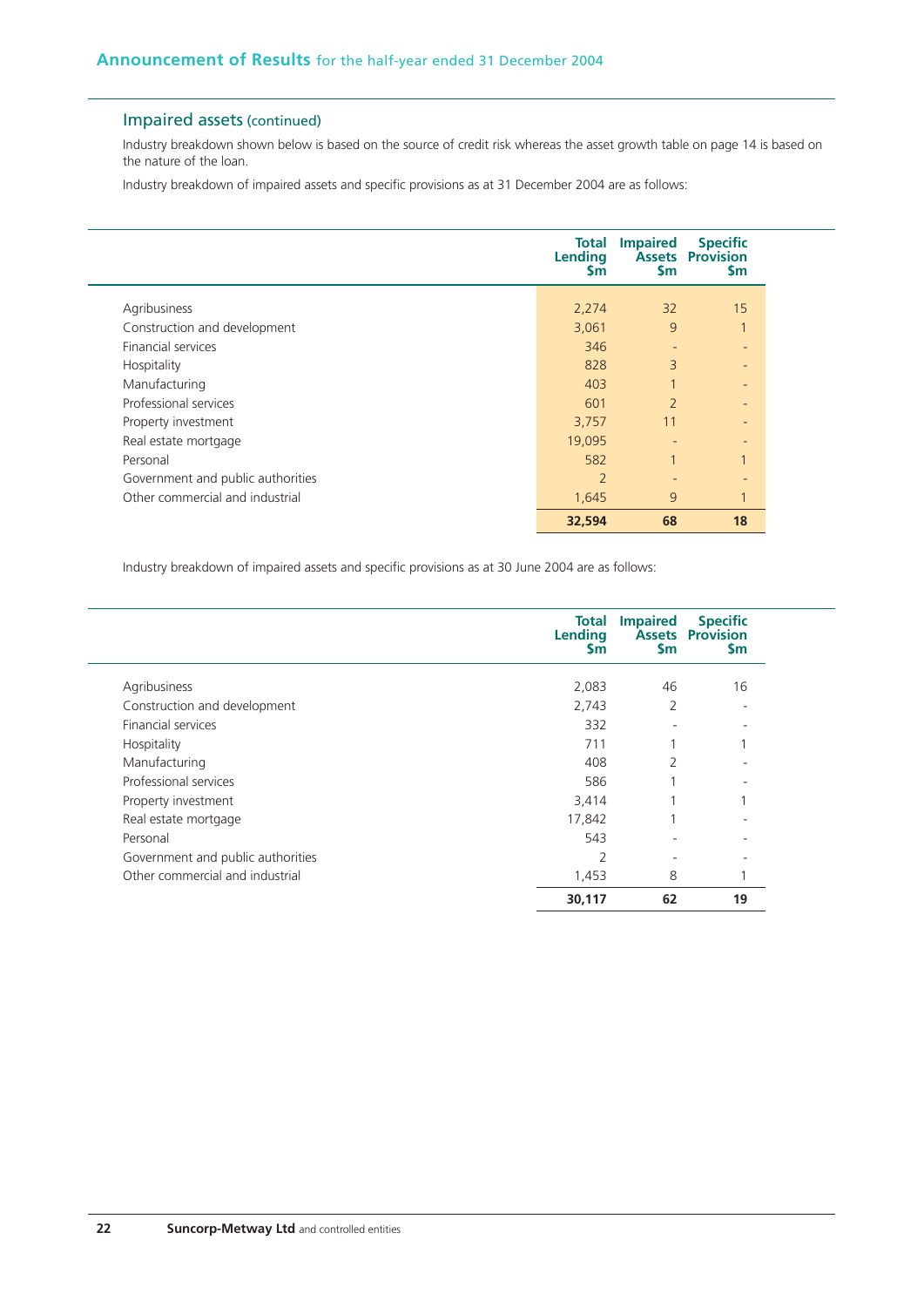## Impaired assets (continued)

Industry breakdown shown below is based on the source of credit risk whereas the asset growth table on page 14 is based on the nature of the loan.

Industry breakdown of impaired assets and specific provisions as at 31 December 2004 are as follows:

|                                   | Total<br>Lending<br><b>Sm</b> | <b>Impaired</b><br>$\mathsf{Sm}$ | <b>Specific</b><br><b>Assets Provision</b><br><b>Sm</b> |
|-----------------------------------|-------------------------------|----------------------------------|---------------------------------------------------------|
|                                   |                               |                                  |                                                         |
| Agribusiness                      | 2,274                         | 32                               | 15                                                      |
| Construction and development      | 3,061                         | 9                                | $\overline{1}$                                          |
| <b>Financial services</b>         | 346                           | $\qquad \qquad \blacksquare$     | ٠                                                       |
| Hospitality                       | 828                           | 3                                | -                                                       |
| Manufacturing                     | 403                           |                                  | ٠                                                       |
| Professional services             | 601                           | $\overline{2}$                   | ٠                                                       |
| Property investment               | 3,757                         | 11                               | ٠                                                       |
| Real estate mortgage              | 19,095                        |                                  | ٠                                                       |
| Personal                          | 582                           |                                  |                                                         |
| Government and public authorities | $\overline{2}$                |                                  | ٠                                                       |
| Other commercial and industrial   | 1,645                         | 9                                | $\overline{ }$                                          |
|                                   | 32,594                        | 68                               | 18                                                      |

Industry breakdown of impaired assets and specific provisions as at 30 June 2004 are as follows:

|                                   | <b>Total</b><br>Lending<br>Sm | <b>Impaired</b><br><b>Sm</b> | <b>Specific</b><br><b>Assets Provision</b><br><b>Sm</b> |
|-----------------------------------|-------------------------------|------------------------------|---------------------------------------------------------|
| Agribusiness                      | 2,083                         | 46                           | 16                                                      |
| Construction and development      | 2,743                         | 2                            |                                                         |
| Financial services                | 332                           |                              |                                                         |
| Hospitality                       | 711                           |                              |                                                         |
| Manufacturing                     | 408                           | $\overline{2}$               |                                                         |
| Professional services             | 586                           |                              |                                                         |
| Property investment               | 3,414                         |                              |                                                         |
| Real estate mortgage              | 17,842                        |                              |                                                         |
| Personal                          | 543                           |                              |                                                         |
| Government and public authorities | $\mathcal{P}$                 |                              |                                                         |
| Other commercial and industrial   | 1,453                         | 8                            |                                                         |
|                                   | 30,117                        | 62                           | 19                                                      |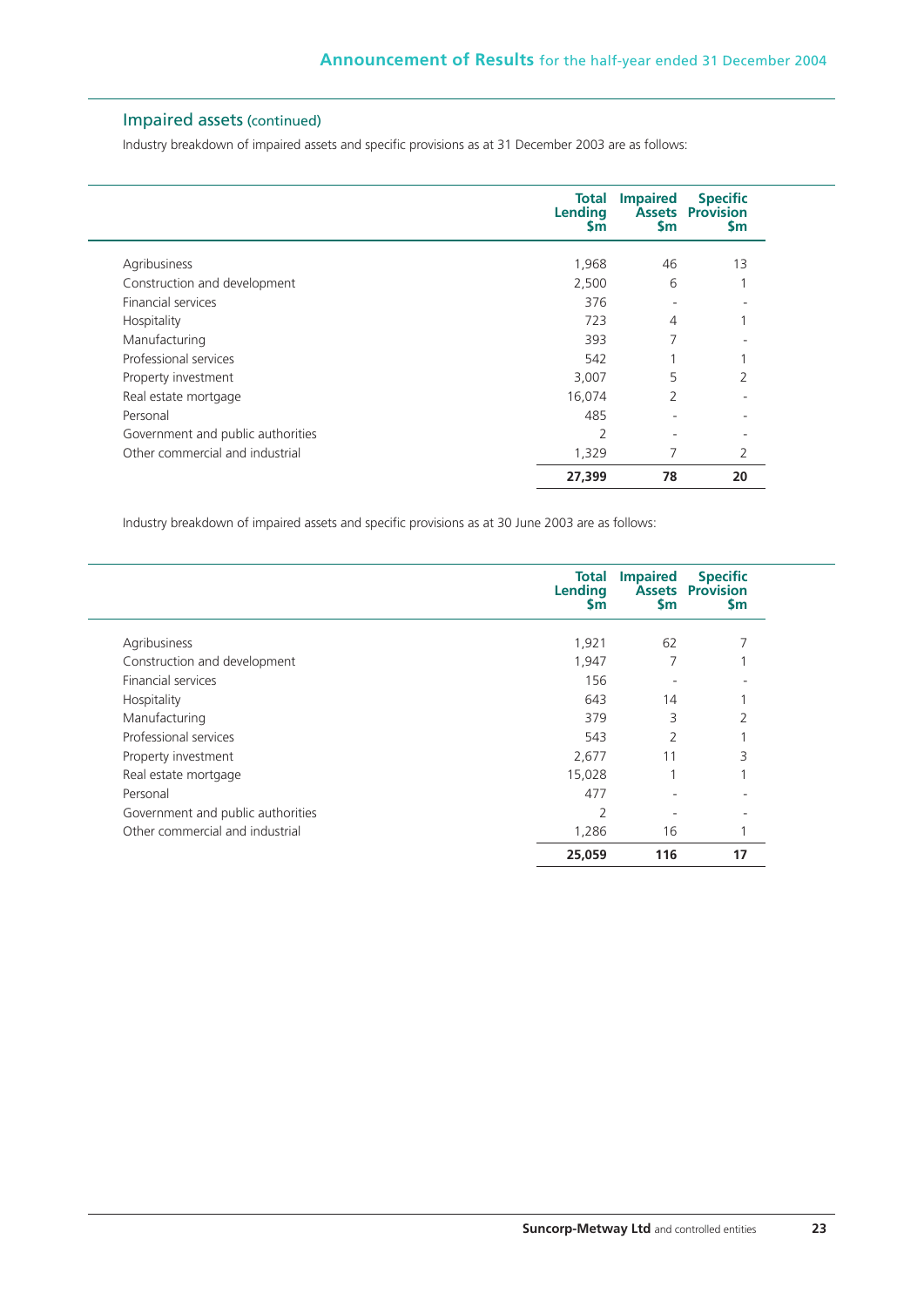## Impaired assets (continued)

Industry breakdown of impaired assets and specific provisions as at 31 December 2003 are as follows:

|                                   | <b>Total</b><br><b>Lending</b><br>Sm | <b>Impaired</b><br>\$m   | <b>Specific</b><br><b>Assets Provision</b><br><b>Sm</b> |
|-----------------------------------|--------------------------------------|--------------------------|---------------------------------------------------------|
| Agribusiness                      | 1,968                                | 46                       | 13                                                      |
| Construction and development      | 2,500                                | 6                        |                                                         |
| <b>Financial services</b>         | 376                                  | ٠                        |                                                         |
| Hospitality                       | 723                                  | $\overline{4}$           |                                                         |
| Manufacturing                     | 393                                  | 7                        |                                                         |
| Professional services             | 542                                  |                          |                                                         |
| Property investment               | 3,007                                | 5                        | 2                                                       |
| Real estate mortgage              | 16,074                               | 2                        |                                                         |
| Personal                          | 485                                  | ٠                        |                                                         |
| Government and public authorities | $\overline{2}$                       | $\overline{\phantom{a}}$ | $\overline{\phantom{0}}$                                |
| Other commercial and industrial   | 1,329                                | 7                        | 2                                                       |
|                                   | 27,399                               | 78                       | 20                                                      |

Industry breakdown of impaired assets and specific provisions as at 30 June 2003 are as follows:

|                                   | Total<br>Lending<br><b>Sm</b> | <b>Impaired</b><br>$\mathsf{sm}$ | <b>Specific</b><br><b>Assets Provision</b><br><b>Sm</b> |
|-----------------------------------|-------------------------------|----------------------------------|---------------------------------------------------------|
| Agribusiness                      | 1,921                         | 62                               |                                                         |
| Construction and development      | 1,947                         | 7                                |                                                         |
| <b>Financial services</b>         | 156                           |                                  |                                                         |
| Hospitality                       | 643                           | 14                               |                                                         |
| Manufacturing                     | 379                           | 3                                | 2                                                       |
| Professional services             | 543                           | $\mathcal{P}$                    |                                                         |
| Property investment               | 2,677                         | 11                               | 3                                                       |
| Real estate mortgage              | 15,028                        |                                  |                                                         |
| Personal                          | 477                           |                                  |                                                         |
| Government and public authorities | 2                             |                                  |                                                         |
| Other commercial and industrial   | 1,286                         | 16                               |                                                         |
|                                   | 25,059                        | 116                              | 17                                                      |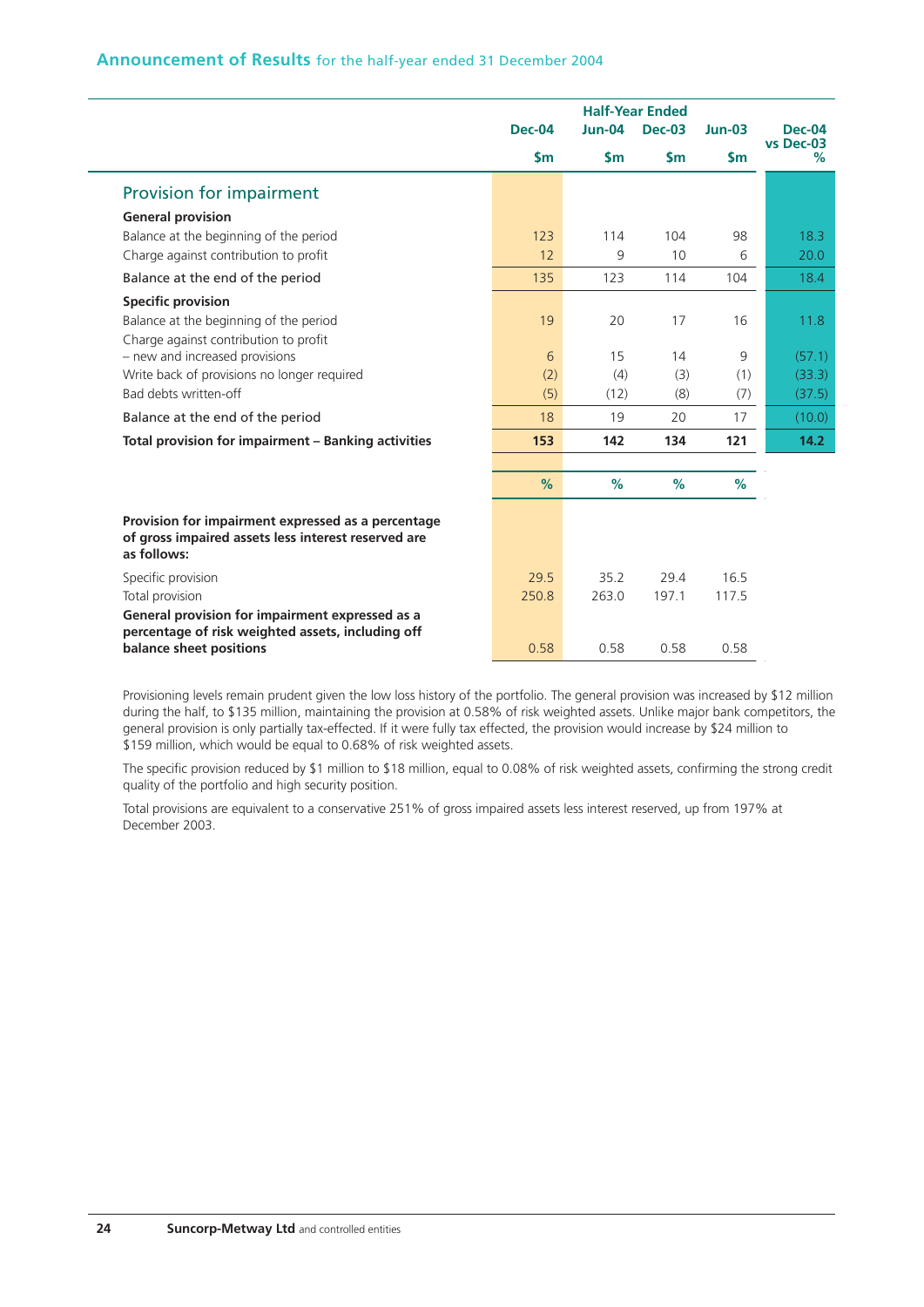## **Announcement of Results** for the half-year ended 31 December 2004

|                                                                    |               | <b>Half-Year Ended</b> |               |               |                            |
|--------------------------------------------------------------------|---------------|------------------------|---------------|---------------|----------------------------|
|                                                                    | <b>Dec-04</b> | $Jun-04$               | <b>Dec-03</b> | $Jun-03$      | <b>Dec-04</b><br>vs Dec-03 |
|                                                                    | $\mathsf{Sm}$ | \$m\$                  | $\mathsf{Sm}$ | $\mathsf{Sm}$ | %                          |
| Provision for impairment                                           |               |                        |               |               |                            |
| <b>General provision</b>                                           |               |                        |               |               |                            |
| Balance at the beginning of the period                             | 123           | 114                    | 104           | 98            | 18.3                       |
| Charge against contribution to profit                              | 12            | 9                      | 10            | 6             | 20.0                       |
| Balance at the end of the period                                   | 135           | 123                    | 114           | 104           | 18.4                       |
| <b>Specific provision</b>                                          |               |                        |               |               |                            |
| Balance at the beginning of the period                             | 19            | 20                     | 17            | 16            | 11.8                       |
| Charge against contribution to profit                              |               |                        |               |               |                            |
| - new and increased provisions                                     | 6             | 15                     | 14            | 9             | (57.1)                     |
| Write back of provisions no longer required                        | (2)           | (4)                    | (3)           | (1)           | (33.3)                     |
| Bad debts written-off                                              | (5)           | (12)                   | (8)           | (7)           | (37.5)                     |
| Balance at the end of the period                                   | 18            | 19                     | 20            | 17            | (10.0)                     |
| Total provision for impairment - Banking activities                | 153           | 142                    | 134           | 121           | 14.2                       |
|                                                                    |               |                        |               |               |                            |
|                                                                    | %             | %                      | %             | %             |                            |
| Provision for impairment expressed as a percentage                 |               |                        |               |               |                            |
| of gross impaired assets less interest reserved are<br>as follows: |               |                        |               |               |                            |
| Specific provision                                                 | 29.5          | 35.2                   | 29.4          | 16.5          |                            |
| Total provision                                                    | 250.8         | 263.0                  | 197.1         | 117.5         |                            |
| General provision for impairment expressed as a                    |               |                        |               |               |                            |
| percentage of risk weighted assets, including off                  |               |                        |               |               |                            |
| balance sheet positions                                            | 0.58          | 0.58                   | 0.58          | 0.58          |                            |

Provisioning levels remain prudent given the low loss history of the portfolio. The general provision was increased by \$12 million during the half, to \$135 million, maintaining the provision at 0.58% of risk weighted assets. Unlike major bank competitors, the general provision is only partially tax-effected. If it were fully tax effected, the provision would increase by \$24 million to \$159 million, which would be equal to 0.68% of risk weighted assets.

The specific provision reduced by \$1 million to \$18 million, equal to 0.08% of risk weighted assets, confirming the strong credit quality of the portfolio and high security position.

Total provisions are equivalent to a conservative 251% of gross impaired assets less interest reserved, up from 197% at December 2003.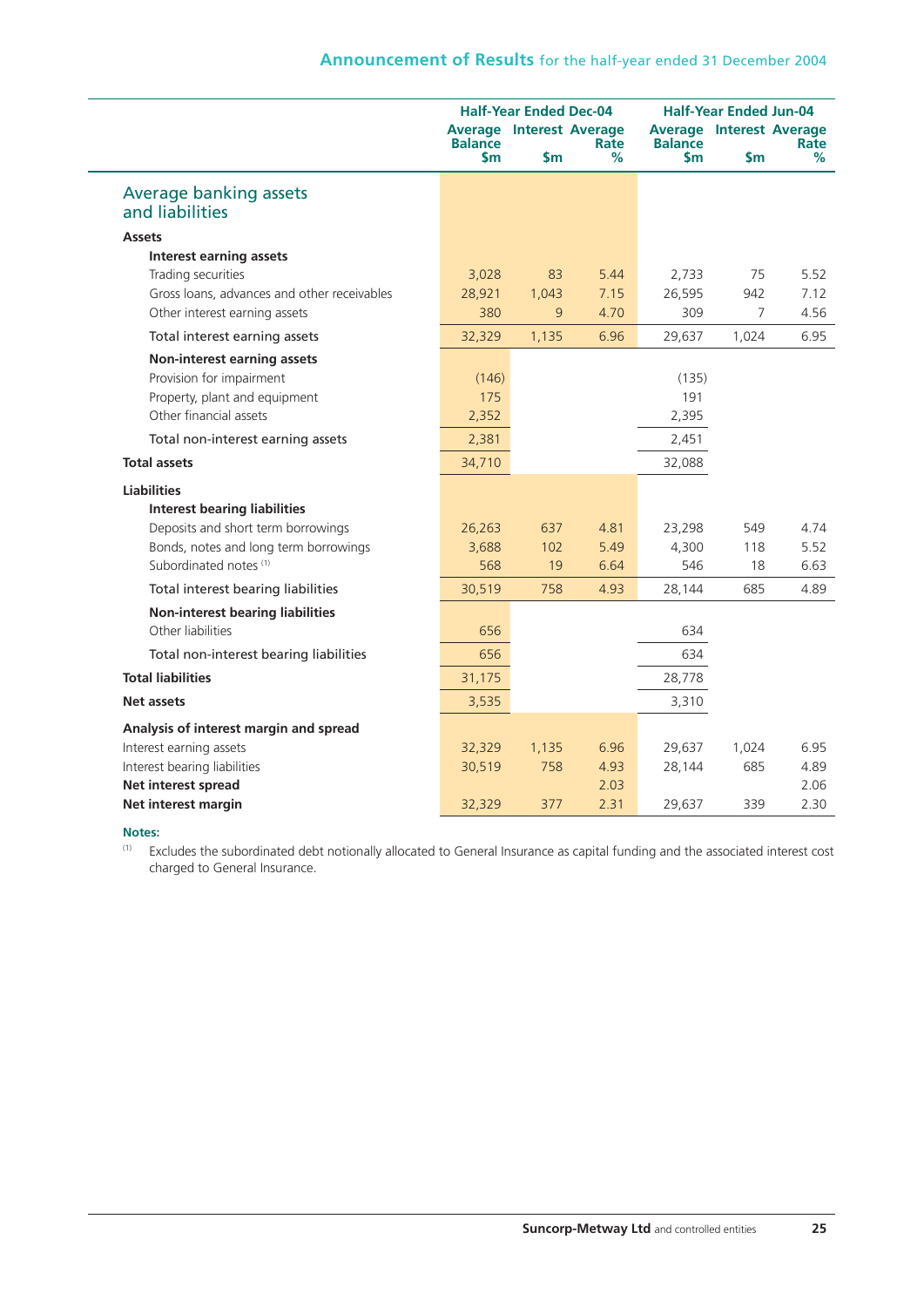|                                             |                         | <b>Half-Year Ended Dec-04</b> |                                              |                       | <b>Half-Year Ended Jun-04</b>          |           |  |
|---------------------------------------------|-------------------------|-------------------------------|----------------------------------------------|-----------------------|----------------------------------------|-----------|--|
|                                             | <b>Balance</b><br>\$m\$ | \$m                           | <b>Average Interest Average</b><br>Rate<br>℅ | <b>Balance</b><br>\$m | <b>Average Interest Average</b><br>\$m | Rate<br>% |  |
| Average banking assets<br>and liabilities   |                         |                               |                                              |                       |                                        |           |  |
| <b>Assets</b>                               |                         |                               |                                              |                       |                                        |           |  |
| <b>Interest earning assets</b>              |                         |                               |                                              |                       |                                        |           |  |
| Trading securities                          | 3,028                   | 83                            | 5.44                                         | 2,733                 | 75                                     | 5.52      |  |
| Gross loans, advances and other receivables | 28,921                  | 1,043                         | 7.15                                         | 26,595                | 942                                    | 7.12      |  |
| Other interest earning assets               | 380                     | 9                             | 4.70                                         | 309                   | 7                                      | 4.56      |  |
| Total interest earning assets               | 32,329                  | 1,135                         | 6.96                                         | 29,637                | 1,024                                  | 6.95      |  |
| Non-interest earning assets                 |                         |                               |                                              |                       |                                        |           |  |
| Provision for impairment                    | (146)                   |                               |                                              | (135)                 |                                        |           |  |
| Property, plant and equipment               | 175                     |                               |                                              | 191                   |                                        |           |  |
| Other financial assets                      | 2,352                   |                               |                                              | 2,395                 |                                        |           |  |
| Total non-interest earning assets           | 2,381                   |                               |                                              | 2,451                 |                                        |           |  |
| <b>Total assets</b>                         | 34,710                  |                               |                                              | 32,088                |                                        |           |  |
| <b>Liabilities</b>                          |                         |                               |                                              |                       |                                        |           |  |
| <b>Interest bearing liabilities</b>         |                         |                               |                                              |                       |                                        |           |  |
| Deposits and short term borrowings          | 26,263                  | 637                           | 4.81                                         | 23,298                | 549                                    | 4.74      |  |
| Bonds, notes and long term borrowings       | 3,688                   | 102                           | 5.49                                         | 4,300                 | 118                                    | 5.52      |  |
| Subordinated notes <sup>(1)</sup>           | 568                     | 19                            | 6.64                                         | 546                   | 18                                     | 6.63      |  |
| Total interest bearing liabilities          | 30,519                  | 758                           | 4.93                                         | 28,144                | 685                                    | 4.89      |  |
| <b>Non-interest bearing liabilities</b>     |                         |                               |                                              |                       |                                        |           |  |
| Other liabilities                           | 656                     |                               |                                              | 634                   |                                        |           |  |
| Total non-interest bearing liabilities      | 656                     |                               |                                              | 634                   |                                        |           |  |
| <b>Total liabilities</b>                    | 31,175                  |                               |                                              | 28,778                |                                        |           |  |
| Net assets                                  | 3,535                   |                               |                                              | 3,310                 |                                        |           |  |
| Analysis of interest margin and spread      |                         |                               |                                              |                       |                                        |           |  |
| Interest earning assets                     | 32,329                  | 1,135                         | 6.96                                         | 29,637                | 1,024                                  | 6.95      |  |
| Interest bearing liabilities                | 30,519                  | 758                           | 4.93                                         | 28,144                | 685                                    | 4.89      |  |
| Net interest spread                         |                         |                               | 2.03                                         |                       |                                        | 2.06      |  |
| Net interest margin                         | 32,329                  | 377                           | 2.31                                         | 29,637                | 339                                    | 2.30      |  |

#### **Notes:**

(1) Excludes the subordinated debt notionally allocated to General Insurance as capital funding and the associated interest cost charged to General Insurance.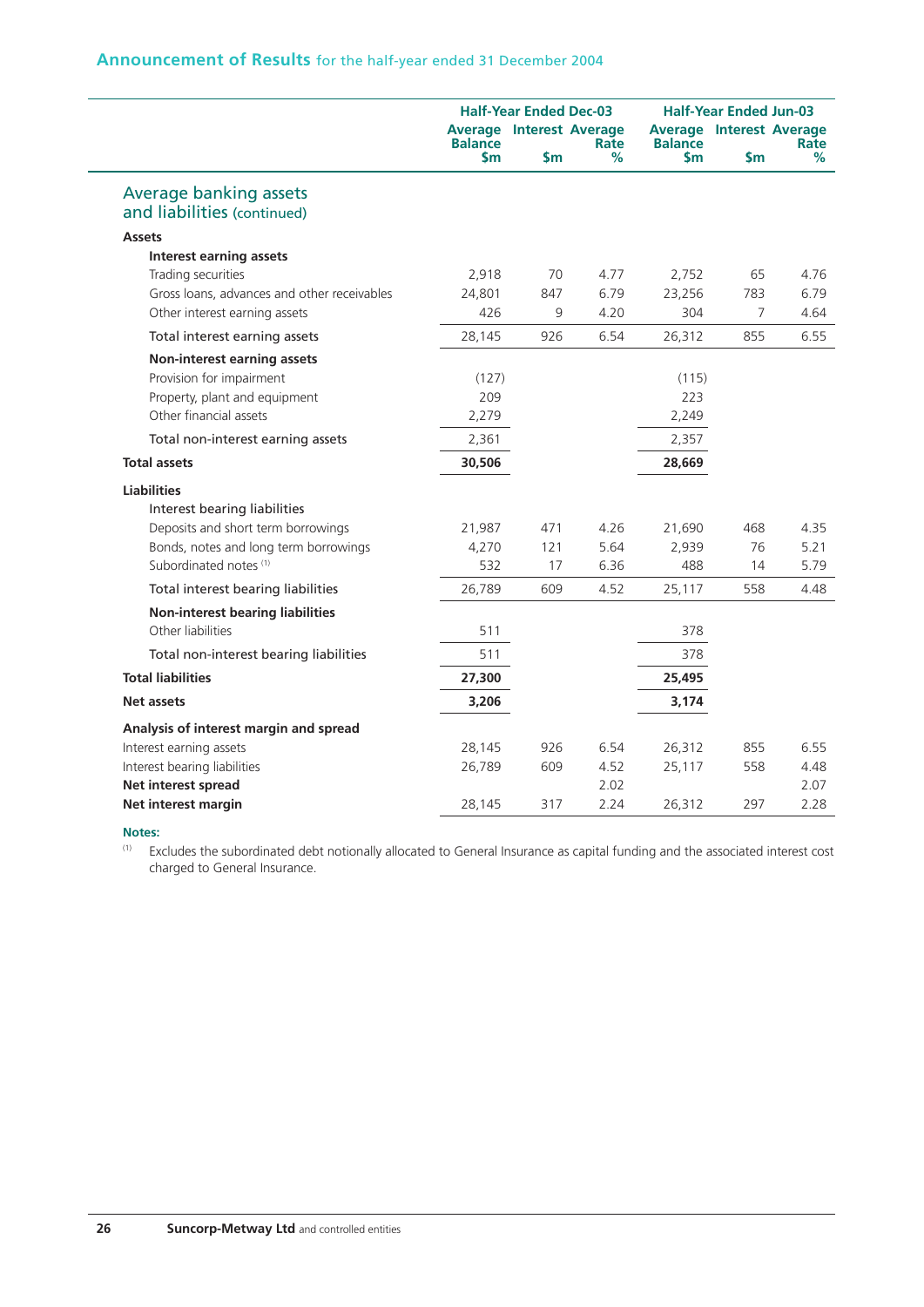## **Announcement of Results** for the half-year ended 31 December 2004

|                                                              |                                                                | <b>Half-Year Ended Dec-03</b> |           |                                                                | <b>Half-Year Ended Jun-03</b> |           |  |
|--------------------------------------------------------------|----------------------------------------------------------------|-------------------------------|-----------|----------------------------------------------------------------|-------------------------------|-----------|--|
|                                                              | <b>Average Interest Average</b><br><b>Balance</b><br><b>Sm</b> | <b>Sm</b>                     | Rate<br>℅ | <b>Average Interest Average</b><br><b>Balance</b><br><b>Sm</b> | Sm                            | Rate<br>℅ |  |
| <b>Average banking assets</b><br>and liabilities (continued) |                                                                |                               |           |                                                                |                               |           |  |
| <b>Assets</b>                                                |                                                                |                               |           |                                                                |                               |           |  |
| <b>Interest earning assets</b>                               |                                                                |                               |           |                                                                |                               |           |  |
| Trading securities                                           | 2,918                                                          | 70                            | 4.77      | 2,752                                                          | 65                            | 4.76      |  |
| Gross loans, advances and other receivables                  | 24,801                                                         | 847                           | 6.79      | 23,256                                                         | 783                           | 6.79      |  |
| Other interest earning assets                                | 426                                                            | 9                             | 4.20      | 304                                                            | 7                             | 4.64      |  |
| Total interest earning assets                                | 28,145                                                         | 926                           | 6.54      | 26,312                                                         | 855                           | 6.55      |  |
| <b>Non-interest earning assets</b>                           |                                                                |                               |           |                                                                |                               |           |  |
| Provision for impairment                                     | (127)                                                          |                               |           | (115)                                                          |                               |           |  |
| Property, plant and equipment                                | 209                                                            |                               |           | 223                                                            |                               |           |  |
| Other financial assets                                       | 2,279                                                          |                               |           | 2,249                                                          |                               |           |  |
| Total non-interest earning assets                            | 2,361                                                          |                               |           | 2,357                                                          |                               |           |  |
| <b>Total assets</b>                                          | 30,506                                                         |                               |           | 28,669                                                         |                               |           |  |
| <b>Liabilities</b>                                           |                                                                |                               |           |                                                                |                               |           |  |
| Interest bearing liabilities                                 |                                                                |                               |           |                                                                |                               |           |  |
| Deposits and short term borrowings                           | 21,987                                                         | 471                           | 4.26      | 21,690                                                         | 468                           | 4.35      |  |
| Bonds, notes and long term borrowings                        | 4,270                                                          | 121                           | 5.64      | 2,939                                                          | 76                            | 5.21      |  |
| Subordinated notes <sup>(1)</sup>                            | 532                                                            | 17                            | 6.36      | 488                                                            | 14                            | 5.79      |  |
| Total interest bearing liabilities                           | 26,789                                                         | 609                           | 4.52      | 25,117                                                         | 558                           | 4.48      |  |
| <b>Non-interest bearing liabilities</b>                      |                                                                |                               |           |                                                                |                               |           |  |
| Other liabilities                                            | 511                                                            |                               |           | 378                                                            |                               |           |  |
| Total non-interest bearing liabilities                       | 511                                                            |                               |           | 378                                                            |                               |           |  |
| <b>Total liabilities</b>                                     | 27,300                                                         |                               |           | 25,495                                                         |                               |           |  |
| Net assets                                                   | 3,206                                                          |                               |           | 3,174                                                          |                               |           |  |
| Analysis of interest margin and spread                       |                                                                |                               |           |                                                                |                               |           |  |
| Interest earning assets                                      | 28,145                                                         | 926                           | 6.54      | 26,312                                                         | 855                           | 6.55      |  |
| Interest bearing liabilities                                 | 26,789                                                         | 609                           | 4.52      | 25,117                                                         | 558                           | 4.48      |  |
| Net interest spread                                          |                                                                |                               | 2.02      |                                                                |                               | 2.07      |  |
| Net interest margin                                          | 28,145                                                         | 317                           | 2.24      | 26,312                                                         | 297                           | 2.28      |  |

#### **Notes:**

(1) Excludes the subordinated debt notionally allocated to General Insurance as capital funding and the associated interest cost charged to General Insurance.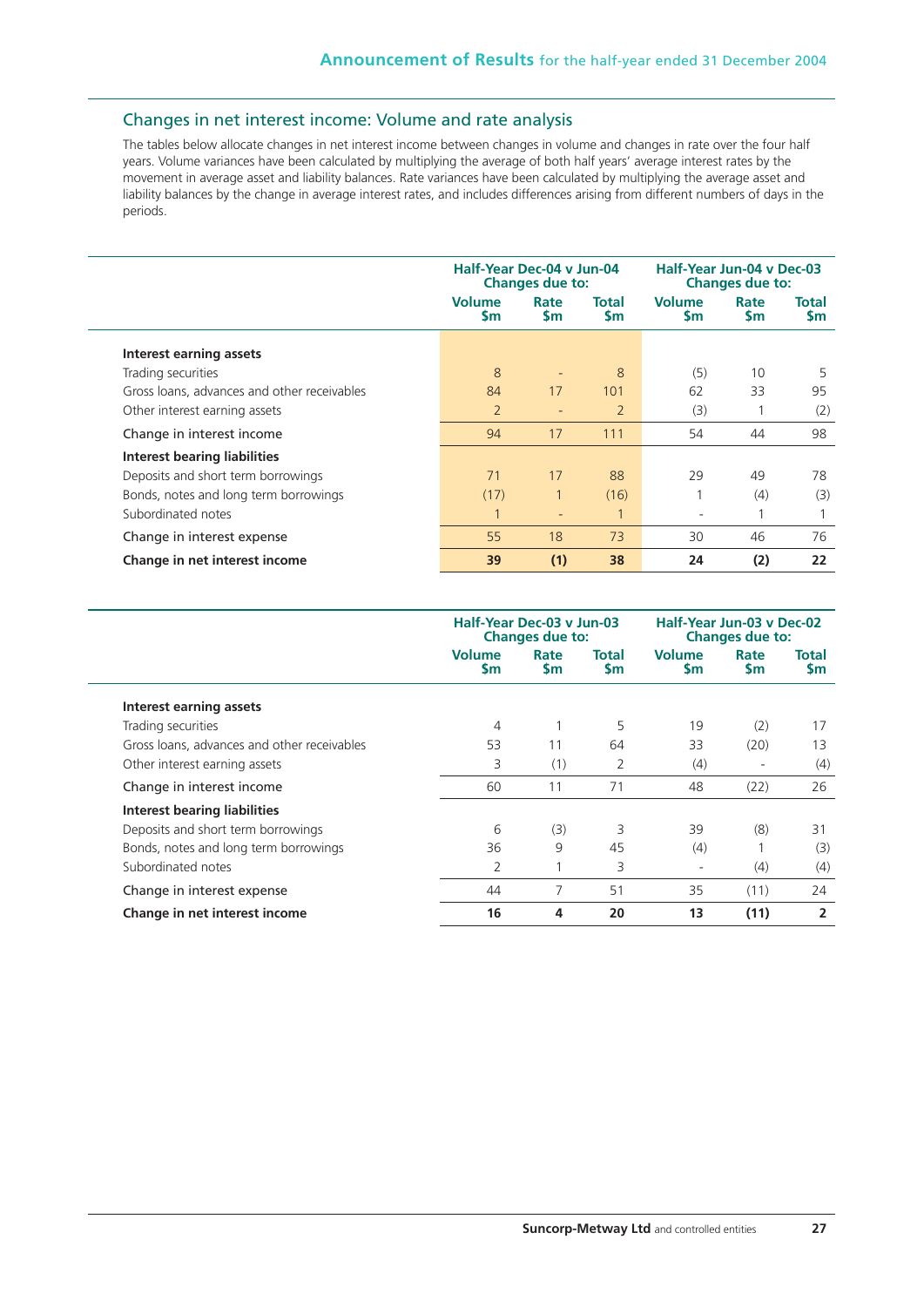## Changes in net interest income: Volume and rate analysis

The tables below allocate changes in net interest income between changes in volume and changes in rate over the four half years. Volume variances have been calculated by multiplying the average of both half years' average interest rates by the movement in average asset and liability balances. Rate variances have been calculated by multiplying the average asset and liability balances by the change in average interest rates, and includes differences arising from different numbers of days in the periods.

|                                             | Half-Year Dec-04 v Jun-04<br><b>Changes due to:</b> |                          |                    | Half-Year Jun-04 v Dec-03<br><b>Changes due to:</b> |            |                           |  |
|---------------------------------------------|-----------------------------------------------------|--------------------------|--------------------|-----------------------------------------------------|------------|---------------------------|--|
|                                             | <b>Volume</b><br><b>Sm</b>                          | Rate<br><b>Sm</b>        | Total<br><b>Sm</b> | <b>Volume</b><br><b>Sm</b>                          | Rate<br>Sm | <b>Total</b><br><b>Sm</b> |  |
| Interest earning assets                     |                                                     |                          |                    |                                                     |            |                           |  |
| Trading securities                          | 8                                                   | ٠                        | 8                  | (5)                                                 | 10         | 5                         |  |
| Gross loans, advances and other receivables | 84                                                  | 17                       | 101                | 62                                                  | 33         | 95                        |  |
| Other interest earning assets               | $\overline{2}$                                      | $\overline{\phantom{a}}$ | $\overline{2}$     | (3)                                                 |            | (2)                       |  |
| Change in interest income                   | 94                                                  | 17                       | 111                | 54                                                  | 44         | 98                        |  |
| Interest bearing liabilities                |                                                     |                          |                    |                                                     |            |                           |  |
| Deposits and short term borrowings          | 71                                                  | 17                       | 88                 | 29                                                  | 49         | 78                        |  |
| Bonds, notes and long term borrowings       | (17)                                                |                          | (16)               |                                                     | (4)        | (3)                       |  |
| Subordinated notes                          |                                                     | $\overline{\phantom{a}}$ |                    | $\overline{\phantom{a}}$                            |            |                           |  |
| Change in interest expense                  | 55                                                  | 18                       | 73                 | 30                                                  | 46         | 76                        |  |
| Change in net interest income               | 39                                                  | (1)                      | 38                 | 24                                                  | (2)        | 22                        |  |

|                                             | Half-Year Dec-03 v Jun-03<br><b>Changes due to:</b> |                   |                        | Half-Year Jun-03 v Dec-02<br><b>Changes due to:</b> |                   |                           |  |
|---------------------------------------------|-----------------------------------------------------|-------------------|------------------------|-----------------------------------------------------|-------------------|---------------------------|--|
|                                             | <b>Volume</b><br><b>Sm</b>                          | Rate<br><b>Sm</b> | Total<br>$\mathsf{sm}$ | <b>Volume</b><br><b>Sm</b>                          | Rate<br><b>Sm</b> | <b>Total</b><br><b>Sm</b> |  |
| Interest earning assets                     |                                                     |                   |                        |                                                     |                   |                           |  |
| Trading securities                          | 4                                                   |                   | 5                      | 19                                                  | (2)               | 17                        |  |
| Gross loans, advances and other receivables | 53                                                  | 11                | 64                     | 33                                                  | (20)              | 13                        |  |
| Other interest earning assets               | 3                                                   | (1)               | 2                      | (4)                                                 | ٠                 | (4)                       |  |
| Change in interest income                   | 60                                                  | 11                | 71                     | 48                                                  | (22)              | 26                        |  |
| Interest bearing liabilities                |                                                     |                   |                        |                                                     |                   |                           |  |
| Deposits and short term borrowings          | 6                                                   | (3)               | 3                      | 39                                                  | (8)               | 31                        |  |
| Bonds, notes and long term borrowings       | 36                                                  | 9                 | 45                     | (4)                                                 |                   | (3)                       |  |
| Subordinated notes                          | 2                                                   |                   | 3                      | ۰                                                   | (4)               | (4)                       |  |
| Change in interest expense                  | 44                                                  |                   | 51                     | 35                                                  | (11)              | 24                        |  |
| Change in net interest income               | 16                                                  | 4                 | 20                     | 13                                                  | (11)              | 2                         |  |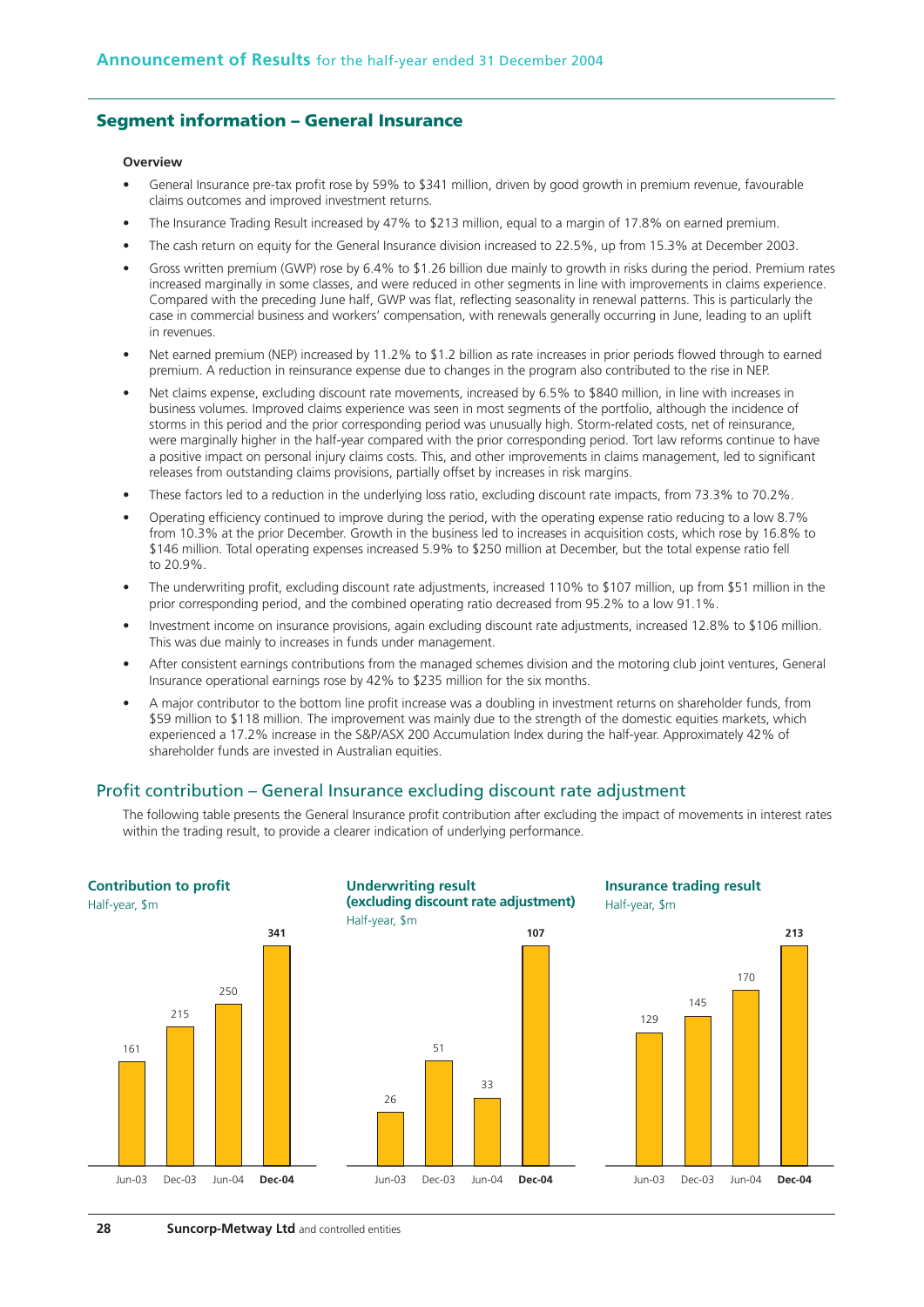## **Segment information – General Insurance**

#### **Overview**

- General Insurance pre-tax profit rose by 59% to \$341 million, driven by good growth in premium revenue, favourable claims outcomes and improved investment returns.
- The Insurance Trading Result increased by 47% to \$213 million, equal to a margin of 17.8% on earned premium.
- The cash return on equity for the General Insurance division increased to 22.5%, up from 15.3% at December 2003.
- Gross written premium (GWP) rose by 6.4% to \$1.26 billion due mainly to growth in risks during the period. Premium rates increased marginally in some classes, and were reduced in other segments in line with improvements in claims experience. Compared with the preceding June half, GWP was flat, reflecting seasonality in renewal patterns. This is particularly the case in commercial business and workers' compensation, with renewals generally occurring in June, leading to an uplift in revenues.
- Net earned premium (NFP) increased by 11.2% to \$1.2 billion as rate increases in prior periods flowed through to earned premium. A reduction in reinsurance expense due to changes in the program also contributed to the rise in NEP.
- Net claims expense, excluding discount rate movements, increased by 6.5% to \$840 million, in line with increases in business volumes. Improved claims experience was seen in most segments of the portfolio, although the incidence of storms in this period and the prior corresponding period was unusually high. Storm-related costs, net of reinsurance, were marginally higher in the half-year compared with the prior corresponding period. Tort law reforms continue to have a positive impact on personal injury claims costs. This, and other improvements in claims management, led to significant releases from outstanding claims provisions, partially offset by increases in risk margins.
- These factors led to a reduction in the underlying loss ratio, excluding discount rate impacts, from 73.3% to 70.2%.
- Operating efficiency continued to improve during the period, with the operating expense ratio reducing to a low 8.7% from 10.3% at the prior December. Growth in the business led to increases in acquisition costs, which rose by 16.8% to \$146 million. Total operating expenses increased 5.9% to \$250 million at December, but the total expense ratio fell to 20.9%.
- The underwriting profit, excluding discount rate adjustments, increased 110% to \$107 million, up from \$51 million in the prior corresponding period, and the combined operating ratio decreased from 95.2% to a low 91.1%.
- Investment income on insurance provisions, again excluding discount rate adjustments, increased 12.8% to \$106 million. This was due mainly to increases in funds under management.
- After consistent earnings contributions from the managed schemes division and the motoring club joint ventures, General Insurance operational earnings rose by 42% to \$235 million for the six months.
- A major contributor to the bottom line profit increase was a doubling in investment returns on shareholder funds, from \$59 million to \$118 million. The improvement was mainly due to the strength of the domestic equities markets, which experienced a 17.2% increase in the S&P/ASX 200 Accumulation Index during the half-year. Approximately 42% of shareholder funds are invested in Australian equities.

## Profit contribution – General Insurance excluding discount rate adjustment

The following table presents the General Insurance profit contribution after excluding the impact of movements in interest rates within the trading result, to provide a clearer indication of underlying performance.

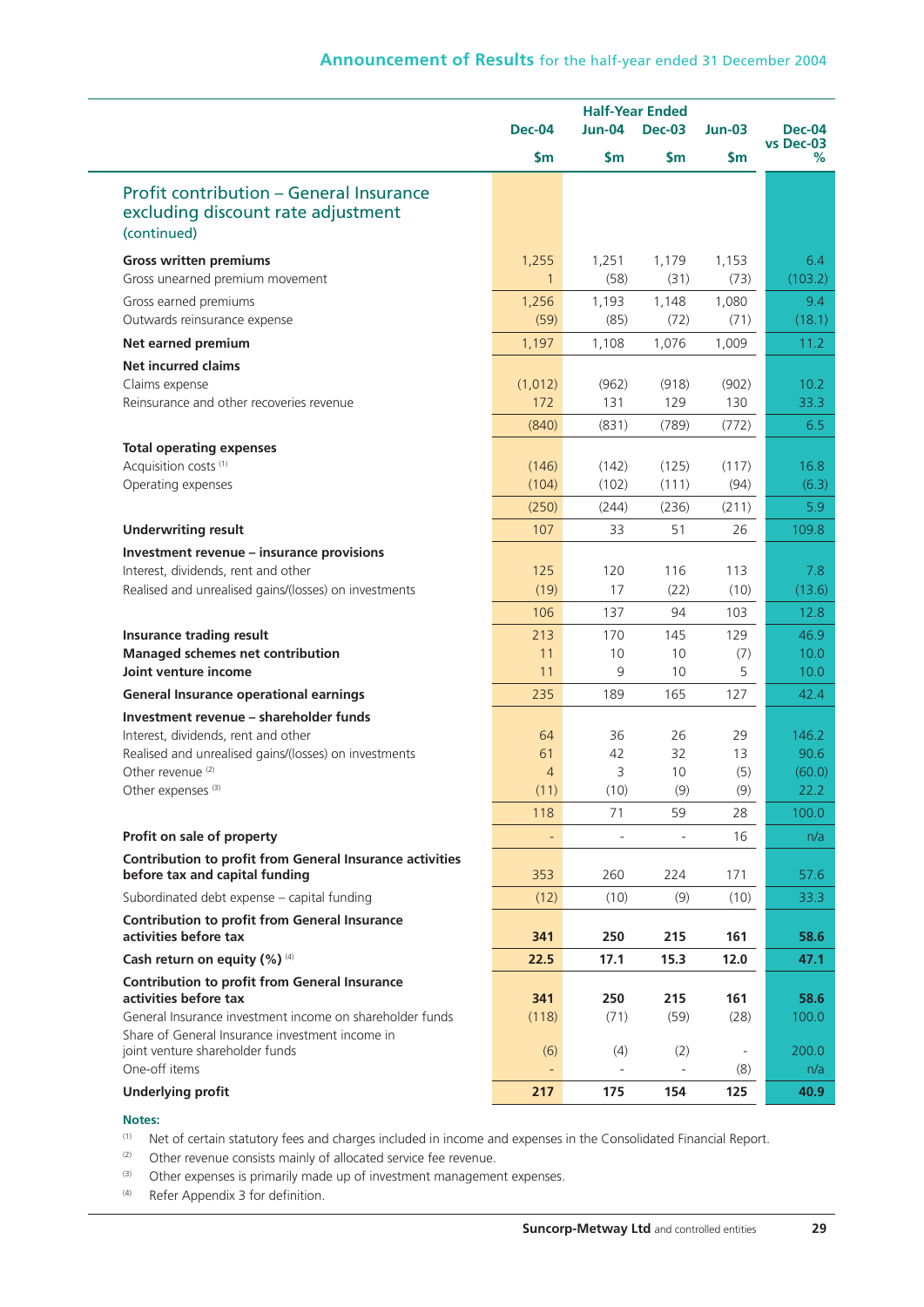|                                                                                                     | <b>Half-Year Ended</b> |          |               |          |                |
|-----------------------------------------------------------------------------------------------------|------------------------|----------|---------------|----------|----------------|
|                                                                                                     | <b>Dec-04</b>          | Jun-04   | <b>Dec-03</b> | $Jun-03$ | <b>Dec-04</b>  |
|                                                                                                     | $\mathsf{S}$ m         | \$m\$    | \$m\$         | \$m\$    | vs Dec-03<br>% |
| <b>Profit contribution - General Insurance</b><br>excluding discount rate adjustment<br>(continued) |                        |          |               |          |                |
| <b>Gross written premiums</b>                                                                       | 1,255                  | 1,251    | 1,179         | 1,153    | 6.4            |
| Gross unearned premium movement                                                                     | 1                      | (58)     | (31)          | (73)     | (103.2)        |
| Gross earned premiums                                                                               | 1,256                  | 1,193    | 1,148         | 1,080    | 9.4            |
| Outwards reinsurance expense                                                                        | (59)                   | (85)     | (72)          | (71)     | (18.1)         |
| Net earned premium                                                                                  | 1,197                  | 1,108    | 1,076         | 1,009    | 11.2           |
| <b>Net incurred claims</b>                                                                          |                        |          |               |          |                |
| Claims expense                                                                                      | (1,012)                | (962)    | (918)         | (902)    | 10.2           |
| Reinsurance and other recoveries revenue                                                            | 172                    | 131      | 129           | 130      | 33.3           |
|                                                                                                     | (840)                  | (831)    | (789)         | (772)    | 6.5            |
| <b>Total operating expenses</b>                                                                     |                        |          |               |          |                |
| Acquisition costs <sup>(1)</sup>                                                                    | (146)                  | (142)    | (125)         | (117)    | 16.8           |
| Operating expenses                                                                                  | (104)                  | (102)    | (111)         | (94)     | (6.3)          |
|                                                                                                     | (250)                  | (244)    | (236)         | (211)    | 5.9            |
| <b>Underwriting result</b>                                                                          | 107                    | 33       | 51            | 26       | 109.8          |
| Investment revenue - insurance provisions                                                           |                        |          |               |          |                |
| Interest, dividends, rent and other                                                                 | 125                    | 120      | 116           | 113      | 7.8            |
| Realised and unrealised gains/(losses) on investments                                               | (19)                   | 17       | (22)          | (10)     | (13.6)         |
|                                                                                                     | 106                    | 137      | 94            | 103      | 12.8           |
| Insurance trading result                                                                            | 213                    | 170      | 145           | 129      | 46.9           |
| Managed schemes net contribution<br>Joint venture income                                            | 11<br>11               | 10<br>9  | 10<br>10      | (7)<br>5 | 10.0<br>10.0   |
|                                                                                                     |                        |          |               |          |                |
| <b>General Insurance operational earnings</b>                                                       | 235                    | 189      | 165           | 127      | 42.4           |
| Investment revenue - shareholder funds                                                              |                        |          |               |          |                |
| Interest, dividends, rent and other<br>Realised and unrealised gains/(losses) on investments        | 64<br>61               | 36<br>42 | 26<br>32      | 29<br>13 | 146.2<br>90.6  |
| Other revenue <sup>(2)</sup>                                                                        | $\overline{4}$         | 3        | 10            | (5)      | (60.0)         |
| Other expenses <sup>(3)</sup>                                                                       | (11)                   | (10)     | (9)           | (9)      | 22.2           |
|                                                                                                     | 118                    | 71       | 59            | 28       | 100.0          |
| Profit on sale of property                                                                          |                        |          |               | 16       | n/a            |
| <b>Contribution to profit from General Insurance activities</b>                                     |                        |          |               |          |                |
| before tax and capital funding                                                                      | 353                    | 260      | 224           | 171      | 57.6           |
| Subordinated debt expense - capital funding                                                         | (12)                   | (10)     | (9)           | (10)     | 33.3           |
| <b>Contribution to profit from General Insurance</b><br>activities before tax                       | 341                    | 250      | 215           | 161      | 58.6           |
| Cash return on equity $(\%)$ <sup>(4)</sup>                                                         | 22.5                   | 17.1     | 15.3          | 12.0     | 47.1           |
| <b>Contribution to profit from General Insurance</b><br>activities before tax                       | 341                    | 250      | 215           | 161      | 58.6           |
| General Insurance investment income on shareholder funds                                            | (118)                  | (71)     | (59)          | (28)     | 100.0          |
| Share of General Insurance investment income in                                                     |                        |          |               |          |                |
| joint venture shareholder funds                                                                     | (6)                    | (4)      | (2)           |          | 200.0          |
| One-off items                                                                                       |                        |          |               | (8)      | n/a            |
| <b>Underlying profit</b>                                                                            | 217                    | 175      | 154           | 125      | 40.9           |

#### **Notes:**

(1) Net of certain statutory fees and charges included in income and expenses in the Consolidated Financial Report.

 $(2)$  Other revenue consists mainly of allocated service fee revenue.

(3) Other expenses is primarily made up of investment management expenses.

(4) Refer Appendix 3 for definition.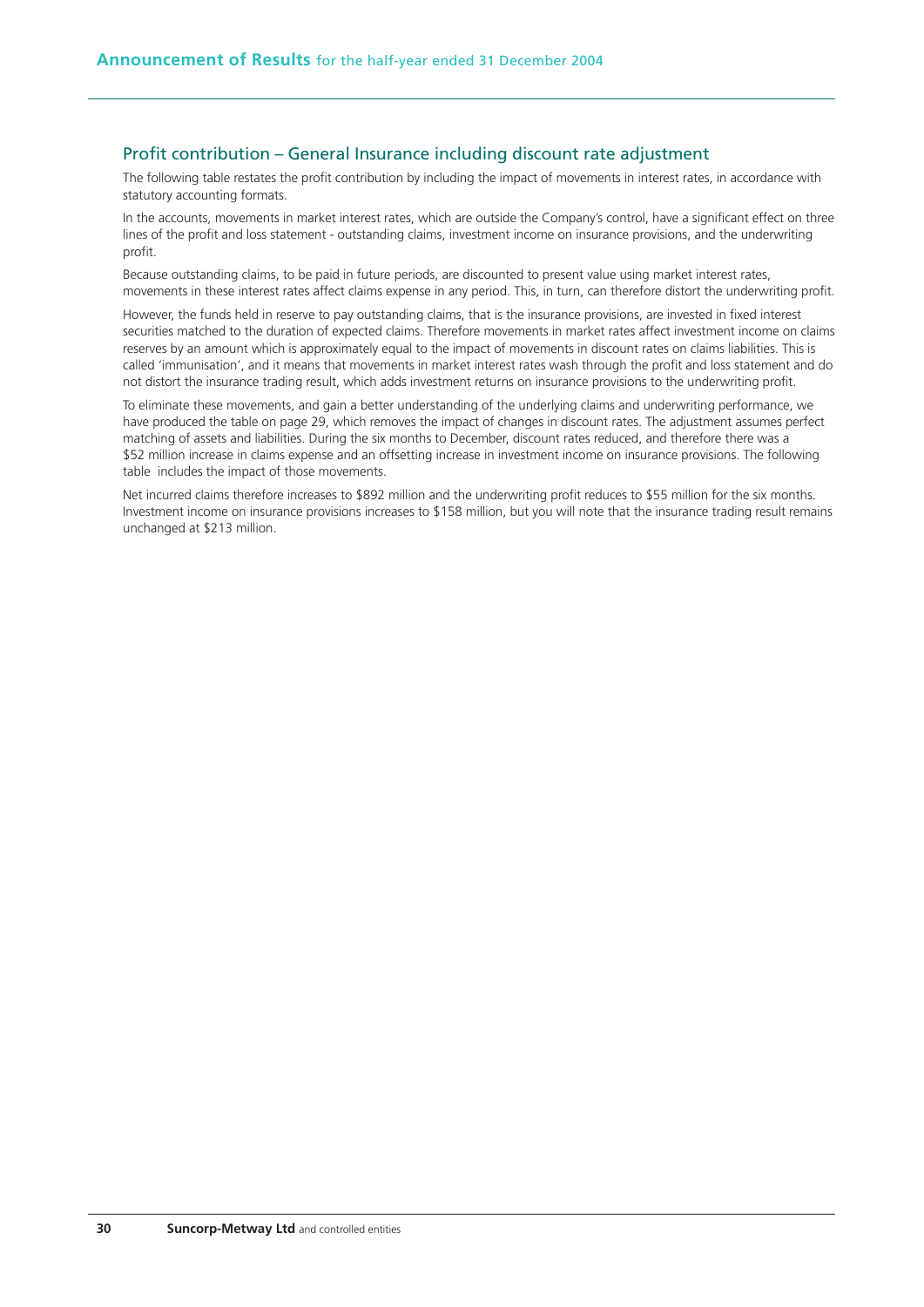## Profit contribution – General Insurance including discount rate adjustment

The following table restates the profit contribution by including the impact of movements in interest rates, in accordance with statutory accounting formats.

In the accounts, movements in market interest rates, which are outside the Company's control, have a significant effect on three lines of the profit and loss statement - outstanding claims, investment income on insurance provisions, and the underwriting profit.

Because outstanding claims, to be paid in future periods, are discounted to present value using market interest rates, movements in these interest rates affect claims expense in any period. This, in turn, can therefore distort the underwriting profit.

However, the funds held in reserve to pay outstanding claims, that is the insurance provisions, are invested in fixed interest securities matched to the duration of expected claims. Therefore movements in market rates affect investment income on claims reserves by an amount which is approximately equal to the impact of movements in discount rates on claims liabilities. This is called 'immunisation', and it means that movements in market interest rates wash through the profit and loss statement and do not distort the insurance trading result, which adds investment returns on insurance provisions to the underwriting profit.

To eliminate these movements, and gain a better understanding of the underlying claims and underwriting performance, we have produced the table on page 29, which removes the impact of changes in discount rates. The adjustment assumes perfect matching of assets and liabilities. During the six months to December, discount rates reduced, and therefore there was a \$52 million increase in claims expense and an offsetting increase in investment income on insurance provisions. The following table includes the impact of those movements.

Net incurred claims therefore increases to \$892 million and the underwriting profit reduces to \$55 million for the six months. Investment income on insurance provisions increases to \$158 million, but you will note that the insurance trading result remains unchanged at \$213 million.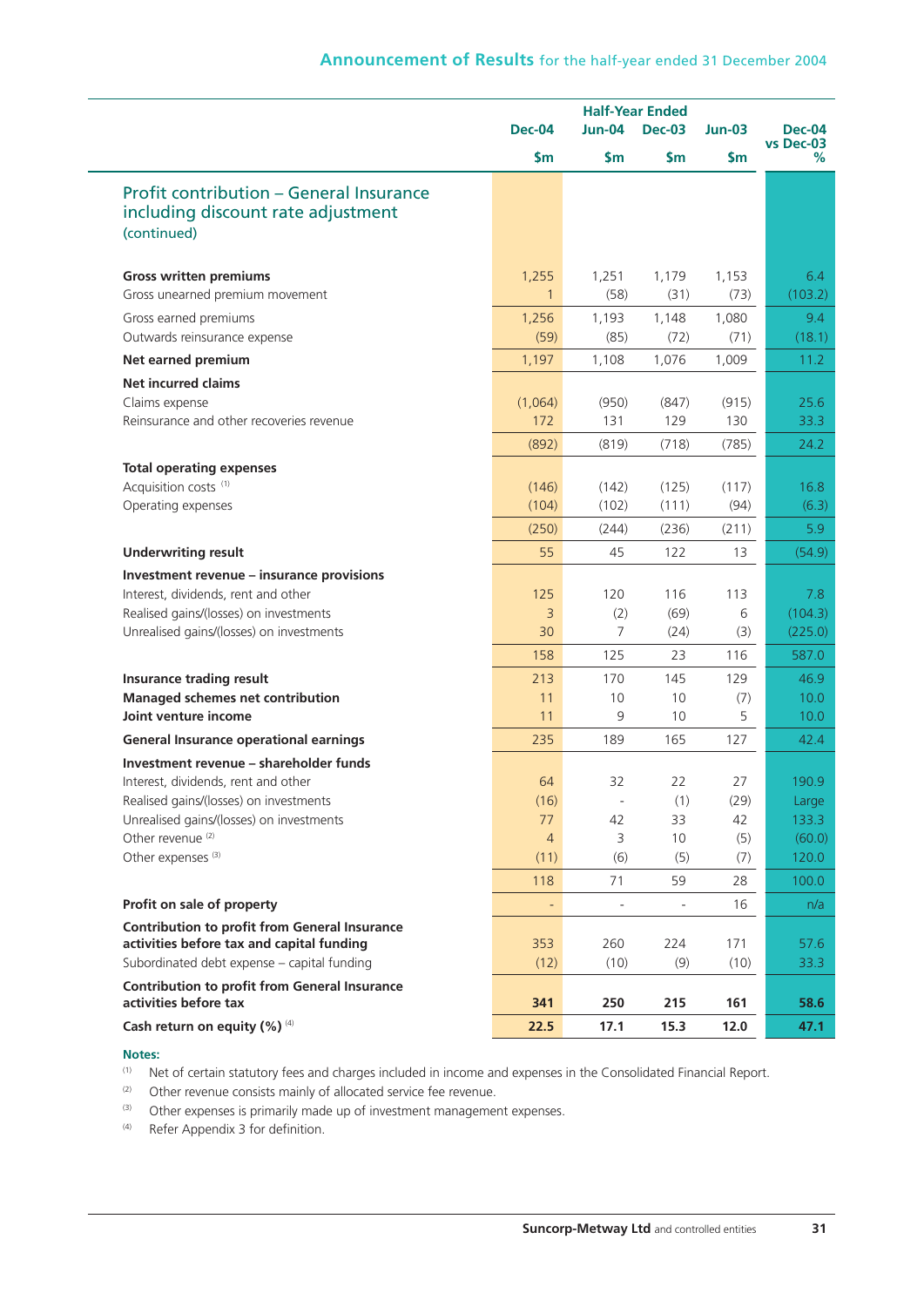|                                                                               |                | <b>Half-Year Ended</b>   |               |               |                            |
|-------------------------------------------------------------------------------|----------------|--------------------------|---------------|---------------|----------------------------|
|                                                                               | <b>Dec-04</b>  | <b>Jun-04</b>            | <b>Dec-03</b> | $Jun-03$      | <b>Dec-04</b><br>vs Dec-03 |
|                                                                               | \$m\$          | \$m                      | $\mathsf{Sm}$ | $\mathsf{Sm}$ | %                          |
| <b>Profit contribution - General Insurance</b>                                |                |                          |               |               |                            |
| including discount rate adjustment                                            |                |                          |               |               |                            |
| (continued)                                                                   |                |                          |               |               |                            |
| <b>Gross written premiums</b>                                                 | 1,255          | 1,251                    | 1,179         | 1,153         | 6.4                        |
| Gross unearned premium movement                                               | $\mathbf{1}$   | (58)                     | (31)          | (73)          | (103.2)                    |
| Gross earned premiums                                                         | 1,256          | 1,193                    | 1,148         | 1,080         | 9.4                        |
| Outwards reinsurance expense                                                  | (59)           | (85)                     | (72)          | (71)          | (18.1)                     |
| Net earned premium                                                            | 1,197          | 1,108                    | 1,076         | 1,009         | 11.2                       |
| <b>Net incurred claims</b>                                                    |                |                          |               |               |                            |
| Claims expense                                                                | (1,064)        | (950)                    | (847)         | (915)         | 25.6                       |
| Reinsurance and other recoveries revenue                                      | 172            | 131                      | 129           | 130           | 33.3                       |
|                                                                               | (892)          | (819)                    | (718)         | (785)         | 24.2                       |
| <b>Total operating expenses</b>                                               |                |                          |               |               |                            |
| Acquisition costs <sup>(1)</sup>                                              | (146)          | (142)                    | (125)         | (117)         | 16.8                       |
| Operating expenses                                                            | (104)          | (102)                    | (111)         | (94)          | (6.3)                      |
|                                                                               | (250)          | (244)                    | (236)         | (211)         | 5.9                        |
| <b>Underwriting result</b>                                                    | 55             | 45                       | 122           | 13            | (54.9)                     |
| Investment revenue - insurance provisions                                     |                |                          |               |               |                            |
| Interest, dividends, rent and other                                           | 125            | 120                      | 116           | 113           | 7.8                        |
| Realised gains/(losses) on investments                                        | 3              | (2)<br>$\overline{7}$    | (69)          | 6             | (104.3)                    |
| Unrealised gains/(losses) on investments                                      | 30             |                          | (24)          | (3)           | (225.0)                    |
|                                                                               | 158            | 125                      | 23            | 116           | 587.0                      |
| Insurance trading result                                                      | 213            | 170                      | 145           | 129           | 46.9                       |
| Managed schemes net contribution<br>Joint venture income                      | 11<br>11       | 10<br>9                  | 10<br>10      | (7)<br>5      | 10.0<br>10.0               |
| <b>General Insurance operational earnings</b>                                 | 235            | 189                      | 165           | 127           | 42.4                       |
|                                                                               |                |                          |               |               |                            |
| Investment revenue - shareholder funds<br>Interest, dividends, rent and other | 64             | 32                       | 22            | 27            | 190.9                      |
| Realised gains/(losses) on investments                                        | (16)           | $\overline{\phantom{a}}$ | (1)           | (29)          | Large                      |
| Unrealised gains/(losses) on investments                                      | 77             | 42                       | 33            | 42            | 133.3                      |
| Other revenue <sup>(2)</sup>                                                  | $\overline{4}$ | 3                        | 10            | (5)           | (60.0)                     |
| Other expenses <sup>(3)</sup>                                                 | (11)           | (6)                      | (5)           | (7)           | 120.0                      |
|                                                                               | 118            | 71                       | 59            | 28            | 100.0                      |
| Profit on sale of property                                                    | ÷,             |                          |               | 16            | n/a                        |
| <b>Contribution to profit from General Insurance</b>                          |                |                          |               |               |                            |
| activities before tax and capital funding                                     | 353            | 260                      | 224           | 171           | 57.6                       |
| Subordinated debt expense - capital funding                                   | (12)           | (10)                     | (9)           | (10)          | 33.3                       |
| <b>Contribution to profit from General Insurance</b>                          |                |                          |               |               |                            |
| activities before tax                                                         | 341            | 250                      | 215           | 161           | 58.6                       |
| Cash return on equity (%) (4)                                                 | 22.5           | 17.1                     | 15.3          | 12.0          | 47.1                       |

#### **Notes:**

- (1) Net of certain statutory fees and charges included in income and expenses in the Consolidated Financial Report.
- $(2)$  Other revenue consists mainly of allocated service fee revenue.
- (3) Other expenses is primarily made up of investment management expenses.
- (4) Refer Appendix 3 for definition.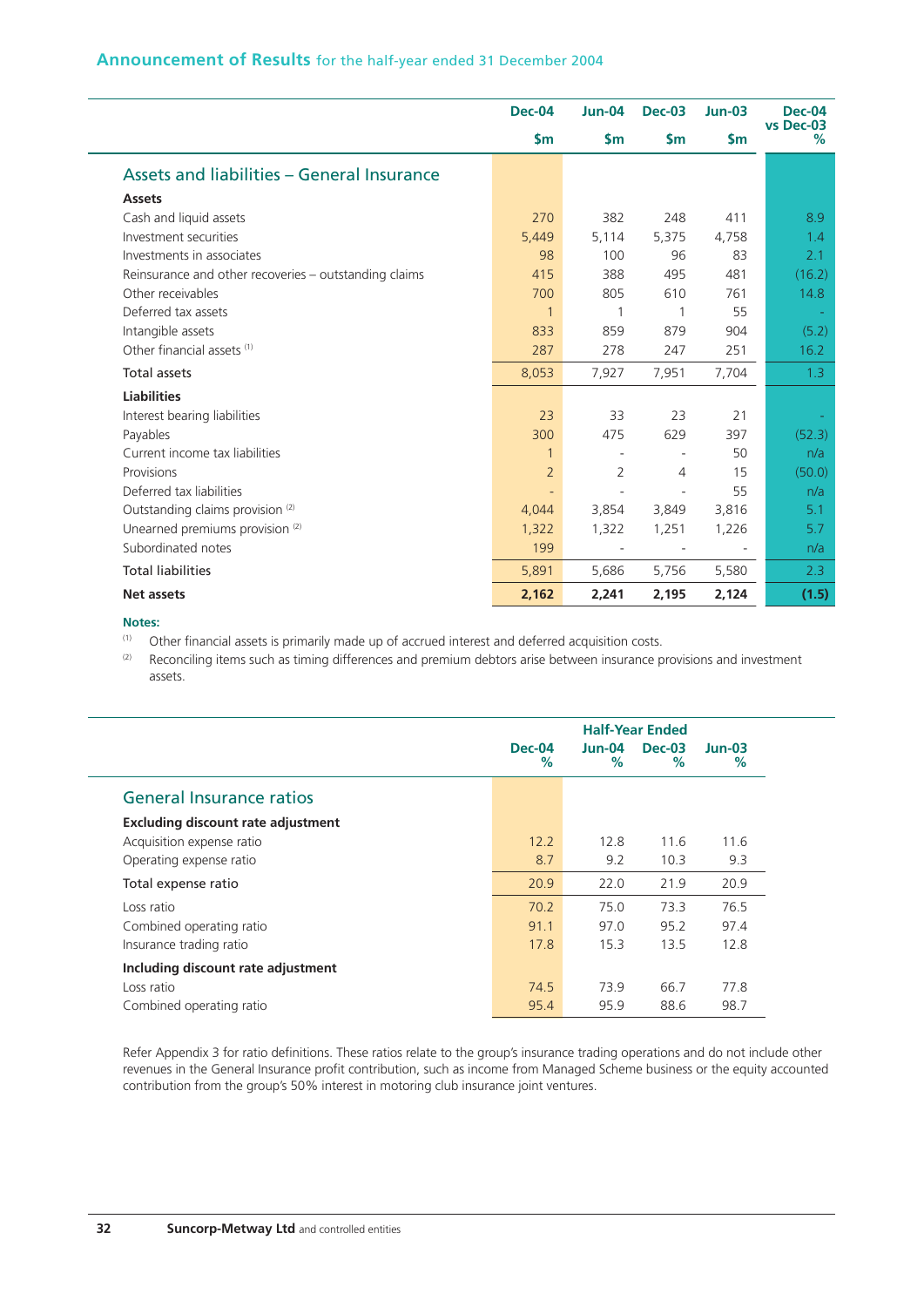## **Announcement of Results** for the half-year ended 31 December 2004

|                                                       | <b>Dec-04</b>            | <b>Jun-04</b>            | <b>Dec-03</b>            | $Jun-03$       | <b>Dec-04</b><br>vs Dec-03 |
|-------------------------------------------------------|--------------------------|--------------------------|--------------------------|----------------|----------------------------|
|                                                       | $\mathsf{Sm}$            | \$m\$                    | \$m\$                    | $\mathsf{S}$ m | $\%$                       |
| Assets and liabilities - General Insurance            |                          |                          |                          |                |                            |
| <b>Assets</b>                                         |                          |                          |                          |                |                            |
| Cash and liquid assets                                | 270                      | 382                      | 248                      | 411            | 8.9                        |
| Investment securities                                 | 5,449                    | 5,114                    | 5,375                    | 4,758          | 1.4                        |
| Investments in associates                             | 98                       | 100                      | 96                       | 83             | 2.1                        |
| Reinsurance and other recoveries – outstanding claims | 415                      | 388                      | 495                      | 481            | (16.2)                     |
| Other receivables                                     | 700                      | 805                      | 610                      | 761            | 14.8                       |
| Deferred tax assets                                   | $\mathbf{1}$             | 1                        | 1                        | 55             |                            |
| Intangible assets                                     | 833                      | 859                      | 879                      | 904            | (5.2)                      |
| Other financial assets (1)                            | 287                      | 278                      | 247                      | 251            | 16.2                       |
| <b>Total assets</b>                                   | 8,053                    | 7,927                    | 7,951                    | 7,704          | 1.3                        |
| <b>Liabilities</b>                                    |                          |                          |                          |                |                            |
| Interest bearing liabilities                          | 23                       | 33                       | 23                       | 21             |                            |
| Payables                                              | 300                      | 475                      | 629                      | 397            | (52.3)                     |
| Current income tax liabilities                        | $\mathbf{1}$             |                          |                          | 50             | n/a                        |
| Provisions                                            | $\overline{2}$           | 2                        | 4                        | 15             | (50.0)                     |
| Deferred tax liabilities                              | $\overline{\phantom{a}}$ | $\overline{\phantom{m}}$ | $\overline{\phantom{m}}$ | 55             | n/a                        |
| Outstanding claims provision <sup>(2)</sup>           | 4,044                    | 3,854                    | 3,849                    | 3,816          | 5.1                        |
| Unearned premiums provision <sup>(2)</sup>            | 1,322                    | 1,322                    | 1,251                    | 1,226          | 5.7                        |
| Subordinated notes                                    | 199                      |                          |                          |                | n/a                        |
| <b>Total liabilities</b>                              | 5,891                    | 5,686                    | 5,756                    | 5,580          | 2.3                        |
| Net assets                                            | 2,162                    | 2,241                    | 2,195                    | 2,124          | (1.5)                      |

#### **Notes:**

(1) Other financial assets is primarily made up of accrued interest and deferred acquisition costs.

(2) Reconciling items such as timing differences and premium debtors arise between insurance provisions and investment assets.

|                                           | <b>Half-Year Ended</b> |                    |                    |               |
|-------------------------------------------|------------------------|--------------------|--------------------|---------------|
|                                           | <b>Dec-04</b><br>℅     | <b>Jun-04</b><br>% | <b>Dec-03</b><br>% | $Jun-03$<br>% |
| <b>General Insurance ratios</b>           |                        |                    |                    |               |
| <b>Excluding discount rate adjustment</b> |                        |                    |                    |               |
| Acquisition expense ratio                 | 12.2                   | 12.8               | 11.6               | 11.6          |
| Operating expense ratio                   | 8.7                    | 9.2                | 10.3               | 9.3           |
| Total expense ratio                       | 20.9                   | 22.0               | 21.9               | 20.9          |
| Loss ratio                                | 70.2                   | 75.0               | 73.3               | 76.5          |
| Combined operating ratio                  | 91.1                   | 97.0               | 95.2               | 97.4          |
| Insurance trading ratio                   | 17.8                   | 15.3               | 13.5               | 12.8          |
| Including discount rate adjustment        |                        |                    |                    |               |
| Loss ratio                                | 74.5                   | 73.9               | 66.7               | 77.8          |
| Combined operating ratio                  | 95.4                   | 95.9               | 88.6               | 98.7          |

Refer Appendix 3 for ratio definitions. These ratios relate to the group's insurance trading operations and do not include other revenues in the General Insurance profit contribution, such as income from Managed Scheme business or the equity accounted contribution from the group's 50% interest in motoring club insurance joint ventures.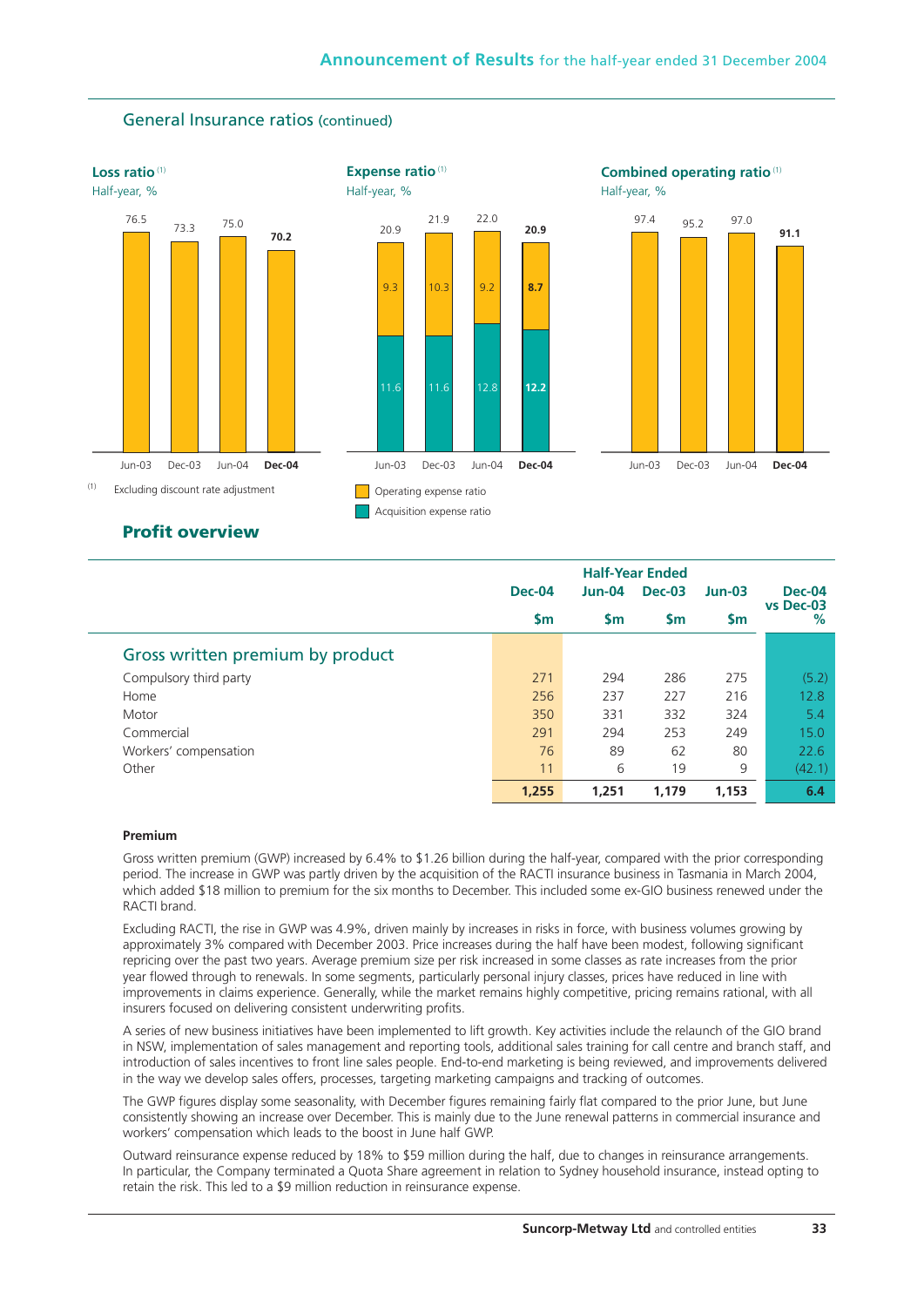

## General Insurance ratios (continued)

### **Profit overview**

|                                  | <b>Dec-04</b> | <b>Half-Year Ended</b><br>$Jun-04$<br><b>Dec-03</b> |           | $Jun-03$  | <b>Dec-04</b>  |
|----------------------------------|---------------|-----------------------------------------------------|-----------|-----------|----------------|
|                                  | $\mathsf{Sm}$ | <b>Sm</b>                                           | <b>Sm</b> | <b>Sm</b> | vs Dec-03<br>% |
| Gross written premium by product |               |                                                     |           |           |                |
| Compulsory third party           | 271           | 294                                                 | 286       | 275       | (5.2)          |
| Home                             | 256           | 237                                                 | 227       | 216       | 12.8           |
| Motor                            | 350           | 331                                                 | 332       | 324       | 5.4            |
| Commercial                       | 291           | 294                                                 | 253       | 249       | 15.0           |
| Workers' compensation            | 76            | 89                                                  | 62        | 80        | 22.6           |
| Other                            | 11            | 6                                                   | 19        | 9         | (42.1)         |
|                                  | 1,255         | 1,251                                               | 1,179     | 1,153     | 6.4            |

#### **Premium**

Gross written premium (GWP) increased by 6.4% to \$1.26 billion during the half-year, compared with the prior corresponding period. The increase in GWP was partly driven by the acquisition of the RACTI insurance business in Tasmania in March 2004, which added \$18 million to premium for the six months to December. This included some ex-GIO business renewed under the RACTI brand.

Excluding RACTI, the rise in GWP was 4.9%, driven mainly by increases in risks in force, with business volumes growing by approximately 3% compared with December 2003. Price increases during the half have been modest, following significant repricing over the past two years. Average premium size per risk increased in some classes as rate increases from the prior year flowed through to renewals. In some segments, particularly personal injury classes, prices have reduced in line with improvements in claims experience. Generally, while the market remains highly competitive, pricing remains rational, with all insurers focused on delivering consistent underwriting profits.

A series of new business initiatives have been implemented to lift growth. Key activities include the relaunch of the GIO brand in NSW, implementation of sales management and reporting tools, additional sales training for call centre and branch staff, and introduction of sales incentives to front line sales people. End-to-end marketing is being reviewed, and improvements delivered in the way we develop sales offers, processes, targeting marketing campaigns and tracking of outcomes.

The GWP figures display some seasonality, with December figures remaining fairly flat compared to the prior June, but June consistently showing an increase over December. This is mainly due to the June renewal patterns in commercial insurance and workers' compensation which leads to the boost in June half GWP.

Outward reinsurance expense reduced by 18% to \$59 million during the half, due to changes in reinsurance arrangements. In particular, the Company terminated a Quota Share agreement in relation to Sydney household insurance, instead opting to retain the risk. This led to a \$9 million reduction in reinsurance expense.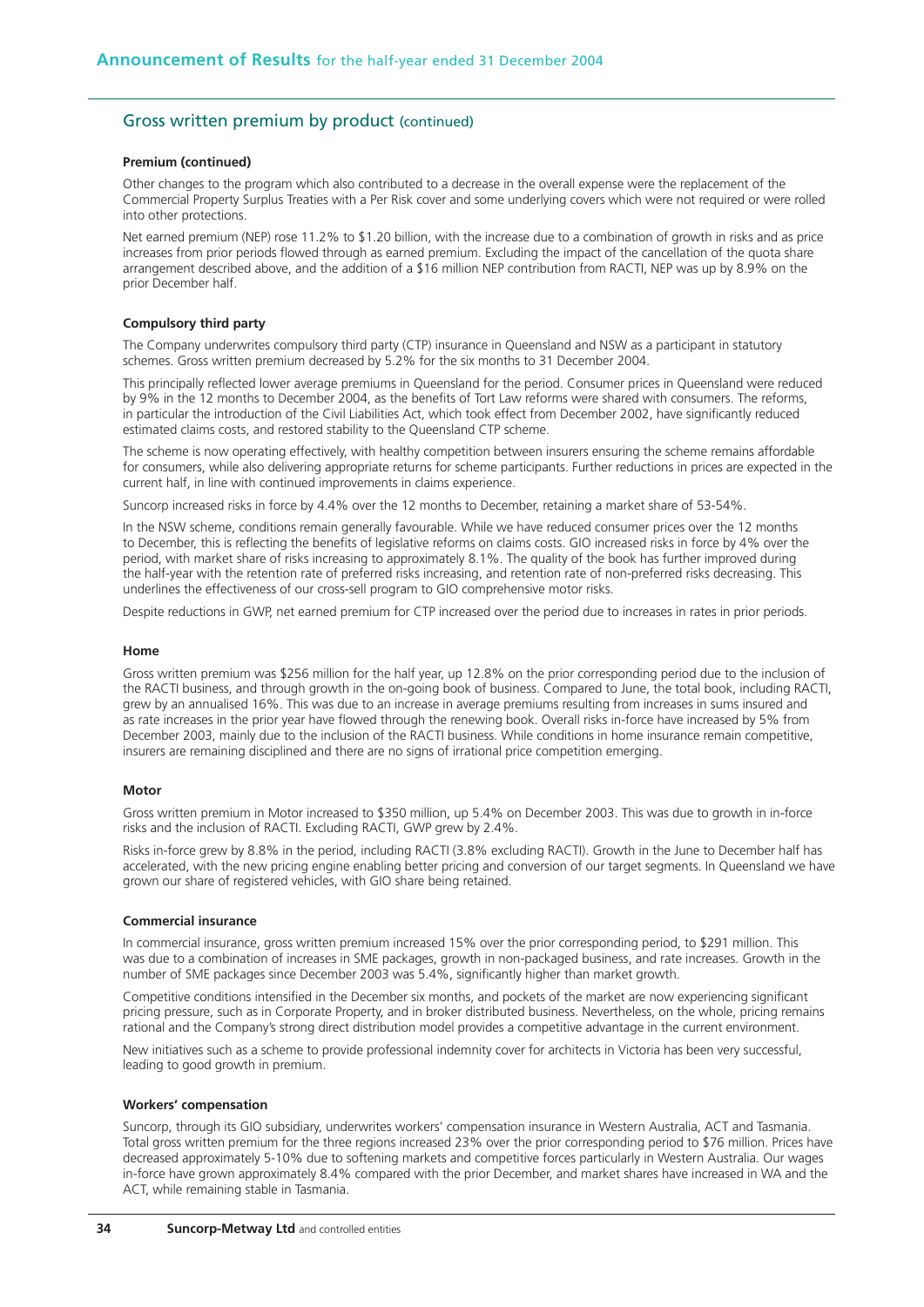## Gross written premium by product (continued)

#### **Premium (continued)**

Other changes to the program which also contributed to a decrease in the overall expense were the replacement of the Commercial Property Surplus Treaties with a Per Risk cover and some underlying covers which were not required or were rolled into other protections.

Net earned premium (NEP) rose 11.2% to \$1.20 billion, with the increase due to a combination of growth in risks and as price increases from prior periods flowed through as earned premium. Excluding the impact of the cancellation of the quota share arrangement described above, and the addition of a \$16 million NEP contribution from RACTI, NEP was up by 8.9% on the prior December half.

#### **Compulsory third party**

The Company underwrites compulsory third party (CTP) insurance in Queensland and NSW as a participant in statutory schemes. Gross written premium decreased by 5.2% for the six months to 31 December 2004.

This principally reflected lower average premiums in Queensland for the period. Consumer prices in Queensland were reduced by 9% in the 12 months to December 2004, as the benefits of Tort Law reforms were shared with consumers. The reforms, in particular the introduction of the Civil Liabilities Act, which took effect from December 2002, have significantly reduced estimated claims costs, and restored stability to the Queensland CTP scheme.

The scheme is now operating effectively, with healthy competition between insurers ensuring the scheme remains affordable for consumers, while also delivering appropriate returns for scheme participants. Further reductions in prices are expected in the current half, in line with continued improvements in claims experience.

Suncorp increased risks in force by 4.4% over the 12 months to December, retaining a market share of 53-54%.

In the NSW scheme, conditions remain generally favourable. While we have reduced consumer prices over the 12 months to December, this is reflecting the benefits of legislative reforms on claims costs. GIO increased risks in force by 4% over the period, with market share of risks increasing to approximately 8.1%. The quality of the book has further improved during the half-year with the retention rate of preferred risks increasing, and retention rate of non-preferred risks decreasing. This underlines the effectiveness of our cross-sell program to GIO comprehensive motor risks.

Despite reductions in GWP, net earned premium for CTP increased over the period due to increases in rates in prior periods.

#### **Home**

Gross written premium was \$256 million for the half year, up 12.8% on the prior corresponding period due to the inclusion of the RACTI business, and through growth in the on-going book of business. Compared to June, the total book, including RACTI, grew by an annualised 16%. This was due to an increase in average premiums resulting from increases in sums insured and as rate increases in the prior year have flowed through the renewing book. Overall risks in-force have increased by 5% from December 2003, mainly due to the inclusion of the RACTI business. While conditions in home insurance remain competitive, insurers are remaining disciplined and there are no signs of irrational price competition emerging.

#### **Motor**

Gross written premium in Motor increased to \$350 million, up 5.4% on December 2003. This was due to growth in in-force risks and the inclusion of RACTI. Excluding RACTI, GWP grew by 2.4%.

Risks in-force grew by 8.8% in the period, including RACTI (3.8% excluding RACTI). Growth in the June to December half has accelerated, with the new pricing engine enabling better pricing and conversion of our target segments. In Queensland we have grown our share of registered vehicles, with GIO share being retained.

#### **Commercial insurance**

In commercial insurance, gross written premium increased 15% over the prior corresponding period, to \$291 million. This was due to a combination of increases in SME packages, growth in non-packaged business, and rate increases. Growth in the number of SME packages since December 2003 was 5.4%, significantly higher than market growth.

Competitive conditions intensified in the December six months, and pockets of the market are now experiencing significant pricing pressure, such as in Corporate Property, and in broker distributed business. Nevertheless, on the whole, pricing remains rational and the Company's strong direct distribution model provides a competitive advantage in the current environment.

New initiatives such as a scheme to provide professional indemnity cover for architects in Victoria has been very successful, leading to good growth in premium.

#### **Workers' compensation**

Suncorp, through its GIO subsidiary, underwrites workers' compensation insurance in Western Australia, ACT and Tasmania. Total gross written premium for the three regions increased 23% over the prior corresponding period to \$76 million. Prices have decreased approximately 5-10% due to softening markets and competitive forces particularly in Western Australia. Our wages in-force have grown approximately 8.4% compared with the prior December, and market shares have increased in WA and the ACT, while remaining stable in Tasmania.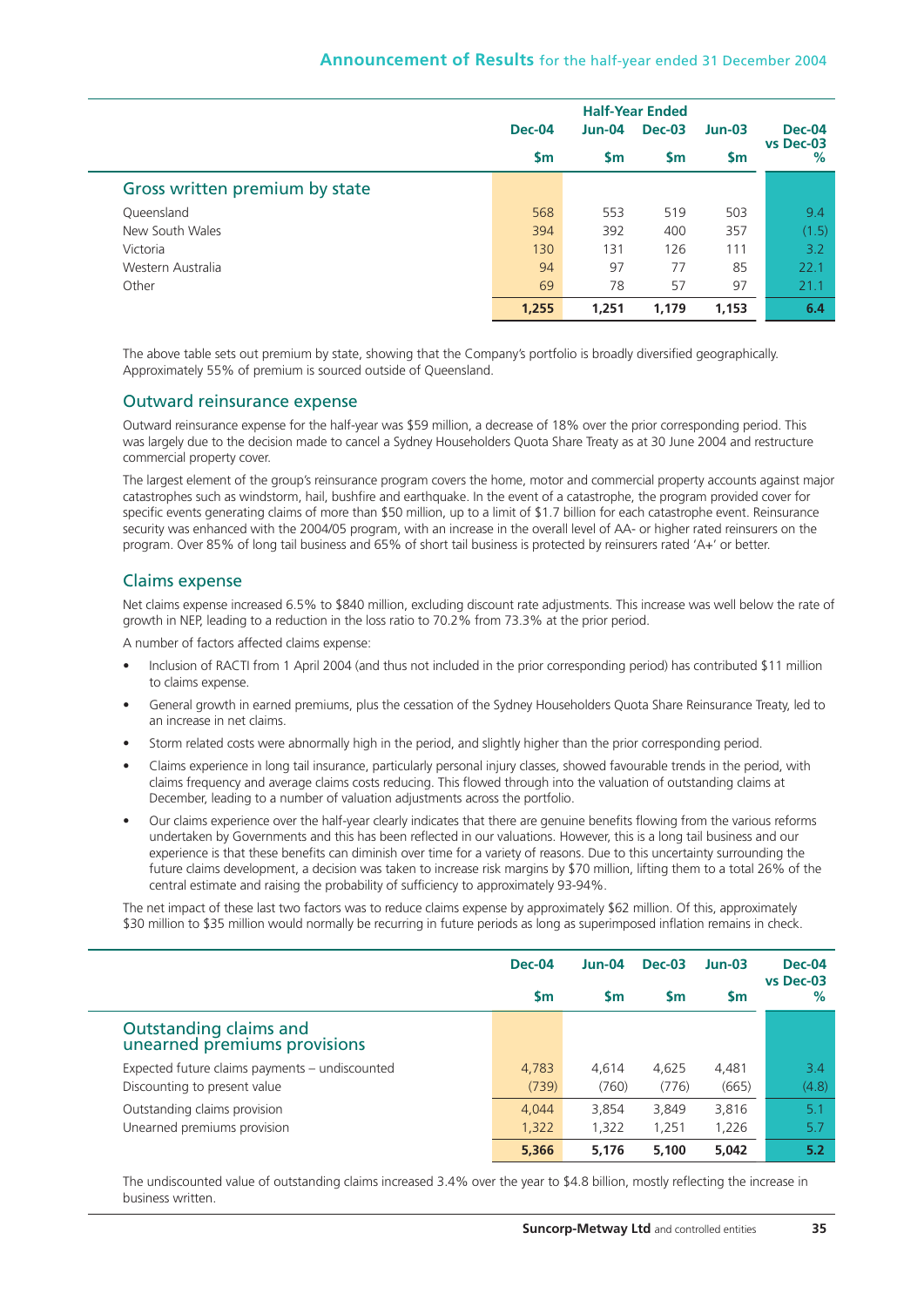|                                |               | <b>Half-Year Ended</b> |               |               |                |  |
|--------------------------------|---------------|------------------------|---------------|---------------|----------------|--|
|                                | <b>Dec-04</b> | $Jun-04$               | <b>Dec-03</b> | $Jun-03$      | <b>Dec-04</b>  |  |
|                                | \$m           | \$m                    | <b>Sm</b>     | $\mathsf{Sm}$ | vs Dec-03<br>% |  |
| Gross written premium by state |               |                        |               |               |                |  |
| Queensland                     | 568           | 553                    | 519           | 503           | 9.4            |  |
| New South Wales                | 394           | 392                    | 400           | 357           | (1.5)          |  |
| Victoria                       | 130           | 131                    | 126           | 111           | 3.2            |  |
| Western Australia              | 94            | 97                     | 77            | 85            | 22.1           |  |
| Other                          | 69            | 78                     | 57            | 97            | 21.1           |  |
|                                | 1,255         | 1,251                  | 1,179         | 1,153         | 6.4            |  |

The above table sets out premium by state, showing that the Company's portfolio is broadly diversified geographically. Approximately 55% of premium is sourced outside of Queensland.

## Outward reinsurance expense

Outward reinsurance expense for the half-year was \$59 million, a decrease of 18% over the prior corresponding period. This was largely due to the decision made to cancel a Sydney Householders Quota Share Treaty as at 30 June 2004 and restructure commercial property cover.

The largest element of the group's reinsurance program covers the home, motor and commercial property accounts against major catastrophes such as windstorm, hail, bushfire and earthquake. In the event of a catastrophe, the program provided cover for specific events generating claims of more than \$50 million, up to a limit of \$1.7 billion for each catastrophe event. Reinsurance security was enhanced with the 2004/05 program, with an increase in the overall level of AA- or higher rated reinsurers on the program. Over 85% of long tail business and 65% of short tail business is protected by reinsurers rated 'A+' or better.

## Claims expense

Net claims expense increased 6.5% to \$840 million, excluding discount rate adjustments. This increase was well below the rate of growth in NEP, leading to a reduction in the loss ratio to 70.2% from 73.3% at the prior period.

A number of factors affected claims expense:

- Inclusion of RACTI from 1 April 2004 (and thus not included in the prior corresponding period) has contributed \$11 million to claims expense.
- General growth in earned premiums, plus the cessation of the Sydney Householders Quota Share Reinsurance Treaty, led to an increase in net claims.
- Storm related costs were abnormally high in the period, and slightly higher than the prior corresponding period.
- Claims experience in long tail insurance, particularly personal injury classes, showed favourable trends in the period, with claims frequency and average claims costs reducing. This flowed through into the valuation of outstanding claims at December, leading to a number of valuation adjustments across the portfolio.
- Our claims experience over the half-year clearly indicates that there are genuine benefits flowing from the various reforms undertaken by Governments and this has been reflected in our valuations. However, this is a long tail business and our experience is that these benefits can diminish over time for a variety of reasons. Due to this uncertainty surrounding the future claims development, a decision was taken to increase risk margins by \$70 million, lifting them to a total 26% of the central estimate and raising the probability of sufficiency to approximately 93-94%.

The net impact of these last two factors was to reduce claims expense by approximately \$62 million. Of this, approximately \$30 million to \$35 million would normally be recurring in future periods as long as superimposed inflation remains in check.

|                                                        | <b>Dec-04</b> | Jun-04 | <b>Dec-03</b> | $Jun-03$ | <b>Dec-04</b>  |
|--------------------------------------------------------|---------------|--------|---------------|----------|----------------|
|                                                        | Sm            | Sm     | Sm            | Sm       | vs Dec-03<br>% |
| Outstanding claims and<br>unearned premiums provisions |               |        |               |          |                |
| Expected future claims payments - undiscounted         | 4,783         | 4.614  | 4.625         | 4,481    | 3.4            |
| Discounting to present value                           | (739)         | (760)  | (776)         | (665)    | (4.8)          |
| Outstanding claims provision                           | 4.044         | 3.854  | 3.849         | 3,816    | 5.1            |
| Unearned premiums provision                            | 1,322         | 1,322  | 1,251         | 1,226    | 5.7            |
|                                                        | 5,366         | 5,176  | 5,100         | 5.042    | 5.2            |

The undiscounted value of outstanding claims increased 3.4% over the year to \$4.8 billion, mostly reflecting the increase in business written.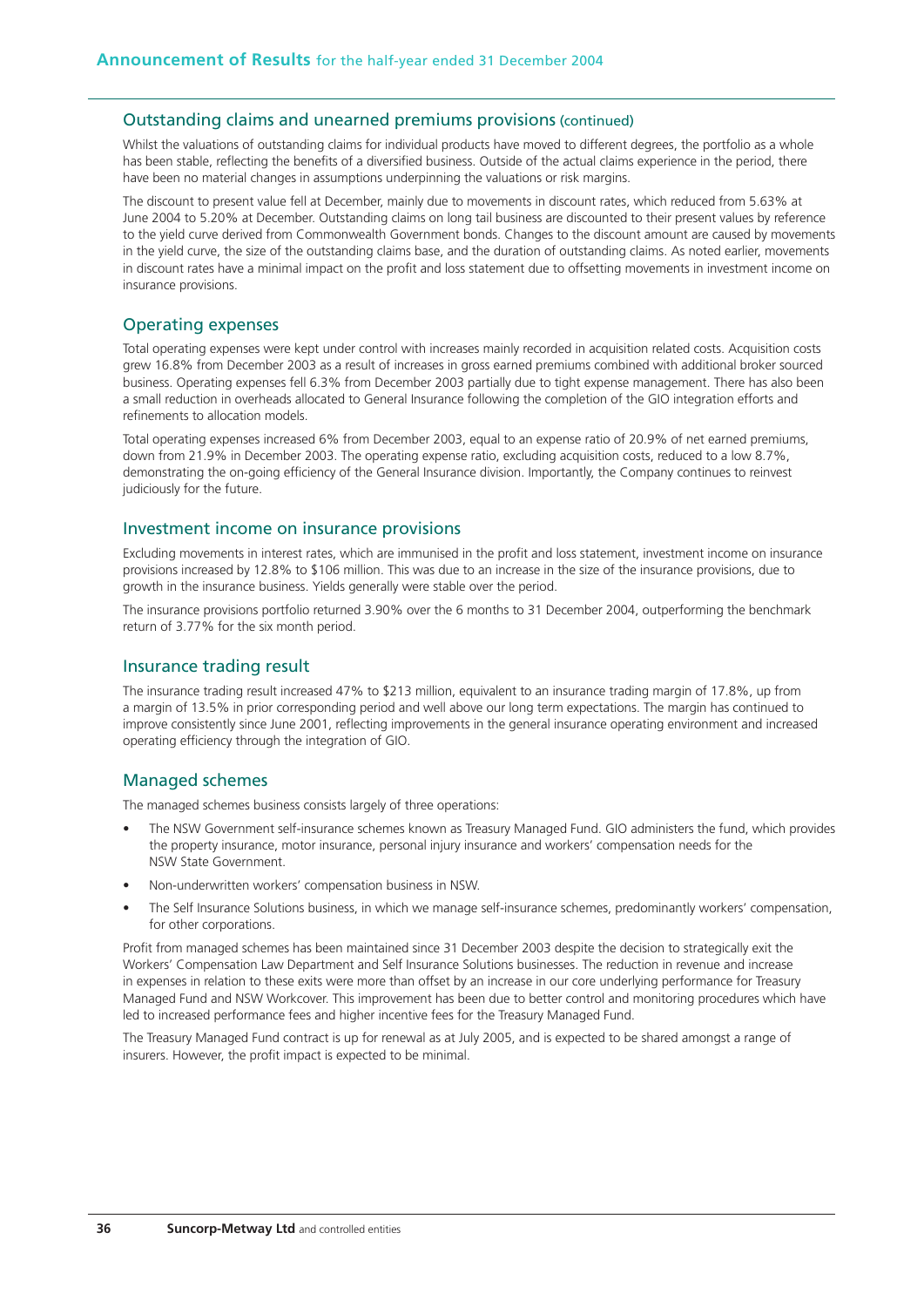#### Outstanding claims and unearned premiums provisions (continued)

Whilst the valuations of outstanding claims for individual products have moved to different degrees, the portfolio as a whole has been stable, reflecting the benefits of a diversified business. Outside of the actual claims experience in the period, there have been no material changes in assumptions underpinning the valuations or risk margins.

The discount to present value fell at December, mainly due to movements in discount rates, which reduced from 5.63% at June 2004 to 5.20% at December. Outstanding claims on long tail business are discounted to their present values by reference to the yield curve derived from Commonwealth Government bonds. Changes to the discount amount are caused by movements in the yield curve, the size of the outstanding claims base, and the duration of outstanding claims. As noted earlier, movements in discount rates have a minimal impact on the profit and loss statement due to offsetting movements in investment income on insurance provisions.

#### Operating expenses

Total operating expenses were kept under control with increases mainly recorded in acquisition related costs. Acquisition costs grew 16.8% from December 2003 as a result of increases in gross earned premiums combined with additional broker sourced business. Operating expenses fell 6.3% from December 2003 partially due to tight expense management. There has also been a small reduction in overheads allocated to General Insurance following the completion of the GIO integration efforts and refinements to allocation models.

Total operating expenses increased 6% from December 2003, equal to an expense ratio of 20.9% of net earned premiums, down from 21.9% in December 2003. The operating expense ratio, excluding acquisition costs, reduced to a low 8.7%, demonstrating the on-going efficiency of the General Insurance division. Importantly, the Company continues to reinvest judiciously for the future.

#### Investment income on insurance provisions

Excluding movements in interest rates, which are immunised in the profit and loss statement, investment income on insurance provisions increased by 12.8% to \$106 million. This was due to an increase in the size of the insurance provisions, due to growth in the insurance business. Yields generally were stable over the period.

The insurance provisions portfolio returned 3.90% over the 6 months to 31 December 2004, outperforming the benchmark return of 3.77% for the six month period.

#### Insurance trading result

The insurance trading result increased 47% to \$213 million, equivalent to an insurance trading margin of 17.8%, up from a margin of 13.5% in prior corresponding period and well above our long term expectations. The margin has continued to improve consistently since June 2001, reflecting improvements in the general insurance operating environment and increased operating efficiency through the integration of GIO.

## Managed schemes

The managed schemes business consists largely of three operations:

- The NSW Government self-insurance schemes known as Treasury Managed Fund. GIO administers the fund, which provides the property insurance, motor insurance, personal injury insurance and workers' compensation needs for the NSW State Government.
- Non-underwritten workers' compensation business in NSW.
- The Self Insurance Solutions business, in which we manage self-insurance schemes, predominantly workers' compensation, for other corporations.

Profit from managed schemes has been maintained since 31 December 2003 despite the decision to strategically exit the Workers' Compensation Law Department and Self Insurance Solutions businesses. The reduction in revenue and increase in expenses in relation to these exits were more than offset by an increase in our core underlying performance for Treasury Managed Fund and NSW Workcover. This improvement has been due to better control and monitoring procedures which have led to increased performance fees and higher incentive fees for the Treasury Managed Fund.

The Treasury Managed Fund contract is up for renewal as at July 2005, and is expected to be shared amongst a range of insurers. However, the profit impact is expected to be minimal.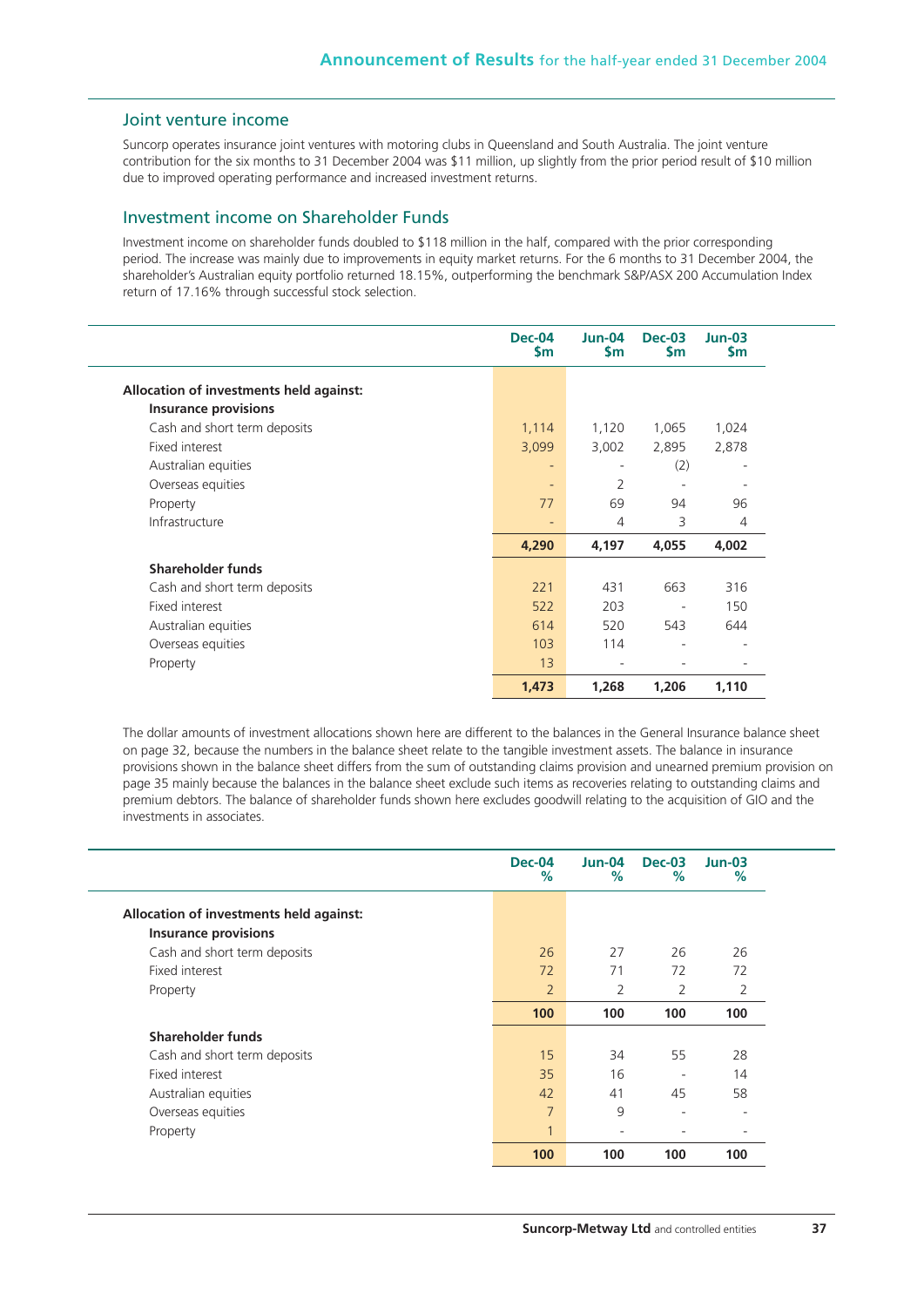## Joint venture income

Suncorp operates insurance joint ventures with motoring clubs in Queensland and South Australia. The joint venture contribution for the six months to 31 December 2004 was \$11 million, up slightly from the prior period result of \$10 million due to improved operating performance and increased investment returns.

## Investment income on Shareholder Funds

Investment income on shareholder funds doubled to \$118 million in the half, compared with the prior corresponding period. The increase was mainly due to improvements in equity market returns. For the 6 months to 31 December 2004, the shareholder's Australian equity portfolio returned 18.15%, outperforming the benchmark S&P/ASX 200 Accumulation Index return of 17.16% through successful stock selection.

|                                         | <b>Dec-04</b><br>\$m | Jun-04<br>\$m | <b>Dec-03</b><br>\$m     | $Jun-03$<br>\$m |
|-----------------------------------------|----------------------|---------------|--------------------------|-----------------|
| Allocation of investments held against: |                      |               |                          |                 |
| <b>Insurance provisions</b>             |                      |               |                          |                 |
| Cash and short term deposits            | 1,114                | 1,120         | 1,065                    | 1,024           |
| Fixed interest                          | 3,099                | 3,002         | 2,895                    | 2,878           |
| Australian equities                     | $\overline{a}$       |               | (2)                      | ٠               |
| Overseas equities                       | -                    | 2             |                          |                 |
| Property                                | 77                   | 69            | 94                       | 96              |
| Infrastructure                          | ٠                    | 4             | 3                        | 4               |
|                                         | 4,290                | 4,197         | 4,055                    | 4,002           |
| Shareholder funds                       |                      |               |                          |                 |
| Cash and short term deposits            | 221                  | 431           | 663                      | 316             |
| Fixed interest                          | 522                  | 203           | $\overline{\phantom{a}}$ | 150             |
| Australian equities                     | 614                  | 520           | 543                      | 644             |
| Overseas equities                       | 103                  | 114           | $\overline{\phantom{0}}$ | ٠               |
| Property                                | 13                   |               | $\overline{\phantom{a}}$ |                 |
|                                         | 1,473                | 1,268         | 1,206                    | 1,110           |

The dollar amounts of investment allocations shown here are different to the balances in the General Insurance balance sheet on page 32, because the numbers in the balance sheet relate to the tangible investment assets. The balance in insurance provisions shown in the balance sheet differs from the sum of outstanding claims provision and unearned premium provision on page 35 mainly because the balances in the balance sheet exclude such items as recoveries relating to outstanding claims and premium debtors. The balance of shareholder funds shown here excludes goodwill relating to the acquisition of GIO and the investments in associates.

|                                         | Dec-04<br>%    | $Jun-04$<br>% | <b>Dec-03</b><br>% | $Jun-03$<br>%  |
|-----------------------------------------|----------------|---------------|--------------------|----------------|
| Allocation of investments held against: |                |               |                    |                |
| <b>Insurance provisions</b>             |                |               |                    |                |
| Cash and short term deposits            | 26             | 27            | 26                 | 26             |
| Fixed interest                          | 72             | 71            | 72                 | 72             |
| Property                                | $\overline{2}$ | 2             | 2                  | $\overline{2}$ |
|                                         | 100            | 100           | 100                | 100            |
| Shareholder funds                       |                |               |                    |                |
| Cash and short term deposits            | 15             | 34            | 55                 | 28             |
| Fixed interest                          | 35             | 16            |                    | 14             |
| Australian equities                     | 42             | 41            | 45                 | 58             |
| Overseas equities                       | $\overline{7}$ | 9             | ۰                  | ٠              |
| Property                                | $\mathbf{1}$   | ٠             |                    |                |
|                                         | 100            | 100           | 100                | 100            |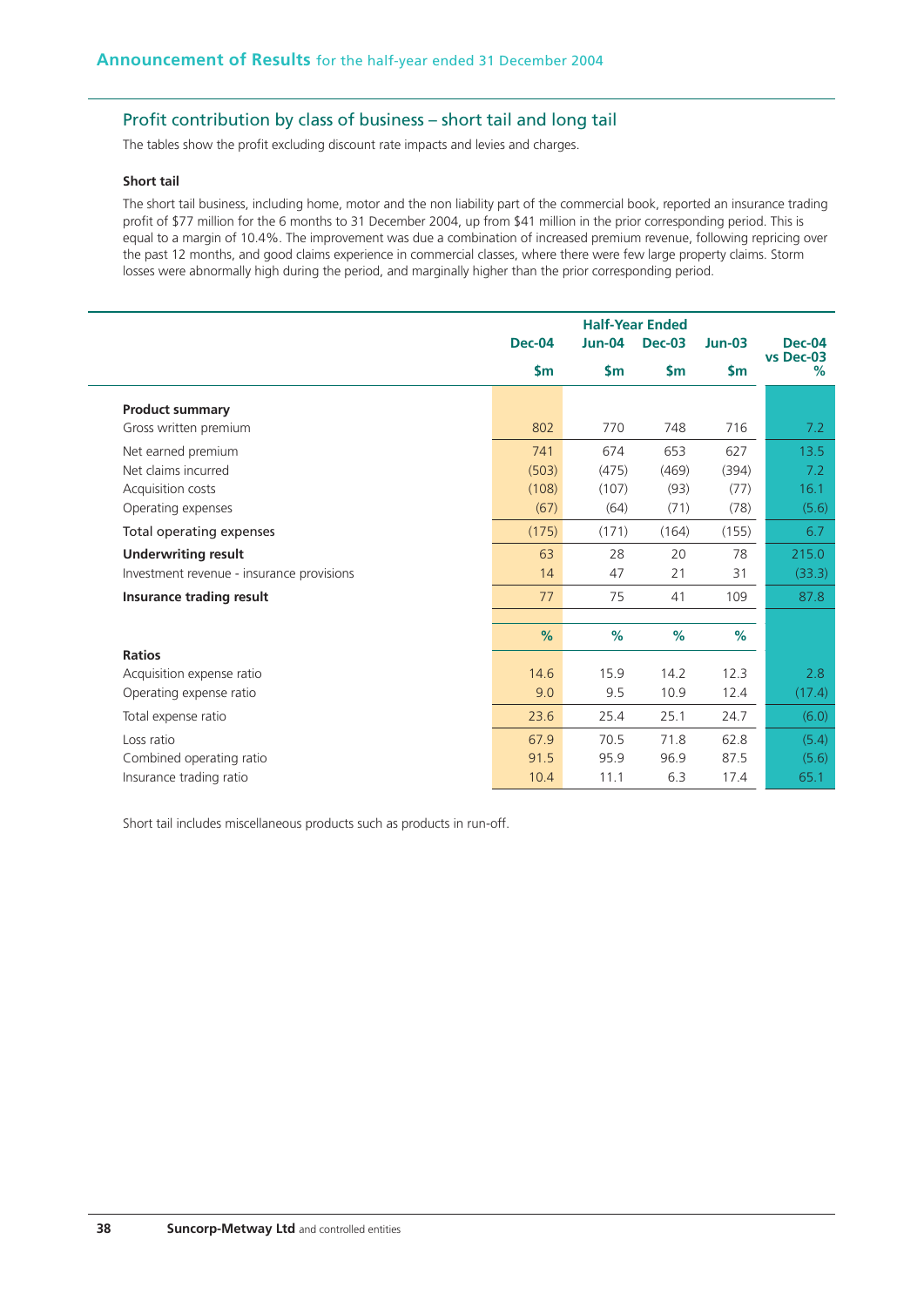## Profit contribution by class of business – short tail and long tail

The tables show the profit excluding discount rate impacts and levies and charges.

#### **Short tail**

The short tail business, including home, motor and the non liability part of the commercial book, reported an insurance trading profit of \$77 million for the 6 months to 31 December 2004, up from \$41 million in the prior corresponding period. This is equal to a margin of 10.4%. The improvement was due a combination of increased premium revenue, following repricing over the past 12 months, and good claims experience in commercial classes, where there were few large property claims. Storm losses were abnormally high during the period, and marginally higher than the prior corresponding period.

|                                           | <b>Half-Year Ended</b> |          |               |               |                            |
|-------------------------------------------|------------------------|----------|---------------|---------------|----------------------------|
|                                           | <b>Dec-04</b>          | $Jun-04$ | <b>Dec-03</b> | $Jun-03$      | <b>Dec-04</b><br>vs Dec-03 |
|                                           | \$m                    | \$m\$    | \$m           | $\mathsf{Sm}$ | %                          |
| <b>Product summary</b>                    |                        |          |               |               |                            |
| Gross written premium                     | 802                    | 770      | 748           | 716           | 7.2                        |
| Net earned premium                        | 741                    | 674      | 653           | 627           | 13.5                       |
| Net claims incurred                       | (503)                  | (475)    | (469)         | (394)         | 7.2                        |
| Acquisition costs                         | (108)                  | (107)    | (93)          | (77)          | 16.1                       |
| Operating expenses                        | (67)                   | (64)     | (71)          | (78)          | (5.6)                      |
| Total operating expenses                  | (175)                  | (171)    | (164)         | (155)         | 6.7                        |
| <b>Underwriting result</b>                | 63                     | 28       | 20            | 78            | 215.0                      |
| Investment revenue - insurance provisions | 14                     | 47       | 21            | 31            | (33.3)                     |
| Insurance trading result                  | 77                     | 75       | 41            | 109           | 87.8                       |
|                                           |                        |          |               |               |                            |
|                                           | %                      | %        | %             | %             |                            |
| <b>Ratios</b>                             |                        |          |               |               |                            |
| Acquisition expense ratio                 | 14.6                   | 15.9     | 14.2          | 12.3          | 2.8                        |
| Operating expense ratio                   | 9.0                    | 9.5      | 10.9          | 12.4          | (17.4)                     |
| Total expense ratio                       | 23.6                   | 25.4     | 25.1          | 24.7          | (6.0)                      |
| Loss ratio                                | 67.9                   | 70.5     | 71.8          | 62.8          | (5.4)                      |
| Combined operating ratio                  | 91.5                   | 95.9     | 96.9          | 87.5          | (5.6)                      |
| Insurance trading ratio                   | 10.4                   | 11.1     | 6.3           | 17.4          | 65.1                       |

Short tail includes miscellaneous products such as products in run-off.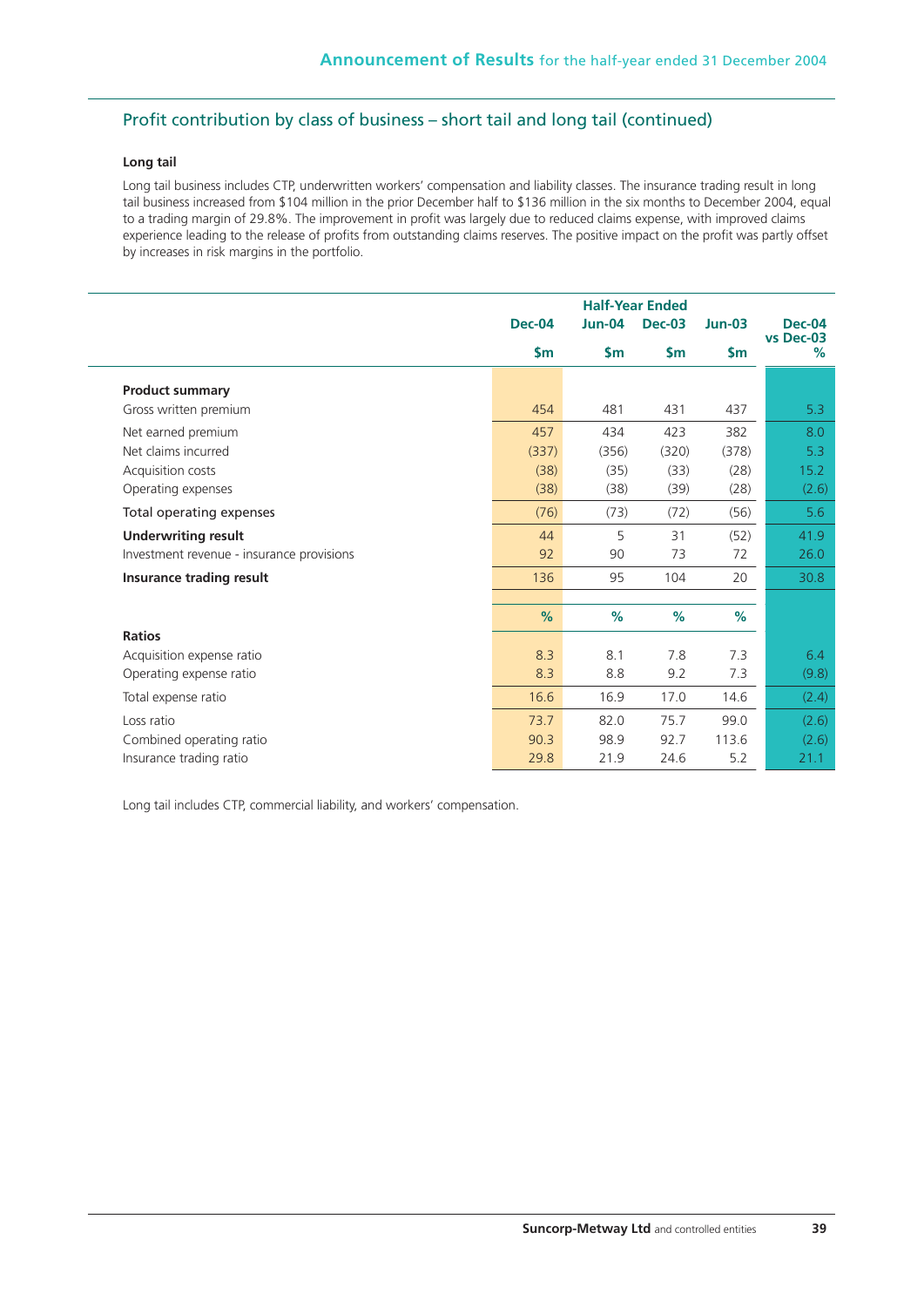## Profit contribution by class of business – short tail and long tail (continued)

## **Long tail**

Long tail business includes CTP, underwritten workers' compensation and liability classes. The insurance trading result in long tail business increased from \$104 million in the prior December half to \$136 million in the six months to December 2004, equal to a trading margin of 29.8%. The improvement in profit was largely due to reduced claims expense, with improved claims experience leading to the release of profits from outstanding claims reserves. The positive impact on the profit was partly offset by increases in risk margins in the portfolio.

|                                           | <b>Half-Year Ended</b> |               |               |               |                |
|-------------------------------------------|------------------------|---------------|---------------|---------------|----------------|
|                                           | <b>Dec-04</b>          | <b>Jun-04</b> | <b>Dec-03</b> | $Jun-03$      | Dec-04         |
|                                           | \$m\$                  | \$m\$         | \$m\$         | $\mathsf{Sm}$ | vs Dec-03<br>% |
| <b>Product summary</b>                    |                        |               |               |               |                |
| Gross written premium                     | 454                    | 481           | 431           | 437           | 5.3            |
| Net earned premium                        | 457                    | 434           | 423           | 382           | 8.0            |
| Net claims incurred                       | (337)                  | (356)         | (320)         | (378)         | 5.3            |
| Acquisition costs                         | (38)                   | (35)          | (33)          | (28)          | 15.2           |
| Operating expenses                        | (38)                   | (38)          | (39)          | (28)          | (2.6)          |
| Total operating expenses                  | (76)                   | (73)          | (72)          | (56)          | 5.6            |
| <b>Underwriting result</b>                | 44                     | 5             | 31            | (52)          | 41.9           |
| Investment revenue - insurance provisions | 92                     | 90            | 73            | 72            | 26.0           |
| Insurance trading result                  | 136                    | 95            | 104           | 20            | 30.8           |
|                                           |                        |               |               |               |                |
|                                           | $\%$                   | %             | %             | %             |                |
| <b>Ratios</b>                             |                        |               |               |               |                |
| Acquisition expense ratio                 | 8.3                    | 8.1           | 7.8           | 7.3           | 6.4            |
| Operating expense ratio                   | 8.3                    | 8.8           | 9.2           | 7.3           | (9.8)          |
| Total expense ratio                       | 16.6                   | 16.9          | 17.0          | 14.6          | (2.4)          |
| Loss ratio                                | 73.7                   | 82.0          | 75.7          | 99.0          | (2.6)          |
| Combined operating ratio                  | 90.3                   | 98.9          | 92.7          | 113.6         | (2.6)          |
| Insurance trading ratio                   | 29.8                   | 21.9          | 24.6          | 5.2           | 21.1           |

Long tail includes CTP, commercial liability, and workers' compensation.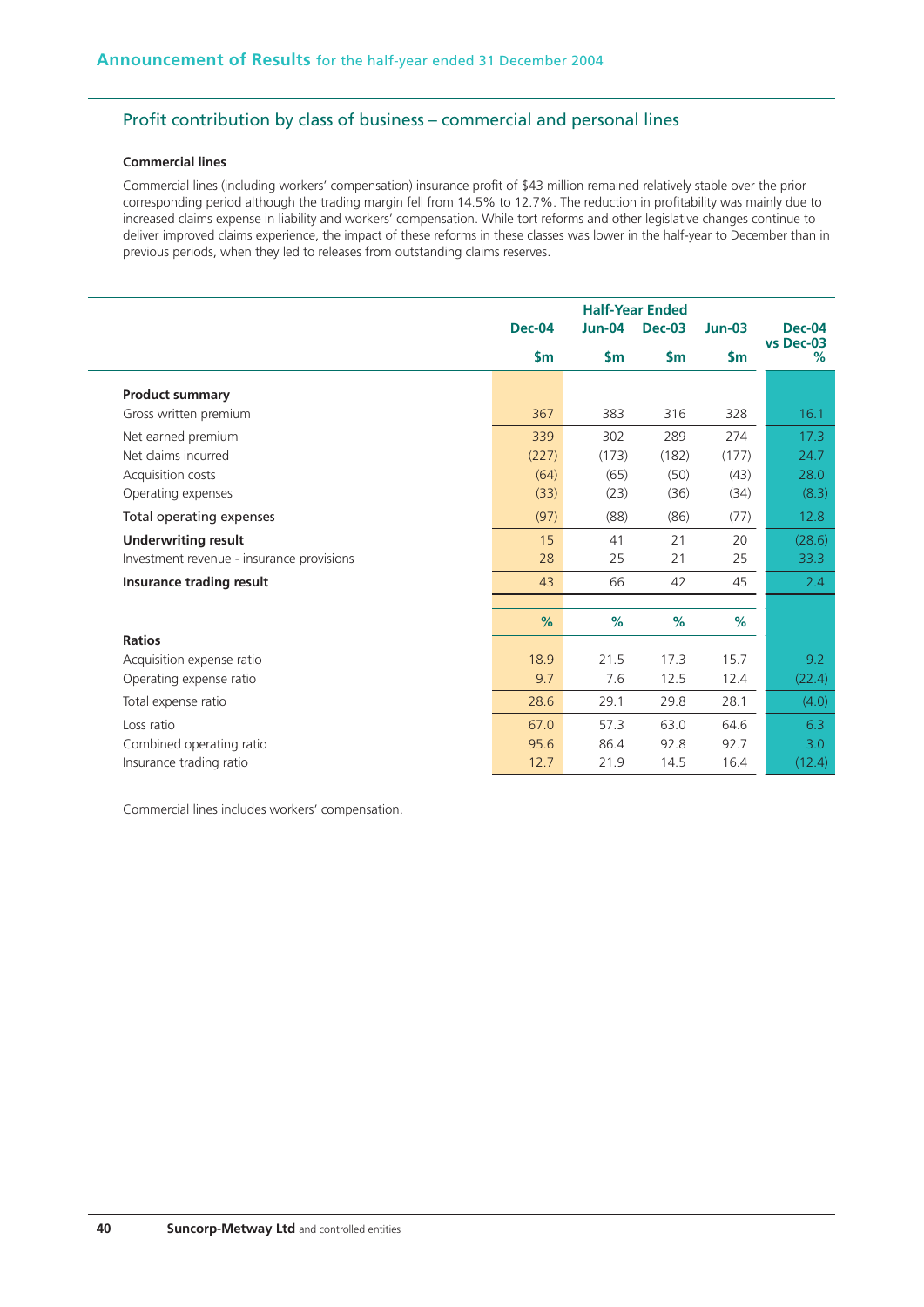## Profit contribution by class of business – commercial and personal lines

### **Commercial lines**

Commercial lines (including workers' compensation) insurance profit of \$43 million remained relatively stable over the prior corresponding period although the trading margin fell from 14.5% to 12.7%. The reduction in profitability was mainly due to increased claims expense in liability and workers' compensation. While tort reforms and other legislative changes continue to deliver improved claims experience, the impact of these reforms in these classes was lower in the half-year to December than in previous periods, when they led to releases from outstanding claims reserves.

|                                           | <b>Half-Year Ended</b> |          |               |               |                            |
|-------------------------------------------|------------------------|----------|---------------|---------------|----------------------------|
|                                           | <b>Dec-04</b>          | $Jun-04$ | <b>Dec-03</b> | $Jun-03$      | <b>Dec-04</b><br>vs Dec-03 |
|                                           | $\mathsf{Sm}$          | \$m      | \$m\$         | $\mathsf{Sm}$ | %                          |
| <b>Product summary</b>                    |                        |          |               |               |                            |
| Gross written premium                     | 367                    | 383      | 316           | 328           | 16.1                       |
| Net earned premium                        | 339                    | 302      | 289           | 274           | 17.3                       |
| Net claims incurred                       | (227)                  | (173)    | (182)         | (177)         | 24.7                       |
| Acquisition costs                         | (64)                   | (65)     | (50)          | (43)          | 28.0                       |
| Operating expenses                        | (33)                   | (23)     | (36)          | (34)          | (8.3)                      |
| Total operating expenses                  | (97)                   | (88)     | (86)          | (77)          | 12.8                       |
| <b>Underwriting result</b>                | 15                     | 41       | 21            | 20            | (28.6)                     |
| Investment revenue - insurance provisions | 28                     | 25       | 21            | 25            | 33.3                       |
| Insurance trading result                  | 43                     | 66       | 42            | 45            | 2.4                        |
|                                           |                        |          |               |               |                            |
|                                           | %                      | $\%$     | $\%$          | $\%$          |                            |
| <b>Ratios</b>                             |                        |          |               |               |                            |
| Acquisition expense ratio                 | 18.9                   | 21.5     | 17.3          | 15.7          | 9.2                        |
| Operating expense ratio                   | 9.7                    | 7.6      | 12.5          | 12.4          | (22.4)                     |
| Total expense ratio                       | 28.6                   | 29.1     | 29.8          | 28.1          | (4.0)                      |
| Loss ratio                                | 67.0                   | 57.3     | 63.0          | 64.6          | 6.3                        |
| Combined operating ratio                  | 95.6                   | 86.4     | 92.8          | 92.7          | 3.0                        |
| Insurance trading ratio                   | 12.7                   | 21.9     | 14.5          | 16.4          | (12.4)                     |

Commercial lines includes workers' compensation.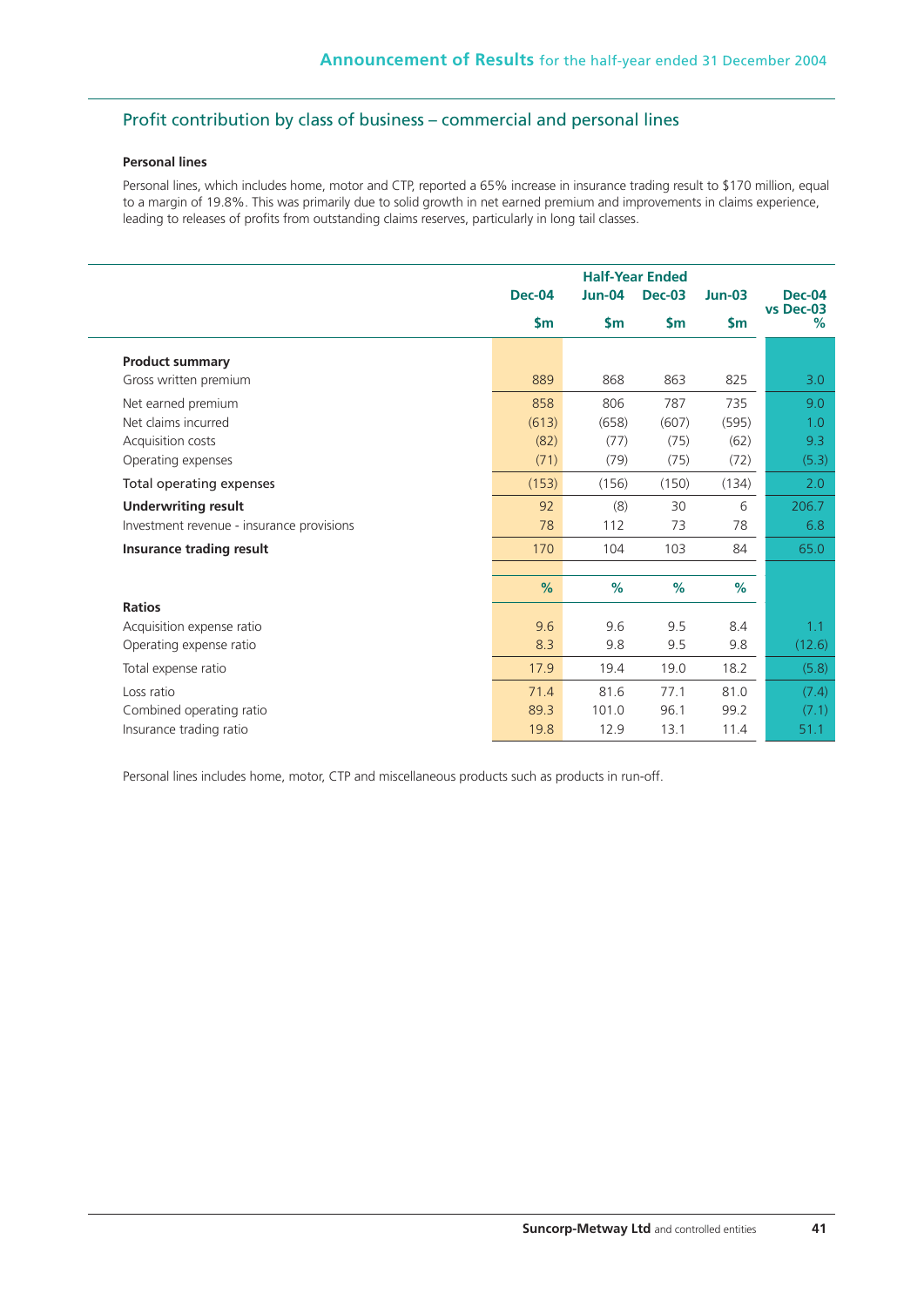## Profit contribution by class of business – commercial and personal lines

### **Personal lines**

L.

Personal lines, which includes home, motor and CTP, reported a 65% increase in insurance trading result to \$170 million, equal to a margin of 19.8%. This was primarily due to solid growth in net earned premium and improvements in claims experience, leading to releases of profits from outstanding claims reserves, particularly in long tail classes.

|                                           | <b>Half-Year Ended</b> |          |               |               |                            |
|-------------------------------------------|------------------------|----------|---------------|---------------|----------------------------|
|                                           | <b>Dec-04</b>          | $Jun-04$ | <b>Dec-03</b> | $Jun-03$      | <b>Dec-04</b><br>vs Dec-03 |
|                                           | \$m\$                  | \$m\$    | \$m\$         | $\mathsf{Sm}$ | %                          |
| <b>Product summary</b>                    |                        |          |               |               |                            |
| Gross written premium                     | 889                    | 868      | 863           | 825           | 3.0                        |
| Net earned premium                        | 858                    | 806      | 787           | 735           | 9.0                        |
| Net claims incurred                       | (613)                  | (658)    | (607)         | (595)         | 1.0                        |
| Acquisition costs                         | (82)                   | (77)     | (75)          | (62)          | 9.3                        |
| Operating expenses                        | (71)                   | (79)     | (75)          | (72)          | (5.3)                      |
| Total operating expenses                  | (153)                  | (156)    | (150)         | (134)         | 2.0                        |
| <b>Underwriting result</b>                | 92                     | (8)      | 30            | 6             | 206.7                      |
| Investment revenue - insurance provisions | 78                     | 112      | 73            | 78            | 6.8                        |
| Insurance trading result                  | 170                    | 104      | 103           | 84            | 65.0                       |
|                                           |                        |          |               |               |                            |
|                                           | %                      | %        | %             | %             |                            |
| <b>Ratios</b>                             |                        |          |               |               |                            |
| Acquisition expense ratio                 | 9.6                    | 9.6      | 9.5           | 8.4           | 1.1                        |
| Operating expense ratio                   | 8.3                    | 9.8      | 9.5           | 9.8           | (12.6)                     |
| Total expense ratio                       | 17.9                   | 19.4     | 19.0          | 18.2          | (5.8)                      |
| Loss ratio                                | 71.4                   | 81.6     | 77.1          | 81.0          | (7.4)                      |
| Combined operating ratio                  | 89.3                   | 101.0    | 96.1          | 99.2          | (7.1)                      |
| Insurance trading ratio                   | 19.8                   | 12.9     | 13.1          | 11.4          | 51.1                       |

Personal lines includes home, motor, CTP and miscellaneous products such as products in run-off.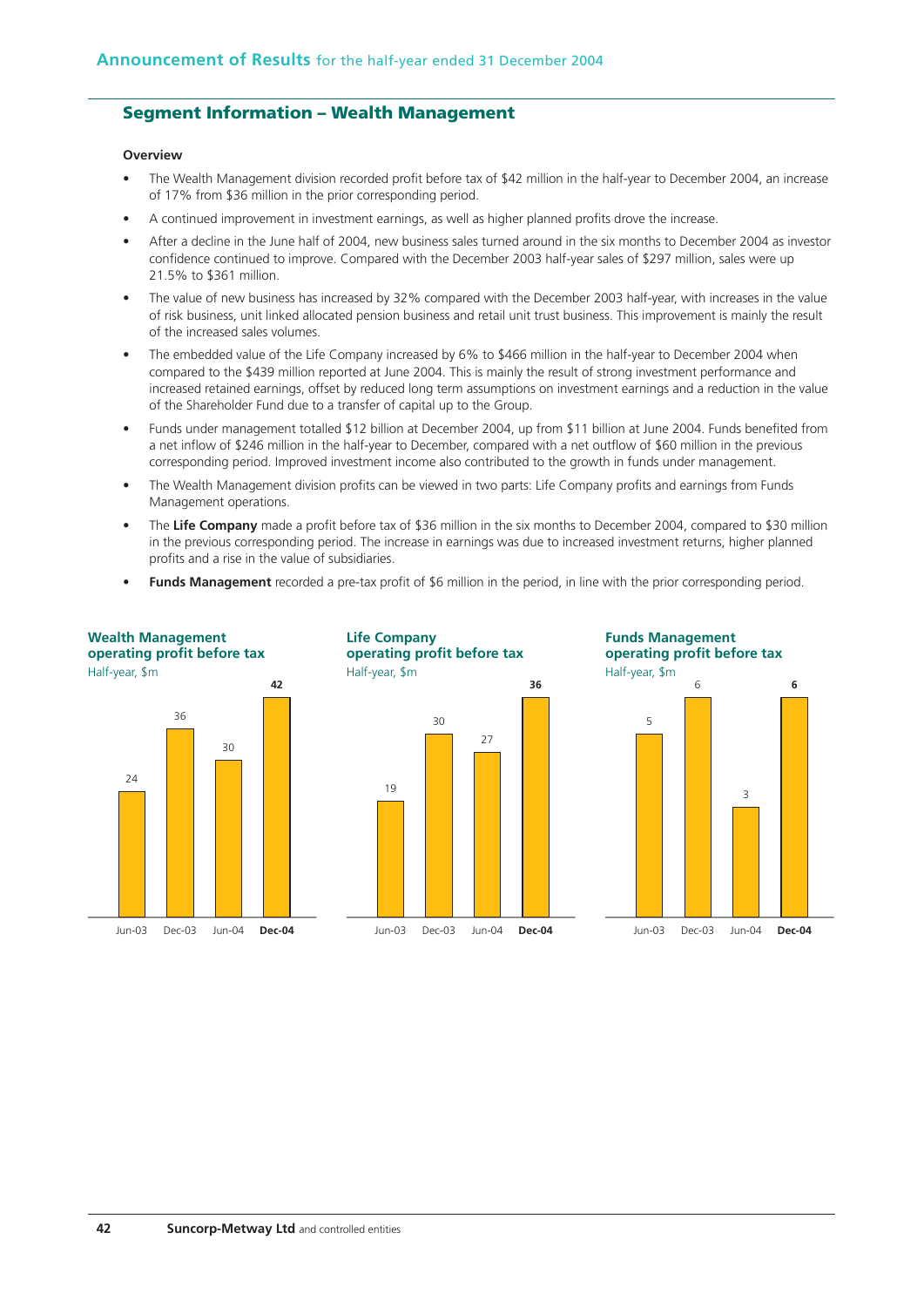## **Segment Information – Wealth Management**

## **Overview**

- The Wealth Management division recorded profit before tax of \$42 million in the half-year to December 2004, an increase of 17% from \$36 million in the prior corresponding period.
- A continued improvement in investment earnings, as well as higher planned profits drove the increase.
- After a decline in the June half of 2004, new business sales turned around in the six months to December 2004 as investor confidence continued to improve. Compared with the December 2003 half-year sales of \$297 million, sales were up 21.5% to \$361 million.
- The value of new business has increased by 32% compared with the December 2003 half-year, with increases in the value of risk business, unit linked allocated pension business and retail unit trust business. This improvement is mainly the result of the increased sales volumes.
- The embedded value of the Life Company increased by 6% to \$466 million in the half-year to December 2004 when compared to the \$439 million reported at June 2004. This is mainly the result of strong investment performance and increased retained earnings, offset by reduced long term assumptions on investment earnings and a reduction in the value of the Shareholder Fund due to a transfer of capital up to the Group.
- Funds under management totalled \$12 billion at December 2004, up from \$11 billion at June 2004. Funds benefited from a net inflow of \$246 million in the half-year to December, compared with a net outflow of \$60 million in the previous corresponding period. Improved investment income also contributed to the growth in funds under management.
- The Wealth Management division profits can be viewed in two parts: Life Company profits and earnings from Funds Management operations.
- The **Life Company** made a profit before tax of \$36 million in the six months to December 2004, compared to \$30 million in the previous corresponding period. The increase in earnings was due to increased investment returns, higher planned profits and a rise in the value of subsidiaries.
- **Funds Management** recorded a pre-tax profit of \$6 million in the period, in line with the prior corresponding period.

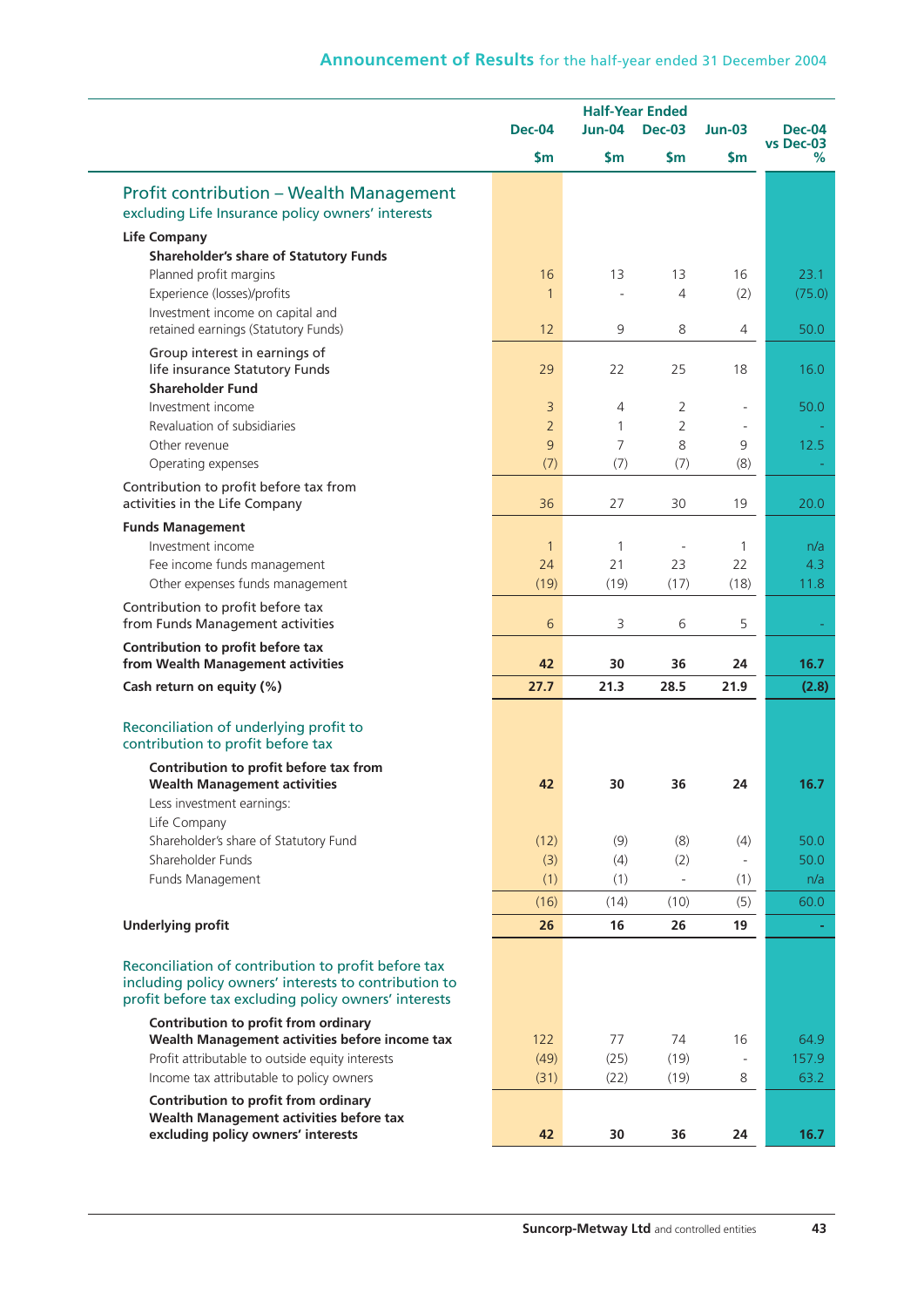## **Announcement of Results** for the half-year ended 31 December 2004

|                                                                                                               | <b>Half-Year Ended</b> |               |                          |              |                            |
|---------------------------------------------------------------------------------------------------------------|------------------------|---------------|--------------------------|--------------|----------------------------|
|                                                                                                               | <b>Dec-04</b>          | <b>Jun-04</b> | <b>Dec-03</b>            | $Jun-03$     | <b>Dec-04</b><br>vs Dec-03 |
|                                                                                                               | \$m\$                  | \$m\$         | $\mathsf{S}$ m           | \$m\$        | %                          |
| Profit contribution - Wealth Management                                                                       |                        |               |                          |              |                            |
| excluding Life Insurance policy owners' interests                                                             |                        |               |                          |              |                            |
| <b>Life Company</b>                                                                                           |                        |               |                          |              |                            |
| <b>Shareholder's share of Statutory Funds</b>                                                                 |                        |               |                          |              |                            |
| Planned profit margins                                                                                        | 16                     | 13            | 13                       | 16           | 23.1                       |
| Experience (losses)/profits                                                                                   | 1                      |               | 4                        | (2)          | (75.0)                     |
| Investment income on capital and                                                                              |                        |               |                          |              |                            |
| retained earnings (Statutory Funds)                                                                           | 12                     | 9             | 8                        | 4            | 50.0                       |
| Group interest in earnings of                                                                                 |                        |               |                          |              |                            |
| life insurance Statutory Funds<br><b>Shareholder Fund</b>                                                     | 29                     | 22            | 25                       | 18           | 16.0                       |
| Investment income                                                                                             | $\overline{3}$         | 4             | $\overline{2}$           | $\sim$       | 50.0                       |
| Revaluation of subsidiaries                                                                                   | $\overline{2}$         | $\mathbf{1}$  | $\overline{2}$           |              |                            |
| Other revenue                                                                                                 | 9                      | 7             | 8                        | 9            | 12.5                       |
| Operating expenses                                                                                            | (7)                    | (7)           | (7)                      | (8)          |                            |
| Contribution to profit before tax from                                                                        |                        |               |                          |              |                            |
| activities in the Life Company                                                                                | 36                     | 27            | 30                       | 19           | 20.0                       |
| <b>Funds Management</b>                                                                                       |                        |               |                          |              |                            |
| Investment income                                                                                             | $\mathbf{1}$           | 1             |                          | $\mathbf{1}$ | n/a                        |
| Fee income funds management                                                                                   | 24                     | 21            | 23                       | 22           | 4.3                        |
| Other expenses funds management                                                                               | (19)                   | (19)          | (17)                     | (18)         | 11.8                       |
| Contribution to profit before tax                                                                             |                        |               |                          |              |                            |
| from Funds Management activities                                                                              | 6                      | 3             | 6                        | 5            |                            |
| Contribution to profit before tax                                                                             |                        |               |                          |              |                            |
| from Wealth Management activities                                                                             | 42                     | 30            | 36                       | 24           | 16.7                       |
| Cash return on equity (%)                                                                                     | 27.7                   | 21.3          | 28.5                     | 21.9         | (2.8)                      |
| Reconciliation of underlying profit to                                                                        |                        |               |                          |              |                            |
| contribution to profit before tax                                                                             |                        |               |                          |              |                            |
| Contribution to profit before tax from                                                                        |                        |               |                          |              |                            |
| <b>Wealth Management activities</b>                                                                           | 42                     | 30            | 36                       | 24           | 16.7                       |
| Less investment earnings:                                                                                     |                        |               |                          |              |                            |
| Life Company<br>Shareholder's share of Statutory Fund                                                         | (12)                   | (9)           | (8)                      | (4)          | 50.0                       |
| Shareholder Funds                                                                                             | (3)                    | (4)           | (2)                      |              | 50.0                       |
| Funds Management                                                                                              | (1)                    | (1)           | $\overline{\phantom{a}}$ | (1)          | n/a                        |
|                                                                                                               | (16)                   | (14)          | (10)                     | (5)          | 60.0                       |
|                                                                                                               |                        |               |                          |              |                            |
| <b>Underlying profit</b>                                                                                      | 26                     | 16            | 26                       | 19           |                            |
| Reconciliation of contribution to profit before tax                                                           |                        |               |                          |              |                            |
| including policy owners' interests to contribution to<br>profit before tax excluding policy owners' interests |                        |               |                          |              |                            |
| Contribution to profit from ordinary<br>Wealth Management activities before income tax                        | 122                    | 77            | 74                       | 16           | 64.9                       |
| Profit attributable to outside equity interests                                                               | (49)                   | (25)          | (19)                     |              | 157.9                      |
| Income tax attributable to policy owners                                                                      | (31)                   | (22)          | (19)                     | 8            | 63.2                       |
| Contribution to profit from ordinary                                                                          |                        |               |                          |              |                            |
| Wealth Management activities before tax                                                                       |                        |               |                          |              |                            |
| excluding policy owners' interests                                                                            | 42                     | 30            | 36                       | 24           | 16.7                       |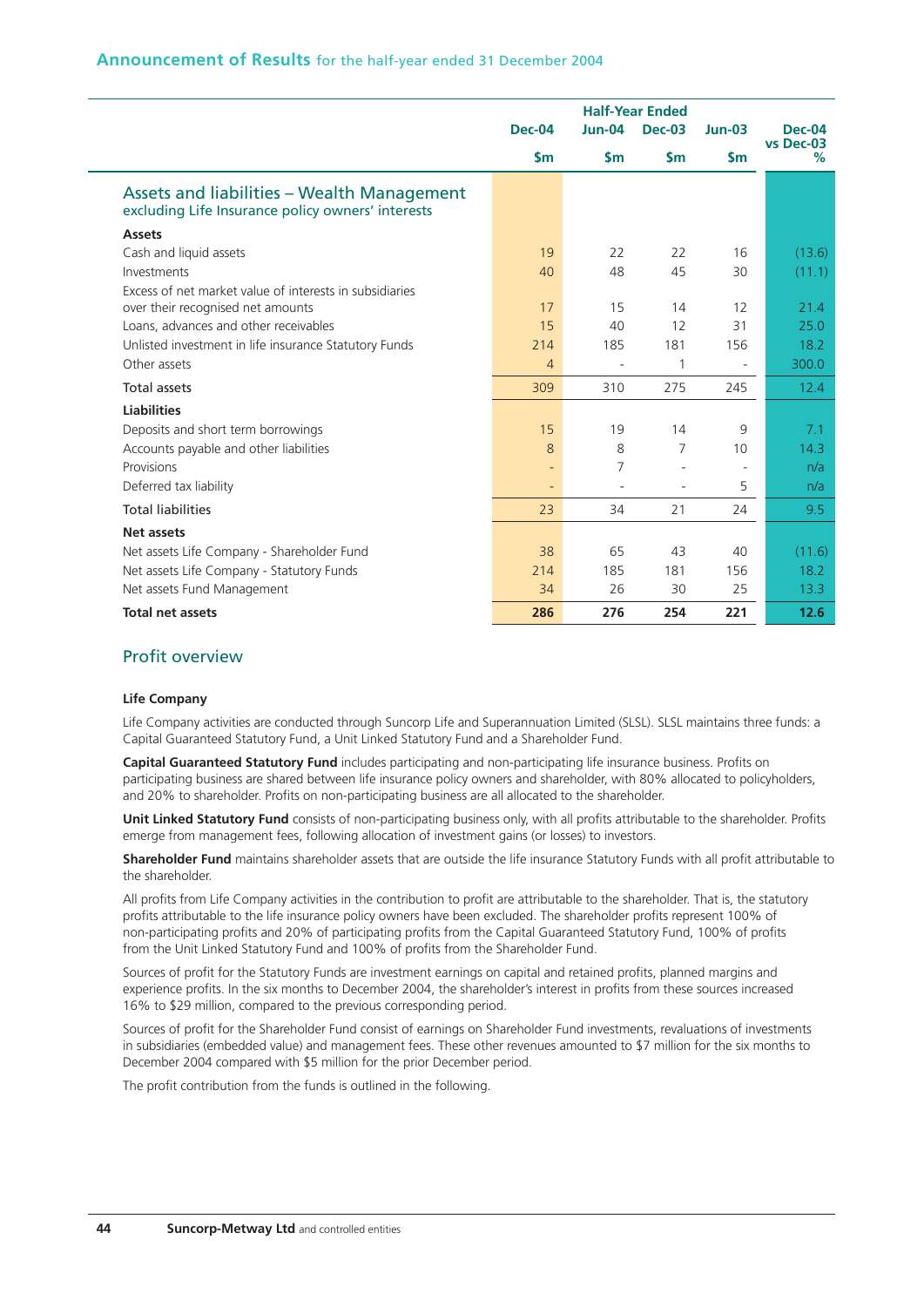| Announcement of Results for the half-year ended 31 December 2004 |  |  |  |  |  |
|------------------------------------------------------------------|--|--|--|--|--|
|------------------------------------------------------------------|--|--|--|--|--|

|                                                                                                 |                          |                          | <b>Half-Year Ended</b>   |                          |                            |
|-------------------------------------------------------------------------------------------------|--------------------------|--------------------------|--------------------------|--------------------------|----------------------------|
|                                                                                                 | <b>Dec-04</b>            | $Jun-04$                 | <b>Dec-03</b>            | $Jun-03$                 | <b>Dec-04</b><br>vs Dec-03 |
|                                                                                                 | $\mathsf{sm}$            | $\mathsf{Sm}$            | $\mathsf{sm}$            | $\mathsf{Sm}$            | %                          |
| Assets and liabilities - Wealth Management<br>excluding Life Insurance policy owners' interests |                          |                          |                          |                          |                            |
| <b>Assets</b>                                                                                   |                          |                          |                          |                          |                            |
| Cash and liquid assets                                                                          | 19                       | 22                       | 22                       | 16                       | (13.6)                     |
| Investments                                                                                     | 40                       | 48                       | 45                       | 30                       | (11.1)                     |
| Excess of net market value of interests in subsidiaries                                         |                          |                          |                          |                          |                            |
| over their recognised net amounts                                                               | 17                       | 15                       | 14                       | 12                       | 21.4                       |
| Loans, advances and other receivables                                                           | 15                       | 40                       | 12                       | 31                       | 25.0                       |
| Unlisted investment in life insurance Statutory Funds                                           | 214                      | 185                      | 181                      | 156                      | 18.2                       |
| Other assets                                                                                    | $\overline{4}$           |                          | 1                        |                          | 300.0                      |
| Total assets                                                                                    | 309                      | 310                      | 275                      | 245                      | 12.4                       |
| <b>Liabilities</b>                                                                              |                          |                          |                          |                          |                            |
| Deposits and short term borrowings                                                              | 15                       | 19                       | 14                       | 9                        | 7.1                        |
| Accounts payable and other liabilities                                                          | $\mathsf{8}$             | 8                        | $\overline{7}$           | 10                       | 14.3                       |
| Provisions                                                                                      | $\overline{\phantom{a}}$ | 7                        | $\overline{\phantom{a}}$ | $\overline{\phantom{a}}$ | n/a                        |
| Deferred tax liability                                                                          | $\qquad \qquad -$        | $\overline{\phantom{a}}$ | $\overline{\phantom{a}}$ | 5                        | n/a                        |
| <b>Total liabilities</b>                                                                        | 23                       | 34                       | 21                       | 24                       | 9.5                        |
| Net assets                                                                                      |                          |                          |                          |                          |                            |
| Net assets Life Company - Shareholder Fund                                                      | 38                       | 65                       | 43                       | 40                       | (11.6)                     |
| Net assets Life Company - Statutory Funds                                                       | 214                      | 185                      | 181                      | 156                      | 18.2                       |
| Net assets Fund Management                                                                      | 34                       | 26                       | 30                       | 25                       | 13.3                       |
| <b>Total net assets</b>                                                                         | 286                      | 276                      | 254                      | 221                      | 12.6                       |

## Profit overview

#### **Life Company**

Life Company activities are conducted through Suncorp Life and Superannuation Limited (SLSL). SLSL maintains three funds: a Capital Guaranteed Statutory Fund, a Unit Linked Statutory Fund and a Shareholder Fund.

**Capital Guaranteed Statutory Fund** includes participating and non-participating life insurance business. Profits on participating business are shared between life insurance policy owners and shareholder, with 80% allocated to policyholders, and 20% to shareholder. Profits on non-participating business are all allocated to the shareholder.

**Unit Linked Statutory Fund** consists of non-participating business only, with all profits attributable to the shareholder. Profits emerge from management fees, following allocation of investment gains (or losses) to investors.

**Shareholder Fund** maintains shareholder assets that are outside the life insurance Statutory Funds with all profit attributable to the shareholder.

All profits from Life Company activities in the contribution to profit are attributable to the shareholder. That is, the statutory profits attributable to the life insurance policy owners have been excluded. The shareholder profits represent 100% of non-participating profits and 20% of participating profits from the Capital Guaranteed Statutory Fund, 100% of profits from the Unit Linked Statutory Fund and 100% of profits from the Shareholder Fund.

Sources of profit for the Statutory Funds are investment earnings on capital and retained profits, planned margins and experience profits. In the six months to December 2004, the shareholder's interest in profits from these sources increased 16% to \$29 million, compared to the previous corresponding period.

Sources of profit for the Shareholder Fund consist of earnings on Shareholder Fund investments, revaluations of investments in subsidiaries (embedded value) and management fees. These other revenues amounted to \$7 million for the six months to December 2004 compared with \$5 million for the prior December period.

The profit contribution from the funds is outlined in the following.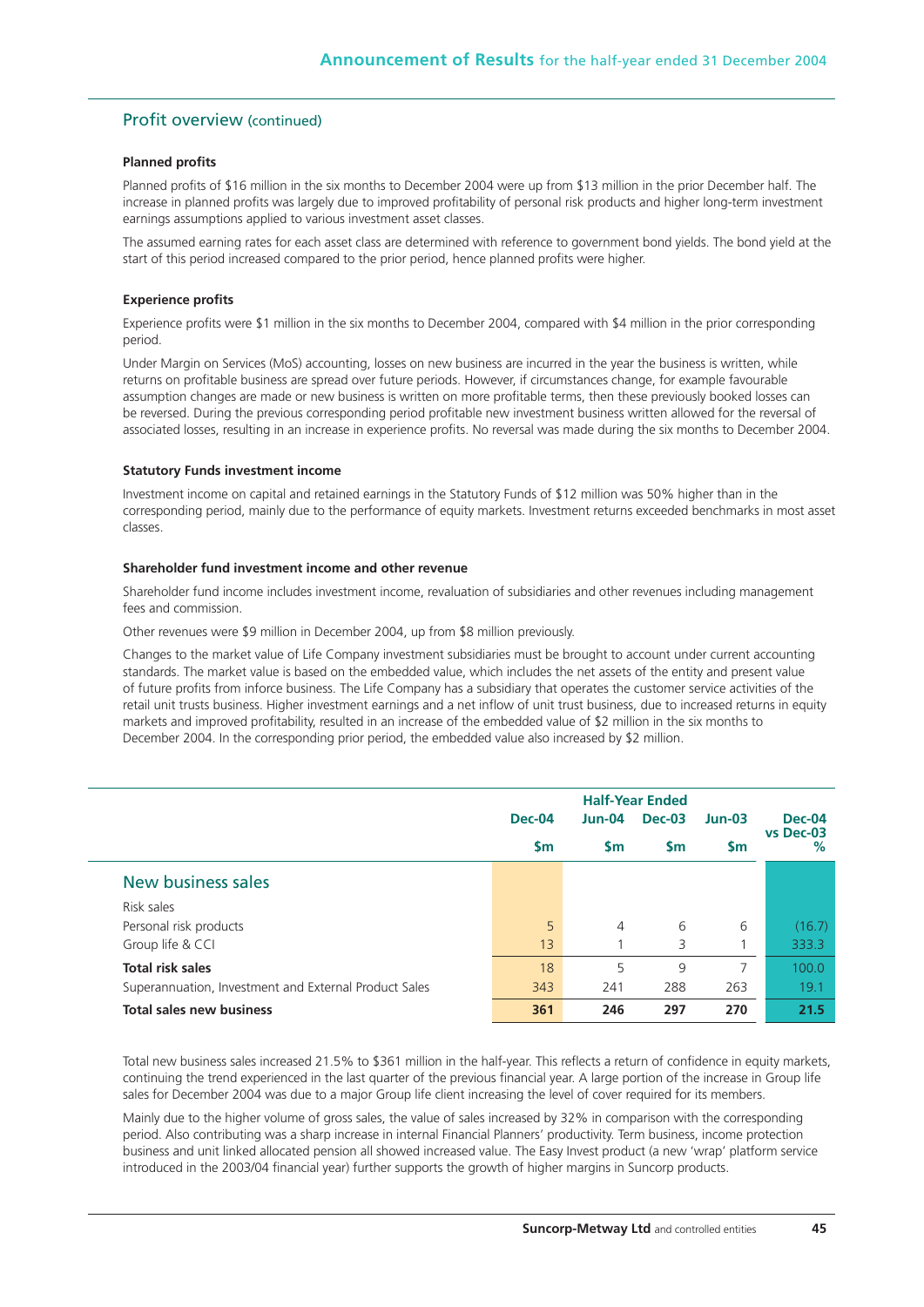#### Profit overview (continued)

## **Planned profits**

Planned profits of \$16 million in the six months to December 2004 were up from \$13 million in the prior December half. The increase in planned profits was largely due to improved profitability of personal risk products and higher long-term investment earnings assumptions applied to various investment asset classes.

The assumed earning rates for each asset class are determined with reference to government bond yields. The bond yield at the start of this period increased compared to the prior period, hence planned profits were higher.

#### **Experience profits**

Experience profits were \$1 million in the six months to December 2004, compared with \$4 million in the prior corresponding period.

Under Margin on Services (MoS) accounting, losses on new business are incurred in the year the business is written, while returns on profitable business are spread over future periods. However, if circumstances change, for example favourable assumption changes are made or new business is written on more profitable terms, then these previously booked losses can be reversed. During the previous corresponding period profitable new investment business written allowed for the reversal of associated losses, resulting in an increase in experience profits. No reversal was made during the six months to December 2004.

#### **Statutory Funds investment income**

Investment income on capital and retained earnings in the Statutory Funds of \$12 million was 50% higher than in the corresponding period, mainly due to the performance of equity markets. Investment returns exceeded benchmarks in most asset classes.

#### **Shareholder fund investment income and other revenue**

Shareholder fund income includes investment income, revaluation of subsidiaries and other revenues including management fees and commission.

Other revenues were \$9 million in December 2004, up from \$8 million previously.

Changes to the market value of Life Company investment subsidiaries must be brought to account under current accounting standards. The market value is based on the embedded value, which includes the net assets of the entity and present value of future profits from inforce business. The Life Company has a subsidiary that operates the customer service activities of the retail unit trusts business. Higher investment earnings and a net inflow of unit trust business, due to increased returns in equity markets and improved profitability, resulted in an increase of the embedded value of \$2 million in the six months to December 2004. In the corresponding prior period, the embedded value also increased by \$2 million.

|                                                       | <b>Dec-04</b> | $Jun-04$  | <b>Dec-03</b> | $Jun-03$  | <b>Dec-04</b><br>vs Dec-03 |
|-------------------------------------------------------|---------------|-----------|---------------|-----------|----------------------------|
|                                                       | $\mathsf{Sm}$ | <b>Sm</b> | <b>Sm</b>     | <b>Sm</b> | $\%$                       |
| New business sales                                    |               |           |               |           |                            |
| Risk sales                                            |               |           |               |           |                            |
| Personal risk products                                | 5             | 4         | 6             | 6         | (16.7)                     |
| Group life & CCI                                      | 13            |           | 3             |           | 333.3                      |
| <b>Total risk sales</b>                               | 18            | 5         | 9             | 7         | 100.0                      |
| Superannuation, Investment and External Product Sales | 343           | 241       | 288           | 263       | 19.1                       |
| <b>Total sales new business</b>                       | 361           | 246       | 297           | 270       | 21.5                       |

Total new business sales increased 21.5% to \$361 million in the half-year. This reflects a return of confidence in equity markets, continuing the trend experienced in the last quarter of the previous financial year. A large portion of the increase in Group life sales for December 2004 was due to a major Group life client increasing the level of cover required for its members.

Mainly due to the higher volume of gross sales, the value of sales increased by 32% in comparison with the corresponding period. Also contributing was a sharp increase in internal Financial Planners' productivity. Term business, income protection business and unit linked allocated pension all showed increased value. The Easy Invest product (a new 'wrap' platform service introduced in the 2003/04 financial year) further supports the growth of higher margins in Suncorp products.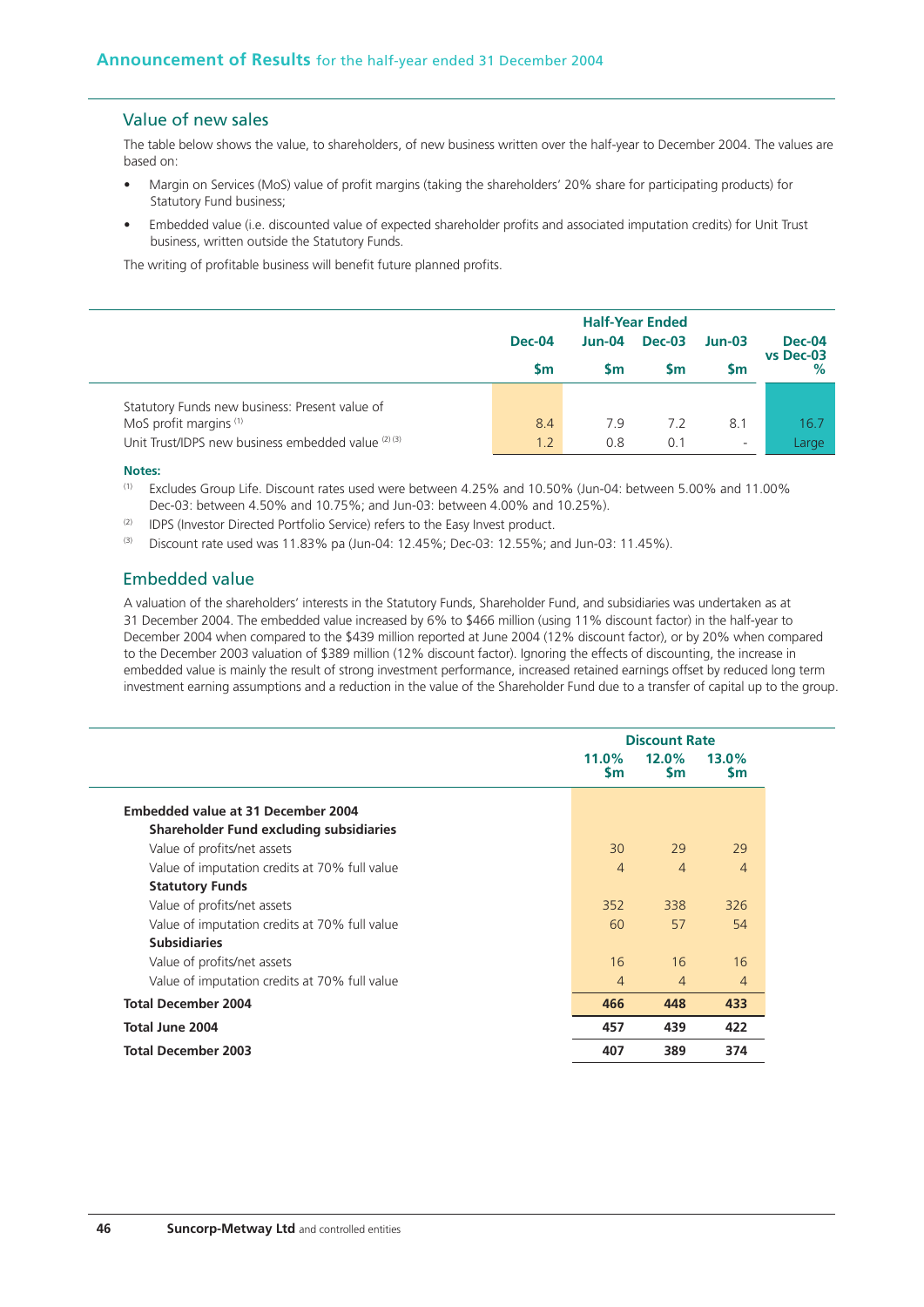## Value of new sales

The table below shows the value, to shareholders, of new business written over the half-year to December 2004. The values are based on:

- Margin on Services (MoS) value of profit margins (taking the shareholders' 20% share for participating products) for Statutory Fund business;
- Embedded value (i.e. discounted value of expected shareholder profits and associated imputation credits) for Unit Trust business, written outside the Statutory Funds.

The writing of profitable business will benefit future planned profits.

|                                                     | <b>Dec-04</b> | Jun-04    | Dec-03    | $Jun-03$                 | <b>Dec-04</b><br>vs Dec-03 |
|-----------------------------------------------------|---------------|-----------|-----------|--------------------------|----------------------------|
|                                                     | <b>Sm</b>     | <b>Sm</b> | <b>Sm</b> | Sm                       | $\%$                       |
| Statutory Funds new business: Present value of      |               |           |           |                          |                            |
| MoS profit margins <sup>(1)</sup>                   | 8.4           | 7.9       | 7.2       | 8.1                      | 16.7                       |
| Unit Trust/IDPS new business embedded value (2) (3) | 1.2           | 0.8       | 0.1       | $\overline{\phantom{a}}$ | Large                      |

#### **Notes:**

- (1) Excludes Group Life. Discount rates used were between 4.25% and 10.50% (Jun-04: between 5.00% and 11.00% Dec-03: between 4.50% and 10.75%; and Jun-03: between 4.00% and 10.25%).
- (2) IDPS (Investor Directed Portfolio Service) refers to the Easy Invest product.
- (3) Discount rate used was 11.83% pa (Jun-04: 12.45%; Dec-03: 12.55%; and Jun-03: 11.45%).

## Embedded value

A valuation of the shareholders' interests in the Statutory Funds, Shareholder Fund, and subsidiaries was undertaken as at 31 December 2004. The embedded value increased by 6% to \$466 million (using 11% discount factor) in the half-year to December 2004 when compared to the \$439 million reported at June 2004 (12% discount factor), or by 20% when compared to the December 2003 valuation of \$389 million (12% discount factor). Ignoring the effects of discounting, the increase in embedded value is mainly the result of strong investment performance, increased retained earnings offset by reduced long term investment earning assumptions and a reduction in the value of the Shareholder Fund due to a transfer of capital up to the group.

|                                               |                    |                       | <b>Discount Rate</b>  |  |  |  |  |
|-----------------------------------------------|--------------------|-----------------------|-----------------------|--|--|--|--|
|                                               | 11.0%<br><b>Sm</b> | $12.0\%$<br><b>Sm</b> | $13.0\%$<br><b>Sm</b> |  |  |  |  |
| Embedded value at 31 December 2004            |                    |                       |                       |  |  |  |  |
| Shareholder Fund excluding subsidiaries       |                    |                       |                       |  |  |  |  |
| Value of profits/net assets                   | 30                 | 29                    | 29                    |  |  |  |  |
| Value of imputation credits at 70% full value | $\overline{4}$     | $\overline{4}$        | $\overline{4}$        |  |  |  |  |
| <b>Statutory Funds</b>                        |                    |                       |                       |  |  |  |  |
| Value of profits/net assets                   | 352                | 338                   | 326                   |  |  |  |  |
| Value of imputation credits at 70% full value | 60                 | 57                    | 54                    |  |  |  |  |
| <b>Subsidiaries</b>                           |                    |                       |                       |  |  |  |  |
| Value of profits/net assets                   | 16                 | 16                    | 16                    |  |  |  |  |
| Value of imputation credits at 70% full value | $\overline{4}$     | $\overline{4}$        | 4                     |  |  |  |  |
| <b>Total December 2004</b>                    | 466                | 448                   | 433                   |  |  |  |  |
| Total June 2004                               | 457                | 439                   | 422                   |  |  |  |  |
| <b>Total December 2003</b>                    | 407                | 389                   | 374                   |  |  |  |  |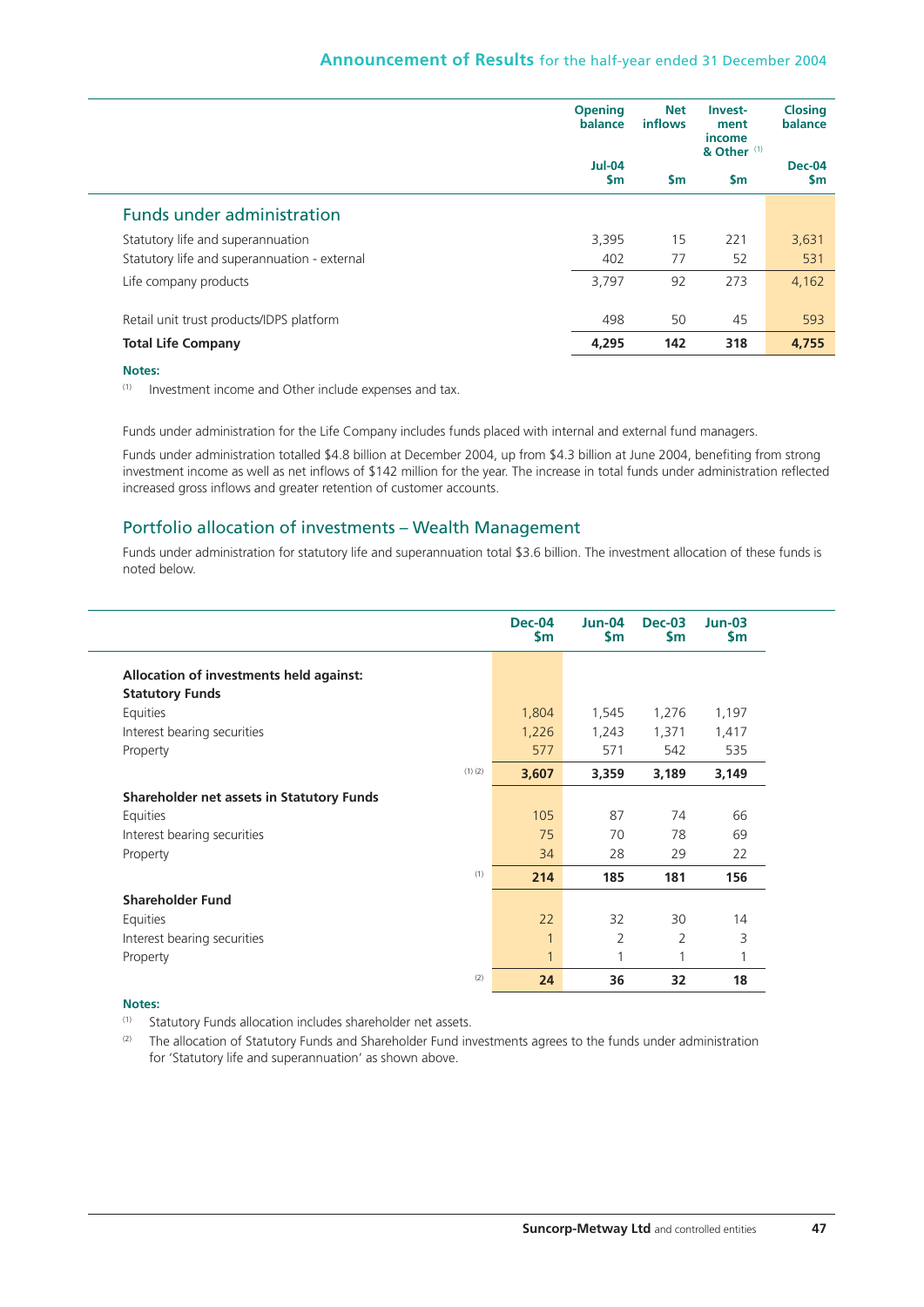|                                              | <b>Opening</b><br>balance | <b>Net</b><br>inflows | Invest-<br>ment<br>income<br>& Other <sup>(1)</sup> | <b>Closing</b><br>balance |
|----------------------------------------------|---------------------------|-----------------------|-----------------------------------------------------|---------------------------|
|                                              | $Jul-04$<br>$\mathsf{sm}$ | <b>Sm</b>             | $\mathsf{sm}$                                       | Dec-04<br><b>Sm</b>       |
| <b>Funds under administration</b>            |                           |                       |                                                     |                           |
| Statutory life and superannuation            | 3,395                     | 15                    | 221                                                 | 3,631                     |
| Statutory life and superannuation - external | 402                       | 77                    | 52                                                  | 531                       |
| Life company products                        | 3,797                     | 92                    | 273                                                 | 4,162                     |
| Retail unit trust products/IDPS platform     | 498                       | 50                    | 45                                                  | 593                       |
| <b>Total Life Company</b>                    | 4,295                     | 142                   | 318                                                 | 4.755                     |

#### **Notes:**

(1) Investment income and Other include expenses and tax.

Funds under administration for the Life Company includes funds placed with internal and external fund managers.

Funds under administration totalled \$4.8 billion at December 2004, up from \$4.3 billion at June 2004, benefiting from strong investment income as well as net inflows of \$142 million for the year. The increase in total funds under administration reflected increased gross inflows and greater retention of customer accounts.

## Portfolio allocation of investments – Wealth Management

Funds under administration for statutory life and superannuation total \$3.6 billion. The investment allocation of these funds is noted below.

|                                           | <b>Dec-04</b><br>\$m | $Jun-04$<br>\$m | <b>Dec-03</b><br>\$m | $Jun-03$<br>\$m |
|-------------------------------------------|----------------------|-----------------|----------------------|-----------------|
| Allocation of investments held against:   |                      |                 |                      |                 |
| <b>Statutory Funds</b>                    |                      |                 |                      |                 |
| Equities                                  | 1,804                | 1,545           | 1,276                | 1,197           |
| Interest bearing securities               | 1,226                | 1,243           | 1,371                | 1,417           |
| Property                                  | 577                  | 571             | 542                  | 535             |
| (1)(2)                                    | 3,607                | 3,359           | 3,189                | 3,149           |
| Shareholder net assets in Statutory Funds |                      |                 |                      |                 |
| Equities                                  | 105                  | 87              | 74                   | 66              |
| Interest bearing securities               | 75                   | 70              | 78                   | 69              |
| Property                                  | 34                   | 28              | 29                   | 22              |
| (1)                                       | 214                  | 185             | 181                  | 156             |
| <b>Shareholder Fund</b>                   |                      |                 |                      |                 |
| Equities                                  | 22                   | 32              | 30                   | 14              |
| Interest bearing securities               |                      | $\overline{2}$  | $\overline{2}$       | 3               |
| Property                                  | $\mathbf{1}$         | 1               |                      |                 |
| (2)                                       | 24                   | 36              | 32                   | 18              |

#### **Notes:**

(1) Statutory Funds allocation includes shareholder net assets.

<sup>(2)</sup> The allocation of Statutory Funds and Shareholder Fund investments agrees to the funds under administration for 'Statutory life and superannuation' as shown above.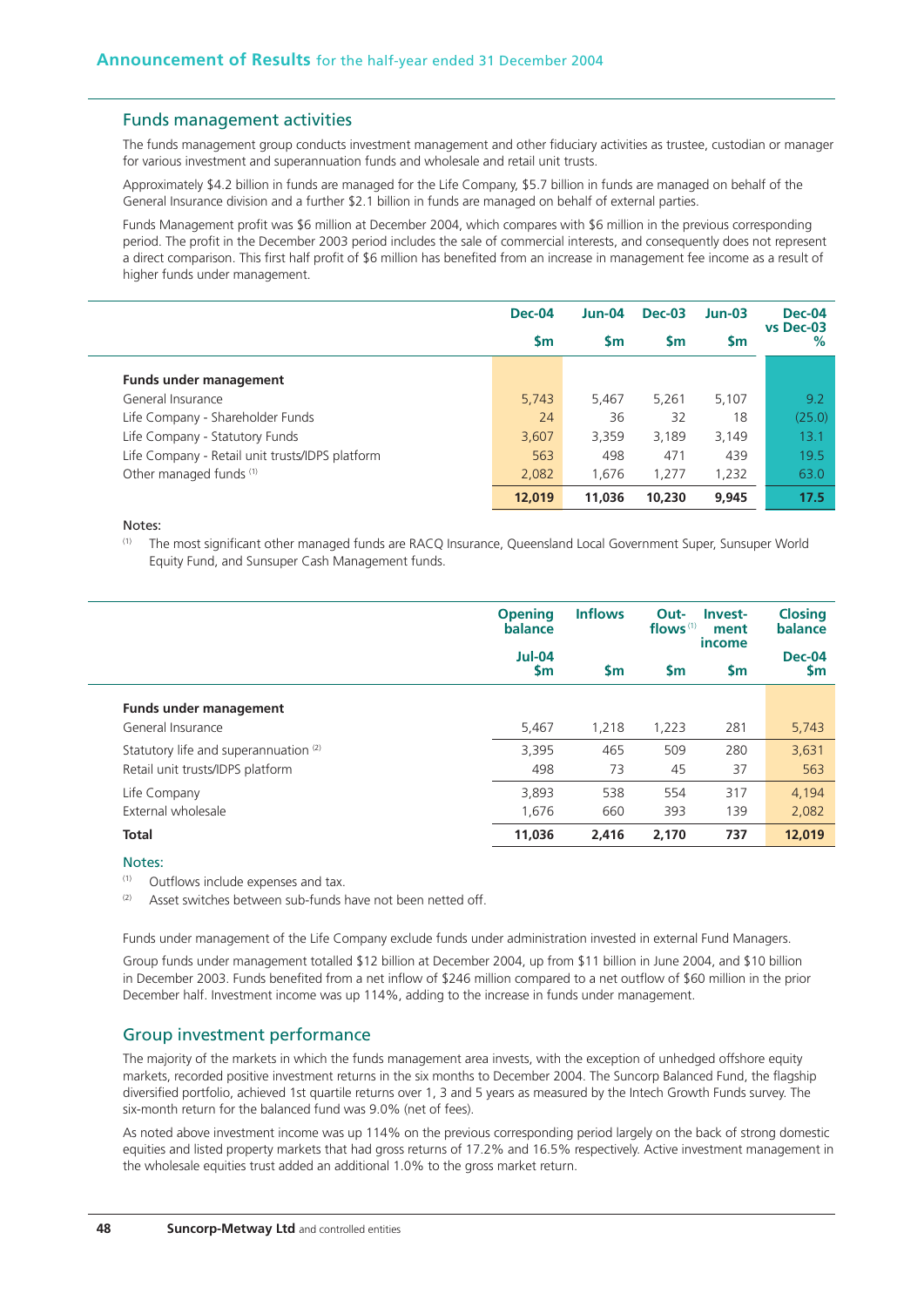#### Funds management activities

The funds management group conducts investment management and other fiduciary activities as trustee, custodian or manager for various investment and superannuation funds and wholesale and retail unit trusts.

Approximately \$4.2 billion in funds are managed for the Life Company, \$5.7 billion in funds are managed on behalf of the General Insurance division and a further \$2.1 billion in funds are managed on behalf of external parties.

Funds Management profit was \$6 million at December 2004, which compares with \$6 million in the previous corresponding period. The profit in the December 2003 period includes the sale of commercial interests, and consequently does not represent a direct comparison. This first half profit of \$6 million has benefited from an increase in management fee income as a result of higher funds under management.

|                                                 | <b>Dec-04</b> | $Jun-04$  | <b>Dec-03</b> | $Jun-03$ | <b>Dec-04</b><br>vs Dec-03 |
|-------------------------------------------------|---------------|-----------|---------------|----------|----------------------------|
|                                                 | <b>Sm</b>     | <b>Sm</b> | <b>Sm</b>     | Sm       | %                          |
| <b>Funds under management</b>                   |               |           |               |          |                            |
| General Insurance                               | 5,743         | 5,467     | 5,261         | 5,107    | 9.2                        |
| Life Company - Shareholder Funds                | 24            | 36        | 32            | 18       | (25.0)                     |
| Life Company - Statutory Funds                  | 3,607         | 3,359     | 3.189         | 3,149    | 13.1                       |
| Life Company - Retail unit trusts/IDPS platform | 563           | 498       | 471           | 439      | 19.5                       |
| Other managed funds (1)                         | 2,082         | 1,676     | 1.277         | 1,232    | 63.0                       |
|                                                 | 12,019        | 11.036    | 10,230        | 9,945    | 17.5                       |

#### Notes:

(1) The most significant other managed funds are RACQ Insurance, Queensland Local Government Super, Sunsuper World Equity Fund, and Sunsuper Cash Management funds.

|                                       | <b>Opening</b><br>balance      | <b>Inflows</b> | Out-<br>Invest-<br>flows $(1)$<br>ment<br>income |           | <b>Closing</b><br>balance  |
|---------------------------------------|--------------------------------|----------------|--------------------------------------------------|-----------|----------------------------|
|                                       | <b>Jul-04</b><br>$\mathsf{Sm}$ | <b>Sm</b>      | <b>Sm</b>                                        | <b>Sm</b> | <b>Dec-04</b><br><b>Sm</b> |
| <b>Funds under management</b>         |                                |                |                                                  |           |                            |
| General Insurance                     | 5,467                          | 1,218          | 1,223                                            | 281       | 5,743                      |
| Statutory life and superannuation (2) | 3.395                          | 465            | 509                                              | 280       | 3,631                      |
| Retail unit trusts/IDPS platform      | 498                            | 73             | 45                                               | 37        | 563                        |
| Life Company                          | 3,893                          | 538            | 554                                              | 317       | 4,194                      |
| External wholesale                    | 1.676                          | 660            | 393                                              | 139       | 2,082                      |
| <b>Total</b>                          | 11,036                         | 2.416          | 2,170                                            | 737       | 12,019                     |

#### Notes:

(1) Outflows include expenses and tax.

 $(2)$  Asset switches between sub-funds have not been netted off.

Funds under management of the Life Company exclude funds under administration invested in external Fund Managers.

Group funds under management totalled \$12 billion at December 2004, up from \$11 billion in June 2004, and \$10 billion in December 2003. Funds benefited from a net inflow of \$246 million compared to a net outflow of \$60 million in the prior December half. Investment income was up 114%, adding to the increase in funds under management.

#### Group investment performance

The majority of the markets in which the funds management area invests, with the exception of unhedged offshore equity markets, recorded positive investment returns in the six months to December 2004. The Suncorp Balanced Fund, the flagship diversified portfolio, achieved 1st quartile returns over 1, 3 and 5 years as measured by the Intech Growth Funds survey. The six-month return for the balanced fund was 9.0% (net of fees).

As noted above investment income was up 114% on the previous corresponding period largely on the back of strong domestic equities and listed property markets that had gross returns of 17.2% and 16.5% respectively. Active investment management in the wholesale equities trust added an additional 1.0% to the gross market return.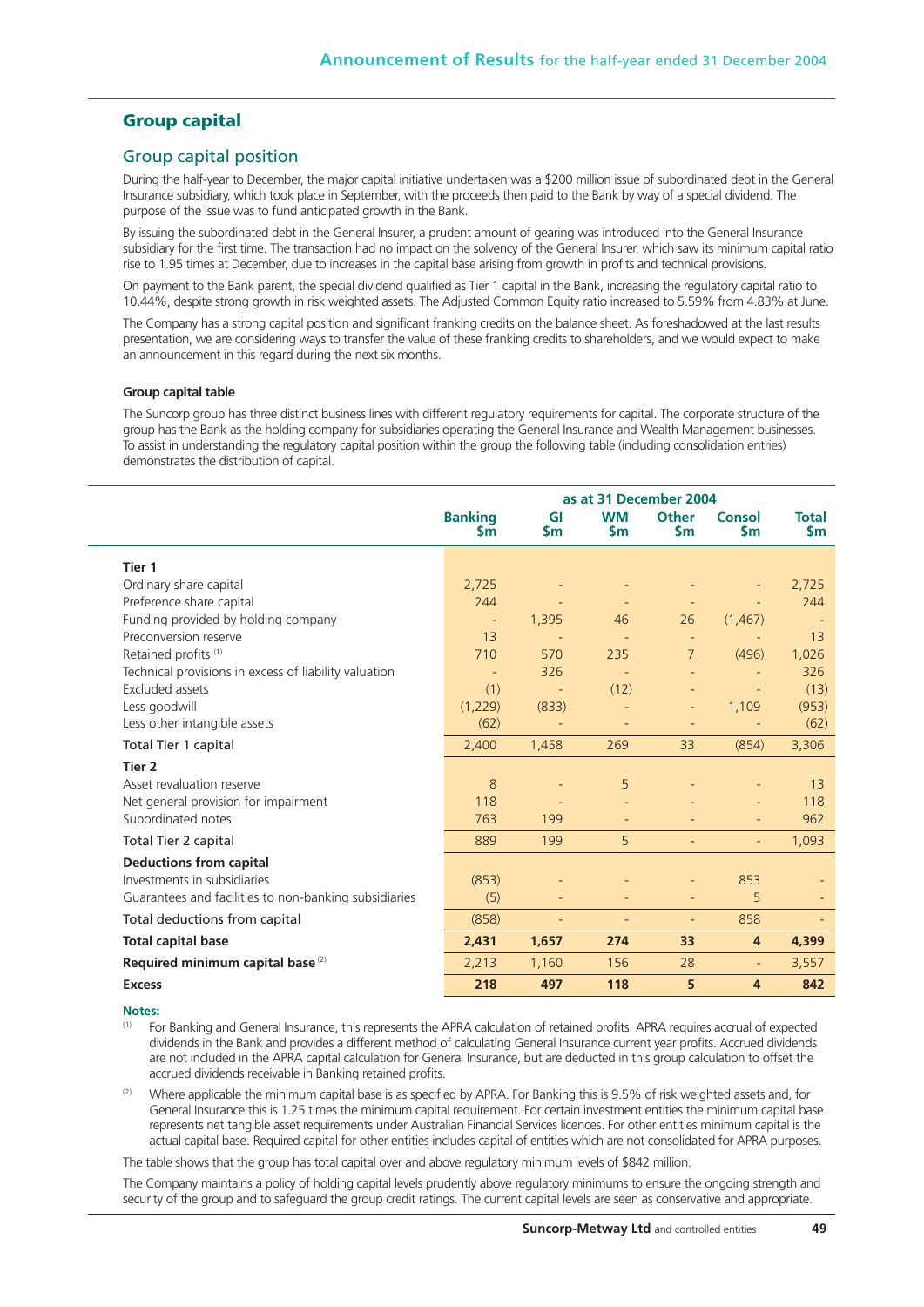## **Group capital**

#### Group capital position

During the half-year to December, the major capital initiative undertaken was a \$200 million issue of subordinated debt in the General Insurance subsidiary, which took place in September, with the proceeds then paid to the Bank by way of a special dividend. The purpose of the issue was to fund anticipated growth in the Bank.

By issuing the subordinated debt in the General Insurer, a prudent amount of gearing was introduced into the General Insurance subsidiary for the first time. The transaction had no impact on the solvency of the General Insurer, which saw its minimum capital ratio rise to 1.95 times at December, due to increases in the capital base arising from growth in profits and technical provisions.

On payment to the Bank parent, the special dividend qualified as Tier 1 capital in the Bank, increasing the regulatory capital ratio to 10.44%, despite strong growth in risk weighted assets. The Adjusted Common Equity ratio increased to 5.59% from 4.83% at June.

The Company has a strong capital position and significant franking credits on the balance sheet. As foreshadowed at the last results presentation, we are considering ways to transfer the value of these franking credits to shareholders, and we would expect to make an announcement in this regard during the next six months.

#### **Group capital table**

The Suncorp group has three distinct business lines with different regulatory requirements for capital. The corporate structure of the group has the Bank as the holding company for subsidiaries operating the General Insurance and Wealth Management businesses. To assist in understanding the regulatory capital position within the group the following table (including consolidation entries) demonstrates the distribution of capital.

|                                                       | as at 31 December 2004      |                   |                          |                           |                     |                     |
|-------------------------------------------------------|-----------------------------|-------------------|--------------------------|---------------------------|---------------------|---------------------|
|                                                       | <b>Banking</b><br><b>Sm</b> | GI<br>\$m         | <b>WM</b><br><b>Sm</b>   | <b>Other</b><br><b>Sm</b> | Consol<br><b>Sm</b> | <b>Total</b><br>\$m |
| Tier 1                                                |                             |                   |                          |                           |                     |                     |
| Ordinary share capital                                | 2,725                       |                   |                          |                           |                     | 2,725               |
| Preference share capital                              | 244                         |                   |                          |                           |                     | 244                 |
| Funding provided by holding company                   | $\overline{\phantom{a}}$    | 1,395             | 46                       | 26                        | (1, 467)            |                     |
| Preconversion reserve                                 | 13                          |                   |                          |                           |                     | 13                  |
| Retained profits <sup>(1)</sup>                       | 710                         | 570               | 235                      | $\overline{7}$            | (496)               | 1,026               |
| Technical provisions in excess of liability valuation |                             | 326               |                          |                           |                     | 326                 |
| Excluded assets                                       | (1)                         |                   | (12)                     |                           |                     | (13)                |
| Less goodwill                                         | (1,229)                     | (833)             |                          | $\overline{a}$            | 1,109               | (953)               |
| Less other intangible assets                          | (62)                        |                   |                          |                           |                     | (62)                |
| Total Tier 1 capital                                  | 2,400                       | 1,458             | 269                      | 33                        | (854)               | 3,306               |
| Tier <sub>2</sub>                                     |                             |                   |                          |                           |                     |                     |
| Asset revaluation reserve                             | 8                           |                   | 5                        |                           |                     | 13                  |
| Net general provision for impairment                  | 118                         |                   |                          |                           |                     | 118                 |
| Subordinated notes                                    | 763                         | 199               |                          |                           |                     | 962                 |
| Total Tier 2 capital                                  | 889                         | 199               | 5                        |                           |                     | 1,093               |
| <b>Deductions from capital</b>                        |                             |                   |                          |                           |                     |                     |
| Investments in subsidiaries                           | (853)                       |                   |                          |                           | 853                 |                     |
| Guarantees and facilities to non-banking subsidiaries | (5)                         | Ξ                 |                          | Ξ                         | 5                   |                     |
| Total deductions from capital                         | (858)                       | $\qquad \qquad -$ | $\overline{\phantom{a}}$ | $\overline{\phantom{0}}$  | 858                 |                     |
| <b>Total capital base</b>                             | 2,431                       | 1,657             | 274                      | 33                        | 4                   | 4,399               |
| Required minimum capital base <sup>(2)</sup>          | 2,213                       | 1,160             | 156                      | 28                        | $\equiv$            | 3,557               |
| <b>Excess</b>                                         | 218                         | 497               | 118                      | 5                         | 4                   | 842                 |

#### **Notes:**

(1) For Banking and General Insurance, this represents the APRA calculation of retained profits. APRA requires accrual of expected dividends in the Bank and provides a different method of calculating General Insurance current year profits. Accrued dividends are not included in the APRA capital calculation for General Insurance, but are deducted in this group calculation to offset the accrued dividends receivable in Banking retained profits.

Where applicable the minimum capital base is as specified by APRA. For Banking this is 9.5% of risk weighted assets and, for General Insurance this is 1.25 times the minimum capital requirement. For certain investment entities the minimum capital base represents net tangible asset requirements under Australian Financial Services licences. For other entities minimum capital is the actual capital base. Required capital for other entities includes capital of entities which are not consolidated for APRA purposes.

The table shows that the group has total capital over and above regulatory minimum levels of \$842 million.

The Company maintains a policy of holding capital levels prudently above regulatory minimums to ensure the ongoing strength and security of the group and to safeguard the group credit ratings. The current capital levels are seen as conservative and appropriate.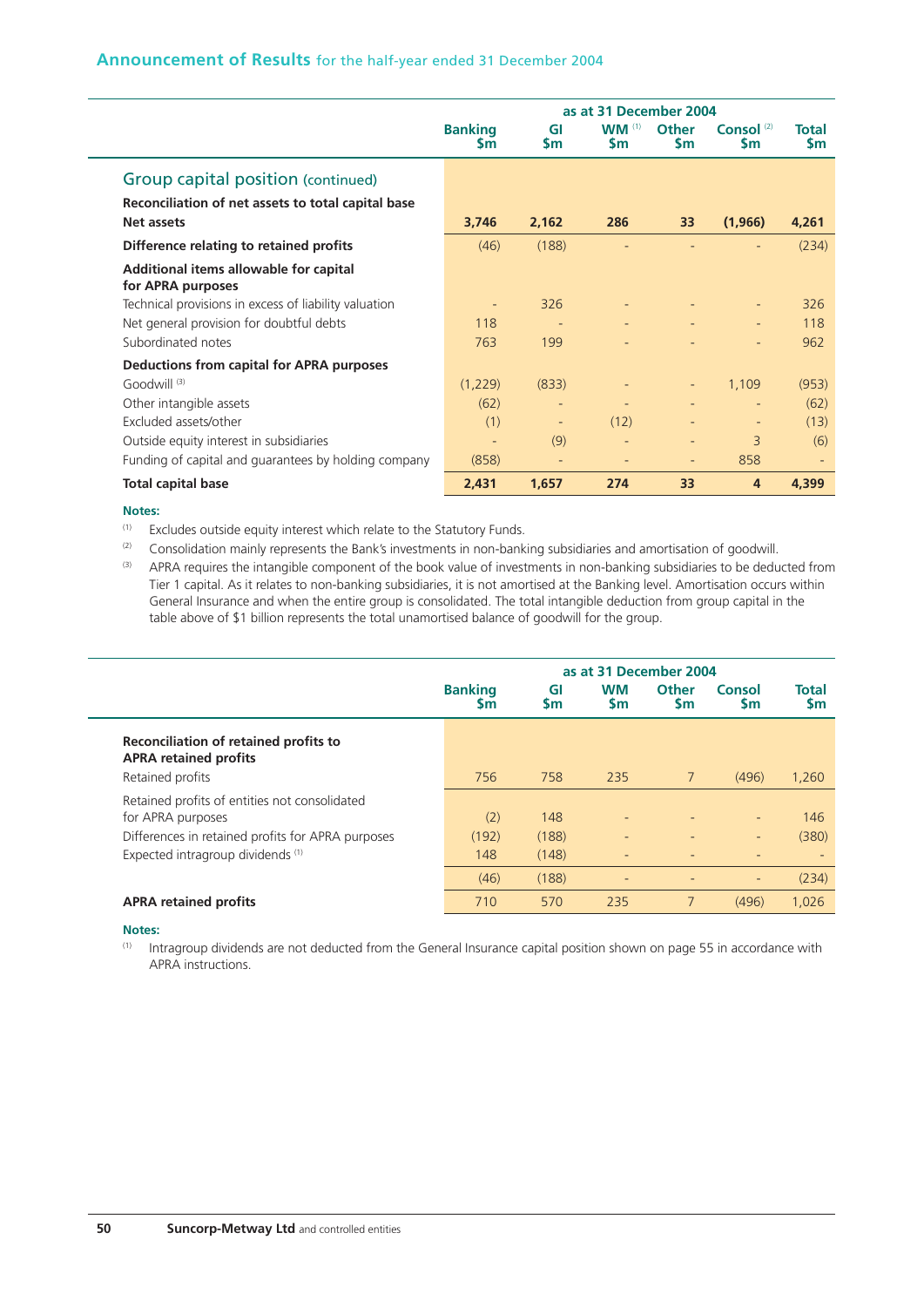|                                                             |                             | as at 31 December 2004 |                                  |                           |                           |                           |  |  |  |  |
|-------------------------------------------------------------|-----------------------------|------------------------|----------------------------------|---------------------------|---------------------------|---------------------------|--|--|--|--|
|                                                             | <b>Banking</b><br><b>Sm</b> | GI<br><b>Sm</b>        | $WM$ <sup>(1)</sup><br><b>Sm</b> | <b>Other</b><br><b>Sm</b> | Consol $(2)$<br><b>Sm</b> | <b>Total</b><br><b>Sm</b> |  |  |  |  |
| Group capital position (continued)                          |                             |                        |                                  |                           |                           |                           |  |  |  |  |
| Reconciliation of net assets to total capital base          |                             |                        |                                  |                           |                           |                           |  |  |  |  |
| <b>Net assets</b>                                           | 3,746                       | 2,162                  | 286                              | 33                        | (1,966)                   | 4,261                     |  |  |  |  |
| Difference relating to retained profits                     | (46)                        | (188)                  |                                  |                           |                           | (234)                     |  |  |  |  |
| Additional items allowable for capital<br>for APRA purposes |                             |                        |                                  |                           |                           |                           |  |  |  |  |
| Technical provisions in excess of liability valuation       | ٠                           | 326                    | ٠                                |                           |                           | 326                       |  |  |  |  |
| Net general provision for doubtful debts                    | 118                         |                        | $\qquad \qquad -$                |                           |                           | 118                       |  |  |  |  |
| Subordinated notes                                          | 763                         | 199                    |                                  |                           |                           | 962                       |  |  |  |  |
| Deductions from capital for APRA purposes                   |                             |                        |                                  |                           |                           |                           |  |  |  |  |
| Goodwill <sup>(3)</sup>                                     | (1,229)                     | (833)                  |                                  |                           | 1,109                     | (953)                     |  |  |  |  |
| Other intangible assets                                     | (62)                        |                        | $\overline{\phantom{a}}$         |                           |                           | (62)                      |  |  |  |  |
| Excluded assets/other                                       | (1)                         |                        | (12)                             |                           |                           | (13)                      |  |  |  |  |
| Outside equity interest in subsidiaries                     | $\overline{\phantom{a}}$    | (9)                    | ٠                                | $\overline{a}$            | 3                         | (6)                       |  |  |  |  |
| Funding of capital and guarantees by holding company        | (858)                       |                        | ٠                                | ٠                         | 858                       |                           |  |  |  |  |
| <b>Total capital base</b>                                   | 2,431                       | 1,657                  | 274                              | 33                        | 4                         | 4,399                     |  |  |  |  |

#### **Notes:**

(1) Excludes outside equity interest which relate to the Statutory Funds.

<sup>(2)</sup> Consolidation mainly represents the Bank's investments in non-banking subsidiaries and amortisation of goodwill.

(3) APRA requires the intangible component of the book value of investments in non-banking subsidiaries to be deducted from Tier 1 capital. As it relates to non-banking subsidiaries, it is not amortised at the Banking level. Amortisation occurs within General Insurance and when the entire group is consolidated. The total intangible deduction from group capital in the table above of \$1 billion represents the total unamortised balance of goodwill for the group.

|                                                                                           | as at 31 December 2004      |          |                              |                           |              |                    |  |  |
|-------------------------------------------------------------------------------------------|-----------------------------|----------|------------------------------|---------------------------|--------------|--------------------|--|--|
|                                                                                           | <b>Banking</b><br><b>Sm</b> | GI<br>Sm | <b>WM</b><br>Sm              | <b>Other</b><br><b>Sm</b> | Consol<br>Sm | Total<br><b>Sm</b> |  |  |
| Reconciliation of retained profits to<br><b>APRA retained profits</b><br>Retained profits | 756                         | 758      | 235                          | $\overline{7}$            | (496)        | 1,260              |  |  |
| Retained profits of entities not consolidated                                             |                             |          |                              |                           |              |                    |  |  |
| for APRA purposes                                                                         | (2)                         | 148      | $\qquad \qquad \blacksquare$ |                           | Ξ.           | 146                |  |  |
| Differences in retained profits for APRA purposes                                         | (192)                       | (188)    | $\overline{\phantom{0}}$     |                           | Ξ.           | (380)              |  |  |
| Expected intragroup dividends (1)                                                         | 148                         | (148)    | $\overline{\phantom{a}}$     |                           | ٠            | $\overline{a}$     |  |  |
|                                                                                           | (46)                        | (188)    | $\overline{\phantom{0}}$     |                           | -            | (234)              |  |  |
| <b>APRA retained profits</b>                                                              | 710                         | 570      | 235                          | $\overline{7}$            | (496)        | 1,026              |  |  |

**Notes:**

(1) Intragroup dividends are not deducted from the General Insurance capital position shown on page 55 in accordance with APRA instructions.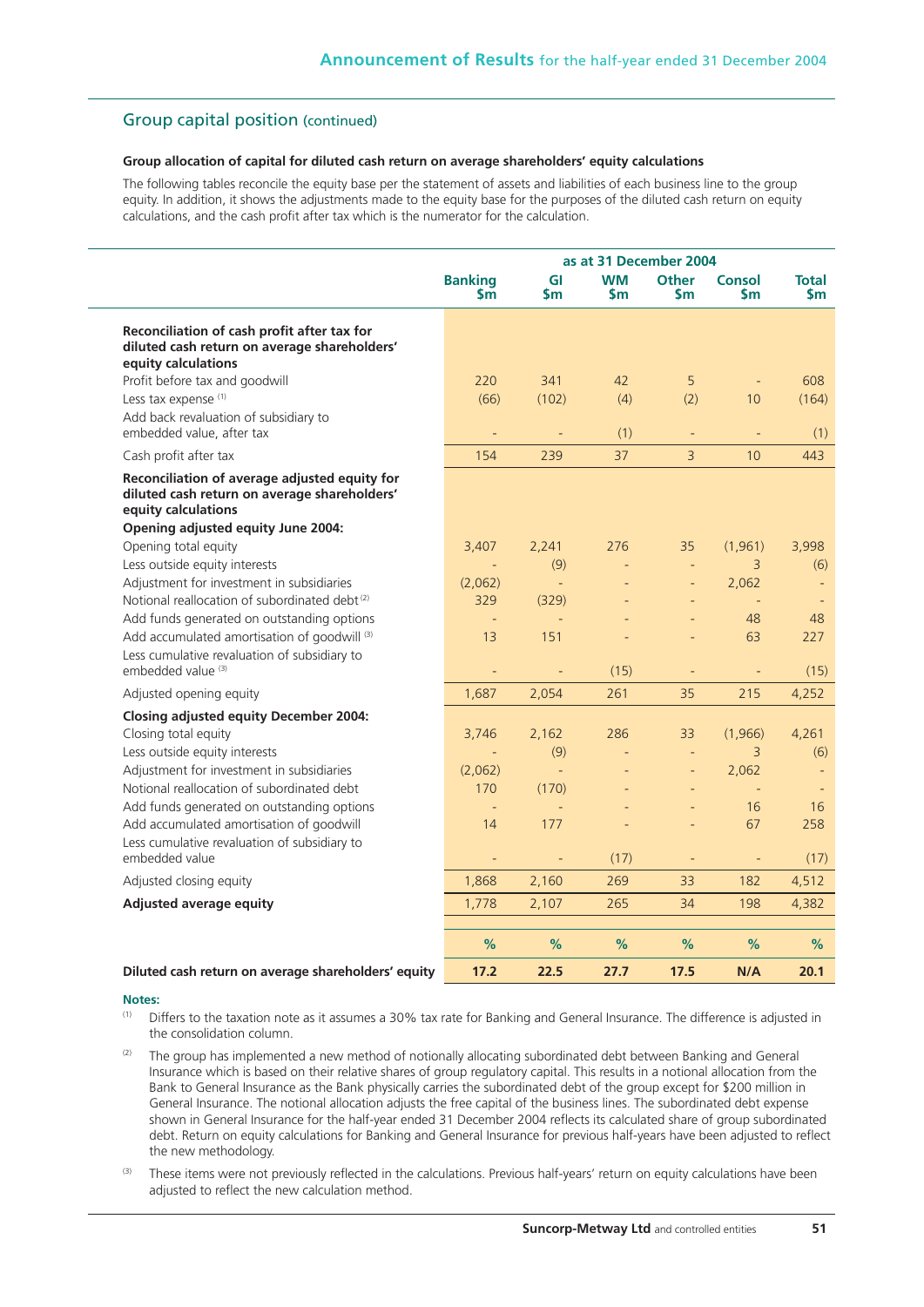## Group capital position (continued)

### **Group allocation of capital for diluted cash return on average shareholders' equity calculations**

The following tables reconcile the equity base per the statement of assets and liabilities of each business line to the group equity. In addition, it shows the adjustments made to the equity base for the purposes of the diluted cash return on equity calculations, and the cash profit after tax which is the numerator for the calculation.

|                                                                                                                                                            |                             |                 | as at 31 December 2004   |                          |                     |                     |
|------------------------------------------------------------------------------------------------------------------------------------------------------------|-----------------------------|-----------------|--------------------------|--------------------------|---------------------|---------------------|
|                                                                                                                                                            | <b>Banking</b><br><b>Sm</b> | GI<br><b>Sm</b> | <b>WM</b><br>Sm          | Other<br><b>Sm</b>       | <b>Consol</b><br>Sm | <b>Total</b><br>Sm⊹ |
| Reconciliation of cash profit after tax for<br>diluted cash return on average shareholders'<br>equity calculations                                         |                             |                 |                          |                          |                     |                     |
| Profit before tax and goodwill                                                                                                                             | 220                         | 341             | 42                       | 5                        |                     | 608                 |
| Less tax expense <sup>(1)</sup>                                                                                                                            | (66)                        | (102)           | (4)                      | (2)                      | 10                  | (164)               |
| Add back revaluation of subsidiary to<br>embedded value, after tax                                                                                         |                             |                 | (1)                      |                          |                     | (1)                 |
| Cash profit after tax                                                                                                                                      | 154                         | 239             | 37                       | $\overline{3}$           | 10                  | 443                 |
| Reconciliation of average adjusted equity for<br>diluted cash return on average shareholders'<br>equity calculations<br>Opening adjusted equity June 2004: |                             |                 |                          |                          |                     |                     |
| Opening total equity                                                                                                                                       | 3,407                       | 2,241           | 276                      | 35                       | (1,961)             | 3,998               |
| Less outside equity interests                                                                                                                              | $\blacksquare$              | (9)             | $\equiv$                 | $\Box$                   | 3                   | (6)                 |
| Adjustment for investment in subsidiaries                                                                                                                  | (2,062)                     | $\equiv$        |                          | $\blacksquare$           | 2,062               |                     |
| Notional reallocation of subordinated debt <sup>(2)</sup>                                                                                                  | 329                         | (329)           |                          | $\overline{a}$           | $\equiv$            |                     |
| Add funds generated on outstanding options                                                                                                                 |                             |                 |                          |                          | 48                  | 48                  |
| Add accumulated amortisation of goodwill (3)                                                                                                               | 13                          | 151             |                          | $\overline{\phantom{a}}$ | 63                  | 227                 |
| Less cumulative revaluation of subsidiary to<br>embedded value (3)                                                                                         | $\blacksquare$              |                 | (15)                     | ÷,                       |                     | (15)                |
| Adjusted opening equity                                                                                                                                    | 1,687                       | 2,054           | 261                      | 35                       | 215                 | 4,252               |
| <b>Closing adjusted equity December 2004:</b>                                                                                                              |                             |                 |                          |                          |                     |                     |
| Closing total equity                                                                                                                                       | 3,746                       | 2,162           | 286                      | 33                       | (1,966)             | 4,261               |
| Less outside equity interests                                                                                                                              |                             | (9)             |                          |                          | 3                   | (6)                 |
| Adjustment for investment in subsidiaries                                                                                                                  | (2,062)                     | $\omega$        | $\overline{\phantom{a}}$ | $\qquad \qquad -$        | 2,062               |                     |
| Notional reallocation of subordinated debt                                                                                                                 | 170                         | (170)           |                          | ÷,                       | $\equiv$            |                     |
| Add funds generated on outstanding options                                                                                                                 | $\overline{a}$              | $\equiv$        |                          |                          | 16                  | 16                  |
| Add accumulated amortisation of goodwill                                                                                                                   | 14                          | 177             |                          | $\overline{a}$           | 67                  | 258                 |
| Less cumulative revaluation of subsidiary to<br>embedded value                                                                                             | ÷                           | ÷               | (17)                     | $\blacksquare$           | ÷,                  | (17)                |
| Adjusted closing equity                                                                                                                                    | 1,868                       | 2,160           | 269                      | 33                       | 182                 | 4,512               |
| <b>Adjusted average equity</b>                                                                                                                             | 1,778                       | 2,107           | 265                      | 34                       | 198                 | 4,382               |
|                                                                                                                                                            | %                           | %               | %                        | %                        | %                   | %                   |
| Diluted cash return on average shareholders' equity                                                                                                        | 17.2                        | 22.5            | 27.7                     | 17.5                     | N/A                 | 20.1                |

#### **Notes:**

- (1) Differs to the taxation note as it assumes a 30% tax rate for Banking and General Insurance. The difference is adjusted in the consolidation column.
- The group has implemented a new method of notionally allocating subordinated debt between Banking and General Insurance which is based on their relative shares of group regulatory capital. This results in a notional allocation from the Bank to General Insurance as the Bank physically carries the subordinated debt of the group except for \$200 million in General Insurance. The notional allocation adjusts the free capital of the business lines. The subordinated debt expense shown in General Insurance for the half-year ended 31 December 2004 reflects its calculated share of group subordinated debt. Return on equity calculations for Banking and General Insurance for previous half-years have been adjusted to reflect the new methodology.
- These items were not previously reflected in the calculations. Previous half-years' return on equity calculations have been adjusted to reflect the new calculation method.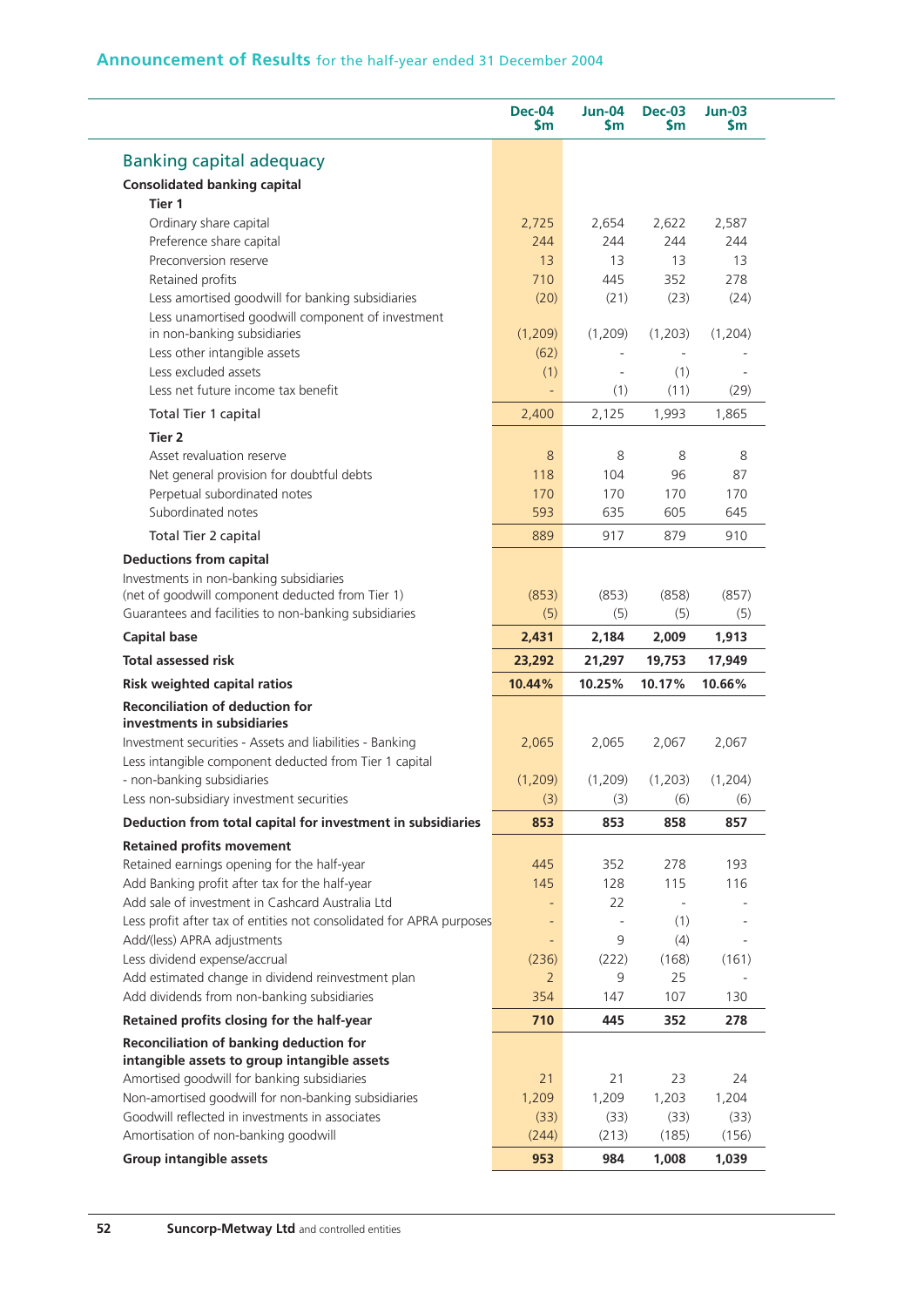|                                                                                                                                                                                                                                                               | <b>Dec-04</b><br>\$m | <b>Jun-04</b><br>Sm | <b>Dec-03</b><br><b>Sm</b> | $Jun-03$<br>Sm                                             |
|---------------------------------------------------------------------------------------------------------------------------------------------------------------------------------------------------------------------------------------------------------------|----------------------|---------------------|----------------------------|------------------------------------------------------------|
| <b>Banking capital adequacy</b>                                                                                                                                                                                                                               |                      |                     |                            |                                                            |
| <b>Consolidated banking capital</b>                                                                                                                                                                                                                           |                      |                     |                            |                                                            |
| Tier <sub>1</sub>                                                                                                                                                                                                                                             |                      |                     |                            |                                                            |
| Ordinary share capital                                                                                                                                                                                                                                        | 2,725                | 2,654               | 2,622                      | 2,587                                                      |
| Preference share capital                                                                                                                                                                                                                                      | 244                  | 244                 | 244                        | 244                                                        |
| Preconversion reserve                                                                                                                                                                                                                                         | 13                   | 13                  | 13                         | 13                                                         |
| Retained profits                                                                                                                                                                                                                                              | 710                  | 445                 | 352                        | 278                                                        |
| Less amortised goodwill for banking subsidiaries                                                                                                                                                                                                              | (20)                 | (21)                | (23)                       | (24)                                                       |
| Less unamortised goodwill component of investment                                                                                                                                                                                                             |                      |                     |                            |                                                            |
| in non-banking subsidiaries                                                                                                                                                                                                                                   | (1,209)              | (1,209)             | (1,203)                    | (1,204)                                                    |
| Less other intangible assets                                                                                                                                                                                                                                  | (62)                 |                     |                            |                                                            |
| Less excluded assets                                                                                                                                                                                                                                          | (1)                  |                     | (1)                        |                                                            |
| Less net future income tax benefit                                                                                                                                                                                                                            |                      | (1)                 | (11)                       | (29)                                                       |
| Total Tier 1 capital                                                                                                                                                                                                                                          | 2,400                | 2,125               | 1,993                      | 1,865                                                      |
| Tier 2                                                                                                                                                                                                                                                        |                      |                     |                            |                                                            |
| Asset revaluation reserve                                                                                                                                                                                                                                     | 8                    | 8                   | 8                          | 8                                                          |
| Net general provision for doubtful debts                                                                                                                                                                                                                      | 118                  | 104                 | 96                         | 87                                                         |
| Perpetual subordinated notes                                                                                                                                                                                                                                  | 170                  | 170                 | 170                        | 170                                                        |
| Subordinated notes                                                                                                                                                                                                                                            | 593                  | 635                 | 605                        | 645                                                        |
| Total Tier 2 capital                                                                                                                                                                                                                                          | 889                  | 917                 | 879                        | 910                                                        |
| <b>Deductions from capital</b>                                                                                                                                                                                                                                |                      |                     |                            |                                                            |
| Investments in non-banking subsidiaries                                                                                                                                                                                                                       |                      |                     |                            |                                                            |
| (net of goodwill component deducted from Tier 1)                                                                                                                                                                                                              | (853)                | (853)               | (858)                      | (857)                                                      |
| Guarantees and facilities to non-banking subsidiaries                                                                                                                                                                                                         | (5)                  | (5)                 | (5)                        | (5)                                                        |
| <b>Capital base</b>                                                                                                                                                                                                                                           | 2,431                | 2,184               | 2,009                      | 1,913                                                      |
| <b>Total assessed risk</b>                                                                                                                                                                                                                                    | 23,292               | 21,297              | 19,753                     | 17,949                                                     |
| <b>Risk weighted capital ratios</b>                                                                                                                                                                                                                           | 10.44%               | 10.25%              | 10.17%                     | 10.66%                                                     |
| <b>Reconciliation of deduction for</b>                                                                                                                                                                                                                        |                      |                     |                            |                                                            |
| investments in subsidiaries                                                                                                                                                                                                                                   |                      |                     |                            |                                                            |
| Investment securities - Assets and liabilities - Banking                                                                                                                                                                                                      | 2,065                | 2,065               | 2,067                      | 2,067                                                      |
|                                                                                                                                                                                                                                                               |                      |                     |                            |                                                            |
|                                                                                                                                                                                                                                                               |                      |                     |                            |                                                            |
| Less intangible component deducted from Tier 1 capital                                                                                                                                                                                                        |                      |                     |                            |                                                            |
| - non-banking subsidiaries                                                                                                                                                                                                                                    | (1,209)              | (1,209)             | (1,203)                    |                                                            |
|                                                                                                                                                                                                                                                               | (3)                  | (3)                 | (6)                        |                                                            |
| Less non-subsidiary investment securities<br>Deduction from total capital for investment in subsidiaries                                                                                                                                                      | 853                  | 853                 | 858                        |                                                            |
|                                                                                                                                                                                                                                                               |                      |                     |                            | (1,204)<br>(6)<br>857                                      |
|                                                                                                                                                                                                                                                               | 445                  | 352                 | 278                        | 193                                                        |
|                                                                                                                                                                                                                                                               | 145                  | 128                 | 115                        |                                                            |
|                                                                                                                                                                                                                                                               |                      | 22                  | $\sim$                     |                                                            |
| <b>Retained profits movement</b><br>Retained earnings opening for the half-year<br>Add Banking profit after tax for the half-year<br>Add sale of investment in Cashcard Australia Ltd<br>Less profit after tax of entities not consolidated for APRA purposes | $\qquad \qquad -$    |                     | (1)                        |                                                            |
|                                                                                                                                                                                                                                                               |                      | 9                   | (4)                        |                                                            |
|                                                                                                                                                                                                                                                               | (236)                | (222)               | (168)                      |                                                            |
|                                                                                                                                                                                                                                                               | $\overline{2}$       | 9                   | 25                         |                                                            |
|                                                                                                                                                                                                                                                               | 354                  | 147                 | 107                        |                                                            |
| Add/(less) APRA adjustments<br>Less dividend expense/accrual<br>Add estimated change in dividend reinvestment plan<br>Add dividends from non-banking subsidiaries<br>Retained profits closing for the half-year                                               | 710                  | 445                 | 352                        |                                                            |
| Reconciliation of banking deduction for                                                                                                                                                                                                                       |                      |                     |                            |                                                            |
|                                                                                                                                                                                                                                                               | 21                   | 21                  | 23                         |                                                            |
|                                                                                                                                                                                                                                                               |                      |                     |                            |                                                            |
|                                                                                                                                                                                                                                                               | 1,209<br>(33)        | 1,209               | 1,203                      |                                                            |
| intangible assets to group intangible assets<br>Amortised goodwill for banking subsidiaries<br>Non-amortised goodwill for non-banking subsidiaries<br>Goodwill reflected in investments in associates<br>Amortisation of non-banking goodwill                 | (244)                | (33)<br>(213)       | (33)<br>(185)              | 116<br>(161)<br>130<br>278<br>24<br>1,204<br>(33)<br>(156) |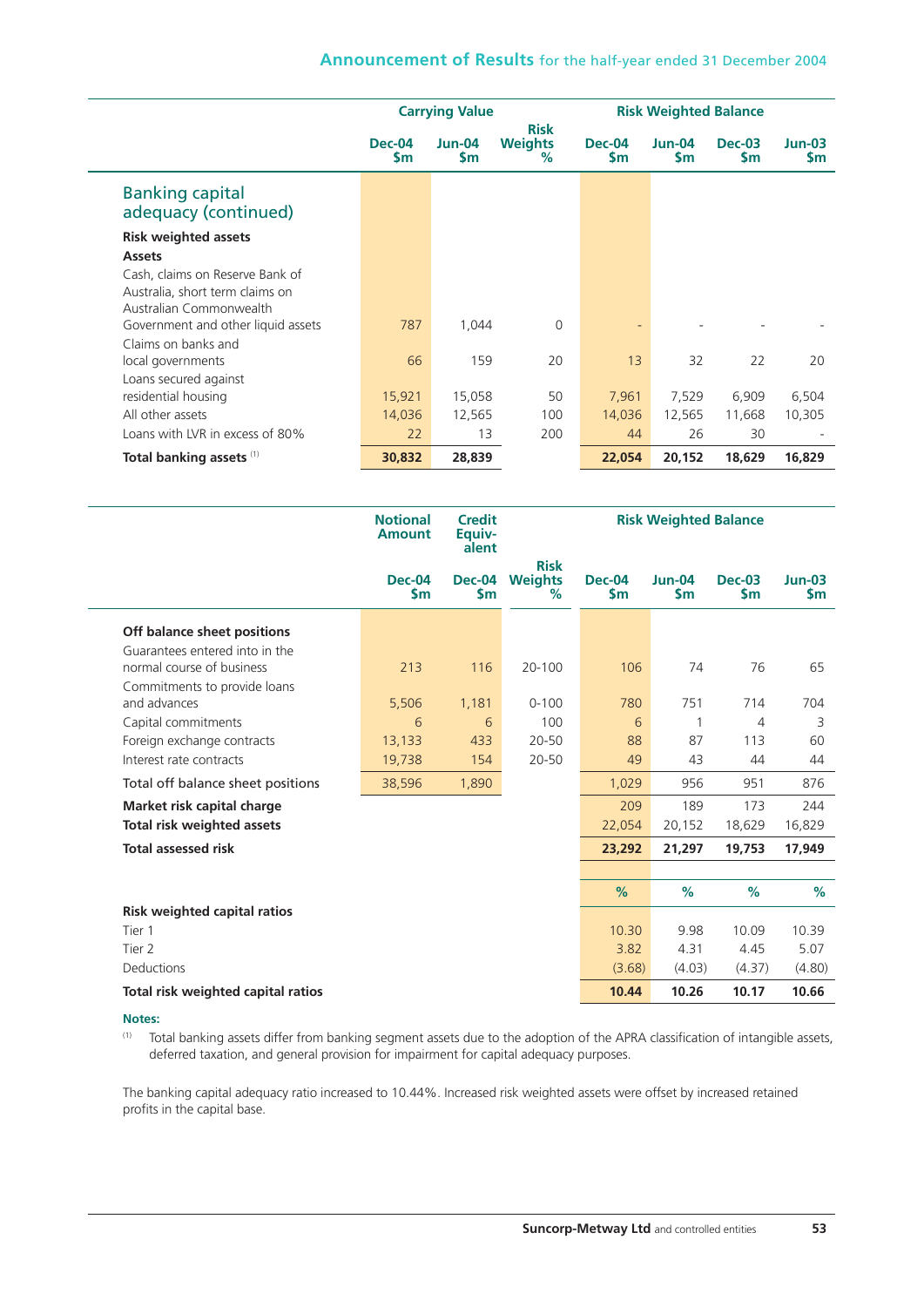|                                                                                               |                            | <b>Carrying Value</b>      |                                       | <b>Risk Weighted Balance</b> |                     |                      |                       |
|-----------------------------------------------------------------------------------------------|----------------------------|----------------------------|---------------------------------------|------------------------------|---------------------|----------------------|-----------------------|
|                                                                                               | <b>Dec-04</b><br><b>Sm</b> | <b>Jun-04</b><br><b>Sm</b> | <b>Risk</b><br><b>Weights</b><br>$\%$ | <b>Dec-04</b><br><b>Sm</b>   | Jun-04<br><b>Sm</b> | <b>Dec-03</b><br>\$m | $Jun-03$<br><b>Sm</b> |
| <b>Banking capital</b><br>adequacy (continued)                                                |                            |                            |                                       |                              |                     |                      |                       |
| <b>Risk weighted assets</b><br><b>Assets</b>                                                  |                            |                            |                                       |                              |                     |                      |                       |
| Cash, claims on Reserve Bank of<br>Australia, short term claims on<br>Australian Commonwealth |                            |                            |                                       |                              |                     |                      |                       |
| Government and other liquid assets<br>Claims on banks and                                     | 787                        | 1,044                      | $\Omega$                              | $\overline{\phantom{a}}$     |                     |                      |                       |
| local governments<br>Loans secured against                                                    | 66                         | 159                        | 20                                    | 13                           | 32                  | 22                   | 20                    |
| residential housing                                                                           | 15,921                     | 15,058                     | 50                                    | 7,961                        | 7,529               | 6,909                | 6,504                 |
| All other assets                                                                              | 14,036                     | 12,565                     | 100                                   | 14,036                       | 12,565              | 11,668               | 10,305                |
| Loans with LVR in excess of 80%                                                               | 22                         | 13                         | 200                                   | 44                           | 26                  | 30                   |                       |
| Total banking assets (1)                                                                      | 30,832                     | 28,839                     |                                       | 22,054                       | 20,152              | 18,629               | 16,829                |

|                                     | <b>Notional</b><br><b>Amount</b> | <b>Credit</b><br>Equiv-<br>alent | <b>Risk Weighted Balance</b>          |                         |                           |                      |                 |
|-------------------------------------|----------------------------------|----------------------------------|---------------------------------------|-------------------------|---------------------------|----------------------|-----------------|
|                                     | <b>Dec-04</b><br>$\mathsf{S}$ m  | <b>Dec-04</b><br>\$m             | <b>Risk</b><br><b>Weights</b><br>$\%$ | Dec-04<br>$\mathsf{Sm}$ | $Jun-04$<br>$\mathsf{Sm}$ | <b>Dec-03</b><br>\$m | $Jun-03$<br>\$m |
| Off balance sheet positions         |                                  |                                  |                                       |                         |                           |                      |                 |
| Guarantees entered into in the      |                                  |                                  |                                       |                         |                           |                      |                 |
| normal course of business           | 213                              | 116                              | $20 - 100$                            | 106                     | 74                        | 76                   | 65              |
| Commitments to provide loans        |                                  |                                  |                                       |                         |                           |                      |                 |
| and advances                        | 5,506                            | 1,181                            | $0 - 100$                             | 780                     | 751                       | 714                  | 704             |
| Capital commitments                 | 6                                | 6                                | 100                                   | 6                       | 1                         | 4                    | 3               |
| Foreign exchange contracts          | 13,133                           | 433                              | 20-50                                 | 88                      | 87                        | 113                  | 60              |
| Interest rate contracts             | 19,738                           | 154                              | 20-50                                 | 49                      | 43                        | 44                   | 44              |
| Total off balance sheet positions   | 38,596                           | 1,890                            |                                       | 1,029                   | 956                       | 951                  | 876             |
| Market risk capital charge          |                                  |                                  |                                       | 209                     | 189                       | 173                  | 244             |
| Total risk weighted assets          |                                  |                                  |                                       | 22,054                  | 20,152                    | 18,629               | 16,829          |
| <b>Total assessed risk</b>          |                                  |                                  |                                       | 23,292                  | 21,297                    | 19,753               | 17,949          |
|                                     |                                  |                                  |                                       |                         |                           |                      |                 |
|                                     |                                  |                                  |                                       | $\%$                    | %                         | %                    | %               |
| <b>Risk weighted capital ratios</b> |                                  |                                  |                                       |                         |                           |                      |                 |
| Tier 1                              |                                  |                                  |                                       | 10.30                   | 9.98                      | 10.09                | 10.39           |
| Tier 2                              |                                  |                                  |                                       | 3.82                    | 4.31                      | 4.45                 | 5.07            |
| <b>Deductions</b>                   |                                  |                                  |                                       | (3.68)                  | (4.03)                    | (4.37)               | (4.80)          |
| Total risk weighted capital ratios  |                                  |                                  |                                       | 10.44                   | 10.26                     | 10.17                | 10.66           |

#### **Notes:**

(1) Total banking assets differ from banking segment assets due to the adoption of the APRA classification of intangible assets, deferred taxation, and general provision for impairment for capital adequacy purposes.

The banking capital adequacy ratio increased to 10.44%. Increased risk weighted assets were offset by increased retained profits in the capital base.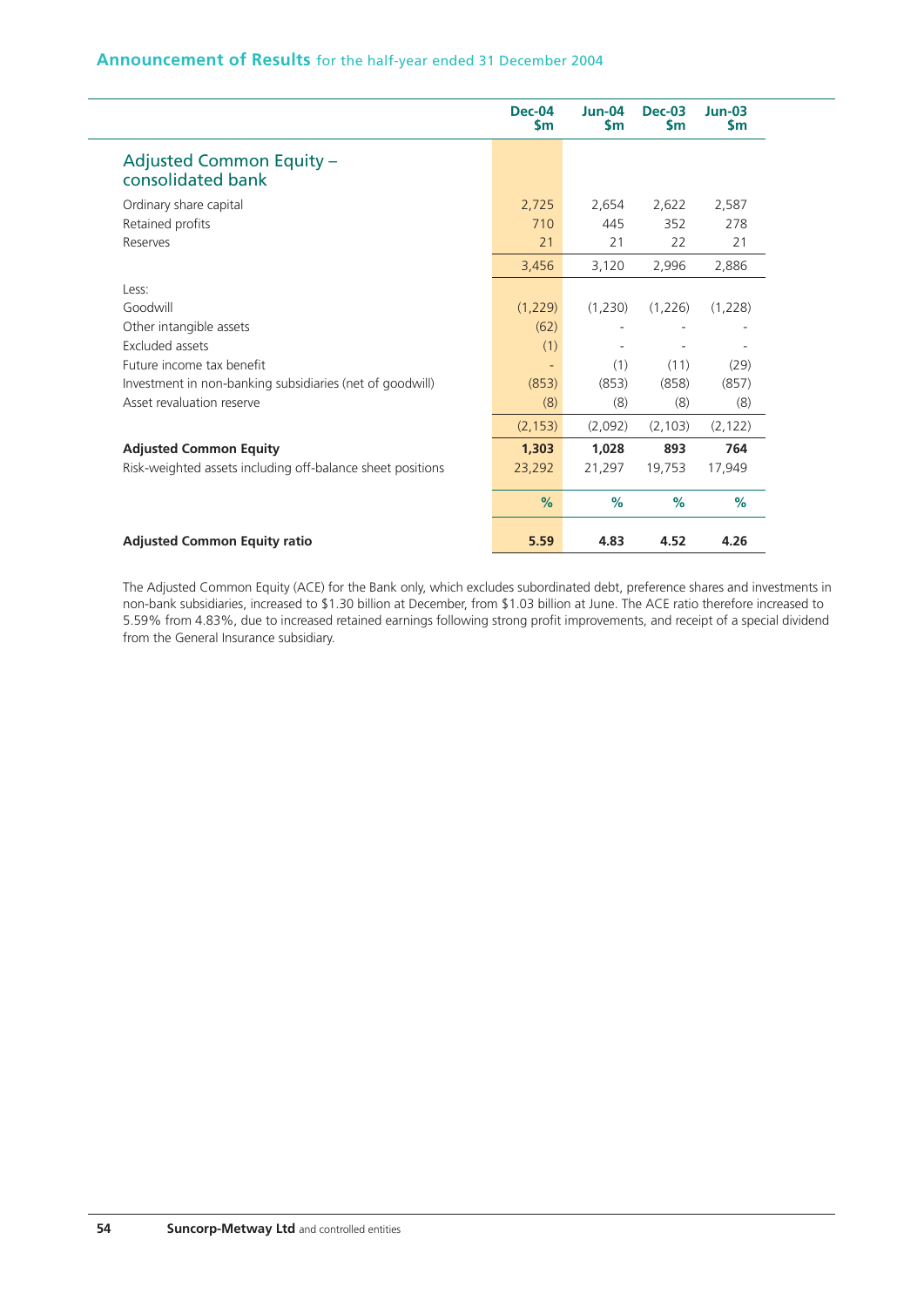|                                                            | <b>Dec-04</b><br>Sm      | <b>Jun-04</b><br><b>Sm</b> | <b>Dec-03</b><br><b>Sm</b> | $Jun-03$<br><b>Sm</b> |
|------------------------------------------------------------|--------------------------|----------------------------|----------------------------|-----------------------|
| <b>Adjusted Common Equity -</b><br>consolidated bank       |                          |                            |                            |                       |
| Ordinary share capital                                     | 2,725                    | 2,654                      | 2,622                      | 2,587                 |
| Retained profits                                           | 710                      | 445                        | 352                        | 278                   |
| Reserves                                                   | 21                       | 21                         | 22                         | 21                    |
|                                                            | 3,456                    | 3,120                      | 2,996                      | 2,886                 |
| Less:                                                      |                          |                            |                            |                       |
| Goodwill                                                   | (1,229)                  | (1,230)                    | (1,226)                    | (1,228)               |
| Other intangible assets                                    | (62)                     |                            |                            |                       |
| Excluded assets                                            | (1)                      |                            |                            |                       |
| Future income tax benefit                                  | $\overline{\phantom{a}}$ | (1)                        | (11)                       | (29)                  |
| Investment in non-banking subsidiaries (net of goodwill)   | (853)                    | (853)                      | (858)                      | (857)                 |
| Asset revaluation reserve                                  | (8)                      | (8)                        | (8)                        | (8)                   |
|                                                            | (2, 153)                 | (2,092)                    | (2, 103)                   | (2, 122)              |
| <b>Adjusted Common Equity</b>                              | 1,303                    | 1,028                      | 893                        | 764                   |
| Risk-weighted assets including off-balance sheet positions | 23,292                   | 21,297                     | 19,753                     | 17,949                |
|                                                            | $\%$                     | $\%$                       | $\%$                       | %                     |
| <b>Adjusted Common Equity ratio</b>                        | 5.59                     | 4.83                       | 4.52                       | 4.26                  |

The Adjusted Common Equity (ACE) for the Bank only, which excludes subordinated debt, preference shares and investments in non-bank subsidiaries, increased to \$1.30 billion at December, from \$1.03 billion at June. The ACE ratio therefore increased to 5.59% from 4.83%, due to increased retained earnings following strong profit improvements, and receipt of a special dividend from the General Insurance subsidiary.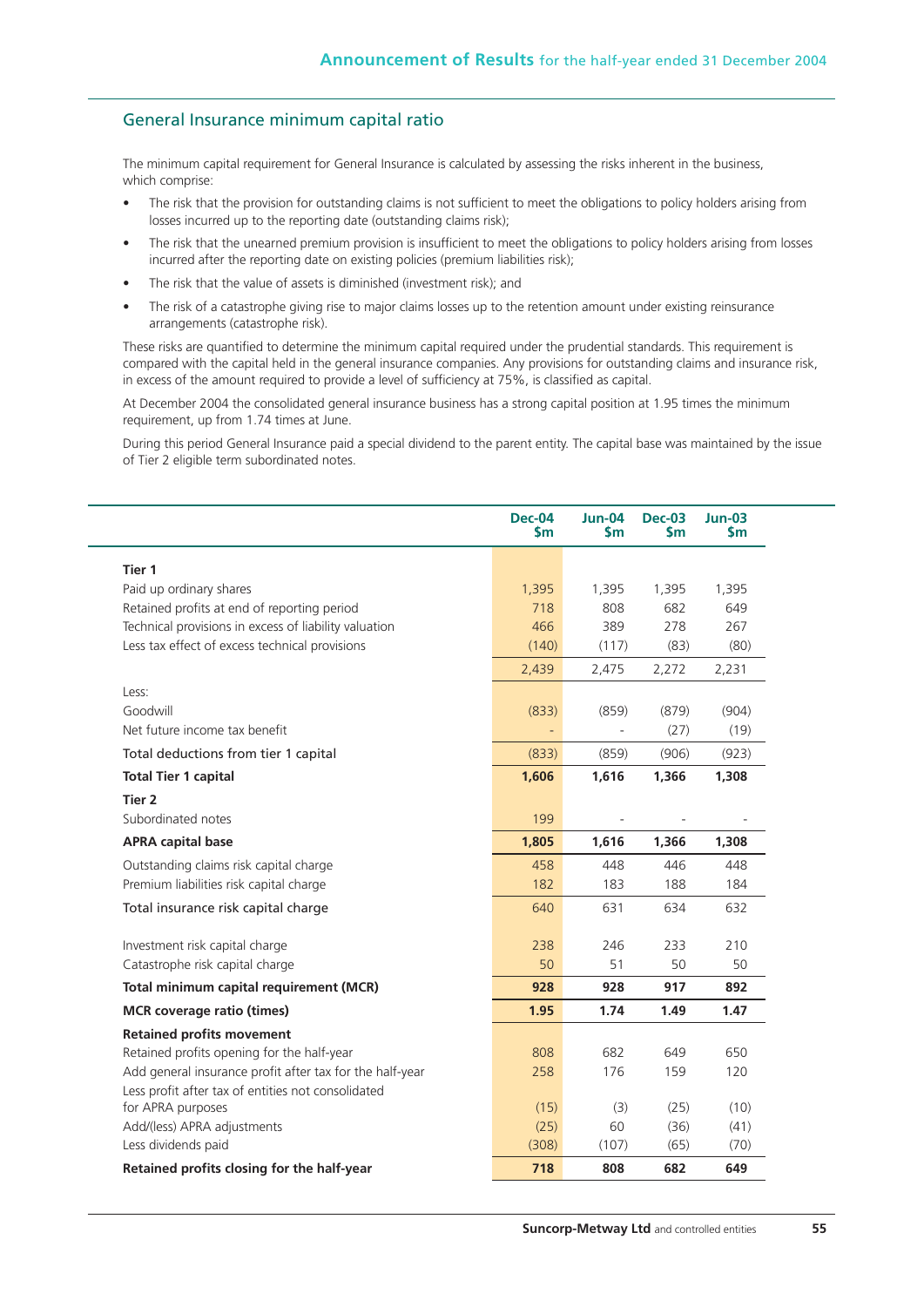## General Insurance minimum capital ratio

The minimum capital requirement for General Insurance is calculated by assessing the risks inherent in the business, which comprise:

- The risk that the provision for outstanding claims is not sufficient to meet the obligations to policy holders arising from losses incurred up to the reporting date (outstanding claims risk);
- The risk that the unearned premium provision is insufficient to meet the obligations to policy holders arising from losses incurred after the reporting date on existing policies (premium liabilities risk);
- The risk that the value of assets is diminished (investment risk); and
- The risk of a catastrophe giving rise to major claims losses up to the retention amount under existing reinsurance arrangements (catastrophe risk).

These risks are quantified to determine the minimum capital required under the prudential standards. This requirement is compared with the capital held in the general insurance companies. Any provisions for outstanding claims and insurance risk, in excess of the amount required to provide a level of sufficiency at 75%, is classified as capital.

At December 2004 the consolidated general insurance business has a strong capital position at 1.95 times the minimum requirement, up from 1.74 times at June.

During this period General Insurance paid a special dividend to the parent entity. The capital base was maintained by the issue of Tier 2 eligible term subordinated notes.

|                                                          | <b>Dec-04</b><br>$\mathsf{sm}$ | <b>Jun-04</b><br>$\mathsf{sm}$ | <b>Dec-03</b><br>$\mathsf{sm}$ | <b>Jun-03</b><br>$\mathsf{sm}$ |  |
|----------------------------------------------------------|--------------------------------|--------------------------------|--------------------------------|--------------------------------|--|
| Tier 1                                                   |                                |                                |                                |                                |  |
| Paid up ordinary shares                                  | 1,395                          | 1,395                          | 1,395                          | 1,395                          |  |
| Retained profits at end of reporting period              | 718                            | 808                            | 682                            | 649                            |  |
| Technical provisions in excess of liability valuation    | 466                            | 389                            | 278                            | 267                            |  |
| Less tax effect of excess technical provisions           | (140)                          | (117)                          | (83)                           | (80)                           |  |
|                                                          | 2,439                          | 2,475                          | 2,272                          | 2,231                          |  |
| Less:                                                    |                                |                                |                                |                                |  |
| Goodwill                                                 | (833)                          | (859)                          | (879)                          | (904)                          |  |
| Net future income tax benefit                            |                                |                                | (27)                           | (19)                           |  |
| Total deductions from tier 1 capital                     | (833)                          | (859)                          | (906)                          | (923)                          |  |
| <b>Total Tier 1 capital</b>                              | 1,606                          | 1,616                          | 1,366                          | 1,308                          |  |
| Tier <sub>2</sub>                                        |                                |                                |                                |                                |  |
| Subordinated notes                                       | 199                            |                                |                                |                                |  |
| <b>APRA capital base</b>                                 | 1,805                          | 1,616                          | 1,366                          | 1,308                          |  |
| Outstanding claims risk capital charge                   | 458                            | 448                            | 446                            | 448                            |  |
| Premium liabilities risk capital charge                  | 182                            | 183                            | 188                            | 184                            |  |
| Total insurance risk capital charge                      | 640                            | 631                            | 634                            | 632                            |  |
| Investment risk capital charge                           | 238                            | 246                            | 233                            | 210                            |  |
| Catastrophe risk capital charge                          | 50                             | 51                             | 50                             | 50                             |  |
| Total minimum capital requirement (MCR)                  | 928                            | 928                            | 917                            | 892                            |  |
| <b>MCR</b> coverage ratio (times)                        | 1.95                           | 1.74                           | 1.49                           | 1.47                           |  |
| <b>Retained profits movement</b>                         |                                |                                |                                |                                |  |
| Retained profits opening for the half-year               | 808                            | 682                            | 649                            | 650                            |  |
| Add general insurance profit after tax for the half-year | 258                            | 176                            | 159                            | 120                            |  |
| Less profit after tax of entities not consolidated       |                                |                                |                                |                                |  |
| for APRA purposes                                        | (15)                           | (3)                            | (25)                           | (10)                           |  |
| Add/(less) APRA adjustments                              | (25)                           | 60                             | (36)                           | (41)                           |  |
| Less dividends paid                                      | (308)                          | (107)                          | (65)                           | (70)                           |  |
| Retained profits closing for the half-year               | 718                            | 808                            | 682                            | 649                            |  |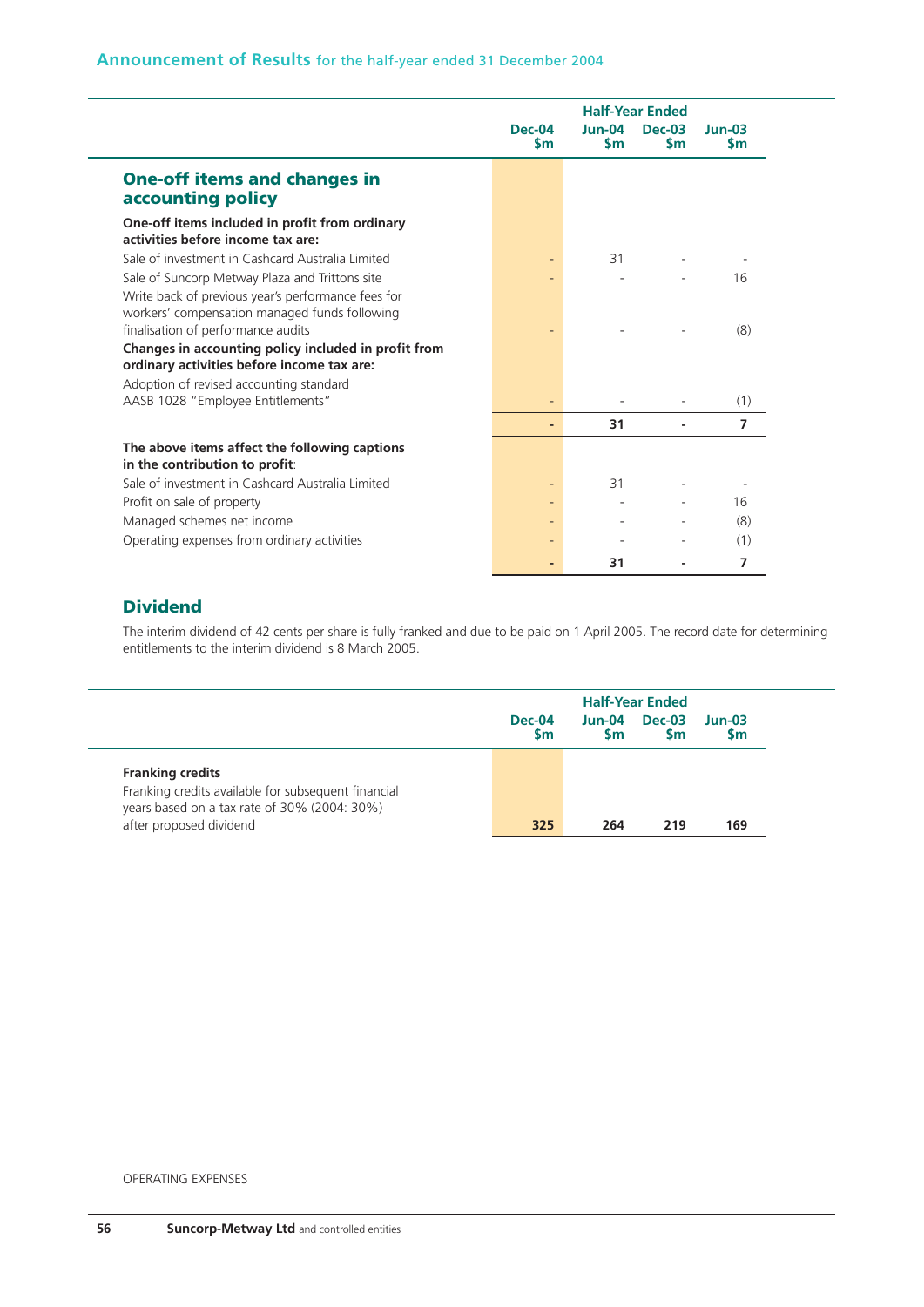|                                                                                                     | <b>Dec-04</b><br><b>Sm</b> | $Jun-04$<br><b>Sm</b> | $Dec-03$<br><b>Sm</b> | $Jun-03$<br>Sm |
|-----------------------------------------------------------------------------------------------------|----------------------------|-----------------------|-----------------------|----------------|
| <b>One-off items and changes in</b>                                                                 |                            |                       |                       |                |
| accounting policy                                                                                   |                            |                       |                       |                |
| One-off items included in profit from ordinary<br>activities before income tax are:                 |                            |                       |                       |                |
| Sale of investment in Cashcard Australia Limited                                                    |                            | 31                    |                       |                |
| Sale of Suncorp Metway Plaza and Trittons site                                                      |                            |                       |                       | 16             |
| Write back of previous year's performance fees for<br>workers' compensation managed funds following |                            |                       |                       |                |
| finalisation of performance audits                                                                  |                            |                       |                       | (8)            |
| Changes in accounting policy included in profit from<br>ordinary activities before income tax are:  |                            |                       |                       |                |
| Adoption of revised accounting standard                                                             |                            |                       |                       |                |
| AASB 1028 "Employee Entitlements"                                                                   |                            |                       |                       | (1)            |
|                                                                                                     |                            | 31                    |                       | 7              |
| The above items affect the following captions<br>in the contribution to profit:                     |                            |                       |                       |                |
| Sale of investment in Cashcard Australia Limited                                                    |                            | 31                    |                       |                |
| Profit on sale of property                                                                          |                            |                       |                       | 16             |
| Managed schemes net income                                                                          |                            |                       |                       | (8)            |
| Operating expenses from ordinary activities                                                         |                            |                       |                       | (1)            |
|                                                                                                     |                            | 31                    |                       | 7              |

## **Dividend**

The interim dividend of 42 cents per share is fully franked and due to be paid on 1 April 2005. The record date for determining entitlements to the interim dividend is 8 March 2005.

|                                                                                                     | <b>Half-Year Ended</b>     |                     |                            |                       |  |
|-----------------------------------------------------------------------------------------------------|----------------------------|---------------------|----------------------------|-----------------------|--|
|                                                                                                     | <b>Dec-04</b><br><b>Sm</b> | Jun-04<br><b>Sm</b> | <b>Dec-03</b><br><b>Sm</b> | $Jun-03$<br><b>Sm</b> |  |
| <b>Franking credits</b>                                                                             |                            |                     |                            |                       |  |
| Franking credits available for subsequent financial<br>years based on a tax rate of 30% (2004: 30%) |                            |                     |                            |                       |  |
| after proposed dividend                                                                             | 325                        | 264                 | 219                        | 169                   |  |

#### OPERATING EXPENSES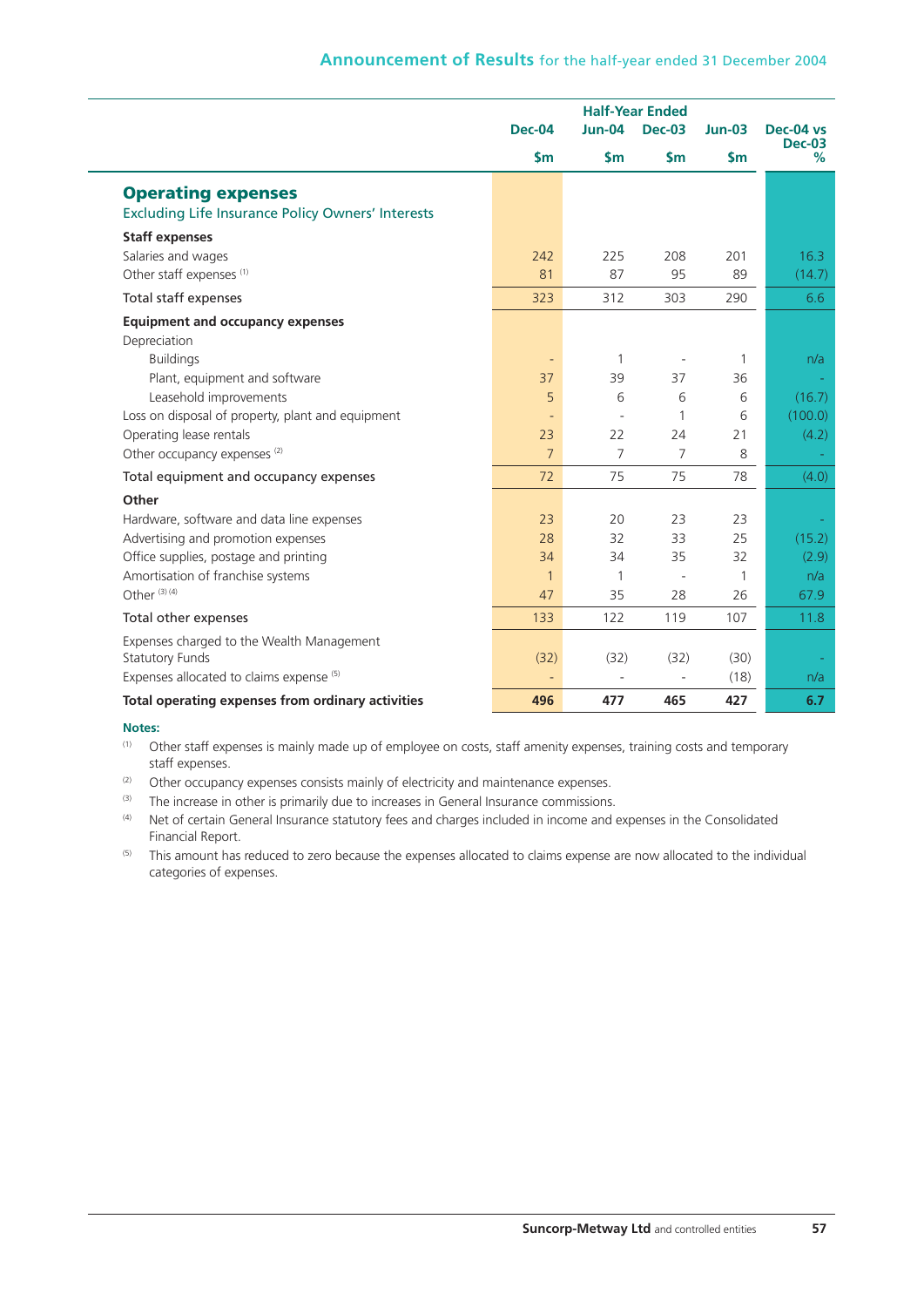|                                                                                       | <b>Half-Year Ended</b>         |                          |                          |                |                            |
|---------------------------------------------------------------------------------------|--------------------------------|--------------------------|--------------------------|----------------|----------------------------|
|                                                                                       | Dec-04                         | <b>Jun-04</b>            | <b>Dec-03</b>            | <b>Jun-03</b>  | Dec-04 vs<br><b>Dec-03</b> |
|                                                                                       | $\mathsf{sm}$                  | $\mathsf{Sm}$            | $\mathsf{Sm}$            | $\mathsf{S}$ m | %                          |
| <b>Operating expenses</b><br><b>Excluding Life Insurance Policy Owners' Interests</b> |                                |                          |                          |                |                            |
| <b>Staff expenses</b><br>Salaries and wages<br>Other staff expenses <sup>(1)</sup>    | 242<br>81                      | 225<br>87                | 208<br>95                | 201<br>89      | 16.3<br>(14.7)             |
| Total staff expenses                                                                  | 323                            | 312                      | 303                      | 290            | 6.6                        |
| <b>Equipment and occupancy expenses</b><br>Depreciation                               |                                |                          |                          |                |                            |
| <b>Buildings</b><br>Plant, equipment and software                                     | $\overline{\phantom{a}}$<br>37 | $\mathbf{1}$<br>39       | $\overline{a}$<br>37     | 1<br>36        | n/a                        |
| Leasehold improvements                                                                | 5                              | 6                        | 6                        | 6              | (16.7)                     |
| Loss on disposal of property, plant and equipment                                     | $\sim$                         | $\overline{\phantom{a}}$ | 1                        | 6              | (100.0)                    |
| Operating lease rentals                                                               | 23                             | 22                       | 24                       | 21             | (4.2)                      |
| Other occupancy expenses <sup>(2)</sup>                                               | $\overline{7}$                 | 7                        | 7                        | 8              |                            |
| Total equipment and occupancy expenses                                                | 72                             | 75                       | 75                       | 78             | (4.0)                      |
| Other                                                                                 |                                |                          |                          |                |                            |
| Hardware, software and data line expenses                                             | 23                             | 20                       | 23                       | 23             |                            |
| Advertising and promotion expenses                                                    | 28                             | 32                       | 33                       | 25             | (15.2)                     |
| Office supplies, postage and printing                                                 | 34                             | 34                       | 35                       | 32             | (2.9)                      |
| Amortisation of franchise systems                                                     | $\mathbf{1}$                   | $\mathbf{1}$             | $\overline{\phantom{a}}$ | 1              | n/a                        |
| Other <sup>(3)(4)</sup>                                                               | 47                             | 35                       | 28                       | 26             | 67.9                       |
| Total other expenses                                                                  | 133                            | 122                      | 119                      | 107            | 11.8                       |
| Expenses charged to the Wealth Management<br><b>Statutory Funds</b>                   | (32)                           | (32)                     | (32)                     | (30)           |                            |
| Expenses allocated to claims expense (5)                                              |                                |                          | $\overline{\phantom{a}}$ | (18)           | n/a                        |
| Total operating expenses from ordinary activities                                     | 496                            | 477                      | 465                      | 427            | 6.7                        |

## **Notes:**

- (1) Other staff expenses is mainly made up of employee on costs, staff amenity expenses, training costs and temporary staff expenses.
- $(2)$  Other occupancy expenses consists mainly of electricity and maintenance expenses.
- (3) The increase in other is primarily due to increases in General Insurance commissions.
- (4) Net of certain General Insurance statutory fees and charges included in income and expenses in the Consolidated Financial Report.
- <sup>(5)</sup> This amount has reduced to zero because the expenses allocated to claims expense are now allocated to the individual categories of expenses.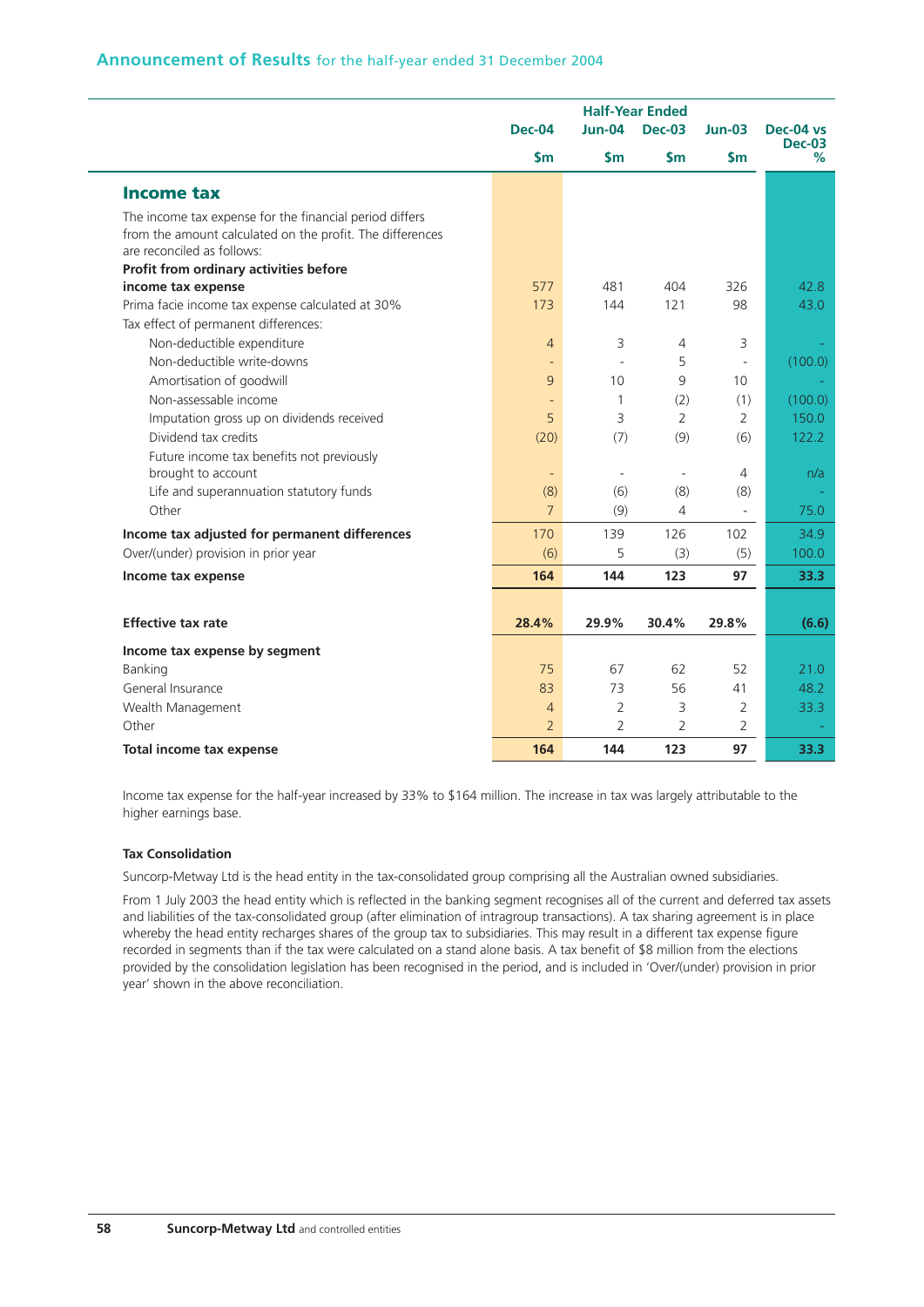## **Announcement of Results** for the half-year ended 31 December 2004

|                                                                                                                                                    | <b>Half-Year Ended</b> |                          |                          |                     |                    |
|----------------------------------------------------------------------------------------------------------------------------------------------------|------------------------|--------------------------|--------------------------|---------------------|--------------------|
|                                                                                                                                                    | <b>Dec-04</b>          | $Jun-04$                 | <b>Dec-03</b>            | $Jun-03$            | Dec-04 vs          |
|                                                                                                                                                    | $\mathsf{sm}$          | $\mathsf{Sm}$            | $\mathsf{Sm}$            | $\mathsf{Sm}$       | <b>Dec-03</b><br>% |
| <b>Income tax</b>                                                                                                                                  |                        |                          |                          |                     |                    |
| The income tax expense for the financial period differs<br>from the amount calculated on the profit. The differences<br>are reconciled as follows: |                        |                          |                          |                     |                    |
| Profit from ordinary activities before                                                                                                             |                        |                          |                          |                     |                    |
| income tax expense                                                                                                                                 | 577                    | 481                      | 404                      | 326                 | 42.8               |
| Prima facie income tax expense calculated at 30%                                                                                                   | 173                    | 144                      | 121                      | 98                  | 43.0               |
| Tax effect of permanent differences:                                                                                                               |                        |                          |                          |                     |                    |
| Non-deductible expenditure                                                                                                                         | $\overline{4}$         | 3                        | $\overline{4}$           | 3                   |                    |
| Non-deductible write-downs                                                                                                                         |                        | L.                       | 5                        |                     | (100.0)            |
| Amortisation of goodwill                                                                                                                           | 9                      | 10                       | 9                        | 10                  |                    |
| Non-assessable income                                                                                                                              |                        | 1                        | (2)                      | (1)                 | (100.0)            |
| Imputation gross up on dividends received                                                                                                          | 5                      | 3                        | 2                        | 2                   | 150.0              |
| Dividend tax credits                                                                                                                               | (20)                   | (7)                      | (9)                      | (6)                 | 122.2              |
| Future income tax benefits not previously                                                                                                          |                        |                          |                          |                     |                    |
| brought to account                                                                                                                                 | ÷                      | $\overline{\phantom{a}}$ | $\overline{\phantom{a}}$ | 4                   | n/a                |
| Life and superannuation statutory funds                                                                                                            | (8)                    | (6)                      | (8)                      | (8)                 |                    |
| Other                                                                                                                                              | $\overline{7}$         | (9)                      | 4                        | $\bar{\phantom{a}}$ | 75.0               |
| Income tax adjusted for permanent differences                                                                                                      | 170                    | 139                      | 126                      | 102                 | 34.9               |
| Over/(under) provision in prior year                                                                                                               | (6)                    | 5                        | (3)                      | (5)                 | 100.0              |
| Income tax expense                                                                                                                                 | 164                    | 144                      | 123                      | 97                  | 33.3               |
|                                                                                                                                                    |                        |                          |                          |                     |                    |
| <b>Effective tax rate</b>                                                                                                                          | 28.4%                  | 29.9%                    | 30.4%                    | 29.8%               | (6.6)              |
| Income tax expense by segment                                                                                                                      |                        |                          |                          |                     |                    |
| Banking                                                                                                                                            | 75                     | 67                       | 62                       | 52                  | 21.0               |
| General Insurance                                                                                                                                  | 83                     | 73                       | 56                       | 41                  | 48.2               |
| Wealth Management                                                                                                                                  | $\overline{4}$         | $\overline{2}$           | 3                        | 2                   | 33.3               |
| Other                                                                                                                                              | $\overline{2}$         | $\overline{2}$           | $\overline{2}$           | $\overline{2}$      |                    |
| <b>Total income tax expense</b>                                                                                                                    | 164                    | 144                      | 123                      | 97                  | 33.3               |

Income tax expense for the half-year increased by 33% to \$164 million. The increase in tax was largely attributable to the higher earnings base.

#### **Tax Consolidation**

Suncorp-Metway Ltd is the head entity in the tax-consolidated group comprising all the Australian owned subsidiaries.

From 1 July 2003 the head entity which is reflected in the banking segment recognises all of the current and deferred tax assets and liabilities of the tax-consolidated group (after elimination of intragroup transactions). A tax sharing agreement is in place whereby the head entity recharges shares of the group tax to subsidiaries. This may result in a different tax expense figure recorded in segments than if the tax were calculated on a stand alone basis. A tax benefit of \$8 million from the elections provided by the consolidation legislation has been recognised in the period, and is included in 'Over/(under) provision in prior year' shown in the above reconciliation.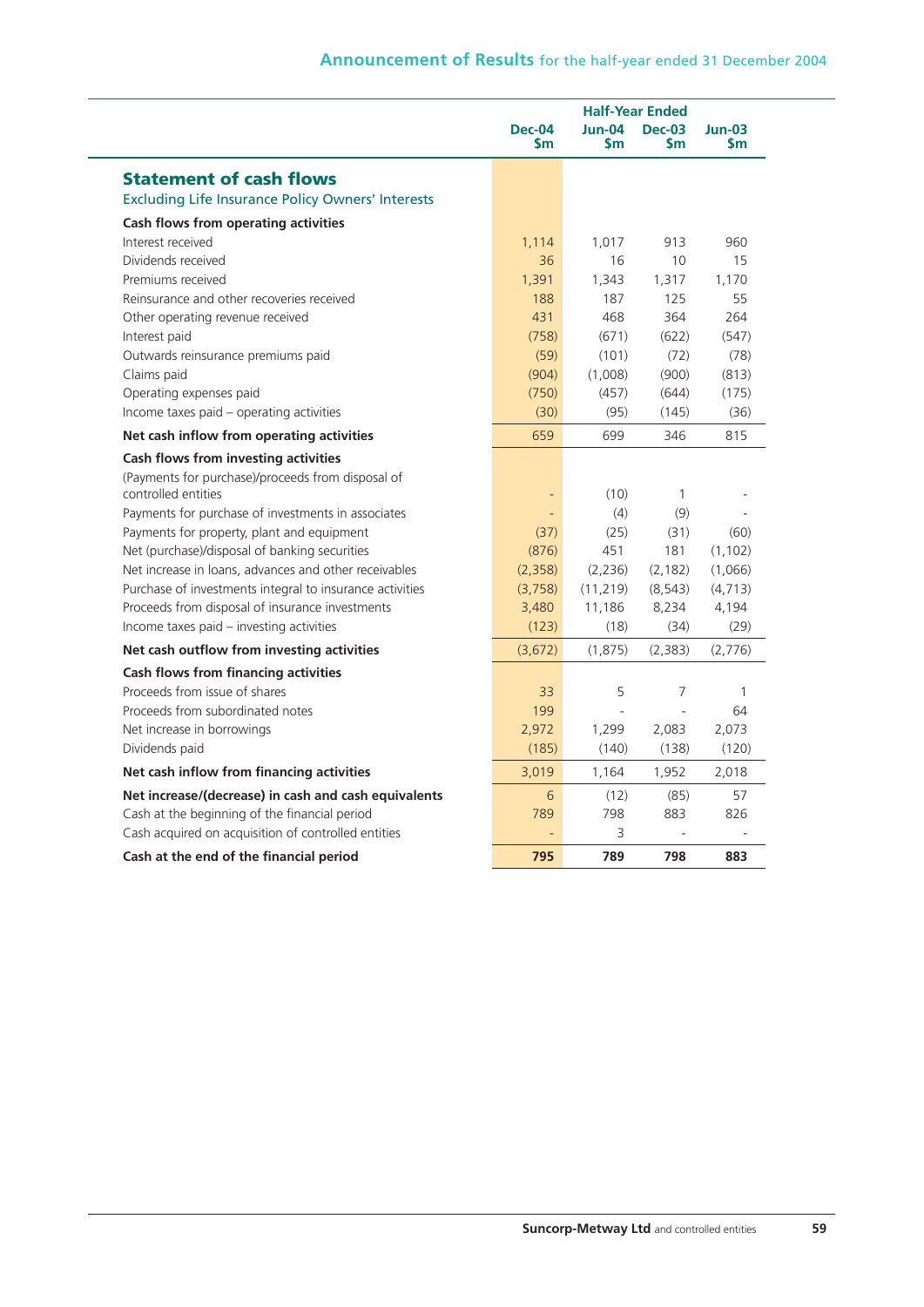|                                                          |                            | <b>Half-Year Ended</b> |                            |                       |  |  |
|----------------------------------------------------------|----------------------------|------------------------|----------------------------|-----------------------|--|--|
|                                                          | <b>Dec-04</b><br><b>Sm</b> | <b>Jun-04</b><br>Sm    | <b>Dec-03</b><br><b>Sm</b> | $Jun-03$<br><b>Sm</b> |  |  |
| <b>Statement of cash flows</b>                           |                            |                        |                            |                       |  |  |
| <b>Excluding Life Insurance Policy Owners' Interests</b> |                            |                        |                            |                       |  |  |
| Cash flows from operating activities                     |                            |                        |                            |                       |  |  |
| Interest received                                        | 1,114                      | 1,017                  | 913                        | 960                   |  |  |
| Dividends received                                       | 36                         | 16                     | 10                         | 15                    |  |  |
| Premiums received                                        | 1,391                      | 1,343                  | 1,317                      | 1,170                 |  |  |
| Reinsurance and other recoveries received                | 188                        | 187                    | 125                        | 55                    |  |  |
| Other operating revenue received                         | 431                        | 468                    | 364                        | 264                   |  |  |
| Interest paid                                            | (758)                      | (671)                  | (622)                      | (547)                 |  |  |
| Outwards reinsurance premiums paid                       | (59)                       | (101)                  | (72)                       | (78)                  |  |  |
| Claims paid                                              | (904)                      | (1,008)                | (900)                      | (813)                 |  |  |
| Operating expenses paid                                  | (750)                      | (457)                  | (644)                      | (175)                 |  |  |
| Income taxes paid - operating activities                 | (30)                       | (95)                   | (145)                      | (36)                  |  |  |
| Net cash inflow from operating activities                | 659                        | 699                    | 346                        | 815                   |  |  |
| Cash flows from investing activities                     |                            |                        |                            |                       |  |  |
| (Payments for purchase)/proceeds from disposal of        |                            |                        |                            |                       |  |  |
| controlled entities                                      | -                          | (10)                   | $\mathbf{1}$               |                       |  |  |
| Payments for purchase of investments in associates       | ÷,                         | (4)                    | (9)                        |                       |  |  |
| Payments for property, plant and equipment               | (37)                       | (25)                   | (31)                       | (60)                  |  |  |
| Net (purchase)/disposal of banking securities            | (876)                      | 451                    | 181                        | (1, 102)              |  |  |
| Net increase in loans, advances and other receivables    | (2,358)                    | (2, 236)               | (2, 182)                   | (1,066)               |  |  |
| Purchase of investments integral to insurance activities | (3,758)                    | (11, 219)              | (8, 543)                   | (4, 713)              |  |  |
| Proceeds from disposal of insurance investments          | 3,480                      | 11,186                 | 8,234                      | 4,194                 |  |  |
| Income taxes paid - investing activities                 | (123)                      | (18)                   | (34)                       | (29)                  |  |  |
| Net cash outflow from investing activities               | (3,672)                    | (1,875)                | (2, 383)                   | (2,776)               |  |  |
| Cash flows from financing activities                     |                            |                        |                            |                       |  |  |
| Proceeds from issue of shares                            | 33                         | 5                      | 7                          | 1                     |  |  |
| Proceeds from subordinated notes                         | 199                        |                        |                            | 64                    |  |  |
| Net increase in borrowings                               | 2,972                      | 1,299                  | 2,083                      | 2,073                 |  |  |
| Dividends paid                                           | (185)                      | (140)                  | (138)                      | (120)                 |  |  |
| Net cash inflow from financing activities                | 3,019                      | 1,164                  | 1,952                      | 2,018                 |  |  |
| Net increase/(decrease) in cash and cash equivalents     | 6                          | (12)                   | (85)                       | 57                    |  |  |
| Cash at the beginning of the financial period            | 789                        | 798                    | 883                        | 826                   |  |  |
| Cash acquired on acquisition of controlled entities      |                            | 3                      |                            |                       |  |  |
| Cash at the end of the financial period                  | 795                        | 789                    | 798                        | 883                   |  |  |
|                                                          |                            |                        |                            |                       |  |  |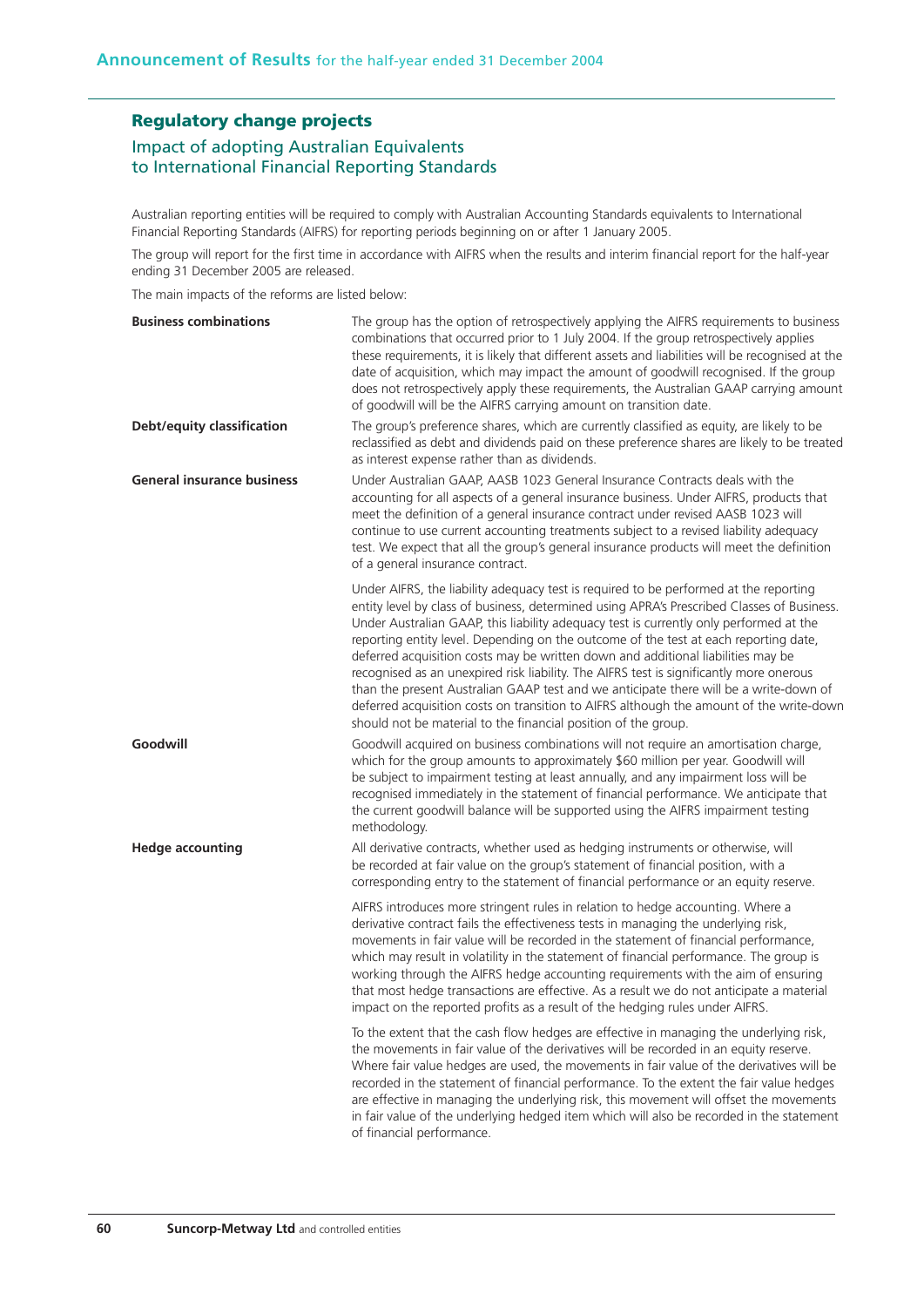## **Regulatory change projects**

## Impact of adopting Australian Equivalents to International Financial Reporting Standards

Australian reporting entities will be required to comply with Australian Accounting Standards equivalents to International Financial Reporting Standards (AIFRS) for reporting periods beginning on or after 1 January 2005.

The group will report for the first time in accordance with AIFRS when the results and interim financial report for the half-year ending 31 December 2005 are released.

The main impacts of the reforms are listed below:

| <b>Business combinations</b>      | The group has the option of retrospectively applying the AIFRS requirements to business<br>combinations that occurred prior to 1 July 2004. If the group retrospectively applies<br>these requirements, it is likely that different assets and liabilities will be recognised at the<br>date of acquisition, which may impact the amount of goodwill recognised. If the group<br>does not retrospectively apply these requirements, the Australian GAAP carrying amount<br>of goodwill will be the AIFRS carrying amount on transition date.                                                                                                                                                                                                                                                               |
|-----------------------------------|------------------------------------------------------------------------------------------------------------------------------------------------------------------------------------------------------------------------------------------------------------------------------------------------------------------------------------------------------------------------------------------------------------------------------------------------------------------------------------------------------------------------------------------------------------------------------------------------------------------------------------------------------------------------------------------------------------------------------------------------------------------------------------------------------------|
| Debt/equity classification        | The group's preference shares, which are currently classified as equity, are likely to be<br>reclassified as debt and dividends paid on these preference shares are likely to be treated<br>as interest expense rather than as dividends.                                                                                                                                                                                                                                                                                                                                                                                                                                                                                                                                                                  |
| <b>General insurance business</b> | Under Australian GAAP, AASB 1023 General Insurance Contracts deals with the<br>accounting for all aspects of a general insurance business. Under AIFRS, products that<br>meet the definition of a general insurance contract under revised AASB 1023 will<br>continue to use current accounting treatments subject to a revised liability adequacy<br>test. We expect that all the group's general insurance products will meet the definition<br>of a general insurance contract.                                                                                                                                                                                                                                                                                                                         |
|                                   | Under AIFRS, the liability adequacy test is required to be performed at the reporting<br>entity level by class of business, determined using APRA's Prescribed Classes of Business.<br>Under Australian GAAP, this liability adequacy test is currently only performed at the<br>reporting entity level. Depending on the outcome of the test at each reporting date,<br>deferred acquisition costs may be written down and additional liabilities may be<br>recognised as an unexpired risk liability. The AIFRS test is significantly more onerous<br>than the present Australian GAAP test and we anticipate there will be a write-down of<br>deferred acquisition costs on transition to AIFRS although the amount of the write-down<br>should not be material to the financial position of the group. |
| Goodwill                          | Goodwill acquired on business combinations will not require an amortisation charge,<br>which for the group amounts to approximately \$60 million per year. Goodwill will<br>be subject to impairment testing at least annually, and any impairment loss will be<br>recognised immediately in the statement of financial performance. We anticipate that<br>the current goodwill balance will be supported using the AIFRS impairment testing<br>methodology.                                                                                                                                                                                                                                                                                                                                               |
| <b>Hedge accounting</b>           | All derivative contracts, whether used as hedging instruments or otherwise, will<br>be recorded at fair value on the group's statement of financial position, with a<br>corresponding entry to the statement of financial performance or an equity reserve.                                                                                                                                                                                                                                                                                                                                                                                                                                                                                                                                                |
|                                   | AIFRS introduces more stringent rules in relation to hedge accounting. Where a<br>derivative contract fails the effectiveness tests in managing the underlying risk,<br>movements in fair value will be recorded in the statement of financial performance,<br>which may result in volatility in the statement of financial performance. The group is<br>working through the AIFRS hedge accounting requirements with the aim of ensuring<br>that most hedge transactions are effective. As a result we do not anticipate a material<br>impact on the reported profits as a result of the hedging rules under AIFRS.                                                                                                                                                                                       |
|                                   | To the extent that the cash flow hedges are effective in managing the underlying risk,<br>the movements in fair value of the derivatives will be recorded in an equity reserve.<br>Where fair value hedges are used, the movements in fair value of the derivatives will be<br>recorded in the statement of financial performance. To the extent the fair value hedges<br>are effective in managing the underlying risk, this movement will offset the movements<br>in fair value of the underlying hedged item which will also be recorded in the statement<br>of financial performance.                                                                                                                                                                                                                  |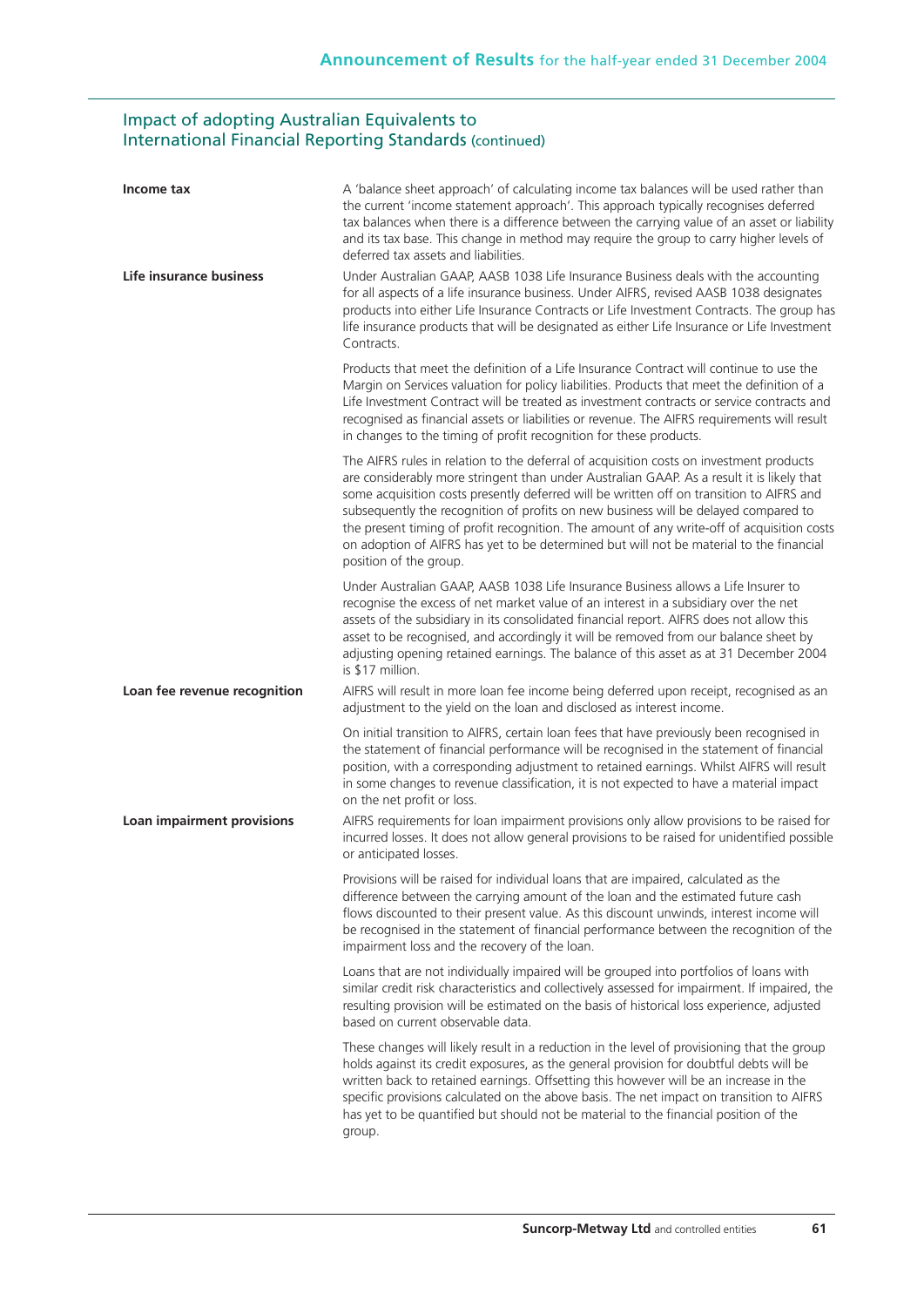## Impact of adopting Australian Equivalents to International Financial Reporting Standards (continued)

| Income tax                   | A 'balance sheet approach' of calculating income tax balances will be used rather than<br>the current 'income statement approach'. This approach typically recognises deferred<br>tax balances when there is a difference between the carrying value of an asset or liability<br>and its tax base. This change in method may require the group to carry higher levels of<br>deferred tax assets and liabilities.                                                                                                                                                                           |
|------------------------------|--------------------------------------------------------------------------------------------------------------------------------------------------------------------------------------------------------------------------------------------------------------------------------------------------------------------------------------------------------------------------------------------------------------------------------------------------------------------------------------------------------------------------------------------------------------------------------------------|
| Life insurance business      | Under Australian GAAP, AASB 1038 Life Insurance Business deals with the accounting<br>for all aspects of a life insurance business. Under AIFRS, revised AASB 1038 designates<br>products into either Life Insurance Contracts or Life Investment Contracts. The group has<br>life insurance products that will be designated as either Life Insurance or Life Investment<br>Contracts.                                                                                                                                                                                                    |
|                              | Products that meet the definition of a Life Insurance Contract will continue to use the<br>Margin on Services valuation for policy liabilities. Products that meet the definition of a<br>Life Investment Contract will be treated as investment contracts or service contracts and<br>recognised as financial assets or liabilities or revenue. The AIFRS requirements will result<br>in changes to the timing of profit recognition for these products.                                                                                                                                  |
|                              | The AIFRS rules in relation to the deferral of acquisition costs on investment products<br>are considerably more stringent than under Australian GAAP. As a result it is likely that<br>some acquisition costs presently deferred will be written off on transition to AIFRS and<br>subsequently the recognition of profits on new business will be delayed compared to<br>the present timing of profit recognition. The amount of any write-off of acquisition costs<br>on adoption of AIFRS has yet to be determined but will not be material to the financial<br>position of the group. |
|                              | Under Australian GAAP, AASB 1038 Life Insurance Business allows a Life Insurer to<br>recognise the excess of net market value of an interest in a subsidiary over the net<br>assets of the subsidiary in its consolidated financial report. AIFRS does not allow this<br>asset to be recognised, and accordingly it will be removed from our balance sheet by<br>adjusting opening retained earnings. The balance of this asset as at 31 December 2004<br>is \$17 million.                                                                                                                 |
| Loan fee revenue recognition | AIFRS will result in more loan fee income being deferred upon receipt, recognised as an<br>adjustment to the yield on the loan and disclosed as interest income.                                                                                                                                                                                                                                                                                                                                                                                                                           |
|                              | On initial transition to AIFRS, certain loan fees that have previously been recognised in<br>the statement of financial performance will be recognised in the statement of financial<br>position, with a corresponding adjustment to retained earnings. Whilst AIFRS will result<br>in some changes to revenue classification, it is not expected to have a material impact<br>on the net profit or loss.                                                                                                                                                                                  |
| Loan impairment provisions   | AIFRS requirements for loan impairment provisions only allow provisions to be raised for<br>incurred losses. It does not allow general provisions to be raised for unidentified possible<br>or anticipated losses.                                                                                                                                                                                                                                                                                                                                                                         |
|                              | Provisions will be raised for individual loans that are impaired, calculated as the<br>difference between the carrying amount of the loan and the estimated future cash<br>flows discounted to their present value. As this discount unwinds, interest income will<br>be recognised in the statement of financial performance between the recognition of the<br>impairment loss and the recovery of the loan.                                                                                                                                                                              |
|                              | Loans that are not individually impaired will be grouped into portfolios of loans with<br>similar credit risk characteristics and collectively assessed for impairment. If impaired, the<br>resulting provision will be estimated on the basis of historical loss experience, adjusted<br>based on current observable data.                                                                                                                                                                                                                                                                |
|                              | These changes will likely result in a reduction in the level of provisioning that the group<br>holds against its credit exposures, as the general provision for doubtful debts will be<br>written back to retained earnings. Offsetting this however will be an increase in the<br>specific provisions calculated on the above basis. The net impact on transition to AIFRS<br>has yet to be quantified but should not be material to the financial position of the<br>group.                                                                                                              |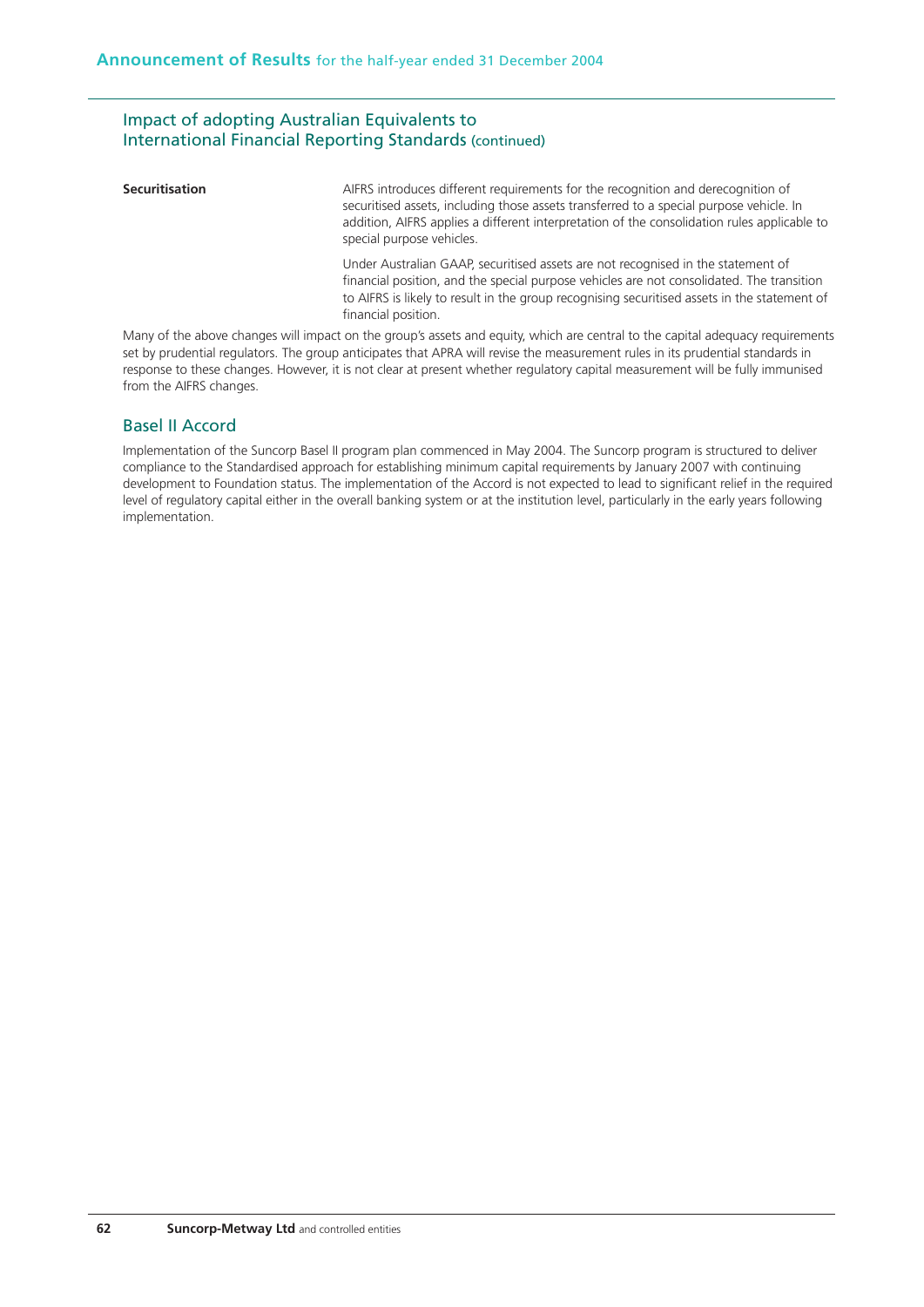## Impact of adopting Australian Equivalents to International Financial Reporting Standards (continued)

**Securitisation** AIFRS introduces different requirements for the recognition and derecognition of securitised assets, including those assets transferred to a special purpose vehicle. In addition, AIFRS applies a different interpretation of the consolidation rules applicable to special purpose vehicles.

> Under Australian GAAP, securitised assets are not recognised in the statement of financial position, and the special purpose vehicles are not consolidated. The transition to AIFRS is likely to result in the group recognising securitised assets in the statement of financial position.

Many of the above changes will impact on the group's assets and equity, which are central to the capital adequacy requirements set by prudential regulators. The group anticipates that APRA will revise the measurement rules in its prudential standards in response to these changes. However, it is not clear at present whether regulatory capital measurement will be fully immunised from the AIFRS changes.

## Basel II Accord

Implementation of the Suncorp Basel II program plan commenced in May 2004. The Suncorp program is structured to deliver compliance to the Standardised approach for establishing minimum capital requirements by January 2007 with continuing development to Foundation status. The implementation of the Accord is not expected to lead to significant relief in the required level of regulatory capital either in the overall banking system or at the institution level, particularly in the early years following implementation.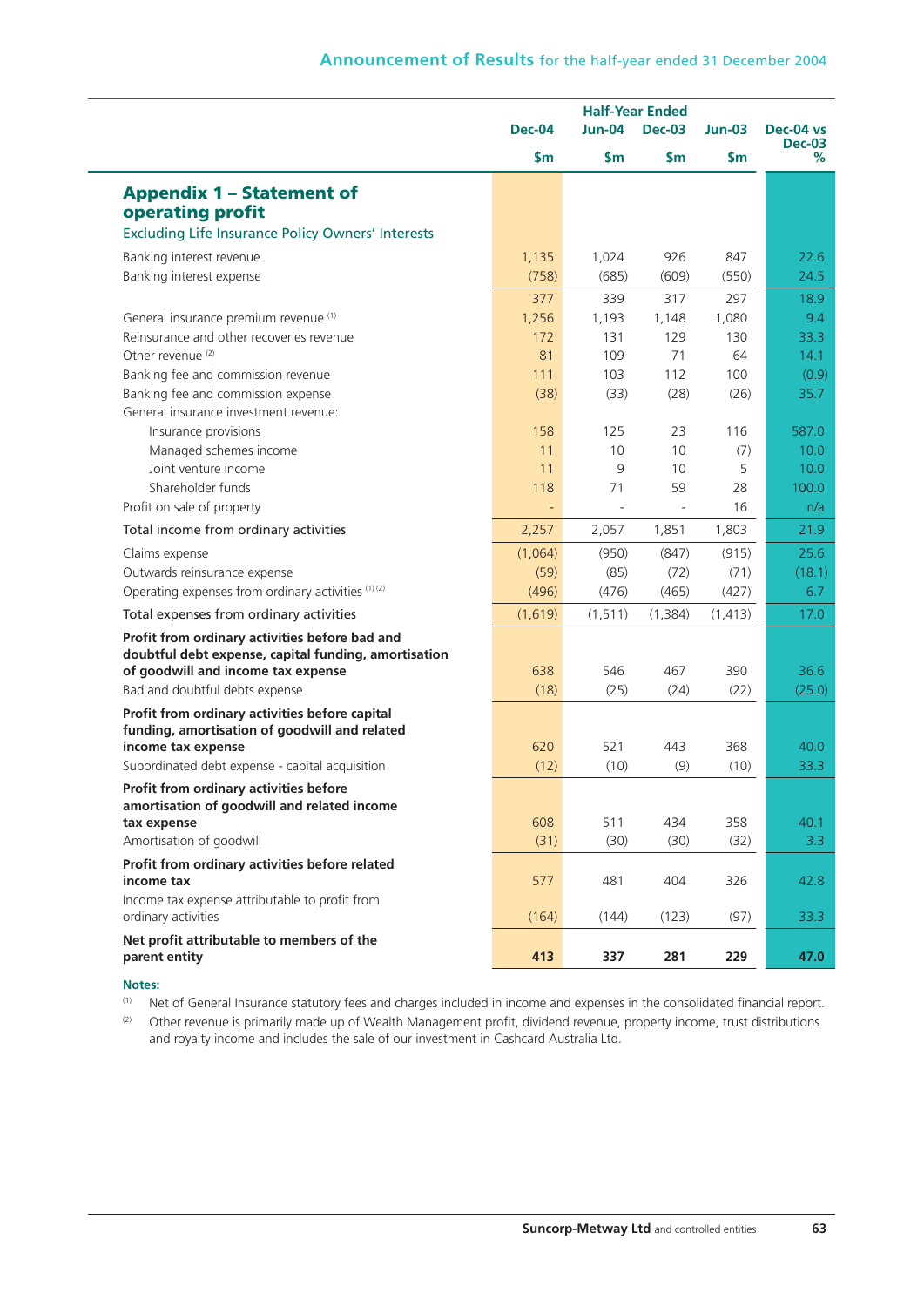|                                                                       |               | <b>Half-Year Ended</b>              |          |          |                    |
|-----------------------------------------------------------------------|---------------|-------------------------------------|----------|----------|--------------------|
|                                                                       | <b>Dec-04</b> | Jun-04<br><b>Dec-03</b><br>$Jun-03$ |          |          | Dec-04 vs          |
|                                                                       | \$m\$         | \$m\$                               | \$m\$    | \$m      | <b>Dec-03</b><br>% |
| <b>Appendix 1 - Statement of</b>                                      |               |                                     |          |          |                    |
| operating profit                                                      |               |                                     |          |          |                    |
| <b>Excluding Life Insurance Policy Owners' Interests</b>              |               |                                     |          |          |                    |
| Banking interest revenue                                              | 1,135         | 1,024                               | 926      | 847      | 22.6               |
| Banking interest expense                                              | (758)         | (685)                               | (609)    | (550)    | 24.5               |
|                                                                       | 377           | 339                                 | 317      | 297      | 18.9               |
| General insurance premium revenue (1)                                 | 1,256         | 1,193                               | 1,148    | 1,080    | 9.4                |
| Reinsurance and other recoveries revenue                              | 172           | 131                                 | 129      | 130      | 33.3 <sub>1</sub>  |
| Other revenue <sup>(2)</sup>                                          | 81            | 109                                 | 71       | 64       | 14.1               |
| Banking fee and commission revenue                                    | 111           | 103                                 | 112      | 100      | (0.9)              |
| Banking fee and commission expense                                    | (38)          | (33)                                | (28)     | (26)     | 35.7               |
| General insurance investment revenue:                                 |               |                                     |          |          |                    |
| Insurance provisions                                                  | 158           | 125                                 | 23       | 116      | 587.0              |
| Managed schemes income                                                | 11            | 10                                  | 10       | (7)      | 10.0               |
| Joint venture income                                                  | 11            | 9                                   | 10       | 5        | 10.0               |
| Shareholder funds                                                     | 118           | 71                                  | 59       | 28<br>16 | 100.0              |
| Profit on sale of property                                            | $\Box$        | $\blacksquare$                      | ÷,       |          | n/a                |
| Total income from ordinary activities                                 | 2,257         | 2,057                               | 1,851    | 1,803    | 21.9               |
| Claims expense                                                        | (1,064)       | (950)                               | (847)    | (915)    | 25.6               |
| Outwards reinsurance expense                                          | (59)          | (85)                                | (72)     | (71)     | (18.1)             |
| Operating expenses from ordinary activities (1) (2)                   | (496)         | (476)                               | (465)    | (427)    | 6.7                |
| Total expenses from ordinary activities                               | (1,619)       | (1, 511)                            | (1, 384) | (1, 413) | 17.0               |
| Profit from ordinary activities before bad and                        |               |                                     |          |          |                    |
| doubtful debt expense, capital funding, amortisation                  |               |                                     |          |          |                    |
| of goodwill and income tax expense                                    | 638           | 546                                 | 467      | 390      | 36.6               |
| Bad and doubtful debts expense                                        | (18)          | (25)                                | (24)     | (22)     | (25.0)             |
| Profit from ordinary activities before capital                        |               |                                     |          |          |                    |
| funding, amortisation of goodwill and related<br>income tax expense   | 620           | 521                                 | 443      | 368      | 40.0               |
| Subordinated debt expense - capital acquisition                       | (12)          | (10)                                | (9)      | (10)     | 33.3               |
| Profit from ordinary activities before                                |               |                                     |          |          |                    |
| amortisation of goodwill and related income                           |               |                                     |          |          |                    |
| tax expense                                                           | 608           | 511                                 | 434      | 358      | 40.1               |
| Amortisation of goodwill                                              | (31)          | (30)                                | (30)     | (32)     | 3.3 <sub>2</sub>   |
| Profit from ordinary activities before related                        |               |                                     |          |          |                    |
| income tax                                                            | 577           | 481                                 | 404      | 326      | 42.8               |
| Income tax expense attributable to profit from<br>ordinary activities | (164)         | (144)                               | (123)    | (97)     | 33.3               |
|                                                                       |               |                                     |          |          |                    |
| Net profit attributable to members of the<br>parent entity            | 413           | 337                                 | 281      | 229      | 47.0               |
|                                                                       |               |                                     |          |          |                    |

#### **Notes:**

(1) Net of General Insurance statutory fees and charges included in income and expenses in the consolidated financial report.

<sup>(2)</sup> Other revenue is primarily made up of Wealth Management profit, dividend revenue, property income, trust distributions and royalty income and includes the sale of our investment in Cashcard Australia Ltd.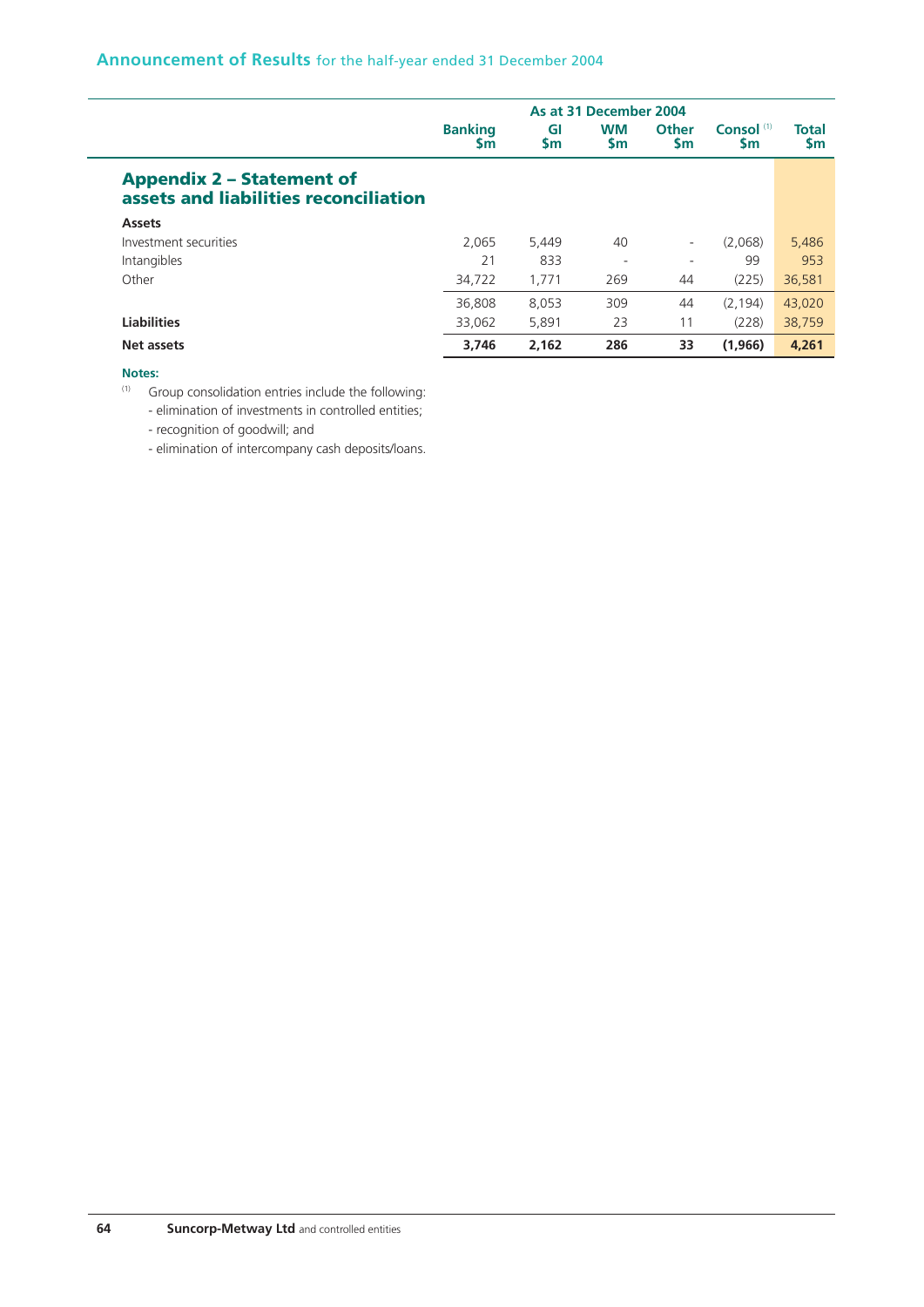|                                                                           | As at 31 December 2004      |                 |                        |                          |                             |                           |  |
|---------------------------------------------------------------------------|-----------------------------|-----------------|------------------------|--------------------------|-----------------------------|---------------------------|--|
|                                                                           | <b>Banking</b><br><b>Sm</b> | GI<br><b>Sm</b> | <b>WM</b><br><b>Sm</b> | <b>Other</b><br>Sm       | Consol <sup>(1)</sup><br>Sm | <b>Total</b><br><b>Sm</b> |  |
| <b>Appendix 2 - Statement of</b><br>assets and liabilities reconciliation |                             |                 |                        |                          |                             |                           |  |
| <b>Assets</b>                                                             |                             |                 |                        |                          |                             |                           |  |
| Investment securities                                                     | 2.065                       | 5,449           | 40                     | $\overline{\phantom{a}}$ | (2,068)                     | 5,486                     |  |
| Intangibles                                                               | 21                          | 833             | ٠                      | ۰                        | 99                          | 953                       |  |
| Other                                                                     | 34,722                      | 1,771           | 269                    | 44                       | (225)                       | 36,581                    |  |
|                                                                           | 36,808                      | 8,053           | 309                    | 44                       | (2.194)                     | 43,020                    |  |
| <b>Liabilities</b>                                                        | 33,062                      | 5,891           | 23                     | 11                       | (228)                       | 38,759                    |  |
| Net assets                                                                | 3.746                       | 2.162           | 286                    | 33                       | (1,966)                     | 4,261                     |  |

#### **Notes:**

(1) Group consolidation entries include the following:

- elimination of investments in controlled entities;

- recognition of goodwill; and

- elimination of intercompany cash deposits/loans.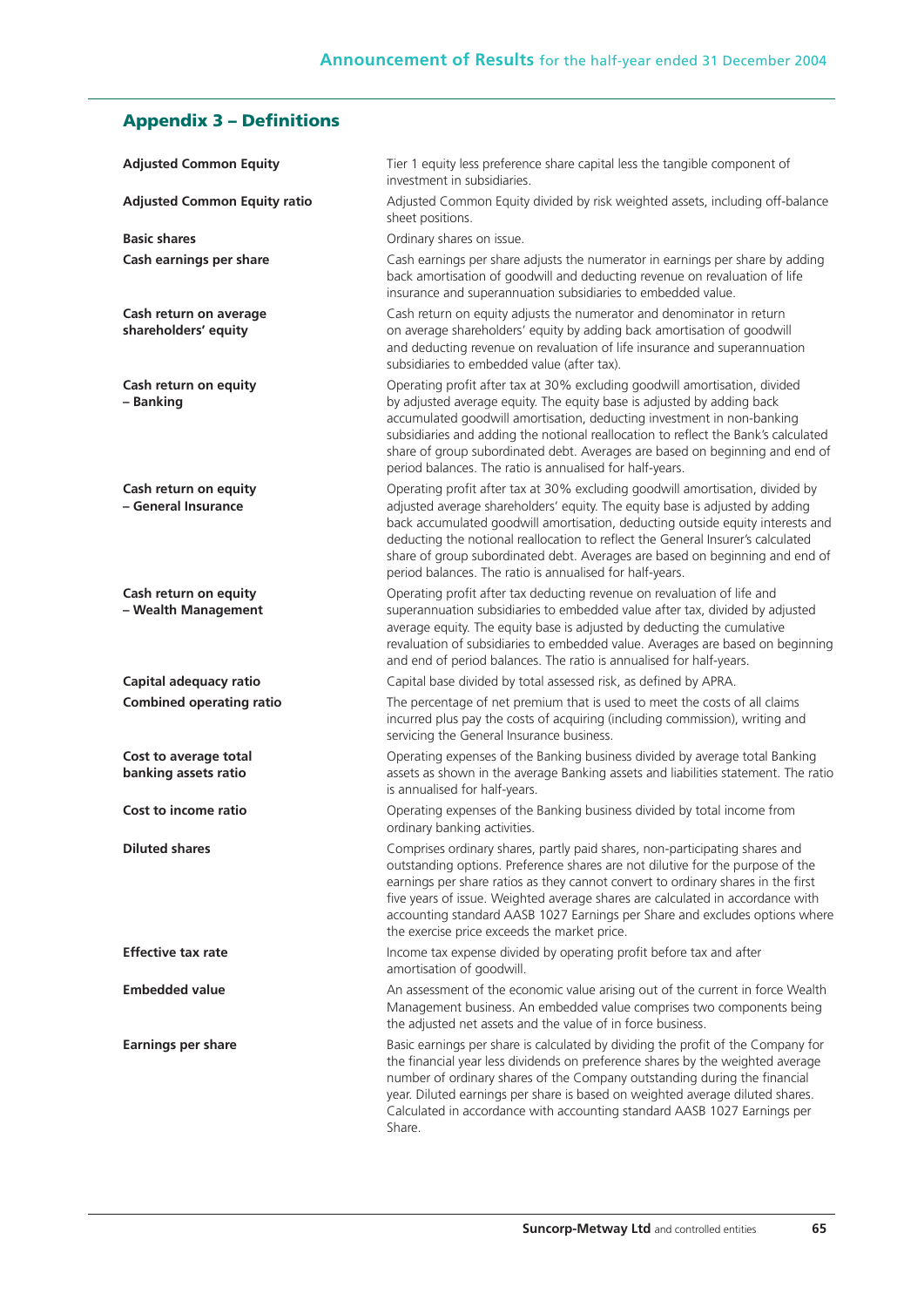# **Appendix 3 – Definitions**

| <b>Adjusted Common Equity</b>                  | Tier 1 equity less preference share capital less the tangible component of<br>investment in subsidiaries.                                                                                                                                                                                                                                                                                                                                                                      |
|------------------------------------------------|--------------------------------------------------------------------------------------------------------------------------------------------------------------------------------------------------------------------------------------------------------------------------------------------------------------------------------------------------------------------------------------------------------------------------------------------------------------------------------|
| <b>Adjusted Common Equity ratio</b>            | Adjusted Common Equity divided by risk weighted assets, including off-balance<br>sheet positions.                                                                                                                                                                                                                                                                                                                                                                              |
| <b>Basic shares</b>                            | Ordinary shares on issue.                                                                                                                                                                                                                                                                                                                                                                                                                                                      |
| Cash earnings per share                        | Cash earnings per share adjusts the numerator in earnings per share by adding<br>back amortisation of goodwill and deducting revenue on revaluation of life<br>insurance and superannuation subsidiaries to embedded value.                                                                                                                                                                                                                                                    |
| Cash return on average<br>shareholders' equity | Cash return on equity adjusts the numerator and denominator in return<br>on average shareholders' equity by adding back amortisation of goodwill<br>and deducting revenue on revaluation of life insurance and superannuation<br>subsidiaries to embedded value (after tax).                                                                                                                                                                                                   |
| Cash return on equity<br>- Banking             | Operating profit after tax at 30% excluding goodwill amortisation, divided<br>by adjusted average equity. The equity base is adjusted by adding back<br>accumulated goodwill amortisation, deducting investment in non-banking<br>subsidiaries and adding the notional reallocation to reflect the Bank's calculated<br>share of group subordinated debt. Averages are based on beginning and end of<br>period balances. The ratio is annualised for half-years.               |
| Cash return on equity<br>- General Insurance   | Operating profit after tax at 30% excluding goodwill amortisation, divided by<br>adjusted average shareholders' equity. The equity base is adjusted by adding<br>back accumulated goodwill amortisation, deducting outside equity interests and<br>deducting the notional reallocation to reflect the General Insurer's calculated<br>share of group subordinated debt. Averages are based on beginning and end of<br>period balances. The ratio is annualised for half-years. |
| Cash return on equity<br>- Wealth Management   | Operating profit after tax deducting revenue on revaluation of life and<br>superannuation subsidiaries to embedded value after tax, divided by adjusted<br>average equity. The equity base is adjusted by deducting the cumulative<br>revaluation of subsidiaries to embedded value. Averages are based on beginning<br>and end of period balances. The ratio is annualised for half-years.                                                                                    |
| Capital adequacy ratio                         | Capital base divided by total assessed risk, as defined by APRA.                                                                                                                                                                                                                                                                                                                                                                                                               |
| <b>Combined operating ratio</b>                | The percentage of net premium that is used to meet the costs of all claims<br>incurred plus pay the costs of acquiring (including commission), writing and<br>servicing the General Insurance business.                                                                                                                                                                                                                                                                        |
| Cost to average total<br>banking assets ratio  | Operating expenses of the Banking business divided by average total Banking<br>assets as shown in the average Banking assets and liabilities statement. The ratio<br>is annualised for half-years.                                                                                                                                                                                                                                                                             |
| Cost to income ratio                           | Operating expenses of the Banking business divided by total income from<br>ordinary banking activities.                                                                                                                                                                                                                                                                                                                                                                        |
| <b>Diluted shares</b>                          | Comprises ordinary shares, partly paid shares, non-participating shares and<br>outstanding options. Preference shares are not dilutive for the purpose of the<br>earnings per share ratios as they cannot convert to ordinary shares in the first<br>five years of issue. Weighted average shares are calculated in accordance with<br>accounting standard AASB 1027 Earnings per Share and excludes options where<br>the exercise price exceeds the market price.             |
| <b>Effective tax rate</b>                      | Income tax expense divided by operating profit before tax and after<br>amortisation of goodwill.                                                                                                                                                                                                                                                                                                                                                                               |
| <b>Embedded value</b>                          | An assessment of the economic value arising out of the current in force Wealth<br>Management business. An embedded value comprises two components being<br>the adjusted net assets and the value of in force business.                                                                                                                                                                                                                                                         |
| <b>Earnings per share</b>                      | Basic earnings per share is calculated by dividing the profit of the Company for<br>the financial year less dividends on preference shares by the weighted average<br>number of ordinary shares of the Company outstanding during the financial<br>year. Diluted earnings per share is based on weighted average diluted shares.<br>Calculated in accordance with accounting standard AASB 1027 Earnings per<br>Share.                                                         |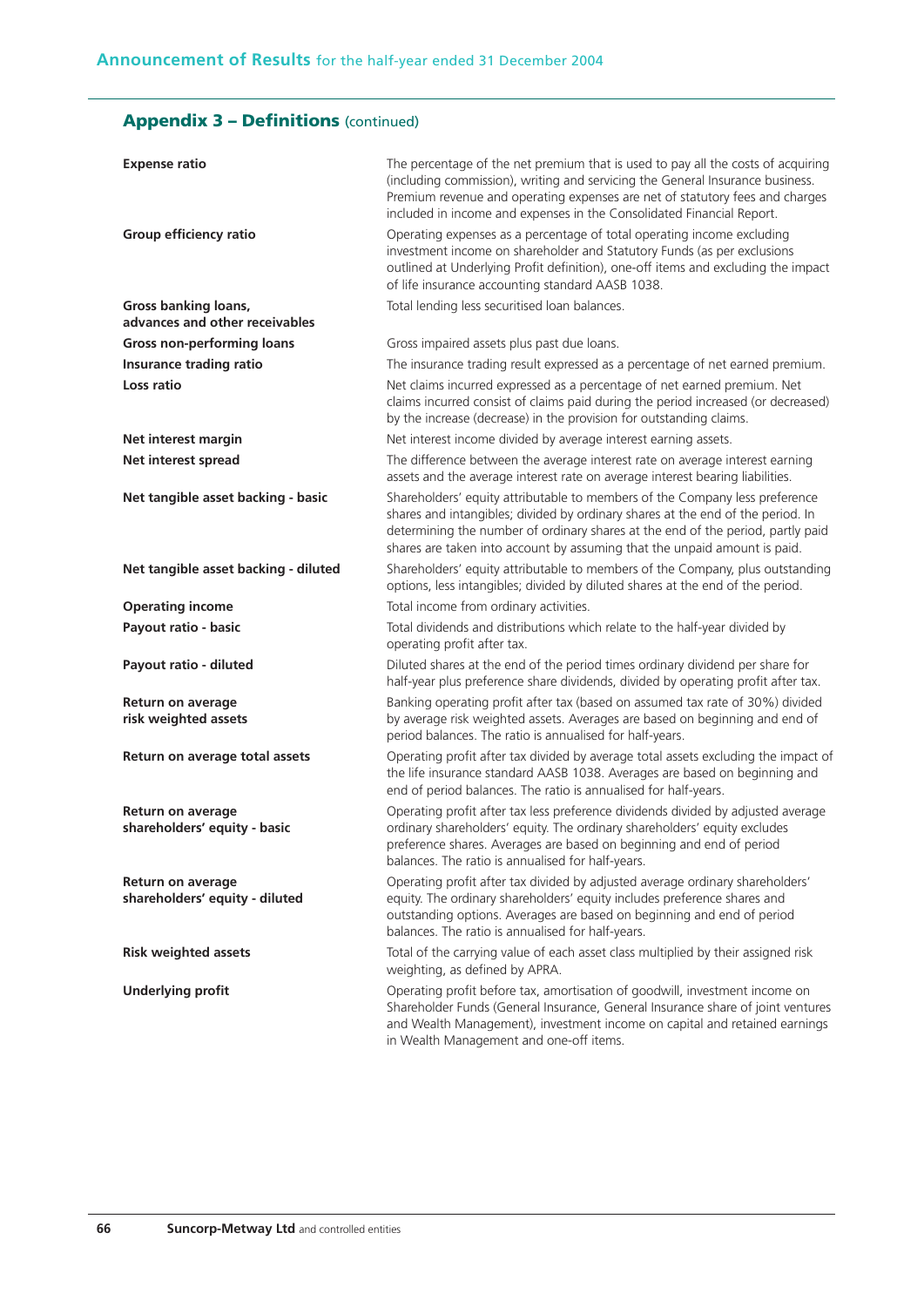# **Appendix 3 – Definitions** (continued)

| <b>Expense ratio</b>                                       | The percentage of the net premium that is used to pay all the costs of acquiring<br>(including commission), writing and servicing the General Insurance business.<br>Premium revenue and operating expenses are net of statutory fees and charges<br>included in income and expenses in the Consolidated Financial Report.     |
|------------------------------------------------------------|--------------------------------------------------------------------------------------------------------------------------------------------------------------------------------------------------------------------------------------------------------------------------------------------------------------------------------|
| Group efficiency ratio                                     | Operating expenses as a percentage of total operating income excluding<br>investment income on shareholder and Statutory Funds (as per exclusions<br>outlined at Underlying Profit definition), one-off items and excluding the impact<br>of life insurance accounting standard AASB 1038.                                     |
| Gross banking loans,                                       | Total lending less securitised loan balances.                                                                                                                                                                                                                                                                                  |
| advances and other receivables                             |                                                                                                                                                                                                                                                                                                                                |
| <b>Gross non-performing loans</b>                          | Gross impaired assets plus past due loans.                                                                                                                                                                                                                                                                                     |
| Insurance trading ratio                                    | The insurance trading result expressed as a percentage of net earned premium.                                                                                                                                                                                                                                                  |
| Loss ratio                                                 | Net claims incurred expressed as a percentage of net earned premium. Net<br>claims incurred consist of claims paid during the period increased (or decreased)<br>by the increase (decrease) in the provision for outstanding claims.                                                                                           |
| Net interest margin                                        | Net interest income divided by average interest earning assets.                                                                                                                                                                                                                                                                |
| <b>Net interest spread</b>                                 | The difference between the average interest rate on average interest earning<br>assets and the average interest rate on average interest bearing liabilities.                                                                                                                                                                  |
| Net tangible asset backing - basic                         | Shareholders' equity attributable to members of the Company less preference<br>shares and intangibles; divided by ordinary shares at the end of the period. In<br>determining the number of ordinary shares at the end of the period, partly paid<br>shares are taken into account by assuming that the unpaid amount is paid. |
| Net tangible asset backing - diluted                       | Shareholders' equity attributable to members of the Company, plus outstanding<br>options, less intangibles; divided by diluted shares at the end of the period.                                                                                                                                                                |
| <b>Operating income</b>                                    | Total income from ordinary activities.                                                                                                                                                                                                                                                                                         |
| Payout ratio - basic                                       | Total dividends and distributions which relate to the half-year divided by<br>operating profit after tax.                                                                                                                                                                                                                      |
| Payout ratio - diluted                                     | Diluted shares at the end of the period times ordinary dividend per share for<br>half-year plus preference share dividends, divided by operating profit after tax.                                                                                                                                                             |
| Return on average<br>risk weighted assets                  | Banking operating profit after tax (based on assumed tax rate of 30%) divided<br>by average risk weighted assets. Averages are based on beginning and end of<br>period balances. The ratio is annualised for half-years.                                                                                                       |
| Return on average total assets                             | Operating profit after tax divided by average total assets excluding the impact of<br>the life insurance standard AASB 1038. Averages are based on beginning and<br>end of period balances. The ratio is annualised for half-years.                                                                                            |
| <b>Return on average</b><br>shareholders' equity - basic   | Operating profit after tax less preference dividends divided by adjusted average<br>ordinary shareholders' equity. The ordinary shareholders' equity excludes<br>preference shares. Averages are based on beginning and end of period<br>balances. The ratio is annualised for half-years.                                     |
| <b>Return on average</b><br>shareholders' equity - diluted | Operating profit after tax divided by adjusted average ordinary shareholders'<br>equity. The ordinary shareholders' equity includes preference shares and<br>outstanding options. Averages are based on beginning and end of period<br>balances. The ratio is annualised for half-years.                                       |
| <b>Risk weighted assets</b>                                | Total of the carrying value of each asset class multiplied by their assigned risk<br>weighting, as defined by APRA.                                                                                                                                                                                                            |
| <b>Underlying profit</b>                                   | Operating profit before tax, amortisation of goodwill, investment income on<br>Shareholder Funds (General Insurance, General Insurance share of joint ventures<br>and Wealth Management), investment income on capital and retained earnings<br>in Wealth Management and one-off items.                                        |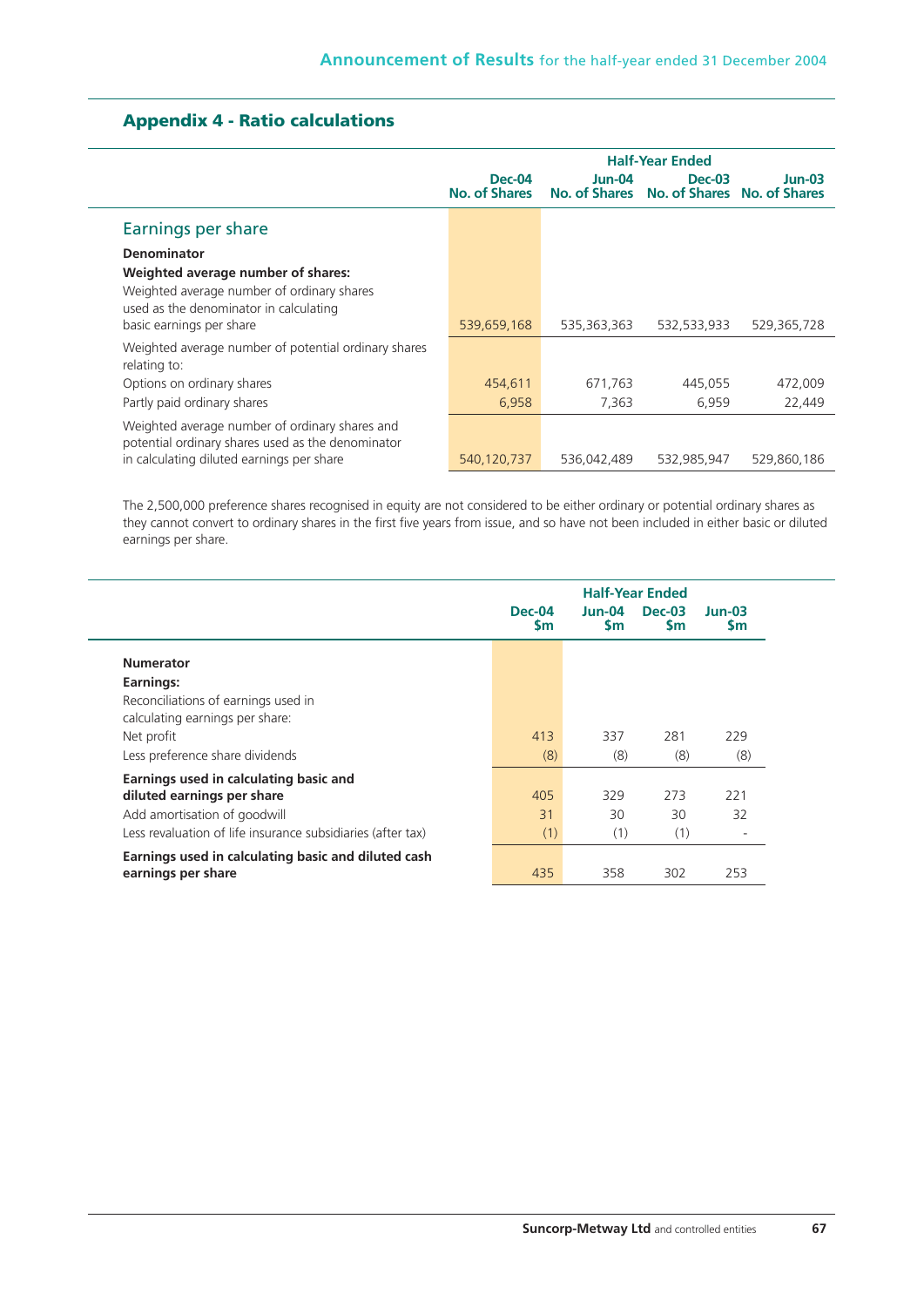|                                                                                                                                                  | <b>Half-Year Ended</b>         |                           |                                              |             |  |  |
|--------------------------------------------------------------------------------------------------------------------------------------------------|--------------------------------|---------------------------|----------------------------------------------|-------------|--|--|
|                                                                                                                                                  | <b>Dec-04</b><br>No. of Shares | $Jun-04$<br>No. of Shares | <b>Dec-03</b><br>No. of Shares No. of Shares | $Jun-03$    |  |  |
| Earnings per share                                                                                                                               |                                |                           |                                              |             |  |  |
| <b>Denominator</b>                                                                                                                               |                                |                           |                                              |             |  |  |
| Weighted average number of shares:                                                                                                               |                                |                           |                                              |             |  |  |
| Weighted average number of ordinary shares<br>used as the denominator in calculating<br>basic earnings per share                                 | 539,659,168                    | 535,363,363               | 532,533,933                                  | 529,365,728 |  |  |
| Weighted average number of potential ordinary shares<br>relating to:                                                                             |                                |                           |                                              |             |  |  |
| Options on ordinary shares                                                                                                                       | 454,611                        | 671.763                   | 445.055                                      | 472,009     |  |  |
| Partly paid ordinary shares                                                                                                                      | 6,958                          | 7,363                     | 6,959                                        | 22,449      |  |  |
| Weighted average number of ordinary shares and<br>potential ordinary shares used as the denominator<br>in calculating diluted earnings per share | 540,120,737                    | 536,042,489               | 532,985,947                                  | 529,860,186 |  |  |

# **Appendix 4 - Ratio calculations**

The 2,500,000 preference shares recognised in equity are not considered to be either ordinary or potential ordinary shares as they cannot convert to ordinary shares in the first five years from issue, and so have not been included in either basic or diluted earnings per share.

|                                                                        | <b>Half-Year Ended</b>     |                     |                            |                       |  |
|------------------------------------------------------------------------|----------------------------|---------------------|----------------------------|-----------------------|--|
|                                                                        | <b>Dec-04</b><br><b>Sm</b> | Jun-04<br><b>Sm</b> | <b>Dec-03</b><br><b>Sm</b> | $Jun-03$<br><b>Sm</b> |  |
| <b>Numerator</b>                                                       |                            |                     |                            |                       |  |
| Earnings:                                                              |                            |                     |                            |                       |  |
| Reconciliations of earnings used in<br>calculating earnings per share: |                            |                     |                            |                       |  |
| Net profit                                                             | 413                        | 337                 | 281                        | 229                   |  |
| Less preference share dividends                                        | (8)                        | (8)                 | (8)                        | (8)                   |  |
| Earnings used in calculating basic and                                 |                            |                     |                            |                       |  |
| diluted earnings per share                                             | 405                        | 329                 | 273                        | 221                   |  |
| Add amortisation of goodwill                                           | 31                         | 30                  | 30                         | 32                    |  |
| Less revaluation of life insurance subsidiaries (after tax)            | (1)                        | (1)                 | (1)                        | ۰                     |  |
| Earnings used in calculating basic and diluted cash                    |                            |                     |                            |                       |  |
| earnings per share                                                     | 435                        | 358                 | 302                        | 253                   |  |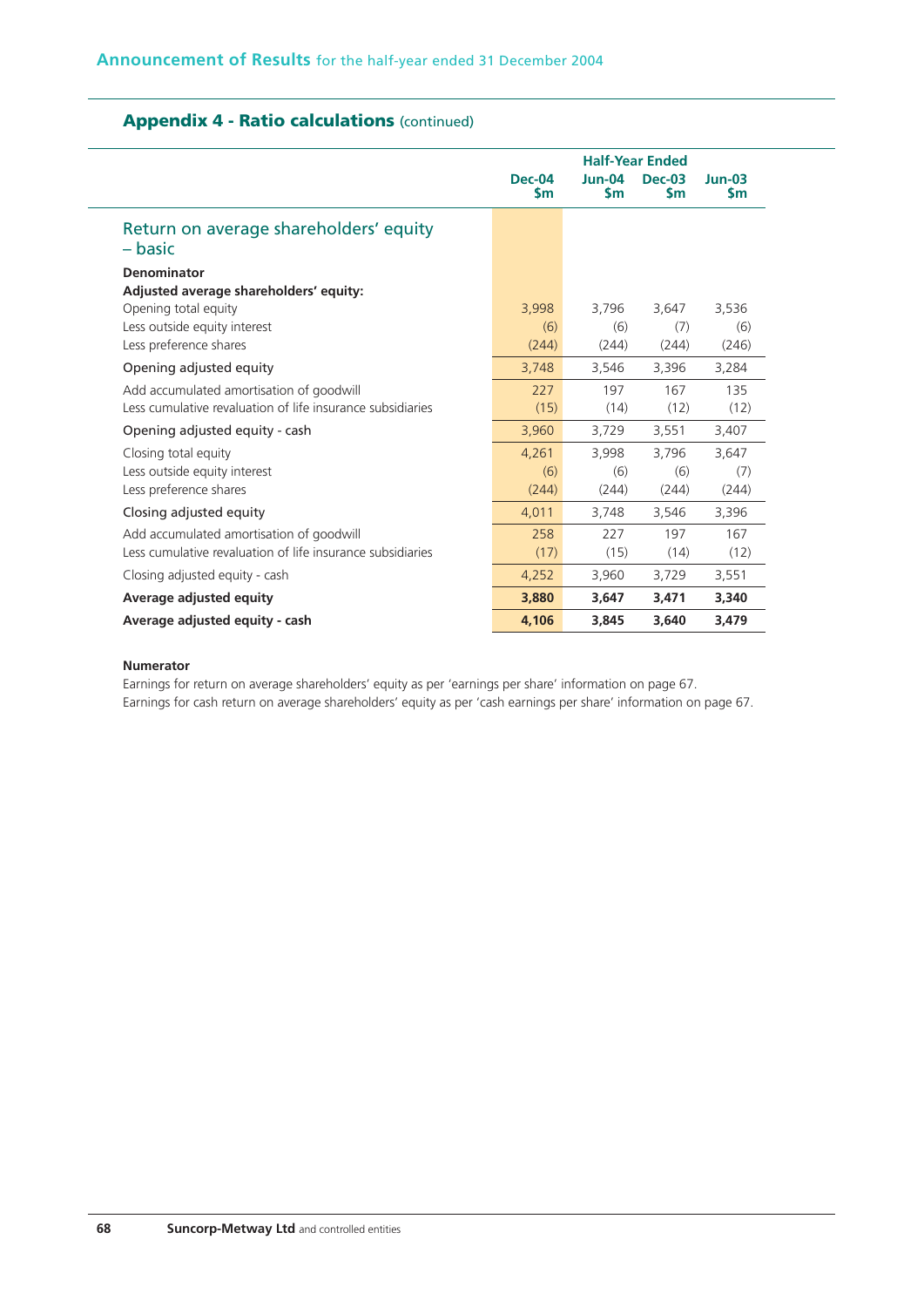|                                                            | <b>Half-Year Ended</b> |                           |                            |                       |  |
|------------------------------------------------------------|------------------------|---------------------------|----------------------------|-----------------------|--|
|                                                            | <b>Dec-04</b><br>\$m   | $Jun-04$<br>$\mathsf{sm}$ | <b>Dec-03</b><br><b>Sm</b> | $Jun-03$<br><b>Sm</b> |  |
| Return on average shareholders' equity<br>– basic          |                        |                           |                            |                       |  |
| <b>Denominator</b>                                         |                        |                           |                            |                       |  |
| Adjusted average shareholders' equity:                     |                        |                           |                            |                       |  |
| Opening total equity                                       | 3,998                  | 3,796                     | 3,647                      | 3,536                 |  |
| Less outside equity interest                               | (6)                    | (6)                       | (7)                        | (6)                   |  |
| Less preference shares                                     | (244)                  | (244)                     | (244)                      | (246)                 |  |
| Opening adjusted equity                                    | 3,748                  | 3,546                     | 3,396                      | 3,284                 |  |
| Add accumulated amortisation of goodwill                   | 227                    | 197                       | 167                        | 135                   |  |
| Less cumulative revaluation of life insurance subsidiaries | (15)                   | (14)                      | (12)                       | (12)                  |  |
| Opening adjusted equity - cash                             | 3,960                  | 3,729                     | 3,551                      | 3,407                 |  |
| Closing total equity                                       | 4,261                  | 3,998                     | 3,796                      | 3,647                 |  |
| Less outside equity interest                               | (6)                    | (6)                       | (6)                        | (7)                   |  |
| Less preference shares                                     | (244)                  | (244)                     | (244)                      | (244)                 |  |
| Closing adjusted equity                                    | 4,011                  | 3,748                     | 3,546                      | 3,396                 |  |
| Add accumulated amortisation of goodwill                   | 258                    | 227                       | 197                        | 167                   |  |
| Less cumulative revaluation of life insurance subsidiaries | (17)                   | (15)                      | (14)                       | (12)                  |  |
| Closing adjusted equity - cash                             | 4,252                  | 3,960                     | 3,729                      | 3,551                 |  |
| Average adjusted equity                                    | 3,880                  | 3,647                     | 3,471                      | 3,340                 |  |
| Average adjusted equity - cash                             | 4.106                  | 3,845                     | 3,640                      | 3,479                 |  |

# **Appendix 4 - Ratio calculations** (continued)

#### **Numerator**

Earnings for return on average shareholders' equity as per 'earnings per share' information on page 67. Earnings for cash return on average shareholders' equity as per 'cash earnings per share' information on page 67.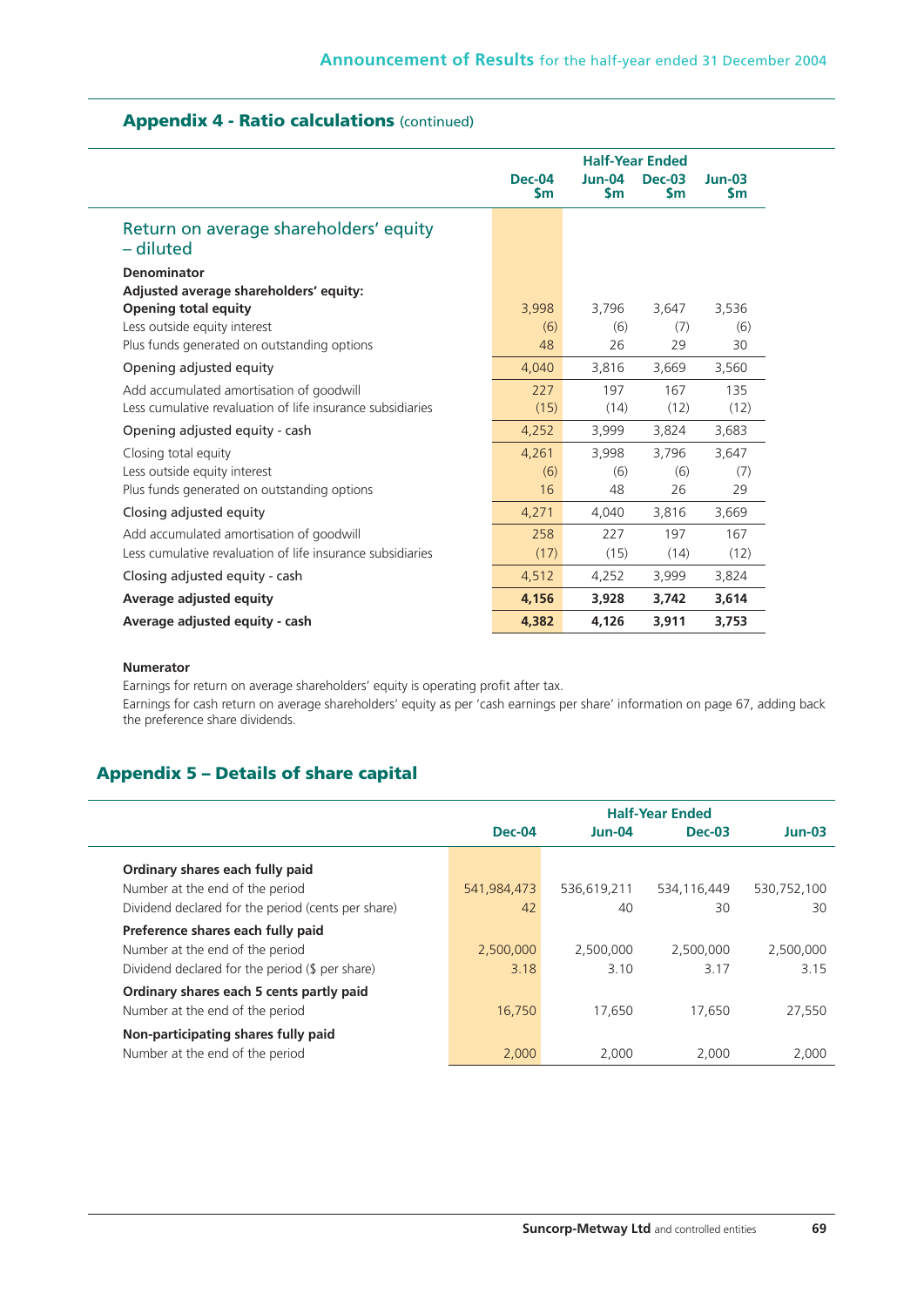|                                                            | <b>Half-Year Ended</b>         |                       |                     |                       |  |  |
|------------------------------------------------------------|--------------------------------|-----------------------|---------------------|-----------------------|--|--|
|                                                            | <b>Dec-04</b><br>$\mathsf{Sm}$ | $Jun-04$<br><b>Sm</b> | <b>Dec-03</b><br>Sm | $Jun-03$<br><b>Sm</b> |  |  |
| Return on average shareholders' equity<br>– diluted        |                                |                       |                     |                       |  |  |
| <b>Denominator</b>                                         |                                |                       |                     |                       |  |  |
| Adjusted average shareholders' equity:                     |                                |                       |                     |                       |  |  |
| <b>Opening total equity</b>                                | 3,998                          | 3,796                 | 3,647               | 3.536                 |  |  |
| Less outside equity interest                               | (6)                            | (6)                   | (7)                 | (6)                   |  |  |
| Plus funds generated on outstanding options                | 48                             | 26                    | 29                  | 30                    |  |  |
| Opening adjusted equity                                    | 4,040                          | 3,816                 | 3,669               | 3,560                 |  |  |
| Add accumulated amortisation of goodwill                   | 227                            | 197                   | 167                 | 135                   |  |  |
| Less cumulative revaluation of life insurance subsidiaries | (15)                           | (14)                  | (12)                | (12)                  |  |  |
| Opening adjusted equity - cash                             | 4,252                          | 3,999                 | 3,824               | 3,683                 |  |  |
| Closing total equity                                       | 4,261                          | 3,998                 | 3,796               | 3,647                 |  |  |
| Less outside equity interest                               | (6)                            | (6)                   | (6)                 | (7)                   |  |  |
| Plus funds generated on outstanding options                | 16                             | 48                    | 26                  | 29                    |  |  |
| Closing adjusted equity                                    | 4,271                          | 4,040                 | 3,816               | 3,669                 |  |  |
| Add accumulated amortisation of goodwill                   | 258                            | 227                   | 197                 | 167                   |  |  |
| Less cumulative revaluation of life insurance subsidiaries | (17)                           | (15)                  | (14)                | (12)                  |  |  |
| Closing adjusted equity - cash                             | 4,512                          | 4,252                 | 3,999               | 3,824                 |  |  |
| Average adjusted equity                                    | 4,156                          | 3,928                 | 3,742               | 3,614                 |  |  |
| Average adjusted equity - cash                             | 4.382                          | 4.126                 | 3,911               | 3,753                 |  |  |

# **Appendix 4 - Ratio calculations** (continued)

#### **Numerator**

Earnings for return on average shareholders' equity is operating profit after tax.

Earnings for cash return on average shareholders' equity as per 'cash earnings per share' information on page 67, adding back the preference share dividends.

## **Appendix 5 – Details of share capital**

|                                                                             | <b>Half-Year Ended</b> |             |             |             |  |  |
|-----------------------------------------------------------------------------|------------------------|-------------|-------------|-------------|--|--|
|                                                                             | Dec-04                 | $Jun-04$    | $Dec-03$    | $Jun-03$    |  |  |
| Ordinary shares each fully paid                                             |                        |             |             |             |  |  |
| Number at the end of the period                                             | 541,984,473            | 536,619,211 | 534,116,449 | 530,752,100 |  |  |
| Dividend declared for the period (cents per share)                          | 42                     | 40          | 30          | 30          |  |  |
| Preference shares each fully paid                                           |                        |             |             |             |  |  |
| Number at the end of the period                                             | 2,500,000              | 2.500.000   | 2,500,000   | 2,500,000   |  |  |
| Dividend declared for the period (\$ per share)                             | 3.18                   | 3.10        | 3.17        | 3.15        |  |  |
| Ordinary shares each 5 cents partly paid<br>Number at the end of the period | 16,750                 | 17,650      | 17,650      | 27,550      |  |  |
| Non-participating shares fully paid<br>Number at the end of the period      | 2.000                  | 2.000       | 2.000       | 2,000       |  |  |